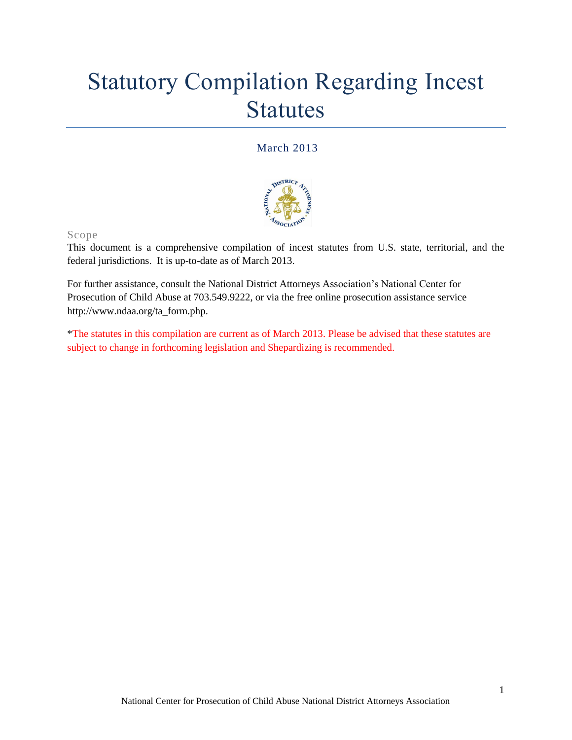# Statutory Compilation Regarding Incest Statutes

### March 2013



#### Scope

This document is a comprehensive compilation of incest statutes from U.S. state, territorial, and the federal jurisdictions. It is up-to-date as of March 2013.

For further assistance, consult the National District Attorneys Association's National Center for Prosecution of Child Abuse at 703.549.9222, or via the free online prosecution assistance service [http://www.ndaa.org/ta\\_form.php.](http://www.ndaa.org/ta_form.php)

\*The statutes in this compilation are current as of March 2013. Please be advised that these statutes are subject to change in forthcoming legislation and Shepardizing is recommended.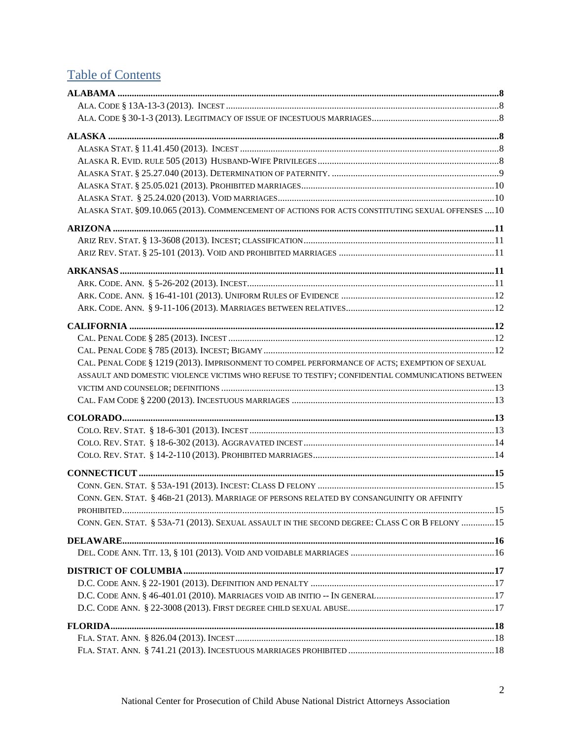### **Table of Contents**

| ALASKA STAT. §09.10.065 (2013). COMMENCEMENT OF ACTIONS FOR ACTS CONSTITUTING SEXUAL OFFENSES  10 |  |
|---------------------------------------------------------------------------------------------------|--|
|                                                                                                   |  |
|                                                                                                   |  |
|                                                                                                   |  |
|                                                                                                   |  |
|                                                                                                   |  |
|                                                                                                   |  |
|                                                                                                   |  |
|                                                                                                   |  |
|                                                                                                   |  |
|                                                                                                   |  |
| CAL. PENAL CODE § 1219 (2013). IMPRISONMENT TO COMPEL PERFORMANCE OF ACTS; EXEMPTION OF SEXUAL    |  |
| ASSAULT AND DOMESTIC VIOLENCE VICTIMS WHO REFUSE TO TESTIFY; CONFIDENTIAL COMMUNICATIONS BETWEEN  |  |
|                                                                                                   |  |
|                                                                                                   |  |
|                                                                                                   |  |
|                                                                                                   |  |
|                                                                                                   |  |
|                                                                                                   |  |
|                                                                                                   |  |
|                                                                                                   |  |
| CONN. GEN. STAT. § 46B-21 (2013). MARRIAGE OF PERSONS RELATED BY CONSANGUINITY OR AFFINITY        |  |
|                                                                                                   |  |
| CONN. GEN. STAT. § 53A-71 (2013). SEXUAL ASSAULT IN THE SECOND DEGREE: CLASS COR B FELONY 15      |  |
|                                                                                                   |  |
|                                                                                                   |  |
|                                                                                                   |  |
|                                                                                                   |  |
|                                                                                                   |  |
|                                                                                                   |  |
|                                                                                                   |  |
|                                                                                                   |  |
|                                                                                                   |  |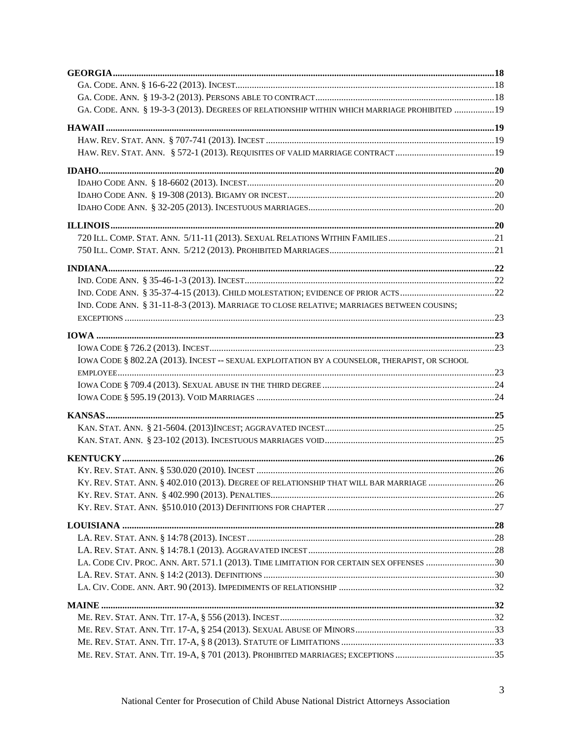| GA. CODE. ANN. § 19-3-3 (2013). DEGREES OF RELATIONSHIP WITHIN WHICH MARRIAGE PROHIBITED  19  |  |
|-----------------------------------------------------------------------------------------------|--|
|                                                                                               |  |
|                                                                                               |  |
| HAW. REV. STAT. ANN. § 572-1 (2013). REQUISITES OF VALID MARRIAGE CONTRACT 19                 |  |
|                                                                                               |  |
|                                                                                               |  |
|                                                                                               |  |
|                                                                                               |  |
|                                                                                               |  |
|                                                                                               |  |
|                                                                                               |  |
|                                                                                               |  |
|                                                                                               |  |
|                                                                                               |  |
| IND. CODE ANN. § 31-11-8-3 (2013). MARRIAGE TO CLOSE RELATIVE; MARRIAGES BETWEEN COUSINS;     |  |
|                                                                                               |  |
|                                                                                               |  |
|                                                                                               |  |
| IOWA CODE § 802.2A (2013). INCEST -- SEXUAL EXPLOITATION BY A COUNSELOR, THERAPIST, OR SCHOOL |  |
|                                                                                               |  |
|                                                                                               |  |
|                                                                                               |  |
|                                                                                               |  |
|                                                                                               |  |
|                                                                                               |  |
|                                                                                               |  |
|                                                                                               |  |
| KY. REV. STAT. ANN. § 402.010 (2013). DEGREE OF RELATIONSHIP THAT WILL BAR MARRIAGE 26        |  |
|                                                                                               |  |
|                                                                                               |  |
|                                                                                               |  |
|                                                                                               |  |
|                                                                                               |  |
| LA. CODE CIV. PROC. ANN. ART. 571.1 (2013). TIME LIMITATION FOR CERTAIN SEX OFFENSES 30       |  |
|                                                                                               |  |
|                                                                                               |  |
|                                                                                               |  |
|                                                                                               |  |
|                                                                                               |  |
|                                                                                               |  |
| ME. REV. STAT. ANN. TIT. 19-A, § 701 (2013). PROHIBITED MARRIAGES; EXCEPTIONS 35              |  |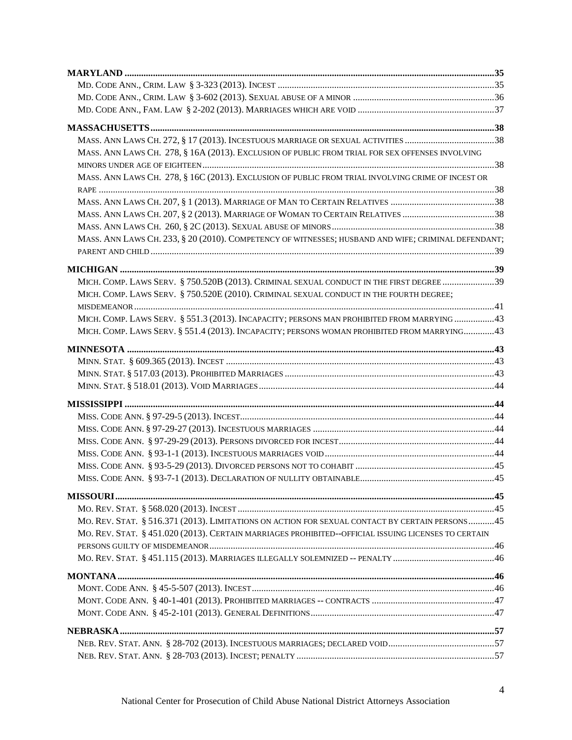| MASS. ANN LAWS CH. 272, § 17 (2013). INCESTUOUS MARRIAGE OR SEXUAL ACTIVITIES 38                    |  |
|-----------------------------------------------------------------------------------------------------|--|
| MASS. ANN LAWS CH. 278, § 16A (2013). EXCLUSION OF PUBLIC FROM TRIAL FOR SEX OFFENSES INVOLVING     |  |
|                                                                                                     |  |
| MASS. ANN LAWS CH. 278, § 16C (2013). EXCLUSION OF PUBLIC FROM TRIAL INVOLVING CRIME OF INCEST OR   |  |
|                                                                                                     |  |
|                                                                                                     |  |
| MASS. ANN LAWS CH. 207, § 2 (2013). MARRIAGE OF WOMAN TO CERTAIN RELATIVES 38                       |  |
|                                                                                                     |  |
| MASS. ANN LAWS CH. 233, § 20 (2010). COMPETENCY OF WITNESSES; HUSBAND AND WIFE; CRIMINAL DEFENDANT; |  |
|                                                                                                     |  |
|                                                                                                     |  |
| MICH. COMP. LAWS SERV. § 750.520B (2013). CRIMINAL SEXUAL CONDUCT IN THE FIRST DEGREE 39            |  |
| MICH. COMP. LAWS SERV. § 750.520E (2010). CRIMINAL SEXUAL CONDUCT IN THE FOURTH DEGREE;             |  |
|                                                                                                     |  |
| MICH. COMP. LAWS SERV. § 551.3 (2013). INCAPACITY; PERSONS MAN PROHIBITED FROM MARRYING 43          |  |
| MICH. COMP. LAWS SERV. § 551.4 (2013). INCAPACITY; PERSONS WOMAN PROHIBITED FROM MARRYING43         |  |
|                                                                                                     |  |
|                                                                                                     |  |
|                                                                                                     |  |
|                                                                                                     |  |
|                                                                                                     |  |
|                                                                                                     |  |
|                                                                                                     |  |
|                                                                                                     |  |
|                                                                                                     |  |
|                                                                                                     |  |
|                                                                                                     |  |
|                                                                                                     |  |
|                                                                                                     |  |
| MO. REV. STAT. § 516.371 (2013). LIMITATIONS ON ACTION FOR SEXUAL CONTACT BY CERTAIN PERSONS45      |  |
| MO. REV. STAT. § 451.020 (2013). CERTAIN MARRIAGES PROHIBITED--OFFICIAL ISSUING LICENSES TO CERTAIN |  |
|                                                                                                     |  |
|                                                                                                     |  |
|                                                                                                     |  |
|                                                                                                     |  |
|                                                                                                     |  |
|                                                                                                     |  |
|                                                                                                     |  |
|                                                                                                     |  |
|                                                                                                     |  |
|                                                                                                     |  |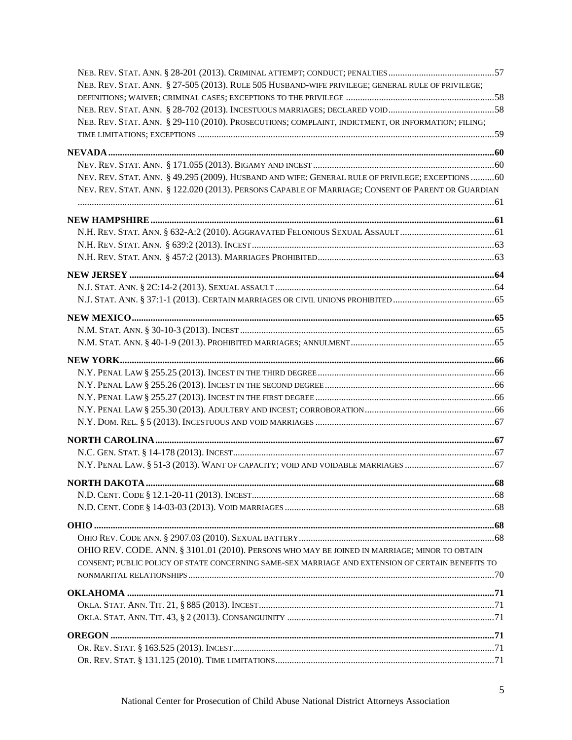| NEB. REV. STAT. ANN. § 27-505 (2013). RULE 505 HUSBAND-WIFE PRIVILEGE; GENERAL RULE OF PRIVILEGE;  |     |
|----------------------------------------------------------------------------------------------------|-----|
|                                                                                                    |     |
|                                                                                                    |     |
| NEB. REV. STAT. ANN. § 29-110 (2010). PROSECUTIONS; COMPLAINT, INDICTMENT, OR INFORMATION; FILING; |     |
|                                                                                                    |     |
|                                                                                                    |     |
|                                                                                                    |     |
| NEV. REV. STAT. ANN. § 49.295 (2009). HUSBAND AND WIFE: GENERAL RULE OF PRIVILEGE; EXCEPTIONS 60   |     |
| NEV. REV. STAT. ANN. § 122.020 (2013). PERSONS CAPABLE OF MARRIAGE; CONSENT OF PARENT OR GUARDIAN  |     |
|                                                                                                    |     |
|                                                                                                    |     |
|                                                                                                    |     |
|                                                                                                    |     |
|                                                                                                    |     |
|                                                                                                    |     |
|                                                                                                    |     |
|                                                                                                    |     |
|                                                                                                    |     |
|                                                                                                    |     |
|                                                                                                    |     |
|                                                                                                    |     |
|                                                                                                    |     |
|                                                                                                    |     |
|                                                                                                    |     |
|                                                                                                    |     |
|                                                                                                    |     |
|                                                                                                    |     |
|                                                                                                    |     |
|                                                                                                    |     |
| NORTH DAKOTA                                                                                       | .68 |
|                                                                                                    |     |
|                                                                                                    |     |
|                                                                                                    |     |
|                                                                                                    |     |
| OHIO REV. CODE. ANN. § 3101.01 (2010). PERSONS WHO MAY BE JOINED IN MARRIAGE; MINOR TO OBTAIN      |     |
| CONSENT; PUBLIC POLICY OF STATE CONCERNING SAME-SEX MARRIAGE AND EXTENSION OF CERTAIN BENEFITS TO  |     |
|                                                                                                    |     |
|                                                                                                    |     |
|                                                                                                    |     |
|                                                                                                    |     |
|                                                                                                    |     |
|                                                                                                    |     |
|                                                                                                    |     |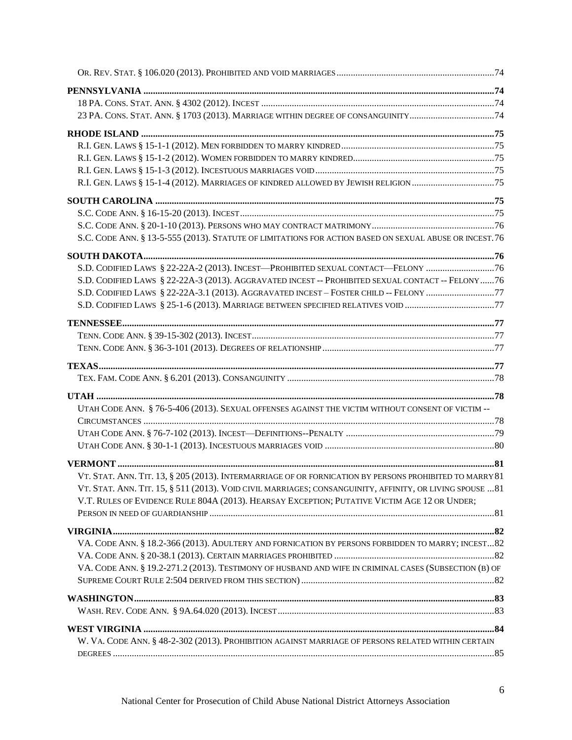| 23 PA. CONS. STAT. ANN. § 1703 (2013). MARRIAGE WITHIN DEGREE OF CONSANGUINITY74                                                                                                                          |  |
|-----------------------------------------------------------------------------------------------------------------------------------------------------------------------------------------------------------|--|
|                                                                                                                                                                                                           |  |
|                                                                                                                                                                                                           |  |
|                                                                                                                                                                                                           |  |
|                                                                                                                                                                                                           |  |
| R.I. GEN. LAWS § 15-1-4 (2012). MARRIAGES OF KINDRED ALLOWED BY JEWISH RELIGION 75                                                                                                                        |  |
|                                                                                                                                                                                                           |  |
|                                                                                                                                                                                                           |  |
|                                                                                                                                                                                                           |  |
| S.C. CODE ANN. § 13-5-555 (2013). STATUTE OF LIMITATIONS FOR ACTION BASED ON SEXUAL ABUSE OR INCEST. 76                                                                                                   |  |
|                                                                                                                                                                                                           |  |
| S.D. CODIFIED LAWS § 22-22A-2 (2013). INCEST—PROHIBITED SEXUAL CONTACT—FELONY                                                                                                                             |  |
| S.D. CODIFIED LAWS § 22-22A-3 (2013). AGGRAVATED INCEST -- PROHIBITED SEXUAL CONTACT -- FELONY  76                                                                                                        |  |
| S.D. CODIFIED LAWS § 22-22A-3.1 (2013). AGGRAVATED INCEST - FOSTER CHILD -- FELONY 77                                                                                                                     |  |
| S.D. CODIFIED LAWS § 25-1-6 (2013). MARRIAGE BETWEEN SPECIFIED RELATIVES VOID 77                                                                                                                          |  |
|                                                                                                                                                                                                           |  |
|                                                                                                                                                                                                           |  |
|                                                                                                                                                                                                           |  |
|                                                                                                                                                                                                           |  |
|                                                                                                                                                                                                           |  |
|                                                                                                                                                                                                           |  |
|                                                                                                                                                                                                           |  |
| UTAH CODE ANN. § 76-5-406 (2013). SEXUAL OFFENSES AGAINST THE VICTIM WITHOUT CONSENT OF VICTIM --                                                                                                         |  |
|                                                                                                                                                                                                           |  |
|                                                                                                                                                                                                           |  |
|                                                                                                                                                                                                           |  |
|                                                                                                                                                                                                           |  |
| VT. STAT. ANN. TIT. 13, § 205 (2013). INTERMARRIAGE OF OR FORNICATION BY PERSONS PROHIBITED TO MARRY 81                                                                                                   |  |
| VT. STAT. ANN. TIT. 15, § 511 (2013). VOID CIVIL MARRIAGES; CONSANGUINITY, AFFINITY, OR LIVING SPOUSE  81<br>V.T. RULES OF EVIDENCE RULE 804A (2013). HEARSAY EXCEPTION; PUTATIVE VICTIM AGE 12 OR UNDER; |  |
|                                                                                                                                                                                                           |  |
|                                                                                                                                                                                                           |  |
|                                                                                                                                                                                                           |  |
| VA. CODE ANN. § 18.2-366 (2013). ADULTERY AND FORNICATION BY PERSONS FORBIDDEN TO MARRY; INCEST 82                                                                                                        |  |
|                                                                                                                                                                                                           |  |
| VA. CODE ANN. § 19.2-271.2 (2013). TESTIMONY OF HUSBAND AND WIFE IN CRIMINAL CASES (SUBSECTION (B) OF                                                                                                     |  |
|                                                                                                                                                                                                           |  |
|                                                                                                                                                                                                           |  |
|                                                                                                                                                                                                           |  |
|                                                                                                                                                                                                           |  |
| W. VA. CODE ANN. § 48-2-302 (2013). PROHIBITION AGAINST MARRIAGE OF PERSONS RELATED WITHIN CERTAIN                                                                                                        |  |
|                                                                                                                                                                                                           |  |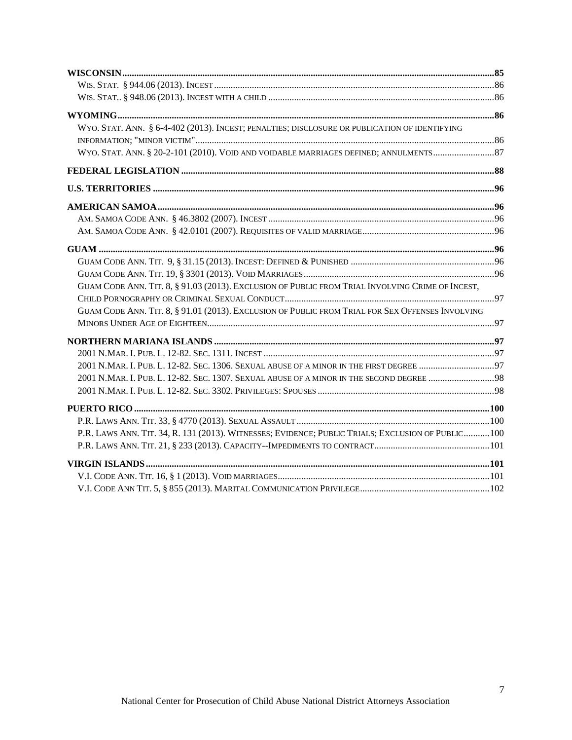| WYO. STAT. ANN. § 6-4-402 (2013). INCEST; PENALTIES; DISCLOSURE OR PUBLICATION OF IDENTIFYING      |  |
|----------------------------------------------------------------------------------------------------|--|
|                                                                                                    |  |
|                                                                                                    |  |
|                                                                                                    |  |
|                                                                                                    |  |
|                                                                                                    |  |
|                                                                                                    |  |
|                                                                                                    |  |
|                                                                                                    |  |
|                                                                                                    |  |
|                                                                                                    |  |
| GUAM CODE ANN. TIT. 8, § 91.03 (2013). EXCLUSION OF PUBLIC FROM TRIAL INVOLVING CRIME OF INCEST,   |  |
|                                                                                                    |  |
| GUAM CODE ANN. TIT. 8, § 91.01 (2013). EXCLUSION OF PUBLIC FROM TRIAL FOR SEX OFFENSES INVOLVING   |  |
|                                                                                                    |  |
|                                                                                                    |  |
|                                                                                                    |  |
|                                                                                                    |  |
| 2001 N.MAR. I. PUB. L. 12-82. SEC. 1307. SEXUAL ABUSE OF A MINOR IN THE SECOND DEGREE  98          |  |
|                                                                                                    |  |
|                                                                                                    |  |
|                                                                                                    |  |
| P.R. LAWS ANN. TIT. 34, R. 131 (2013). WITNESSES; EVIDENCE; PUBLIC TRIALS; EXCLUSION OF PUBLIC 100 |  |
|                                                                                                    |  |
|                                                                                                    |  |
|                                                                                                    |  |
|                                                                                                    |  |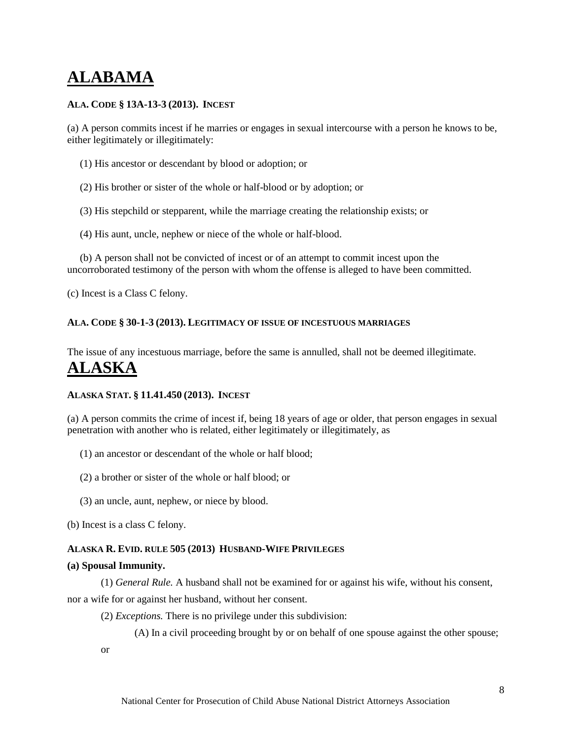# **ALABAMA**

#### **ALA. CODE § 13A-13-3 (2013). INCEST**

(a) A person commits incest if he marries or engages in sexual intercourse with a person he knows to be, either legitimately or illegitimately:

- (1) His ancestor or descendant by blood or adoption; or
- (2) His brother or sister of the whole or half-blood or by adoption; or
- (3) His stepchild or stepparent, while the marriage creating the relationship exists; or
- (4) His aunt, uncle, nephew or niece of the whole or half-blood.

(b) A person shall not be convicted of incest or of an attempt to commit incest upon the uncorroborated testimony of the person with whom the offense is alleged to have been committed.

(c) Incest is a Class C felony.

### **ALA. CODE § 30-1-3 (2013). LEGITIMACY OF ISSUE OF INCESTUOUS MARRIAGES**

The issue of any incestuous marriage, before the same is annulled, shall not be deemed illegitimate.

### **ALASKA**

### **ALASKA STAT. § 11.41.450 (2013). INCEST**

(a) A person commits the crime of incest if, being 18 years of age or older, that person engages in sexual penetration with another who is related, either legitimately or illegitimately, as

- (1) an ancestor or descendant of the whole or half blood;
- (2) a brother or sister of the whole or half blood; or
- (3) an uncle, aunt, nephew, or niece by blood.

(b) Incest is a class C felony.

#### **ALASKA R. EVID. RULE 505 (2013) HUSBAND-WIFE PRIVILEGES**

#### **(a) Spousal Immunity.**

(1) *General Rule.* A husband shall not be examined for or against his wife, without his consent,

nor a wife for or against her husband, without her consent.

(2) *Exceptions.* There is no privilege under this subdivision:

(A) In a civil proceeding brought by or on behalf of one spouse against the other spouse;

or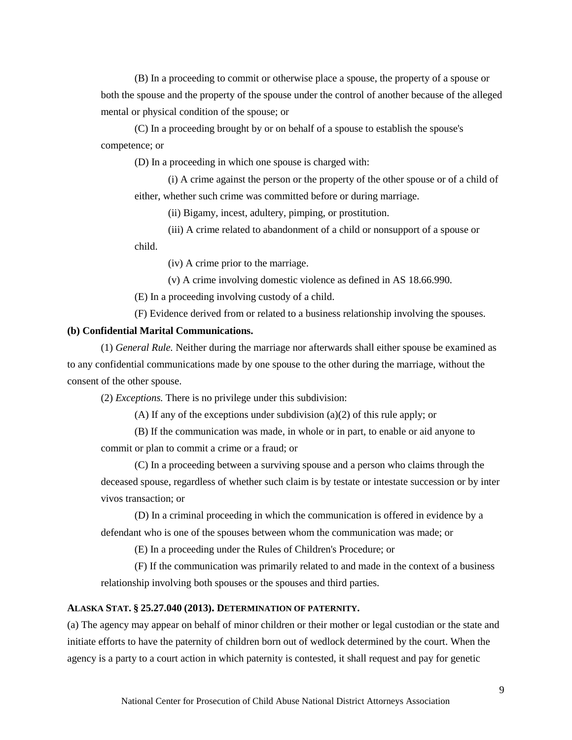(B) In a proceeding to commit or otherwise place a spouse, the property of a spouse or both the spouse and the property of the spouse under the control of another because of the alleged mental or physical condition of the spouse; or

(C) In a proceeding brought by or on behalf of a spouse to establish the spouse's competence; or

(D) In a proceeding in which one spouse is charged with:

(i) A crime against the person or the property of the other spouse or of a child of either, whether such crime was committed before or during marriage.

(ii) Bigamy, incest, adultery, pimping, or prostitution.

(iii) A crime related to abandonment of a child or nonsupport of a spouse or child.

(iv) A crime prior to the marriage.

(v) A crime involving domestic violence as defined in [AS 18.66.990.](https://a.next.westlaw.com/Link/Document/FullText?findType=L&pubNum=1000003&cite=AKSTS18.66.990&originatingDoc=N44085AA0A05711DD8C09F6DF41C994C9&refType=LQ&originationContext=document&transitionType=DocumentItem&contextData=(sc.Search))

(E) In a proceeding involving custody of a child.

(F) Evidence derived from or related to a business relationship involving the spouses.

#### **(b) Confidential Marital Communications.**

(1) *General Rule.* Neither during the marriage nor afterwards shall either spouse be examined as to any confidential communications made by one spouse to the other during the marriage, without the consent of the other spouse.

(2) *Exceptions.* There is no privilege under this subdivision:

(A) If any of the exceptions under subdivision (a)(2) of this rule apply; or

(B) If the communication was made, in whole or in part, to enable or aid anyone to commit or plan to commit a crime or a fraud; or

(C) In a proceeding between a surviving spouse and a person who claims through the deceased spouse, regardless of whether such claim is by testate or intestate succession or by inter vivos transaction; or

(D) In a criminal proceeding in which the communication is offered in evidence by a defendant who is one of the spouses between whom the communication was made; or

(E) In a proceeding under the Rules of Children's Procedure; or

(F) If the communication was primarily related to and made in the context of a business relationship involving both spouses or the spouses and third parties.

#### **ALASKA STAT. § 25.27.040 (2013). DETERMINATION OF PATERNITY.**

(a) The agency may appear on behalf of minor children or their mother or legal custodian or the state and initiate efforts to have the paternity of children born out of wedlock determined by the court. When the agency is a party to a court action in which paternity is contested, it shall request and pay for genetic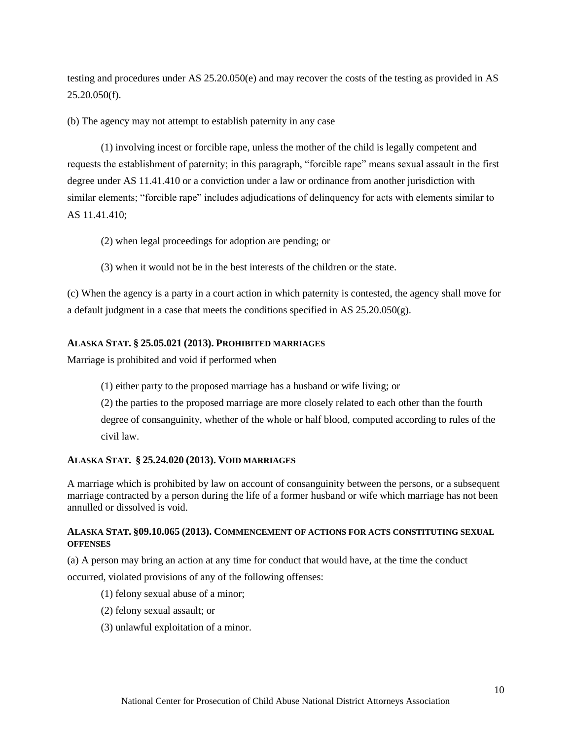testing and procedures under [AS 25.20.050\(e\)](https://a.next.westlaw.com/Link/Document/FullText?findType=L&pubNum=1000003&cite=AKSTS25.20.050&originatingDoc=NB94553D05FE911DD9796E26F278DD372&refType=SP&originationContext=document&transitionType=DocumentItem&contextData=(sc.Search)#co_pp_7fdd00001ca15) and may recover the costs of the testing as provided in [AS](https://a.next.westlaw.com/Link/Document/FullText?findType=L&pubNum=1000003&cite=AKSTS25.20.050&originatingDoc=NB94553D05FE911DD9796E26F278DD372&refType=SP&originationContext=document&transitionType=DocumentItem&contextData=(sc.Search)#co_pp_ae0d0000c5150)   $25.20.050(f)$ .

(b) The agency may not attempt to establish paternity in any case

(1) involving incest or forcible rape, unless the mother of the child is legally competent and requests the establishment of paternity; in this paragraph, "forcible rape" means sexual assault in the first degree under [AS 11.41.410](https://a.next.westlaw.com/Link/Document/FullText?findType=L&pubNum=1000003&cite=AKSTS11.41.410&originatingDoc=NB94553D05FE911DD9796E26F278DD372&refType=LQ&originationContext=document&transitionType=DocumentItem&contextData=(sc.Search)) or a conviction under a law or ordinance from another jurisdiction with similar elements; "forcible rape" includes adjudications of delinquency for acts with elements similar to [AS 11.41.410;](https://a.next.westlaw.com/Link/Document/FullText?findType=L&pubNum=1000003&cite=AKSTS11.41.410&originatingDoc=NB94553D05FE911DD9796E26F278DD372&refType=LQ&originationContext=document&transitionType=DocumentItem&contextData=(sc.Search))

- (2) when legal proceedings for adoption are pending; or
- (3) when it would not be in the best interests of the children or the state.

(c) When the agency is a party in a court action in which paternity is contested, the agency shall move for a default judgment in a case that meets the conditions specified in AS  $25.20.050(g)$ .

#### **ALASKA STAT. § 25.05.021 (2013). PROHIBITED MARRIAGES**

Marriage is prohibited and void if performed when

(1) either party to the proposed marriage has a husband or wife living; or (2) the parties to the proposed marriage are more closely related to each other than the fourth degree of consanguinity, whether of the whole or half blood, computed according to rules of the civil law.

#### **ALASKA STAT. § 25.24.020 (2013). VOID MARRIAGES**

A marriage which is prohibited by law on account of consanguinity between the persons, or a subsequent marriage contracted by a person during the life of a former husband or wife which marriage has not been annulled or dissolved is void.

#### **ALASKA STAT. §09.10.065 (2013). COMMENCEMENT OF ACTIONS FOR ACTS CONSTITUTING SEXUAL OFFENSES**

(a) A person may bring an action at any time for conduct that would have, at the time the conduct

occurred, violated provisions of any of the following offenses:

- (1) felony sexual abuse of a minor;
- (2) felony sexual assault; or
- (3) unlawful exploitation of a minor.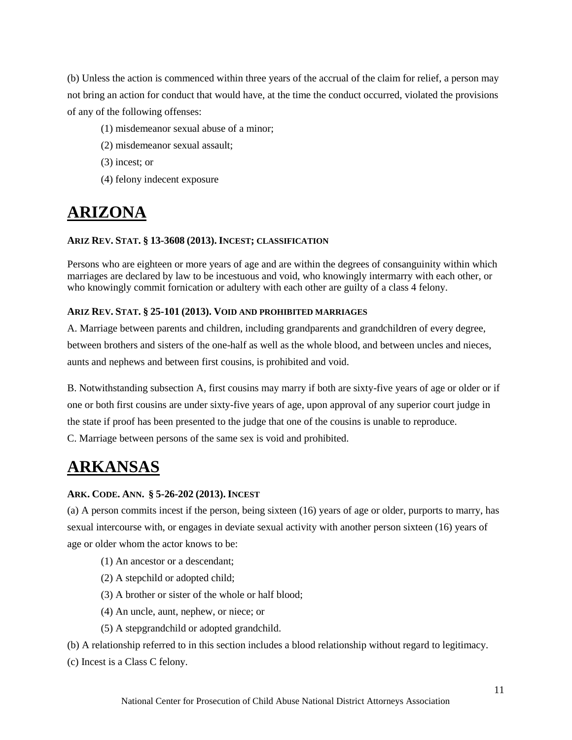(b) Unless the action is commenced within three years of the accrual of the claim for relief, a person may not bring an action for conduct that would have, at the time the conduct occurred, violated the provisions of any of the following offenses:

- (1) misdemeanor sexual abuse of a minor;
- (2) misdemeanor sexual assault;
- (3) incest; or
- (4) felony indecent exposure

### **ARIZONA**

#### **ARIZ REV. STAT. § 13-3608 (2013). INCEST; CLASSIFICATION**

Persons who are eighteen or more years of age and are within the degrees of consanguinity within which marriages are declared by law to be incestuous and void, who knowingly intermarry with each other, or who knowingly commit fornication or adultery with each other are guilty of a class 4 felony.

#### **ARIZ REV. STAT. § 25-101 (2013). VOID AND PROHIBITED MARRIAGES**

A. Marriage between parents and children, including grandparents and grandchildren of every degree, between brothers and sisters of the one-half as well as the whole blood, and between uncles and nieces, aunts and nephews and between first cousins, is prohibited and void.

B. Notwithstanding subsection A, first cousins may marry if both are sixty-five years of age or older or if one or both first cousins are under sixty-five years of age, upon approval of any superior court judge in the state if proof has been presented to the judge that one of the cousins is unable to reproduce. C. Marriage between persons of the same sex is void and prohibited.

# **ARKANSAS**

#### **ARK. CODE. ANN. § 5-26-202 (2013). INCEST**

(a) A person commits incest if the person, being sixteen (16) years of age or older, purports to marry, has sexual intercourse with, or engages in deviate sexual activity with another person sixteen (16) years of age or older whom the actor knows to be:

- (1) An ancestor or a descendant;
- (2) A stepchild or adopted child;
- (3) A brother or sister of the whole or half blood;
- (4) An uncle, aunt, nephew, or niece; or
- (5) A stepgrandchild or adopted grandchild.
- (b) A relationship referred to in this section includes a blood relationship without regard to legitimacy.
- (c) Incest is a Class C felony.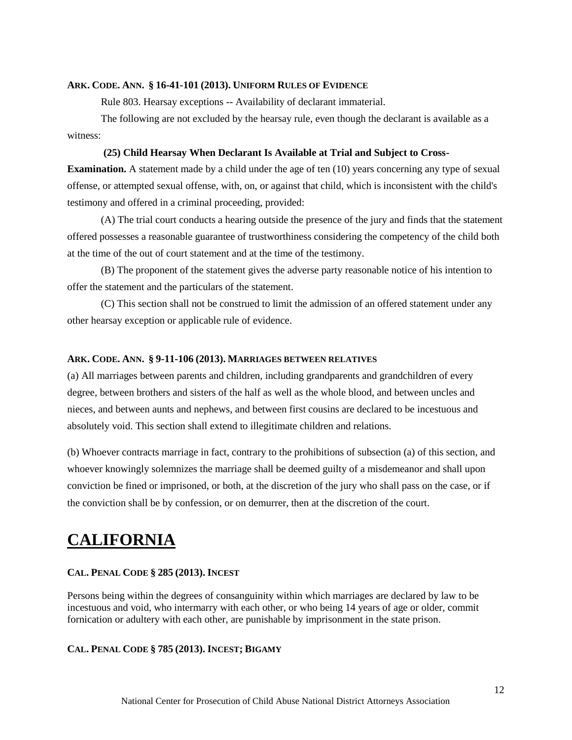#### **ARK. CODE. ANN. § 16-41-101 (2013). UNIFORM RULES OF EVIDENCE**

Rule 803. Hearsay exceptions -- Availability of declarant immaterial.

The following are not excluded by the hearsay rule, even though the declarant is available as a witness:

#### **(25) Child Hearsay When Declarant Is Available at Trial and Subject to Cross-**

**Examination.** A statement made by a child under the age of ten (10) years concerning any type of sexual offense, or attempted sexual offense, with, on, or against that child, which is inconsistent with the child's testimony and offered in a criminal proceeding, provided:

(A) The trial court conducts a hearing outside the presence of the jury and finds that the statement offered possesses a reasonable guarantee of trustworthiness considering the competency of the child both at the time of the out of court statement and at the time of the testimony.

(B) The proponent of the statement gives the adverse party reasonable notice of his intention to offer the statement and the particulars of the statement.

(C) This section shall not be construed to limit the admission of an offered statement under any other hearsay exception or applicable rule of evidence.

#### **ARK. CODE. ANN. § 9-11-106 (2013). MARRIAGES BETWEEN RELATIVES**

(a) All marriages between parents and children, including grandparents and grandchildren of every degree, between brothers and sisters of the half as well as the whole blood, and between uncles and nieces, and between aunts and nephews, and between first cousins are declared to be incestuous and absolutely void. This section shall extend to illegitimate children and relations.

(b) Whoever contracts marriage in fact, contrary to the prohibitions of subsection (a) of this section, and whoever knowingly solemnizes the marriage shall be deemed guilty of a misdemeanor and shall upon conviction be fined or imprisoned, or both, at the discretion of the jury who shall pass on the case, or if the conviction shall be by confession, or on demurrer, then at the discretion of the court.

### **CALIFORNIA**

#### **CAL. PENAL CODE § 285 (2013). INCEST**

Persons being within the degrees of consanguinity within which marriages are declared by law to be incestuous and void, who intermarry with each other, or who being 14 years of age or older, commit fornication or adultery with each other, are punishable by imprisonment in the state prison.

#### **CAL. PENAL CODE § 785 (2013). INCEST; BIGAMY**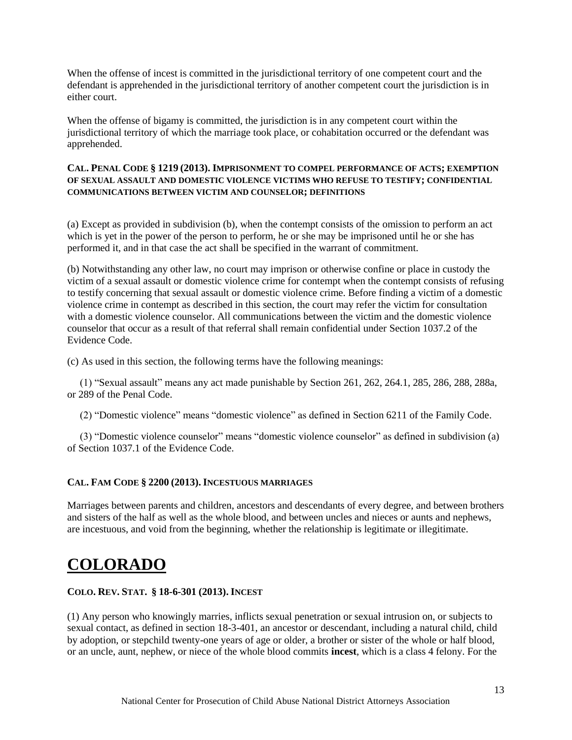When the offense of incest is committed in the jurisdictional territory of one competent court and the defendant is apprehended in the jurisdictional territory of another competent court the jurisdiction is in either court.

When the offense of bigamy is committed, the jurisdiction is in any competent court within the jurisdictional territory of which the marriage took place, or cohabitation occurred or the defendant was apprehended.

#### **CAL. PENAL CODE § 1219 (2013). IMPRISONMENT TO COMPEL PERFORMANCE OF ACTS; EXEMPTION OF SEXUAL ASSAULT AND DOMESTIC VIOLENCE VICTIMS WHO REFUSE TO TESTIFY; CONFIDENTIAL COMMUNICATIONS BETWEEN VICTIM AND COUNSELOR; DEFINITIONS**

(a) Except as provided in subdivision (b), when the contempt consists of the omission to perform an act which is yet in the power of the person to perform, he or she may be imprisoned until he or she has performed it, and in that case the act shall be specified in the warrant of commitment.

(b) Notwithstanding any other law, no court may imprison or otherwise confine or place in custody the victim of a sexual assault or domestic violence crime for contempt when the contempt consists of refusing to testify concerning that sexual assault or domestic violence crime. Before finding a victim of a domestic violence crime in contempt as described in this section, the court may refer the victim for consultation with a domestic violence counselor. All communications between the victim and the domestic violence counselor that occur as a result of that referral shall remain confidential under [Section 1037.2 of the](https://a.next.westlaw.com/Link/Document/FullText?findType=L&pubNum=1000207&cite=CAEVS1037.2&originatingDoc=N9AA8BDA0087211E2AA69ABF910B744FA&refType=LQ&originationContext=document&transitionType=DocumentItem&contextData=(sc.Search))  [Evidence Code.](https://a.next.westlaw.com/Link/Document/FullText?findType=L&pubNum=1000207&cite=CAEVS1037.2&originatingDoc=N9AA8BDA0087211E2AA69ABF910B744FA&refType=LQ&originationContext=document&transitionType=DocumentItem&contextData=(sc.Search))

(c) As used in this section, the following terms have the following meanings:

(1) "Sexual assault" means any act made punishable by [Section 261,](https://a.next.westlaw.com/Link/Document/FullText?findType=L&pubNum=1000217&cite=CAPES261&originatingDoc=N9AA8BDA0087211E2AA69ABF910B744FA&refType=LQ&originationContext=document&transitionType=DocumentItem&contextData=(sc.Search)) [262,](https://a.next.westlaw.com/Link/Document/FullText?findType=L&pubNum=1000217&cite=CAPES262&originatingDoc=N9AA8BDA0087211E2AA69ABF910B744FA&refType=LQ&originationContext=document&transitionType=DocumentItem&contextData=(sc.Search)) [264.1,](https://a.next.westlaw.com/Link/Document/FullText?findType=L&pubNum=1000217&cite=CAPES264.1&originatingDoc=N9AA8BDA0087211E2AA69ABF910B744FA&refType=LQ&originationContext=document&transitionType=DocumentItem&contextData=(sc.Search)) [285,](https://a.next.westlaw.com/Link/Document/FullText?findType=L&pubNum=1000217&cite=CAPES285&originatingDoc=N9AA8BDA0087211E2AA69ABF910B744FA&refType=LQ&originationContext=document&transitionType=DocumentItem&contextData=(sc.Search)) [286,](https://a.next.westlaw.com/Link/Document/FullText?findType=L&pubNum=1000217&cite=CAPES286&originatingDoc=N9AA8BDA0087211E2AA69ABF910B744FA&refType=LQ&originationContext=document&transitionType=DocumentItem&contextData=(sc.Search)) [288,](https://a.next.westlaw.com/Link/Document/FullText?findType=L&pubNum=1000217&cite=CAPES288&originatingDoc=N9AA8BDA0087211E2AA69ABF910B744FA&refType=LQ&originationContext=document&transitionType=DocumentItem&contextData=(sc.Search)) [288a,](https://a.next.westlaw.com/Link/Document/FullText?findType=L&pubNum=1000217&cite=CAPES288A&originatingDoc=N9AA8BDA0087211E2AA69ABF910B744FA&refType=LQ&originationContext=document&transitionType=DocumentItem&contextData=(sc.Search)) or 289 of the [Penal Code.](https://a.next.westlaw.com/Link/Document/FullText?findType=L&pubNum=1000217&cite=CAPES289&originatingDoc=N9AA8BDA0087211E2AA69ABF910B744FA&refType=LQ&originationContext=document&transitionType=DocumentItem&contextData=(sc.Search))

(2) "Domestic violence" means "domestic violence" as defined in [Section 6211 of the Family Code.](https://a.next.westlaw.com/Link/Document/FullText?findType=L&pubNum=1003409&cite=CAFAMS6211&originatingDoc=N9AA8BDA0087211E2AA69ABF910B744FA&refType=LQ&originationContext=document&transitionType=DocumentItem&contextData=(sc.Search))

(3) "Domestic violence counselor" means "domestic violence counselor" as defined in [subdivision \(a\)](https://a.next.westlaw.com/Link/Document/FullText?findType=L&pubNum=1000207&cite=CAEVS1037.1&originatingDoc=N9AA8BDA0087211E2AA69ABF910B744FA&refType=SP&originationContext=document&transitionType=DocumentItem&contextData=(sc.Search)#co_pp_8b3b0000958a4)  [of Section 1037.1 of the Evidence Code.](https://a.next.westlaw.com/Link/Document/FullText?findType=L&pubNum=1000207&cite=CAEVS1037.1&originatingDoc=N9AA8BDA0087211E2AA69ABF910B744FA&refType=SP&originationContext=document&transitionType=DocumentItem&contextData=(sc.Search)#co_pp_8b3b0000958a4)

#### **CAL. FAM CODE § 2200 (2013). INCESTUOUS MARRIAGES**

Marriages between parents and children, ancestors and descendants of every degree, and between brothers and sisters of the half as well as the whole blood, and between uncles and nieces or aunts and nephews, are incestuous, and void from the beginning, whether the relationship is legitimate or illegitimate.

### **COLORADO**

#### **COLO. REV. STAT. § 18-6-301 (2013). INCEST**

(1) Any person who knowingly marries, inflicts sexual penetration or sexual intrusion on, or subjects to sexual contact, as defined in [section 18-3-401,](https://a.next.westlaw.com/Link/Document/FullText?findType=L&pubNum=1000517&cite=COSTS18-3-401&originatingDoc=NA4693D10DBDC11DB8D12B2375E34596F&refType=LQ&originationContext=document&transitionType=DocumentItem&contextData=(sc.Search)) an ancestor or descendant, including a natural child, child by adoption, or stepchild twenty-one years of age or older, a brother or sister of the whole or half blood, or an uncle, aunt, nephew, or niece of the whole blood commits **incest**, which is a class 4 felony. For the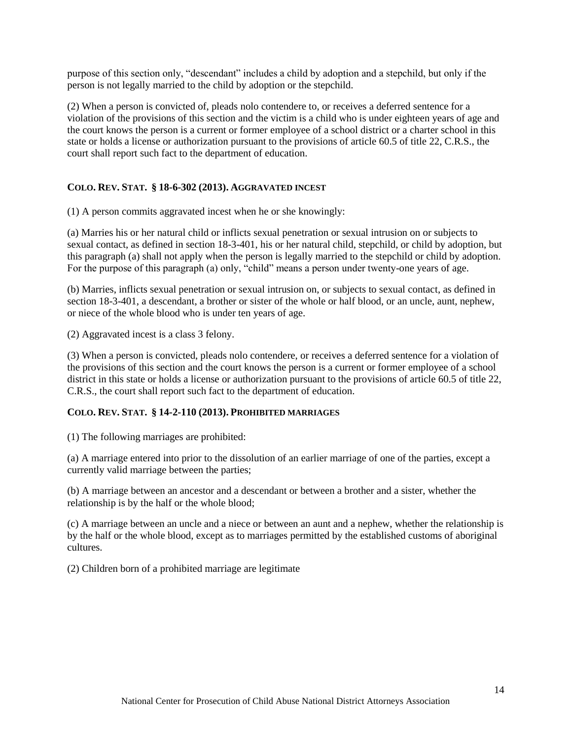purpose of this section only, "descendant" includes a child by adoption and a stepchild, but only if the person is not legally married to the child by adoption or the stepchild.

(2) When a person is convicted of, pleads nolo contendere to, or receives a deferred sentence for a violation of the provisions of this section and the victim is a child who is under eighteen years of age and the court knows the person is a current or former employee of a school district or a charter school in this state or holds a license or authorization pursuant to the provisions of article 60.5 of title 22, C.R.S., the court shall report such fact to the department of education.

#### **COLO. REV. STAT. § 18-6-302 (2013). AGGRAVATED INCEST**

(1) A person commits aggravated incest when he or she knowingly:

(a) Marries his or her natural child or inflicts sexual penetration or sexual intrusion on or subjects to sexual contact, as defined in [section 18-3-401,](https://a.next.westlaw.com/Link/Document/FullText?findType=L&pubNum=1000517&cite=COSTS18-3-401&originatingDoc=NA4B00A10DBDC11DB8D12B2375E34596F&refType=LQ&originationContext=document&transitionType=DocumentItem&contextData=(sc.Search)) his or her natural child, stepchild, or child by adoption, but this paragraph (a) shall not apply when the person is legally married to the stepchild or child by adoption. For the purpose of this paragraph (a) only, "child" means a person under twenty-one years of age.

(b) Marries, inflicts sexual penetration or sexual intrusion on, or subjects to sexual contact, as defined in [section 18-3-401,](https://a.next.westlaw.com/Link/Document/FullText?findType=L&pubNum=1000517&cite=COSTS18-3-401&originatingDoc=NA4B00A10DBDC11DB8D12B2375E34596F&refType=LQ&originationContext=document&transitionType=DocumentItem&contextData=(sc.Search)) a descendant, a brother or sister of the whole or half blood, or an uncle, aunt, nephew, or niece of the whole blood who is under ten years of age.

(2) Aggravated incest is a class 3 felony.

(3) When a person is convicted, pleads nolo contendere, or receives a deferred sentence for a violation of the provisions of this section and the court knows the person is a current or former employee of a school district in this state or holds a license or authorization pursuant to the provisions of article 60.5 of title 22, C.R.S., the court shall report such fact to the department of education.

#### **COLO. REV. STAT. § 14-2-110 (2013). PROHIBITED MARRIAGES**

(1) The following marriages are prohibited:

(a) A marriage entered into prior to the dissolution of an earlier marriage of one of the parties, except a currently valid marriage between the parties;

(b) A marriage between an ancestor and a descendant or between a brother and a sister, whether the relationship is by the half or the whole blood;

(c) A marriage between an uncle and a niece or between an aunt and a nephew, whether the relationship is by the half or the whole blood, except as to marriages permitted by the established customs of aboriginal cultures.

(2) Children born of a prohibited marriage are legitimate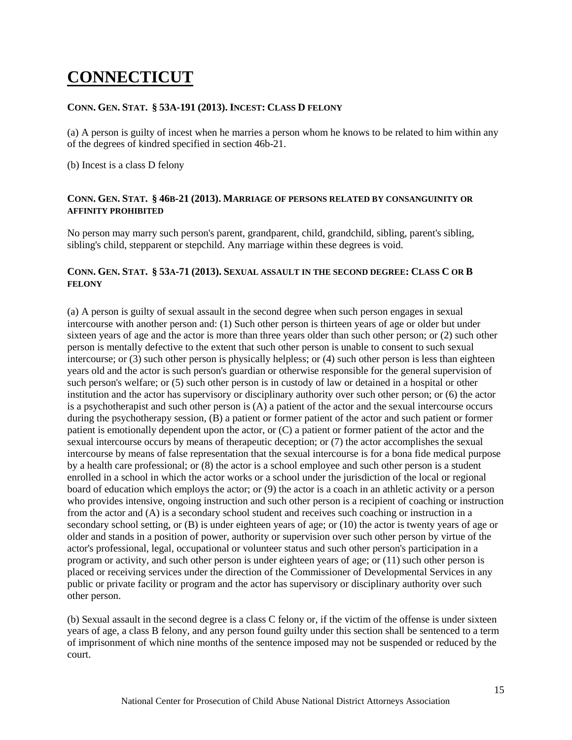# **CONNECTICUT**

#### **CONN. GEN. STAT. § 53A-191 (2013). INCEST: CLASS D FELONY**

(a) A person is guilty of incest when he marries a person whom he knows to be related to him within any of the degrees of kindred specified in [section 46b-21.](https://a.next.westlaw.com/Link/Document/FullText?findType=L&pubNum=1000264&cite=CTSTS46B-21&originatingDoc=N25FAAC70F41411DB921FC2ACE3184B5D&refType=LQ&originationContext=document&transitionType=DocumentItem&contextData=(sc.Search))

(b) Incest is a class D felony

#### **CONN. GEN. STAT. § 46B-21 (2013). MARRIAGE OF PERSONS RELATED BY CONSANGUINITY OR AFFINITY PROHIBITED**

No person may marry such person's parent, grandparent, child, grandchild, sibling, parent's sibling, sibling's child, stepparent or stepchild. Any marriage within these degrees is void.

#### CONN. GEN. STAT. § 53A-71 (2013). SEXUAL ASSAULT IN THE SECOND DEGREE: CLASS C OR B **FELONY**

(a) A person is guilty of sexual assault in the second degree when such person engages in sexual intercourse with another person and: (1) Such other person is thirteen years of age or older but under sixteen years of age and the actor is more than three years older than such other person; or (2) such other person is mentally defective to the extent that such other person is unable to consent to such sexual intercourse; or (3) such other person is physically helpless; or (4) such other person is less than eighteen years old and the actor is such person's guardian or otherwise responsible for the general supervision of such person's welfare; or (5) such other person is in custody of law or detained in a hospital or other institution and the actor has supervisory or disciplinary authority over such other person; or (6) the actor is a psychotherapist and such other person is (A) a patient of the actor and the sexual intercourse occurs during the psychotherapy session, (B) a patient or former patient of the actor and such patient or former patient is emotionally dependent upon the actor, or (C) a patient or former patient of the actor and the sexual intercourse occurs by means of therapeutic deception; or (7) the actor accomplishes the sexual intercourse by means of false representation that the sexual intercourse is for a bona fide medical purpose by a health care professional; or (8) the actor is a school employee and such other person is a student enrolled in a school in which the actor works or a school under the jurisdiction of the local or regional board of education which employs the actor; or (9) the actor is a coach in an athletic activity or a person who provides intensive, ongoing instruction and such other person is a recipient of coaching or instruction from the actor and (A) is a secondary school student and receives such coaching or instruction in a secondary school setting, or (B) is under eighteen years of age; or (10) the actor is twenty years of age or older and stands in a position of power, authority or supervision over such other person by virtue of the actor's professional, legal, occupational or volunteer status and such other person's participation in a program or activity, and such other person is under eighteen years of age; or (11) such other person is placed or receiving services under the direction of the Commissioner of Developmental Services in any public or private facility or program and the actor has supervisory or disciplinary authority over such other person.

(b) Sexual assault in the second degree is a class C felony or, if the victim of the offense is under sixteen years of age, a class B felony, and any person found guilty under this section shall be sentenced to a term of imprisonment of which nine months of the sentence imposed may not be suspended or reduced by the court.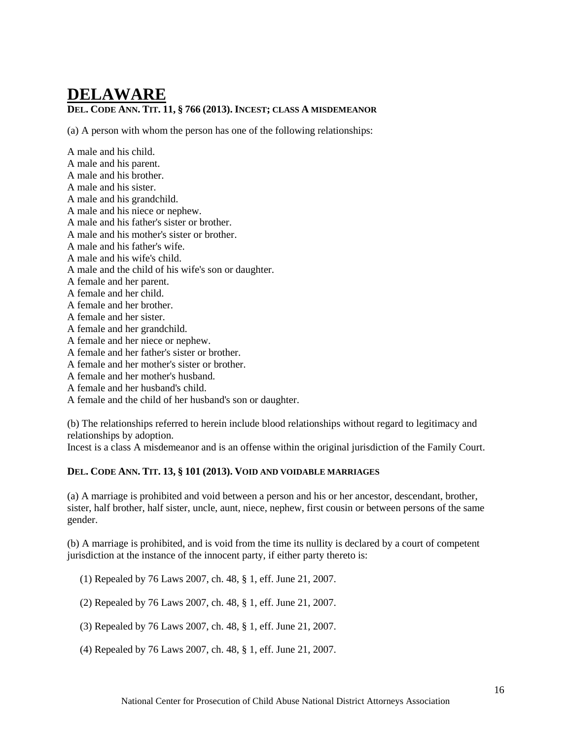### **DELAWARE DEL. CODE ANN. TIT. 11, § 766 (2013). INCEST; CLASS A MISDEMEANOR**

(a) A person with whom the person has one of the following relationships:

A male and his child. A male and his parent. A male and his brother. A male and his sister. A male and his grandchild. A male and his niece or nephew. A male and his father's sister or brother. A male and his mother's sister or brother. A male and his father's wife. A male and his wife's child. A male and the child of his wife's son or daughter. A female and her parent. A female and her child. A female and her brother. A female and her sister. A female and her grandchild. A female and her niece or nephew. A female and her father's sister or brother. A female and her mother's sister or brother. A female and her mother's husband. A female and her husband's child.

A female and the child of her husband's son or daughter.

(b) The relationships referred to herein include blood relationships without regard to legitimacy and relationships by adoption.

Incest is a class A misdemeanor and is an offense within the original jurisdiction of the Family Court.

#### **DEL. CODE ANN. TIT. 13, § 101 (2013). VOID AND VOIDABLE MARRIAGES**

(a) A marriage is prohibited and void between a person and his or her ancestor, descendant, brother, sister, half brother, half sister, uncle, aunt, niece, nephew, first cousin or between persons of the same gender.

(b) A marriage is prohibited, and is void from the time its nullity is declared by a court of competent jurisdiction at the instance of the innocent party, if either party thereto is:

(1) Repealed by [76 Laws 2007, ch. 48, § 1, eff. June 21, 2007.](https://a.next.westlaw.com/Link/Document/FullText?findType=l&pubNum=1077005&cite=UUID(I003E575025-7111DCA5DDA-8136FD941B1)&originationContext=document&transitionType=DocumentItem&contextData=(sc.Search))

(2) Repealed by [76 Laws 2007, ch. 48, § 1, eff. June 21, 2007.](https://a.next.westlaw.com/Link/Document/FullText?findType=l&pubNum=1077005&cite=UUID(I003E575025-7111DCA5DDA-8136FD941B1)&originationContext=document&transitionType=DocumentItem&contextData=(sc.Search))

(3) Repealed by [76 Laws 2007, ch. 48, § 1, eff. June 21, 2007.](https://a.next.westlaw.com/Link/Document/FullText?findType=l&pubNum=1077005&cite=UUID(I003E575025-7111DCA5DDA-8136FD941B1)&originationContext=document&transitionType=DocumentItem&contextData=(sc.Search))

(4) Repealed by [76 Laws 2007, ch. 48, § 1, eff. June 21, 2007.](https://a.next.westlaw.com/Link/Document/FullText?findType=l&pubNum=1077005&cite=UUID(I003E575025-7111DCA5DDA-8136FD941B1)&originationContext=document&transitionType=DocumentItem&contextData=(sc.Search))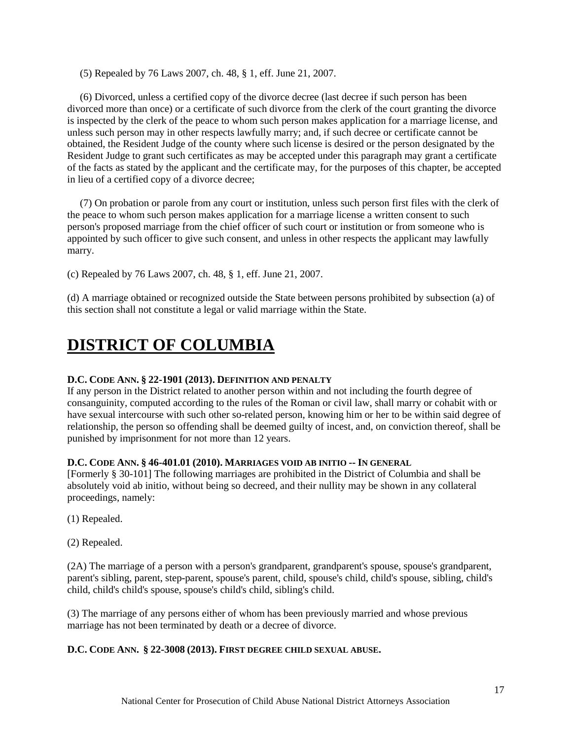(5) Repealed by [76 Laws 2007, ch. 48, § 1, eff. June 21, 2007.](https://a.next.westlaw.com/Link/Document/FullText?findType=l&pubNum=1077005&cite=UUID(I003E575025-7111DCA5DDA-8136FD941B1)&originationContext=document&transitionType=DocumentItem&contextData=(sc.Search))

(6) Divorced, unless a certified copy of the divorce decree (last decree if such person has been divorced more than once) or a certificate of such divorce from the clerk of the court granting the divorce is inspected by the clerk of the peace to whom such person makes application for a marriage license, and unless such person may in other respects lawfully marry; and, if such decree or certificate cannot be obtained, the Resident Judge of the county where such license is desired or the person designated by the Resident Judge to grant such certificates as may be accepted under this paragraph may grant a certificate of the facts as stated by the applicant and the certificate may, for the purposes of this chapter, be accepted in lieu of a certified copy of a divorce decree;

(7) On probation or parole from any court or institution, unless such person first files with the clerk of the peace to whom such person makes application for a marriage license a written consent to such person's proposed marriage from the chief officer of such court or institution or from someone who is appointed by such officer to give such consent, and unless in other respects the applicant may lawfully marry.

(c) Repealed by [76 Laws 2007, ch. 48, § 1, eff. June 21, 2007.](https://a.next.westlaw.com/Link/Document/FullText?findType=l&pubNum=1077005&cite=UUID(I003E575025-7111DCA5DDA-8136FD941B1)&originationContext=document&transitionType=DocumentItem&contextData=(sc.Search))

(d) A marriage obtained or recognized outside the State between persons prohibited by subsection (a) of this section shall not constitute a legal or valid marriage within the State.

# **DISTRICT OF COLUMBIA**

#### **D.C. CODE ANN. § 22-1901 (2013). DEFINITION AND PENALTY**

If any person in the District related to another person within and not including the fourth degree of consanguinity, computed according to the rules of the Roman or civil law, shall marry or cohabit with or have sexual intercourse with such other so-related person, knowing him or her to be within said degree of relationship, the person so offending shall be deemed guilty of incest, and, on conviction thereof, shall be punished by imprisonment for not more than 12 years.

#### **D.C. CODE ANN. § 46-401.01 (2010). MARRIAGES VOID AB INITIO -- IN GENERAL**

[Formerly § 30-101] The following marriages are prohibited in the District of Columbia and shall be absolutely void ab initio, without being so decreed, and their nullity may be shown in any collateral proceedings, namely:

- (1) Repealed.
- (2) Repealed.

(2A) The marriage of a person with a person's grandparent, grandparent's spouse, spouse's grandparent, parent's sibling, parent, step-parent, spouse's parent, child, spouse's child, child's spouse, sibling, child's child, child's child's spouse, spouse's child's child, sibling's child.

(3) The marriage of any persons either of whom has been previously married and whose previous marriage has not been terminated by death or a decree of divorce.

#### **D.C. CODE ANN. § 22-3008 (2013). FIRST DEGREE CHILD SEXUAL ABUSE.**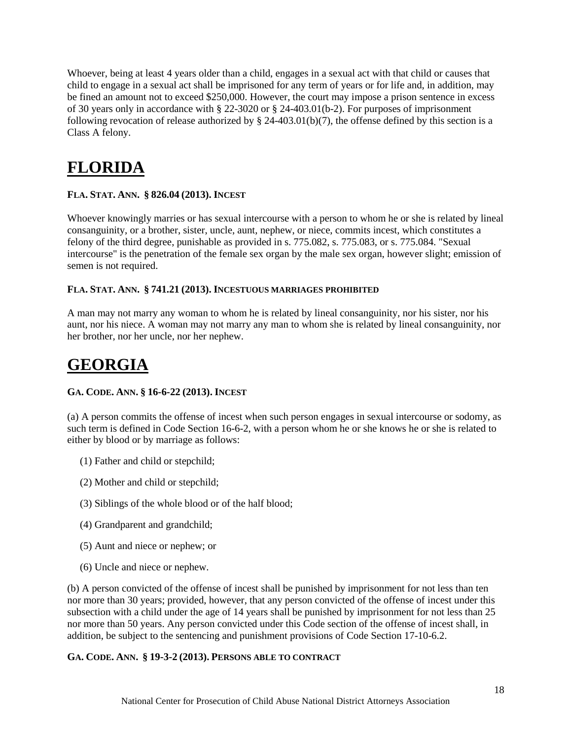Whoever, being at least 4 years older than a child, engages in a sexual act with that child or causes that child to engage in a sexual act shall be imprisoned for any term of years or for life and, in addition, may be fined an amount not to exceed \$250,000. However, the court may impose a prison sentence in excess of 30 years only in accordance with [§ 22-3020](https://a.next.westlaw.com/Link/Document/FullText?findType=L&pubNum=1000869&cite=DCCODES22-3020&originatingDoc=N3160AFE095DE11DB9BCF9DAC28345A2A&refType=LQ&originationContext=document&transitionType=DocumentItem&contextData=(sc.Search)) or [§ 24-403.01\(b-2\).](https://a.next.westlaw.com/Link/Document/FullText?findType=L&pubNum=1000869&cite=DCCODES24-403.01&originatingDoc=N3160AFE095DE11DB9BCF9DAC28345A2A&refType=SP&originationContext=document&transitionType=DocumentItem&contextData=(sc.Search)#co_pp_02010000ba452) For purposes of imprisonment following revocation of release authorized by  $\S$  24-403.01(b)(7), the offense defined by this section is a Class A felony.

# **FLORIDA**

### **FLA. STAT. ANN. § 826.04 (2013). INCEST**

Whoever knowingly marries or has sexual intercourse with a person to whom he or she is related by lineal consanguinity, or a brother, sister, uncle, aunt, nephew, or niece, commits incest, which constitutes a felony of the third degree, punishable as provided in s. 775.082, s. 775.083, or s. 775.084. "Sexual intercourse" is the penetration of the female sex organ by the male sex organ, however slight; emission of semen is not required.

### **FLA. STAT. ANN. § 741.21 (2013). INCESTUOUS MARRIAGES PROHIBITED**

A man may not marry any woman to whom he is related by lineal consanguinity, nor his sister, nor his aunt, nor his niece. A woman may not marry any man to whom she is related by lineal consanguinity, nor her brother, nor her uncle, nor her nephew.

# **GEORGIA**

### **GA. CODE. ANN. § 16-6-22 (2013). INCEST**

(a) A person commits the offense of incest when such person engages in sexual intercourse or sodomy, as such term is defined in [Code Section 16-6-2,](https://a.next.westlaw.com/Link/Document/FullText?findType=L&pubNum=1000468&cite=GAST16-6-2&originatingDoc=N5DE3ADE0746711DFA502E21E6DC9B82B&refType=LQ&originationContext=document&transitionType=DocumentItem&contextData=(sc.Search)) with a person whom he or she knows he or she is related to either by blood or by marriage as follows:

- (1) Father and child or stepchild;
- (2) Mother and child or stepchild;
- (3) Siblings of the whole blood or of the half blood;
- (4) Grandparent and grandchild;
- (5) Aunt and niece or nephew; or
- (6) Uncle and niece or nephew.

(b) A person convicted of the offense of incest shall be punished by imprisonment for not less than ten nor more than 30 years; provided, however, that any person convicted of the offense of incest under this subsection with a child under the age of 14 years shall be punished by imprisonment for not less than 25 nor more than 50 years. Any person convicted under this Code section of the offense of incest shall, in addition, be subject to the sentencing and punishment provisions of [Code Section 17-10-6.2.](https://a.next.westlaw.com/Link/Document/FullText?findType=L&pubNum=1000468&cite=GAST17-10-6.2&originatingDoc=N5DE3ADE0746711DFA502E21E6DC9B82B&refType=LQ&originationContext=document&transitionType=DocumentItem&contextData=(sc.Search))

#### **GA. CODE. ANN. § 19-3-2 (2013). PERSONS ABLE TO CONTRACT**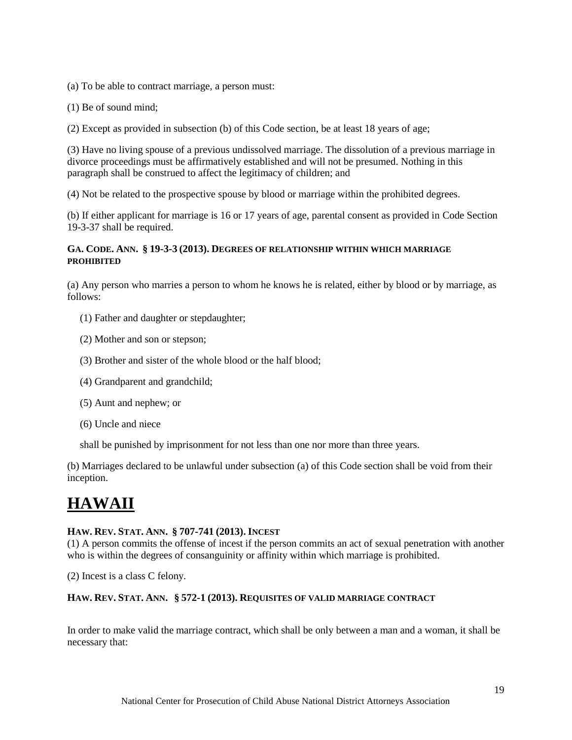(a) To be able to contract marriage, a person must:

(1) Be of sound mind;

(2) Except as provided in subsection (b) of this Code section, be at least 18 years of age;

(3) Have no living spouse of a previous undissolved marriage. The dissolution of a previous marriage in divorce proceedings must be affirmatively established and will not be presumed. Nothing in this paragraph shall be construed to affect the legitimacy of children; and

(4) Not be related to the prospective spouse by blood or marriage within the prohibited degrees.

(b) If either applicant for marriage is 16 or 17 years of age, parental consent as provided in [Code Section](https://a.next.westlaw.com/Link/Document/FullText?findType=L&pubNum=1000468&cite=GAST19-3-37&originatingDoc=N512640F0060B11DBBE2A90DE32AFB1B3&refType=LQ&originationContext=document&transitionType=DocumentItem&contextData=(sc.Search))  [19-3-37](https://a.next.westlaw.com/Link/Document/FullText?findType=L&pubNum=1000468&cite=GAST19-3-37&originatingDoc=N512640F0060B11DBBE2A90DE32AFB1B3&refType=LQ&originationContext=document&transitionType=DocumentItem&contextData=(sc.Search)) shall be required.

#### **GA. CODE. ANN. § 19-3-3 (2013). DEGREES OF RELATIONSHIP WITHIN WHICH MARRIAGE PROHIBITED**

(a) Any person who marries a person to whom he knows he is related, either by blood or by marriage, as follows:

- (1) Father and daughter or stepdaughter;
- (2) Mother and son or stepson;
- (3) Brother and sister of the whole blood or the half blood;
- (4) Grandparent and grandchild;
- (5) Aunt and nephew; or
- (6) Uncle and niece

shall be punished by imprisonment for not less than one nor more than three years.

(b) Marriages declared to be unlawful under subsection (a) of this Code section shall be void from their inception.

# **HAWAII**

#### **HAW. REV. STAT. ANN. § 707-741 (2013). INCEST**

(1) A person commits the offense of incest if the person commits an act of sexual penetration with another who is within the degrees of consanguinity or affinity within which marriage is prohibited.

(2) Incest is a class C felony.

#### **HAW. REV. STAT. ANN. § 572-1 (2013). REQUISITES OF VALID MARRIAGE CONTRACT**

In order to make valid the marriage contract, which shall be only between a man and a woman, it shall be necessary that: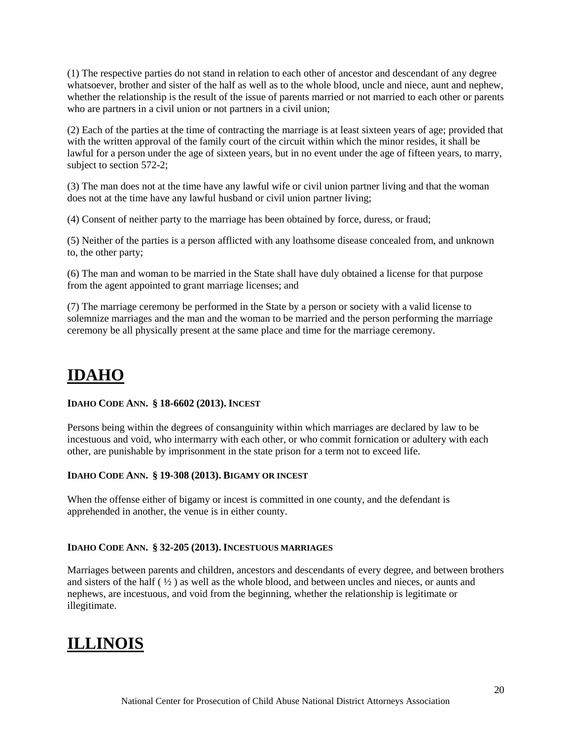(1) The respective parties do not stand in relation to each other of ancestor and descendant of any degree whatsoever, brother and sister of the half as well as to the whole blood, uncle and niece, aunt and nephew, whether the relationship is the result of the issue of parents married or not married to each other or parents who are partners in a civil union or not partners in a civil union;

(2) Each of the parties at the time of contracting the marriage is at least sixteen years of age; provided that with the written approval of the family court of the circuit within which the minor resides, it shall be lawful for a person under the age of sixteen years, but in no event under the age of fifteen years, to marry, subject to [section 572-2;](https://a.next.westlaw.com/Link/Document/FullText?findType=L&pubNum=1000522&cite=HISTS572-2&originatingDoc=N774C6DF04C5D11DDB03786E014444BA4&refType=LQ&originationContext=document&transitionType=DocumentItem&contextData=(sc.DocLink))

(3) The man does not at the time have any lawful wife or civil union partner living and that the woman does not at the time have any lawful husband or civil union partner living;

(4) Consent of neither party to the marriage has been obtained by force, duress, or fraud;

(5) Neither of the parties is a person afflicted with any loathsome disease concealed from, and unknown to, the other party;

(6) The man and woman to be married in the State shall have duly obtained a license for that purpose from the agent appointed to grant marriage licenses; and

(7) The marriage ceremony be performed in the State by a person or society with a valid license to solemnize marriages and the man and the woman to be married and the person performing the marriage ceremony be all physically present at the same place and time for the marriage ceremony.

# **IDAHO**

### **IDAHO CODE ANN. § 18-6602 (2013). INCEST**

Persons being within the degrees of consanguinity within which marriages are declared by law to be incestuous and void, who intermarry with each other, or who commit fornication or adultery with each other, are punishable by imprisonment in the state prison for a term not to exceed life.

#### **IDAHO CODE ANN. § 19-308 (2013). BIGAMY OR INCEST**

When the offense either of bigamy or incest is committed in one county, and the defendant is apprehended in another, the venue is in either county.

#### **IDAHO CODE ANN. § 32-205 (2013). INCESTUOUS MARRIAGES**

Marriages between parents and children, ancestors and descendants of every degree, and between brothers and sisters of the half ( ½ ) as well as the whole blood, and between uncles and nieces, or aunts and nephews, are incestuous, and void from the beginning, whether the relationship is legitimate or illegitimate.

# **ILLINOIS**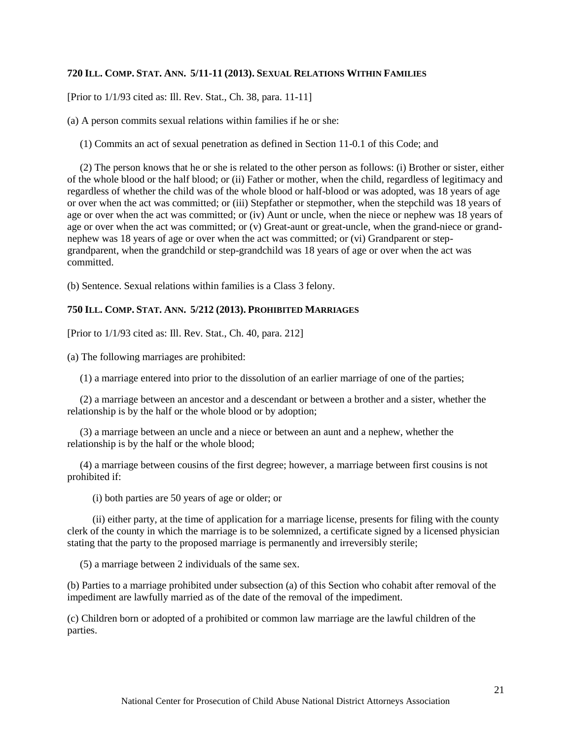#### 720 ILL. COMP. STAT. ANN. 5/11-11 (2013). SEXUAL RELATIONS WITHIN FAMILIES

[Prior to 1/1/93 cited as: Ill. Rev. Stat., Ch. 38, para. 11-11]

(a) A person commits sexual relations within families if he or she:

(1) Commits an act of sexual penetration as defined in Section 11-0.1 of this Code; and

(2) The person knows that he or she is related to the other person as follows: (i) Brother or sister, either of the whole blood or the half blood; or (ii) Father or mother, when the child, regardless of legitimacy and regardless of whether the child was of the whole blood or half-blood or was adopted, was 18 years of age or over when the act was committed; or (iii) Stepfather or stepmother, when the stepchild was 18 years of age or over when the act was committed; or (iv) Aunt or uncle, when the niece or nephew was 18 years of age or over when the act was committed; or (v) Great-aunt or great-uncle, when the grand-niece or grandnephew was 18 years of age or over when the act was committed; or (vi) Grandparent or stepgrandparent, when the grandchild or step-grandchild was 18 years of age or over when the act was committed.

(b) Sentence. Sexual relations within families is a Class 3 felony.

#### **750 ILL. COMP. STAT. ANN. 5/212 (2013). PROHIBITED MARRIAGES**

[Prior to 1/1/93 cited as: Ill. Rev. Stat., Ch. 40, para. 212]

(a) The following marriages are prohibited:

(1) a marriage entered into prior to the dissolution of an earlier marriage of one of the parties;

(2) a marriage between an ancestor and a descendant or between a brother and a sister, whether the relationship is by the half or the whole blood or by adoption;

(3) a marriage between an uncle and a niece or between an aunt and a nephew, whether the relationship is by the half or the whole blood;

(4) a marriage between cousins of the first degree; however, a marriage between first cousins is not prohibited if:

(i) both parties are 50 years of age or older; or

(ii) either party, at the time of application for a marriage license, presents for filing with the county clerk of the county in which the marriage is to be solemnized, a certificate signed by a licensed physician stating that the party to the proposed marriage is permanently and irreversibly sterile;

(5) a marriage between 2 individuals of the same sex.

(b) Parties to a marriage prohibited under subsection (a) of this Section who cohabit after removal of the impediment are lawfully married as of the date of the removal of the impediment.

(c) Children born or adopted of a prohibited or common law marriage are the lawful children of the parties.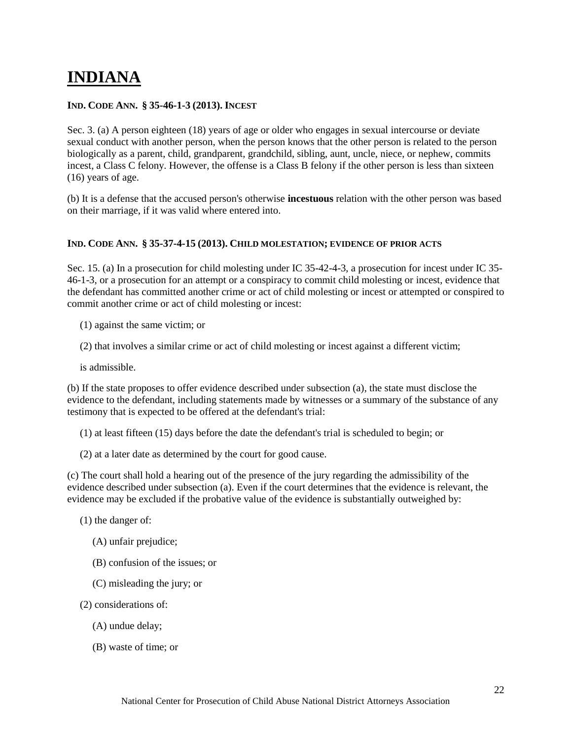# **INDIANA**

#### **IND. CODE ANN. § 35-46-1-3 (2013). INCEST**

Sec. 3. (a) A person eighteen (18) years of age or older who engages in sexual intercourse or deviate sexual conduct with another person, when the person knows that the other person is related to the person biologically as a parent, child, grandparent, grandchild, sibling, aunt, uncle, niece, or nephew, commits incest, a Class C felony. However, the offense is a Class B felony if the other person is less than sixteen (16) years of age.

(b) It is a defense that the accused person's otherwise **incestuous** relation with the other person was based on their marriage, if it was valid where entered into.

#### **IND. CODE ANN. § 35-37-4-15 (2013). CHILD MOLESTATION; EVIDENCE OF PRIOR ACTS**

Sec. 15. (a) In a prosecution for child molesting under [IC 35-42-4-3,](https://a.next.westlaw.com/Link/Document/FullText?findType=L&pubNum=1000009&cite=INS35-42-4-3&originatingDoc=NCB3291C0817411DB8132CD13D2280436&refType=LQ&originationContext=document&transitionType=DocumentItem&contextData=(sc.Search)) a prosecution for incest under [IC 35-](https://a.next.westlaw.com/Link/Document/FullText?findType=L&pubNum=1000009&cite=INS35-46-1-3&originatingDoc=NCB3291C0817411DB8132CD13D2280436&refType=LQ&originationContext=document&transitionType=DocumentItem&contextData=(sc.Search)) [46-1-3,](https://a.next.westlaw.com/Link/Document/FullText?findType=L&pubNum=1000009&cite=INS35-46-1-3&originatingDoc=NCB3291C0817411DB8132CD13D2280436&refType=LQ&originationContext=document&transitionType=DocumentItem&contextData=(sc.Search)) or a prosecution for an attempt or a conspiracy to commit child molesting or incest, evidence that the defendant has committed another crime or act of child molesting or incest or attempted or conspired to commit another crime or act of child molesting or incest:

(1) against the same victim; or

(2) that involves a similar crime or act of child molesting or incest against a different victim;

is admissible.

(b) If the state proposes to offer evidence described under subsection (a), the state must disclose the evidence to the defendant, including statements made by witnesses or a summary of the substance of any testimony that is expected to be offered at the defendant's trial:

- (1) at least fifteen (15) days before the date the defendant's trial is scheduled to begin; or
- (2) at a later date as determined by the court for good cause.

(c) The court shall hold a hearing out of the presence of the jury regarding the admissibility of the evidence described under subsection (a). Even if the court determines that the evidence is relevant, the evidence may be excluded if the probative value of the evidence is substantially outweighed by:

- (1) the danger of:
	- (A) unfair prejudice;
	- (B) confusion of the issues; or
	- (C) misleading the jury; or

(2) considerations of:

- (A) undue delay;
- (B) waste of time; or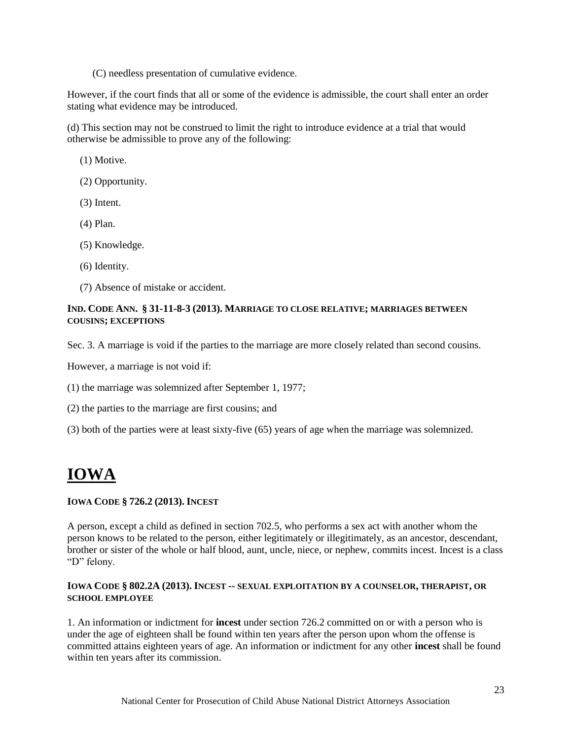(C) needless presentation of cumulative evidence.

However, if the court finds that all or some of the evidence is admissible, the court shall enter an order stating what evidence may be introduced.

(d) This section may not be construed to limit the right to introduce evidence at a trial that would otherwise be admissible to prove any of the following:

(1) Motive.

(2) Opportunity.

(3) Intent.

(4) Plan.

(5) Knowledge.

(6) Identity.

(7) Absence of mistake or accident.

#### **IND. CODE ANN. § 31-11-8-3 (2013). MARRIAGE TO CLOSE RELATIVE; MARRIAGES BETWEEN COUSINS; EXCEPTIONS**

Sec. 3. A marriage is void if the parties to the marriage are more closely related than second cousins.

However, a marriage is not void if:

(1) the marriage was solemnized after September 1, 1977;

(2) the parties to the marriage are first cousins; and

(3) both of the parties were at least sixty-five (65) years of age when the marriage was solemnized.

# **IOWA**

#### **IOWA CODE § 726.2 (2013). INCEST**

A person, except a child as defined in [section 702.5,](https://a.next.westlaw.com/Link/Document/FullText?findType=L&pubNum=1000256&cite=IASTS702.5&originatingDoc=NF4497D801B0E11DAB311FB76B2E4F553&refType=LQ&originationContext=document&transitionType=DocumentItem&contextData=(sc.Search)) who performs a sex act with another whom the person knows to be related to the person, either legitimately or illegitimately, as an ancestor, descendant, brother or sister of the whole or half blood, aunt, uncle, niece, or nephew, commits incest. Incest is a class "D" felony.

#### **IOWA CODE § 802.2A (2013). INCEST -- SEXUAL EXPLOITATION BY A COUNSELOR, THERAPIST, OR SCHOOL EMPLOYEE**

1. An information or indictment for **incest** under [section 726.2](https://a.next.westlaw.com/Link/Document/FullText?findType=L&pubNum=1000256&cite=IASTS726.2&originatingDoc=N29E47B701B0F11DAB311FB76B2E4F553&refType=LQ&originationContext=document&transitionType=DocumentItem&contextData=(sc.Search)) committed on or with a person who is under the age of eighteen shall be found within ten years after the person upon whom the offense is committed attains eighteen years of age. An information or indictment for any other **incest** shall be found within ten years after its commission.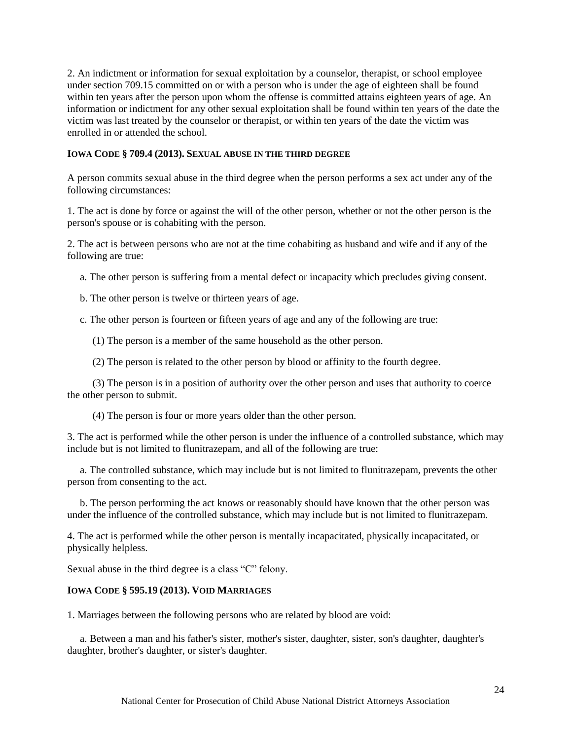2. An indictment or information for sexual exploitation by a counselor, therapist, or school employee under [section 709.15](https://a.next.westlaw.com/Link/Document/FullText?findType=L&pubNum=1000256&cite=IASTS709.15&originatingDoc=N29E47B701B0F11DAB311FB76B2E4F553&refType=LQ&originationContext=document&transitionType=DocumentItem&contextData=(sc.Search)) committed on or with a person who is under the age of eighteen shall be found within ten years after the person upon whom the offense is committed attains eighteen years of age. An information or indictment for any other sexual exploitation shall be found within ten years of the date the victim was last treated by the counselor or therapist, or within ten years of the date the victim was enrolled in or attended the school.

#### **IOWA CODE § 709.4 (2013). SEXUAL ABUSE IN THE THIRD DEGREE**

A person commits sexual abuse in the third degree when the person performs a sex act under any of the following circumstances:

1. The act is done by force or against the will of the other person, whether or not the other person is the person's spouse or is cohabiting with the person.

2. The act is between persons who are not at the time cohabiting as husband and wife and if any of the following are true:

a. The other person is suffering from a mental defect or incapacity which precludes giving consent.

b. The other person is twelve or thirteen years of age.

c. The other person is fourteen or fifteen years of age and any of the following are true:

(1) The person is a member of the same household as the other person.

(2) The person is related to the other person by blood or affinity to the fourth degree.

(3) The person is in a position of authority over the other person and uses that authority to coerce the other person to submit.

(4) The person is four or more years older than the other person.

3. The act is performed while the other person is under the influence of a controlled substance, which may include but is not limited to flunitrazepam, and all of the following are true:

a. The controlled substance, which may include but is not limited to flunitrazepam, prevents the other person from consenting to the act.

b. The person performing the act knows or reasonably should have known that the other person was under the influence of the controlled substance, which may include but is not limited to flunitrazepam.

4. The act is performed while the other person is mentally incapacitated, physically incapacitated, or physically helpless.

Sexual abuse in the third degree is a class "C" felony.

#### **IOWA CODE § 595.19 (2013). VOID MARRIAGES**

1. Marriages between the following persons who are related by blood are void:

a. Between a man and his father's sister, mother's sister, daughter, sister, son's daughter, daughter's daughter, brother's daughter, or sister's daughter.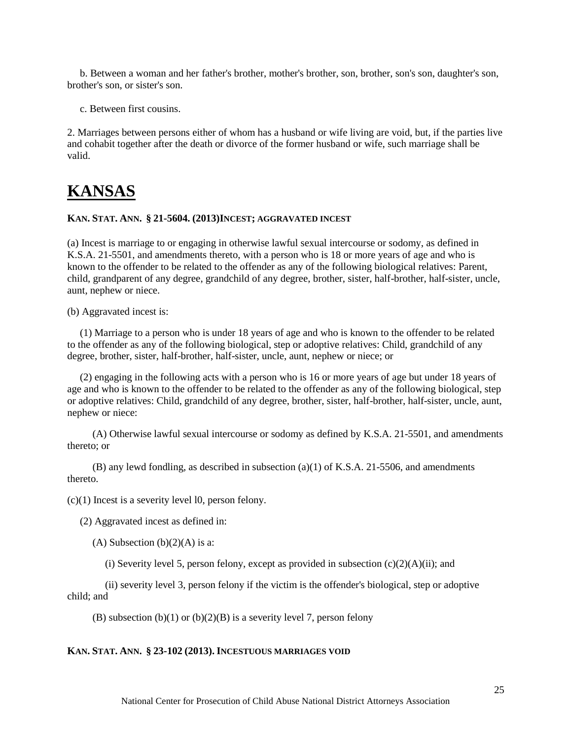b. Between a woman and her father's brother, mother's brother, son, brother, son's son, daughter's son, brother's son, or sister's son.

c. Between first cousins.

2. Marriages between persons either of whom has a husband or wife living are void, but, if the parties live and cohabit together after the death or divorce of the former husband or wife, such marriage shall be valid.

### **KANSAS**

#### **KAN. STAT. ANN. § 21-5604. (2013)INCEST; AGGRAVATED INCEST**

(a) Incest is marriage to or engaging in otherwise lawful sexual intercourse or sodomy, as defined in [K.S.A. 21-5501,](https://a.next.westlaw.com/Link/Document/FullText?findType=L&pubNum=1001553&cite=KSSTS21-5501&originatingDoc=NBA7F63D0C70C11DF8798BAE8F7614D64&refType=LQ&originationContext=document&transitionType=DocumentItem&contextData=(sc.Search)) and amendments thereto, with a person who is 18 or more years of age and who is known to the offender to be related to the offender as any of the following biological relatives: Parent, child, grandparent of any degree, grandchild of any degree, brother, sister, half-brother, half-sister, uncle, aunt, nephew or niece.

(b) Aggravated incest is:

(1) Marriage to a person who is under 18 years of age and who is known to the offender to be related to the offender as any of the following biological, step or adoptive relatives: Child, grandchild of any degree, brother, sister, half-brother, half-sister, uncle, aunt, nephew or niece; or

(2) engaging in the following acts with a person who is 16 or more years of age but under 18 years of age and who is known to the offender to be related to the offender as any of the following biological, step or adoptive relatives: Child, grandchild of any degree, brother, sister, half-brother, half-sister, uncle, aunt, nephew or niece:

(A) Otherwise lawful sexual intercourse or sodomy as defined by [K.S.A. 21-5501,](https://a.next.westlaw.com/Link/Document/FullText?findType=L&pubNum=1001553&cite=KSSTS21-5501&originatingDoc=NBA7F63D0C70C11DF8798BAE8F7614D64&refType=LQ&originationContext=document&transitionType=DocumentItem&contextData=(sc.Search)) and amendments thereto; or

(B) any lewd fondling, as described in subsection (a)(1) of [K.S.A. 21-5506,](https://a.next.westlaw.com/Link/Document/FullText?findType=L&pubNum=1001553&cite=KSSTS21-5506&originatingDoc=NBA7F63D0C70C11DF8798BAE8F7614D64&refType=LQ&originationContext=document&transitionType=DocumentItem&contextData=(sc.Search)) and amendments thereto.

(c)(1) Incest is a severity level l0, person felony.

(2) Aggravated incest as defined in:

(A) Subsection  $(b)(2)(A)$  is a:

(i) Severity level 5, person felony, except as provided in subsection  $(c)(2)(A)(ii)$ ; and

(ii) severity level 3, person felony if the victim is the offender's biological, step or adoptive child; and

(B) subsection (b)(1) or (b)(2)(B) is a severity level 7, person felony

#### **KAN. STAT. ANN. § 23-102 (2013). INCESTUOUS MARRIAGES VOID**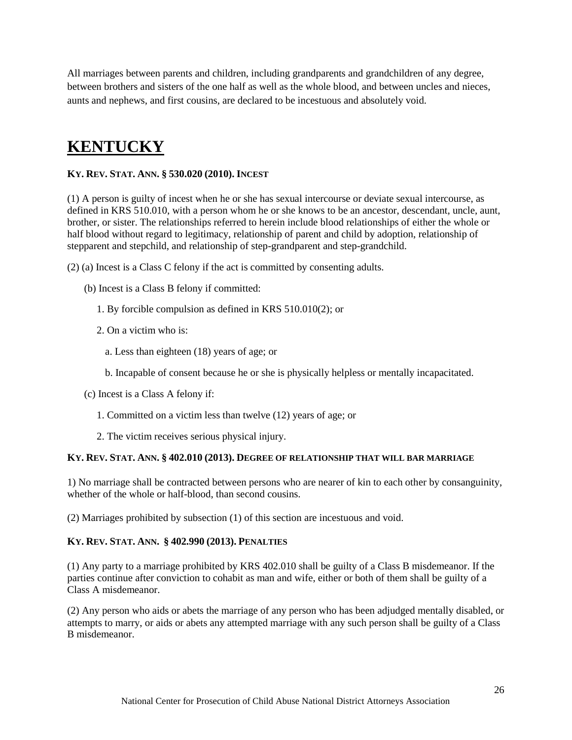All marriages between parents and children, including grandparents and grandchildren of any degree, between brothers and sisters of the one half as well as the whole blood, and between uncles and nieces, aunts and nephews, and first cousins, are declared to be incestuous and absolutely void.

# **KENTUCKY**

### **KY. REV. STAT. ANN. § 530.020 (2010). INCEST**

(1) A person is guilty of incest when he or she has sexual intercourse or deviate sexual intercourse, as defined in [KRS 510.010,](https://a.next.westlaw.com/Link/Document/FullText?findType=L&pubNum=1000010&cite=KYSTS510.010&originatingDoc=N9463D030DAE911E18DACD7A1C03FBF4E&refType=LQ&originationContext=document&transitionType=DocumentItem&contextData=(sc.Search)) with a person whom he or she knows to be an ancestor, descendant, uncle, aunt, brother, or sister. The relationships referred to herein include blood relationships of either the whole or half blood without regard to legitimacy, relationship of parent and child by adoption, relationship of stepparent and stepchild, and relationship of step-grandparent and step-grandchild.

- (2) (a) Incest is a Class C felony if the act is committed by consenting adults.
	- (b) Incest is a Class B felony if committed:
		- 1. By forcible compulsion as defined in [KRS 510.010\(2\);](https://a.next.westlaw.com/Link/Document/FullText?findType=L&pubNum=1000010&cite=KYSTS510.010&originatingDoc=N9463D030DAE911E18DACD7A1C03FBF4E&refType=SP&originationContext=document&transitionType=DocumentItem&contextData=(sc.Search)#co_pp_58730000872b1) or
		- 2. On a victim who is:
			- a. Less than eighteen (18) years of age; or
			- b. Incapable of consent because he or she is physically helpless or mentally incapacitated.
	- (c) Incest is a Class A felony if:
		- 1. Committed on a victim less than twelve (12) years of age; or
		- 2. The victim receives serious physical injury.

#### **KY. REV. STAT. ANN. § 402.010 (2013). DEGREE OF RELATIONSHIP THAT WILL BAR MARRIAGE**

1) No marriage shall be contracted between persons who are nearer of kin to each other by consanguinity, whether of the whole or half-blood, than second cousins.

(2) Marriages prohibited by subsection (1) of this section are incestuous and void.

#### **KY. REV. STAT. ANN. § 402.990 (2013). PENALTIES**

(1) Any party to a marriage prohibited by [KRS 402.010](https://a.next.westlaw.com/Link/Document/FullText?findType=L&pubNum=1000010&cite=KYSTS402.010&originatingDoc=N7379D800AA0E11DAB900D8B04EA81CAB&refType=LQ&originationContext=document&transitionType=DocumentItem&contextData=(sc.Search)) shall be guilty of a Class B misdemeanor. If the parties continue after conviction to cohabit as man and wife, either or both of them shall be guilty of a Class A misdemeanor.

(2) Any person who aids or abets the marriage of any person who has been adjudged mentally disabled, or attempts to marry, or aids or abets any attempted marriage with any such person shall be guilty of a Class B misdemeanor.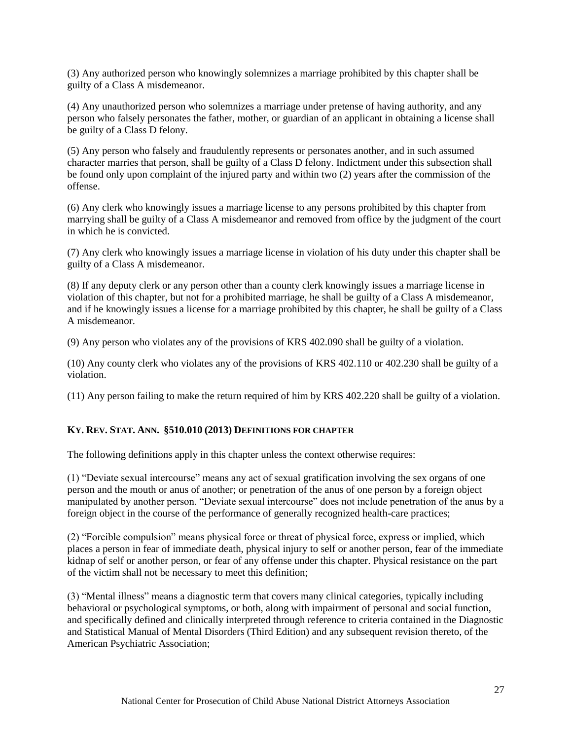(3) Any authorized person who knowingly solemnizes a marriage prohibited by this chapter shall be guilty of a Class A misdemeanor.

(4) Any unauthorized person who solemnizes a marriage under pretense of having authority, and any person who falsely personates the father, mother, or guardian of an applicant in obtaining a license shall be guilty of a Class D felony.

(5) Any person who falsely and fraudulently represents or personates another, and in such assumed character marries that person, shall be guilty of a Class D felony. Indictment under this subsection shall be found only upon complaint of the injured party and within two (2) years after the commission of the offense.

(6) Any clerk who knowingly issues a marriage license to any persons prohibited by this chapter from marrying shall be guilty of a Class A misdemeanor and removed from office by the judgment of the court in which he is convicted.

(7) Any clerk who knowingly issues a marriage license in violation of his duty under this chapter shall be guilty of a Class A misdemeanor.

(8) If any deputy clerk or any person other than a county clerk knowingly issues a marriage license in violation of this chapter, but not for a prohibited marriage, he shall be guilty of a Class A misdemeanor, and if he knowingly issues a license for a marriage prohibited by this chapter, he shall be guilty of a Class A misdemeanor.

(9) Any person who violates any of the provisions of [KRS 402.090](https://a.next.westlaw.com/Link/Document/FullText?findType=L&pubNum=1000010&cite=KYSTS402.090&originatingDoc=N7379D800AA0E11DAB900D8B04EA81CAB&refType=LQ&originationContext=document&transitionType=DocumentItem&contextData=(sc.Search)) shall be guilty of a violation.

(10) Any county clerk who violates any of the provisions of [KRS 402.110](https://a.next.westlaw.com/Link/Document/FullText?findType=L&pubNum=1000010&cite=KYSTS402.110&originatingDoc=N7379D800AA0E11DAB900D8B04EA81CAB&refType=LQ&originationContext=document&transitionType=DocumentItem&contextData=(sc.Search)) o[r 402.230](https://a.next.westlaw.com/Link/Document/FullText?findType=L&pubNum=1000010&cite=KYSTS402.230&originatingDoc=N7379D800AA0E11DAB900D8B04EA81CAB&refType=LQ&originationContext=document&transitionType=DocumentItem&contextData=(sc.Search)) shall be guilty of a violation.

(11) Any person failing to make the return required of him by [KRS 402.220](https://a.next.westlaw.com/Link/Document/FullText?findType=L&pubNum=1000010&cite=KYSTS402.220&originatingDoc=N7379D800AA0E11DAB900D8B04EA81CAB&refType=LQ&originationContext=document&transitionType=DocumentItem&contextData=(sc.Search)) shall be guilty of a violation.

#### **KY. REV. STAT. ANN. §510.010 (2013) DEFINITIONS FOR CHAPTER**

The following definitions apply in this chapter unless the context otherwise requires:

(1) "Deviate sexual intercourse" means any act of sexual gratification involving the sex organs of one person and the mouth or anus of another; or penetration of the anus of one person by a foreign object manipulated by another person. "Deviate sexual intercourse" does not include penetration of the anus by a foreign object in the course of the performance of generally recognized health-care practices;

(2) "Forcible compulsion" means physical force or threat of physical force, express or implied, which places a person in fear of immediate death, physical injury to self or another person, fear of the immediate kidnap of self or another person, or fear of any offense under this chapter. Physical resistance on the part of the victim shall not be necessary to meet this definition;

(3) "Mental illness" means a diagnostic term that covers many clinical categories, typically including behavioral or psychological symptoms, or both, along with impairment of personal and social function, and specifically defined and clinically interpreted through reference to criteria contained in the Diagnostic and Statistical Manual of Mental Disorders (Third Edition) and any subsequent revision thereto, of the American Psychiatric Association;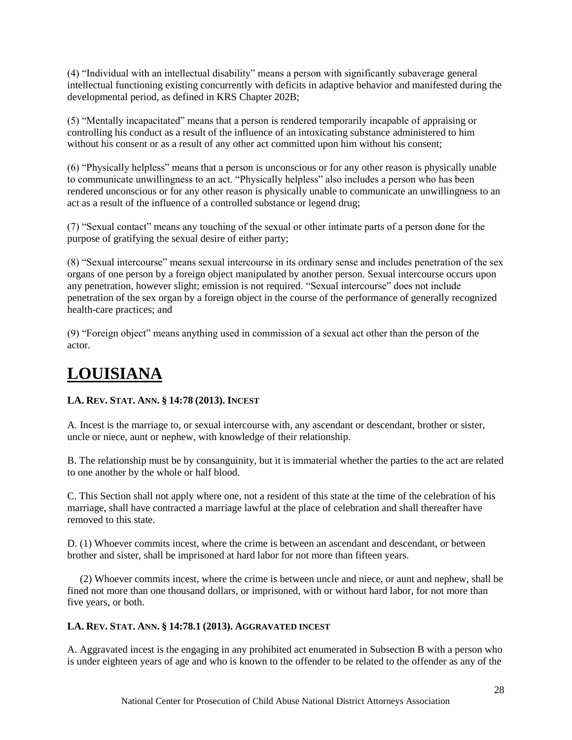(4) "Individual with an intellectual disability" means a person with significantly subaverage general intellectual functioning existing concurrently with deficits in adaptive behavior and manifested during the developmental period, as defined in KRS Chapter 202B;

(5) "Mentally incapacitated" means that a person is rendered temporarily incapable of appraising or controlling his conduct as a result of the influence of an intoxicating substance administered to him without his consent or as a result of any other act committed upon him without his consent;

(6) "Physically helpless" means that a person is unconscious or for any other reason is physically unable to communicate unwillingness to an act. "Physically helpless" also includes a person who has been rendered unconscious or for any other reason is physically unable to communicate an unwillingness to an act as a result of the influence of a controlled substance or legend drug;

(7) "Sexual contact" means any touching of the sexual or other intimate parts of a person done for the purpose of gratifying the sexual desire of either party;

(8) "Sexual intercourse" means sexual intercourse in its ordinary sense and includes penetration of the sex organs of one person by a foreign object manipulated by another person. Sexual intercourse occurs upon any penetration, however slight; emission is not required. "Sexual intercourse" does not include penetration of the sex organ by a foreign object in the course of the performance of generally recognized health-care practices; and

(9) "Foreign object" means anything used in commission of a sexual act other than the person of the actor.

# **LOUISIANA**

### **LA. REV. STAT. ANN. § 14:78 (2013). INCEST**

A. Incest is the marriage to, or sexual intercourse with, any ascendant or descendant, brother or sister, uncle or niece, aunt or nephew, with knowledge of their relationship.

B. The relationship must be by consanguinity, but it is immaterial whether the parties to the act are related to one another by the whole or half blood.

C. This Section shall not apply where one, not a resident of this state at the time of the celebration of his marriage, shall have contracted a marriage lawful at the place of celebration and shall thereafter have removed to this state.

D. (1) Whoever commits incest, where the crime is between an ascendant and descendant, or between brother and sister, shall be imprisoned at hard labor for not more than fifteen years.

(2) Whoever commits incest, where the crime is between uncle and niece, or aunt and nephew, shall be fined not more than one thousand dollars, or imprisoned, with or without hard labor, for not more than five years, or both.

### **LA. REV. STAT. ANN. § 14:78.1 (2013). AGGRAVATED INCEST**

A. Aggravated incest is the engaging in any prohibited act enumerated in Subsection B with a person who is under eighteen years of age and who is known to the offender to be related to the offender as any of the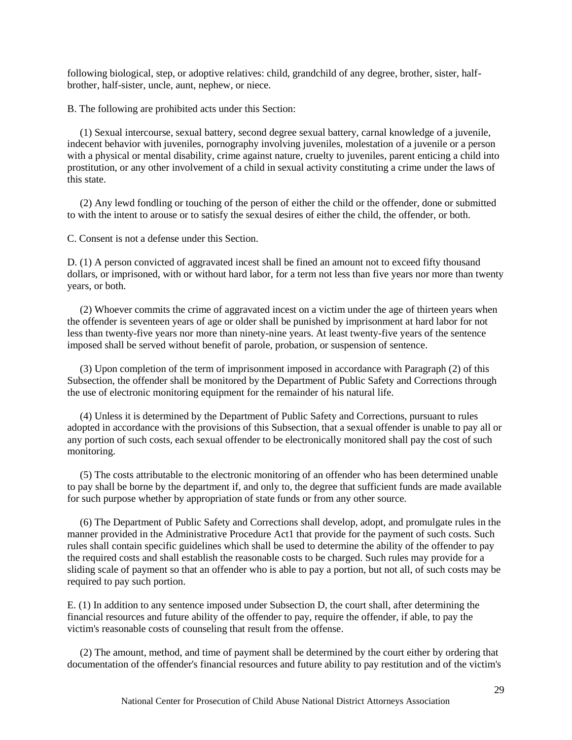following biological, step, or adoptive relatives: child, grandchild of any degree, brother, sister, halfbrother, half-sister, uncle, aunt, nephew, or niece.

B. The following are prohibited acts under this Section:

(1) Sexual intercourse, sexual battery, second degree sexual battery, carnal knowledge of a juvenile, indecent behavior with juveniles, pornography involving juveniles, molestation of a juvenile or a person with a physical or mental disability, crime against nature, cruelty to juveniles, parent enticing a child into prostitution, or any other involvement of a child in sexual activity constituting a crime under the laws of this state.

(2) Any lewd fondling or touching of the person of either the child or the offender, done or submitted to with the intent to arouse or to satisfy the sexual desires of either the child, the offender, or both.

C. Consent is not a defense under this Section.

D. (1) A person convicted of aggravated incest shall be fined an amount not to exceed fifty thousand dollars, or imprisoned, with or without hard labor, for a term not less than five years nor more than twenty years, or both.

(2) Whoever commits the crime of aggravated incest on a victim under the age of thirteen years when the offender is seventeen years of age or older shall be punished by imprisonment at hard labor for not less than twenty-five years nor more than ninety-nine years. At least twenty-five years of the sentence imposed shall be served without benefit of parole, probation, or suspension of sentence.

(3) Upon completion of the term of imprisonment imposed in accordance with Paragraph (2) of this Subsection, the offender shall be monitored by the Department of Public Safety and Corrections through the use of electronic monitoring equipment for the remainder of his natural life.

(4) Unless it is determined by the Department of Public Safety and Corrections, pursuant to rules adopted in accordance with the provisions of this Subsection, that a sexual offender is unable to pay all or any portion of such costs, each sexual offender to be electronically monitored shall pay the cost of such monitoring.

(5) The costs attributable to the electronic monitoring of an offender who has been determined unable to pay shall be borne by the department if, and only to, the degree that sufficient funds are made available for such purpose whether by appropriation of state funds or from any other source.

(6) The Department of Public Safety and Corrections shall develop, adopt, and promulgate rules in the manner provided in the Administrative Procedure Ac[t1](https://a.next.westlaw.com/Document/NABA182106FC211DDBBB2EDA55317A89D/View/FullText.html?navigationPath=Search%2Fv3%2Fsearch%2Fresults%2Fnavigation%2Fi0ad6040c0000013d41a2d0d383baf03f%3FNav%3DSTATUTE%26fragmentIdentifier%3DNFE6BF5E098BD11DA82A9861CF4CA18AB%26startIndex%3D1%26contextData%3D%2528sc.Search%2529%26transitionType%3DSearchItem&listSource=Search&list=STATUTE&rank=2&grading=na&sessionScopeId=c389ca0b20652576120f0cd35b263aba&originationContext=previousnextdocument&transitionType=SearchItem&contextData=%28sc.Search%29&listPageSource=40d5bddadb3a6be3c5534be9c1bf8403#co_footnote_IC62D1C802AFA11DF9855A121F5375FD2) that provide for the payment of such costs. Such rules shall contain specific guidelines which shall be used to determine the ability of the offender to pay the required costs and shall establish the reasonable costs to be charged. Such rules may provide for a sliding scale of payment so that an offender who is able to pay a portion, but not all, of such costs may be required to pay such portion.

E. (1) In addition to any sentence imposed under Subsection D, the court shall, after determining the financial resources and future ability of the offender to pay, require the offender, if able, to pay the victim's reasonable costs of counseling that result from the offense.

(2) The amount, method, and time of payment shall be determined by the court either by ordering that documentation of the offender's financial resources and future ability to pay restitution and of the victim's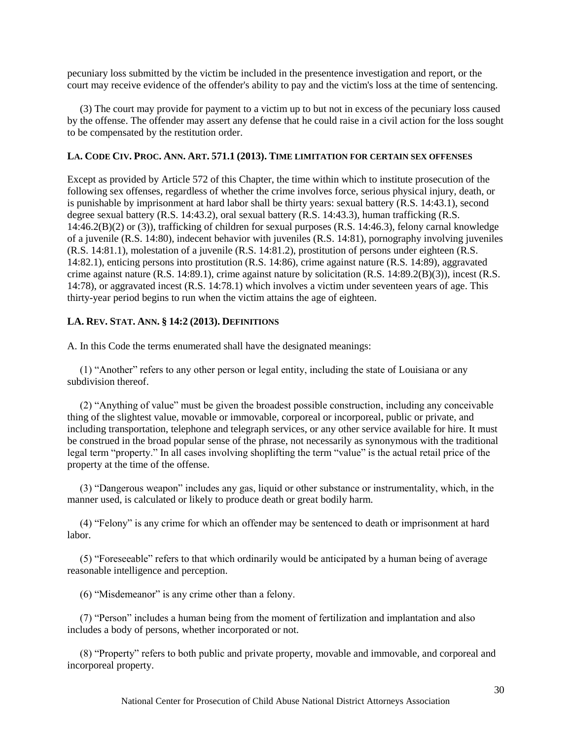pecuniary loss submitted by the victim be included in the presentence investigation and report, or the court may receive evidence of the offender's ability to pay and the victim's loss at the time of sentencing.

(3) The court may provide for payment to a victim up to but not in excess of the pecuniary loss caused by the offense. The offender may assert any defense that he could raise in a civil action for the loss sought to be compensated by the restitution order.

#### LA. CODE CIV. PROC. ANN. ART. 571.1 (2013). TIME LIMITATION FOR CERTAIN SEX OFFENSES

Except as provided by Article 572 of this Chapter, the time within which to institute prosecution of the following sex offenses, regardless of whether the crime involves force, serious physical injury, death, or is punishable by imprisonment at hard labor shall be thirty years: sexual battery [\(R.S. 14:43.1\)](https://a.next.westlaw.com/Link/Document/FullText?findType=L&pubNum=1000011&cite=LARS14%3a43.1&originatingDoc=NBAFE2F12F26311E1BFEDB9F39BD289BB&refType=LQ&originationContext=document&transitionType=DocumentItem&contextData=(sc.Search)), second degree sexual battery [\(R.S. 14:43.2\)](https://a.next.westlaw.com/Link/Document/FullText?findType=L&pubNum=1000011&cite=LARS14%3a43.2&originatingDoc=NBAFE2F12F26311E1BFEDB9F39BD289BB&refType=LQ&originationContext=document&transitionType=DocumentItem&contextData=(sc.Search)), oral sexual battery [\(R.S. 14:43.3\)](https://a.next.westlaw.com/Link/Document/FullText?findType=L&pubNum=1000011&cite=LARS14%3a43.3&originatingDoc=NBAFE2F12F26311E1BFEDB9F39BD289BB&refType=LQ&originationContext=document&transitionType=DocumentItem&contextData=(sc.Search)), human trafficking [\(R.S.](https://a.next.westlaw.com/Link/Document/FullText?findType=L&pubNum=1000011&cite=LARS14%3a46.2&originatingDoc=NBAFE2F12F26311E1BFEDB9F39BD289BB&refType=LQ&originationContext=document&transitionType=DocumentItem&contextData=(sc.Search))  [14:46.2\(B\)\(2\) or \(3\)\)](https://a.next.westlaw.com/Link/Document/FullText?findType=L&pubNum=1000011&cite=LARS14%3a46.2&originatingDoc=NBAFE2F12F26311E1BFEDB9F39BD289BB&refType=LQ&originationContext=document&transitionType=DocumentItem&contextData=(sc.Search)), trafficking of children for sexual purposes [\(R.S. 14:46.3\)](https://a.next.westlaw.com/Link/Document/FullText?findType=L&pubNum=1000011&cite=LARS14%3a46.3&originatingDoc=NBAFE2F12F26311E1BFEDB9F39BD289BB&refType=LQ&originationContext=document&transitionType=DocumentItem&contextData=(sc.Search)), felony carnal knowledge of a juvenile [\(R.S. 14:80\)](https://a.next.westlaw.com/Link/Document/FullText?findType=L&pubNum=1000011&cite=LARS14%3a80&originatingDoc=NBAFE2F12F26311E1BFEDB9F39BD289BB&refType=LQ&originationContext=document&transitionType=DocumentItem&contextData=(sc.Search)), indecent behavior with juveniles [\(R.S. 14:81\)](https://a.next.westlaw.com/Link/Document/FullText?findType=L&pubNum=1000011&cite=LARS14%3a81&originatingDoc=NBAFE2F12F26311E1BFEDB9F39BD289BB&refType=LQ&originationContext=document&transitionType=DocumentItem&contextData=(sc.Search)), pornography involving juveniles [\(R.S. 14:81.1\)](https://a.next.westlaw.com/Link/Document/FullText?findType=L&pubNum=1000011&cite=LARS14%3a81.1&originatingDoc=NBAFE2F12F26311E1BFEDB9F39BD289BB&refType=LQ&originationContext=document&transitionType=DocumentItem&contextData=(sc.Search)), molestation of a juvenile [\(R.S. 14:81.2\)](https://a.next.westlaw.com/Link/Document/FullText?findType=L&pubNum=1000011&cite=LARS14%3a81.2&originatingDoc=NBAFE2F12F26311E1BFEDB9F39BD289BB&refType=LQ&originationContext=document&transitionType=DocumentItem&contextData=(sc.Search)), prostitution of persons under eighteen [\(R.S.](https://a.next.westlaw.com/Link/Document/FullText?findType=L&pubNum=1000011&cite=LARS14%3a82.1&originatingDoc=NBAFE2F12F26311E1BFEDB9F39BD289BB&refType=LQ&originationContext=document&transitionType=DocumentItem&contextData=(sc.Search))  [14:82.1\)](https://a.next.westlaw.com/Link/Document/FullText?findType=L&pubNum=1000011&cite=LARS14%3a82.1&originatingDoc=NBAFE2F12F26311E1BFEDB9F39BD289BB&refType=LQ&originationContext=document&transitionType=DocumentItem&contextData=(sc.Search)), enticing persons into prostitution [\(R.S. 14:86\)](https://a.next.westlaw.com/Link/Document/FullText?findType=L&pubNum=1000011&cite=LARS14%3a86&originatingDoc=NBAFE2F12F26311E1BFEDB9F39BD289BB&refType=LQ&originationContext=document&transitionType=DocumentItem&contextData=(sc.Search)), crime against nature [\(R.S. 14:89\)](https://a.next.westlaw.com/Link/Document/FullText?findType=L&pubNum=1000011&cite=LARS14%3a89&originatingDoc=NBAFE2F12F26311E1BFEDB9F39BD289BB&refType=LQ&originationContext=document&transitionType=DocumentItem&contextData=(sc.Search)), aggravated crime against nature [\(R.S. 14:89.1\)](https://a.next.westlaw.com/Link/Document/FullText?findType=L&pubNum=1000011&cite=LARS14%3a89.1&originatingDoc=NBAFE2F12F26311E1BFEDB9F39BD289BB&refType=LQ&originationContext=document&transitionType=DocumentItem&contextData=(sc.Search)), crime against nature by solicitation [\(R.S. 14:89.2\(B\)\(3\)\)](https://a.next.westlaw.com/Link/Document/FullText?findType=L&pubNum=1000011&cite=LARS14%3a89.2&originatingDoc=NBAFE2F12F26311E1BFEDB9F39BD289BB&refType=LQ&originationContext=document&transitionType=DocumentItem&contextData=(sc.Search)), incest [\(R.S.](https://a.next.westlaw.com/Link/Document/FullText?findType=L&pubNum=1000011&cite=LARS14%3a78&originatingDoc=NBAFE2F12F26311E1BFEDB9F39BD289BB&refType=LQ&originationContext=document&transitionType=DocumentItem&contextData=(sc.Search))  [14:78\)](https://a.next.westlaw.com/Link/Document/FullText?findType=L&pubNum=1000011&cite=LARS14%3a78&originatingDoc=NBAFE2F12F26311E1BFEDB9F39BD289BB&refType=LQ&originationContext=document&transitionType=DocumentItem&contextData=(sc.Search)), or aggravated incest [\(R.S. 14:78.1\)](https://a.next.westlaw.com/Link/Document/FullText?findType=L&pubNum=1000011&cite=LARS14%3a78.1&originatingDoc=NBAFE2F12F26311E1BFEDB9F39BD289BB&refType=LQ&originationContext=document&transitionType=DocumentItem&contextData=(sc.Search)) which involves a victim under seventeen years of age. This thirty-year period begins to run when the victim attains the age of eighteen.

#### **LA. REV. STAT. ANN. § 14:2 (2013). DEFINITIONS**

A. In this Code the terms enumerated shall have the designated meanings:

(1) "Another" refers to any other person or legal entity, including the state of Louisiana or any subdivision thereof.

(2) "Anything of value" must be given the broadest possible construction, including any conceivable thing of the slightest value, movable or immovable, corporeal or incorporeal, public or private, and including transportation, telephone and telegraph services, or any other service available for hire. It must be construed in the broad popular sense of the phrase, not necessarily as synonymous with the traditional legal term "property." In all cases involving shoplifting the term "value" is the actual retail price of the property at the time of the offense.

(3) "Dangerous weapon" includes any gas, liquid or other substance or instrumentality, which, in the manner used, is calculated or likely to produce death or great bodily harm.

(4) "Felony" is any crime for which an offender may be sentenced to death or imprisonment at hard labor.

(5) "Foreseeable" refers to that which ordinarily would be anticipated by a human being of average reasonable intelligence and perception.

(6) "Misdemeanor" is any crime other than a felony.

(7) "Person" includes a human being from the moment of fertilization and implantation and also includes a body of persons, whether incorporated or not.

(8) "Property" refers to both public and private property, movable and immovable, and corporeal and incorporeal property.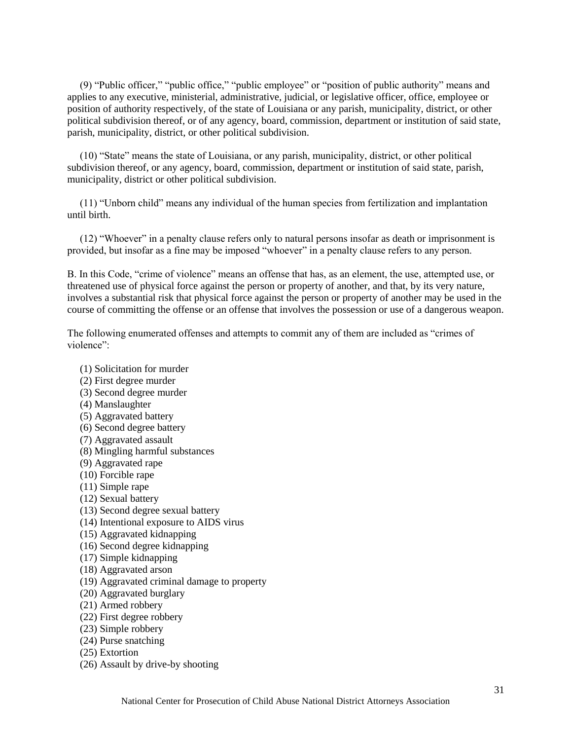(9) "Public officer," "public office," "public employee" or "position of public authority" means and applies to any executive, ministerial, administrative, judicial, or legislative officer, office, employee or position of authority respectively, of the state of Louisiana or any parish, municipality, district, or other political subdivision thereof, or of any agency, board, commission, department or institution of said state, parish, municipality, district, or other political subdivision.

(10) "State" means the state of Louisiana, or any parish, municipality, district, or other political subdivision thereof, or any agency, board, commission, department or institution of said state, parish, municipality, district or other political subdivision.

(11) "Unborn child" means any individual of the human species from fertilization and implantation until birth.

(12) "Whoever" in a penalty clause refers only to natural persons insofar as death or imprisonment is provided, but insofar as a fine may be imposed "whoever" in a penalty clause refers to any person.

B. In this Code, "crime of violence" means an offense that has, as an element, the use, attempted use, or threatened use of physical force against the person or property of another, and that, by its very nature, involves a substantial risk that physical force against the person or property of another may be used in the course of committing the offense or an offense that involves the possession or use of a dangerous weapon.

The following enumerated offenses and attempts to commit any of them are included as "crimes of violence":

- (1) Solicitation for murder
- (2) First degree murder
- (3) Second degree murder
- (4) Manslaughter
- (5) Aggravated battery
- (6) Second degree battery
- (7) Aggravated assault
- (8) Mingling harmful substances
- (9) Aggravated rape
- (10) Forcible rape
- (11) Simple rape
- (12) Sexual battery
- (13) Second degree sexual battery
- (14) Intentional exposure to AIDS virus
- (15) Aggravated kidnapping
- (16) Second degree kidnapping
- (17) Simple kidnapping
- (18) Aggravated arson
- (19) Aggravated criminal damage to property
- (20) Aggravated burglary
- (21) Armed robbery
- (22) First degree robbery
- (23) Simple robbery
- (24) Purse snatching
- (25) Extortion
- (26) Assault by drive-by shooting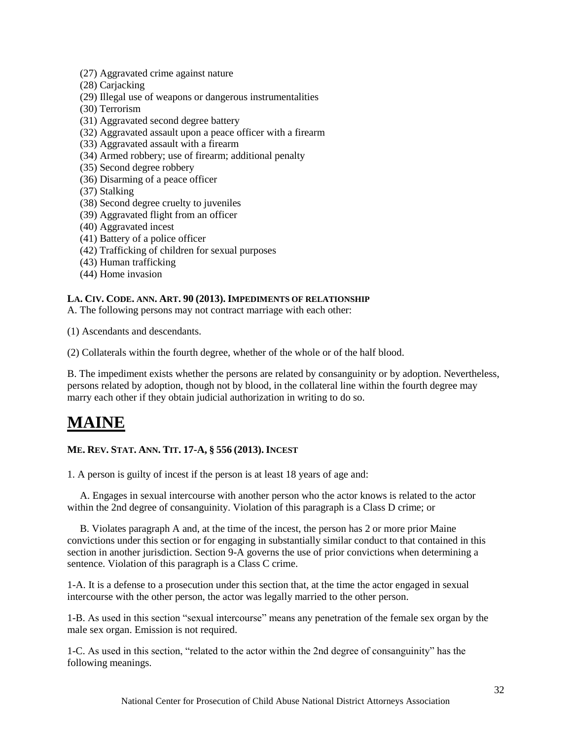- (27) Aggravated crime against nature
- (28) Carjacking
- (29) Illegal use of weapons or dangerous instrumentalities
- (30) Terrorism
- (31) Aggravated second degree battery
- (32) Aggravated assault upon a peace officer with a firearm
- (33) Aggravated assault with a firearm
- (34) Armed robbery; use of firearm; additional penalty
- (35) Second degree robbery
- (36) Disarming of a peace officer
- (37) Stalking
- (38) Second degree cruelty to juveniles
- (39) Aggravated flight from an officer
- (40) Aggravated incest
- (41) Battery of a police officer
- (42) Trafficking of children for sexual purposes
- (43) Human trafficking
- (44) Home invasion

#### **LA. CIV. CODE. ANN. ART. 90 (2013). IMPEDIMENTS OF RELATIONSHIP**

A. The following persons may not contract marriage with each other:

(1) Ascendants and descendants.

(2) Collaterals within the fourth degree, whether of the whole or of the half blood.

B. The impediment exists whether the persons are related by consanguinity or by adoption. Nevertheless, persons related by adoption, though not by blood, in the collateral line within the fourth degree may marry each other if they obtain judicial authorization in writing to do so.

### **MAINE**

#### **ME. REV. STAT. ANN. TIT. 17-A, § 556 (2013). INCEST**

1. A person is guilty of incest if the person is at least 18 years of age and:

A. Engages in sexual intercourse with another person who the actor knows is related to the actor within the 2nd degree of consanguinity. Violation of this paragraph is a Class D crime; or

B. Violates paragraph A and, at the time of the incest, the person has 2 or more prior Maine convictions under this section or for engaging in substantially similar conduct to that contained in this section in another jurisdiction. Section 9-A governs the use of prior convictions when determining a sentence. Violation of this paragraph is a Class C crime.

1-A. It is a defense to a prosecution under this section that, at the time the actor engaged in sexual intercourse with the other person, the actor was legally married to the other person.

1-B. As used in this section "sexual intercourse" means any penetration of the female sex organ by the male sex organ. Emission is not required.

1-C. As used in this section, "related to the actor within the 2nd degree of consanguinity" has the following meanings.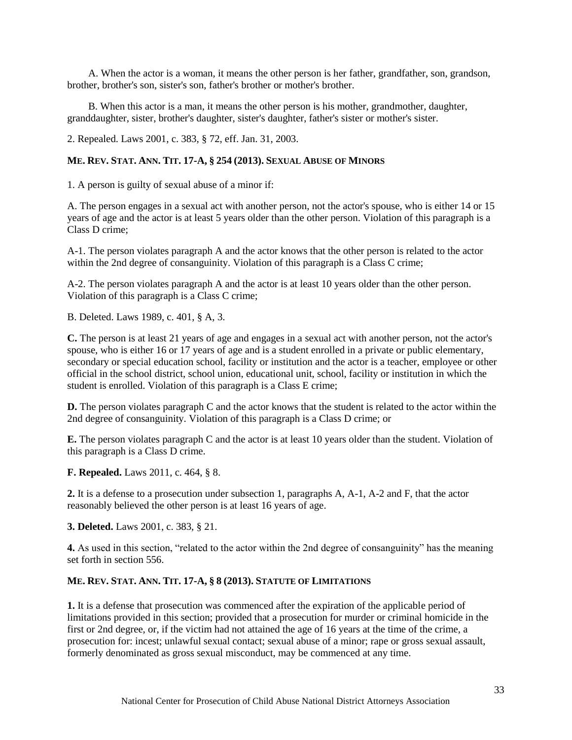A. When the actor is a woman, it means the other person is her father, grandfather, son, grandson, brother, brother's son, sister's son, father's brother or mother's brother.

B. When this actor is a man, it means the other person is his mother, grandmother, daughter, granddaughter, sister, brother's daughter, sister's daughter, father's sister or mother's sister.

2. Repealed. Laws [2001, c. 383, § 72, eff. Jan. 31, 2003.](https://a.next.westlaw.com/Link/Document/FullText?findType=l&pubNum=1077005&cite=UUID(IDD7EF7E00C-2B4383BA201-6793D09E501)&originationContext=document&transitionType=DocumentItem&contextData=(sc.Search))

#### ME. REV. STAT. ANN. TIT. 17-A, § 254 (2013). SEXUAL ABUSE OF MINORS

1. A person is guilty of sexual abuse of a minor if:

A. The person engages in a sexual act with another person, not the actor's spouse, who is either 14 or 15 years of age and the actor is at least 5 years older than the other person. Violation of this paragraph is a Class D crime;

A-1. The person violates paragraph A and the actor knows that the other person is related to the actor within the 2nd degree of consanguinity. Violation of this paragraph is a Class C crime;

A-2. The person violates paragraph A and the actor is at least 10 years older than the other person. Violation of this paragraph is a Class C crime;

B. Deleted. Laws [1989, c. 401, § A,](https://a.next.westlaw.com/Link/Document/FullText?findType=l&pubNum=1077005&cite=UUID(IA483C560C2-F04D32AEBB0-5DD7BB6D858)&originationContext=document&transitionType=DocumentItem&contextData=(sc.Search)) 3.

**C.** The person is at least 21 years of age and engages in a sexual act with another person, not the actor's spouse, who is either 16 or 17 years of age and is a student enrolled in a private or public elementary, secondary or special education school, facility or institution and the actor is a teacher, employee or other official in the school district, school union, educational unit, school, facility or institution in which the student is enrolled. Violation of this paragraph is a Class E crime;

**D.** The person violates paragraph C and the actor knows that the student is related to the actor within the 2nd degree of consanguinity. Violation of this paragraph is a Class D crime; or

**E.** The person violates paragraph C and the actor is at least 10 years older than the student. Violation of this paragraph is a Class D crime.

**F. Repealed.** Law[s 2011, c. 464, § 8.](https://a.next.westlaw.com/Link/Document/FullText?findType=l&pubNum=1077005&cite=UUID(IB8BFC230B8-AE11E0935C8-E881C809C0D)&originationContext=document&transitionType=DocumentItem&contextData=(sc.Search))

**2.** It is a defense to a prosecution under subsection 1, paragraphs A, A-1, A-2 and F, that the actor reasonably believed the other person is at least 16 years of age.

**3. Deleted.** Laws [2001, c. 383, § 21.](https://a.next.westlaw.com/Link/Document/FullText?findType=l&pubNum=1077005&cite=UUID(IDD7EF7E00C-2B4383BA201-6793D09E501)&originationContext=document&transitionType=DocumentItem&contextData=(sc.Search))

**4.** As used in this section, "related to the actor within the 2nd degree of consanguinity" has the meaning set forth in section 556.

#### ME. REV. STAT. ANN. TIT. 17-A, § 8 (2013). STATUTE OF LIMITATIONS

**1.** It is a defense that prosecution was commenced after the expiration of the applicable period of limitations provided in this section; provided that a prosecution for murder or criminal homicide in the first or 2nd degree, or, if the victim had not attained the age of 16 years at the time of the crime, a prosecution for: incest; unlawful sexual contact; sexual abuse of a minor; rape or gross sexual assault, formerly denominated as gross sexual misconduct, may be commenced at any time.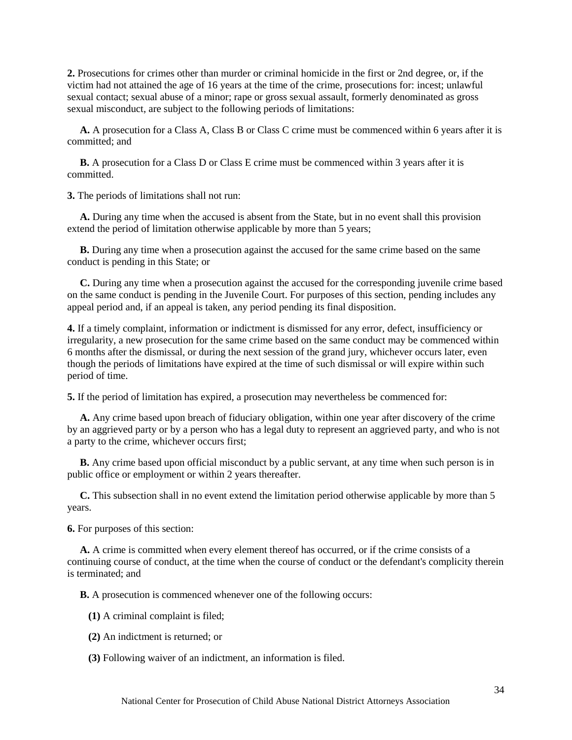**2.** Prosecutions for crimes other than murder or criminal homicide in the first or 2nd degree, or, if the victim had not attained the age of 16 years at the time of the crime, prosecutions for: incest; unlawful sexual contact; sexual abuse of a minor; rape or gross sexual assault, formerly denominated as gross sexual misconduct, are subject to the following periods of limitations:

**A.** A prosecution for a Class A, Class B or Class C crime must be commenced within 6 years after it is committed; and

**B.** A prosecution for a Class D or Class E crime must be commenced within 3 years after it is committed.

**3.** The periods of limitations shall not run:

**A.** During any time when the accused is absent from the State, but in no event shall this provision extend the period of limitation otherwise applicable by more than 5 years;

**B.** During any time when a prosecution against the accused for the same crime based on the same conduct is pending in this State; or

**C.** During any time when a prosecution against the accused for the corresponding juvenile crime based on the same conduct is pending in the Juvenile Court. For purposes of this section, pending includes any appeal period and, if an appeal is taken, any period pending its final disposition.

**4.** If a timely complaint, information or indictment is dismissed for any error, defect, insufficiency or irregularity, a new prosecution for the same crime based on the same conduct may be commenced within 6 months after the dismissal, or during the next session of the grand jury, whichever occurs later, even though the periods of limitations have expired at the time of such dismissal or will expire within such period of time.

**5.** If the period of limitation has expired, a prosecution may nevertheless be commenced for:

**A.** Any crime based upon breach of fiduciary obligation, within one year after discovery of the crime by an aggrieved party or by a person who has a legal duty to represent an aggrieved party, and who is not a party to the crime, whichever occurs first;

**B.** Any crime based upon official misconduct by a public servant, at any time when such person is in public office or employment or within 2 years thereafter.

**C.** This subsection shall in no event extend the limitation period otherwise applicable by more than 5 years.

**6.** For purposes of this section:

**A.** A crime is committed when every element thereof has occurred, or if the crime consists of a continuing course of conduct, at the time when the course of conduct or the defendant's complicity therein is terminated; and

**B.** A prosecution is commenced whenever one of the following occurs:

**(1)** A criminal complaint is filed;

**(2)** An indictment is returned; or

**(3)** Following waiver of an indictment, an information is filed.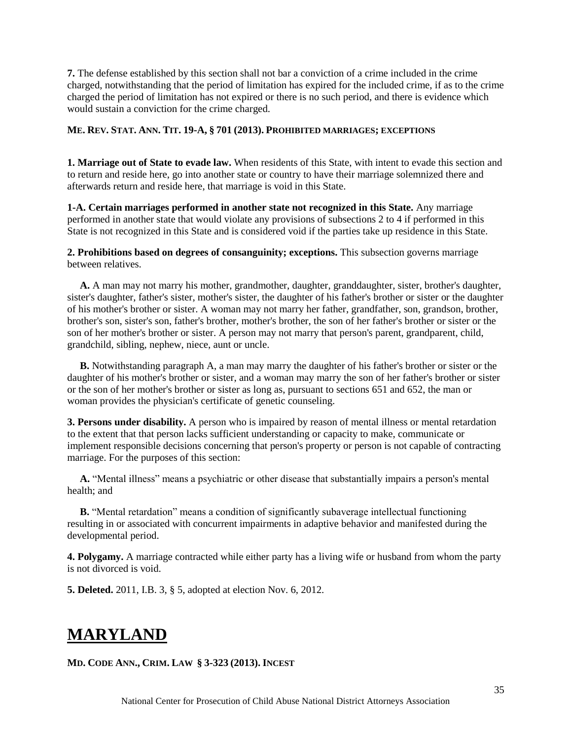**7.** The defense established by this section shall not bar a conviction of a crime included in the crime charged, notwithstanding that the period of limitation has expired for the included crime, if as to the crime charged the period of limitation has not expired or there is no such period, and there is evidence which would sustain a conviction for the crime charged.

#### ME. REV. STAT. ANN. TIT. 19-A, § 701 (2013). PROHIBITED MARRIAGES; EXCEPTIONS

**1. Marriage out of State to evade law.** When residents of this State, with intent to evade this section and to return and reside here, go into another state or country to have their marriage solemnized there and afterwards return and reside here, that marriage is void in this State.

**1-A. Certain marriages performed in another state not recognized in this State.** Any marriage performed in another state that would violate any provisions of subsections 2 to 4 if performed in this State is not recognized in this State and is considered void if the parties take up residence in this State.

**2. Prohibitions based on degrees of consanguinity; exceptions.** This subsection governs marriage between relatives.

**A.** A man may not marry his mother, grandmother, daughter, granddaughter, sister, brother's daughter, sister's daughter, father's sister, mother's sister, the daughter of his father's brother or sister or the daughter of his mother's brother or sister. A woman may not marry her father, grandfather, son, grandson, brother, brother's son, sister's son, father's brother, mother's brother, the son of her father's brother or sister or the son of her mother's brother or sister. A person may not marry that person's parent, grandparent, child, grandchild, sibling, nephew, niece, aunt or uncle.

**B.** Notwithstanding paragraph A, a man may marry the daughter of his father's brother or sister or the daughter of his mother's brother or sister, and a woman may marry the son of her father's brother or sister or the son of her mother's brother or sister as long as, pursuant to sections 651 and 652, the man or woman provides the physician's certificate of genetic counseling.

**3. Persons under disability.** A person who is impaired by reason of mental illness or mental retardation to the extent that that person lacks sufficient understanding or capacity to make, communicate or implement responsible decisions concerning that person's property or person is not capable of contracting marriage. For the purposes of this section:

**A.** "Mental illness" means a psychiatric or other disease that substantially impairs a person's mental health; and

**B.** "Mental retardation" means a condition of significantly subaverage intellectual functioning resulting in or associated with concurrent impairments in adaptive behavior and manifested during the developmental period.

**4. Polygamy.** A marriage contracted while either party has a living wife or husband from whom the party is not divorced is void.

**5. Deleted.** 2011, I.B. 3, § 5, adopted at election Nov. 6, 2012.

# **MARYLAND**

### **MD. CODE ANN., CRIM. LAW § 3-323 (2013). INCEST**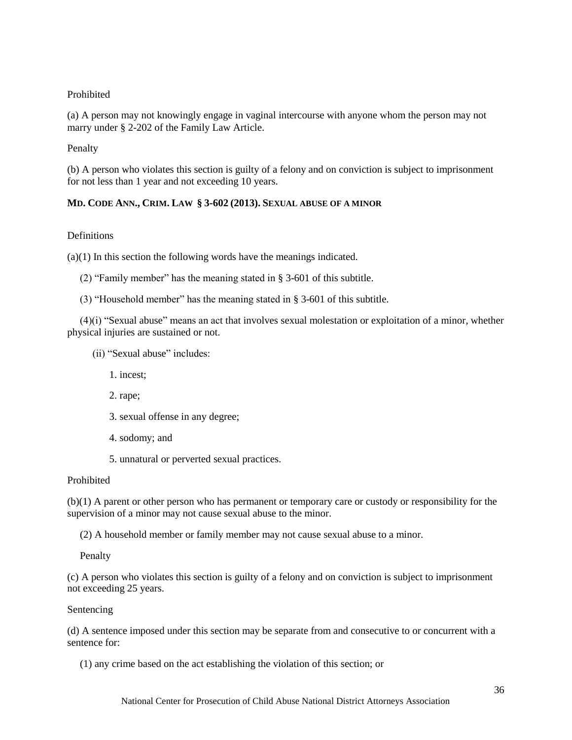#### Prohibited

(a) A person may not knowingly engage in vaginal intercourse with anyone whom the person may not marry under § 2-202 of [the Family Law Article.](https://a.next.westlaw.com/Link/Document/FullText?findType=L&pubNum=1000024&cite=MDFAS2-202&originatingDoc=N697D45B09CDB11DB9BCF9DAC28345A2A&refType=LQ&originationContext=document&transitionType=DocumentItem&contextData=(sc.Search))

#### Penalty

(b) A person who violates this section is guilty of a felony and on conviction is subject to imprisonment for not less than 1 year and not exceeding 10 years.

### **MD. CODE ANN., CRIM. LAW § 3-602 (2013). SEXUAL ABUSE OF A MINOR**

#### **Definitions**

(a)(1) In this section the following words have the meanings indicated.

(2) "Family member" has the meaning stated in [§ 3-601](https://a.next.westlaw.com/Link/Document/FullText?findType=L&pubNum=1016992&cite=MDCRLWS3-601&originatingDoc=N72FB63109CDB11DB9BCF9DAC28345A2A&refType=LQ&originationContext=document&transitionType=DocumentItem&contextData=(sc.Search)) of this subtitle.

(3) "Household member" has the meaning stated in [§ 3-601](https://a.next.westlaw.com/Link/Document/FullText?findType=L&pubNum=1016992&cite=MDCRLWS3-601&originatingDoc=N72FB63109CDB11DB9BCF9DAC28345A2A&refType=LQ&originationContext=document&transitionType=DocumentItem&contextData=(sc.Search)) of this subtitle.

(4)(i) "Sexual abuse" means an act that involves sexual molestation or exploitation of a minor, whether physical injuries are sustained or not.

- (ii) "Sexual abuse" includes:
	- 1. incest;
	- 2. rape;
	- 3. sexual offense in any degree;
	- 4. sodomy; and
	- 5. unnatural or perverted sexual practices.

#### Prohibited

(b)(1) A parent or other person who has permanent or temporary care or custody or responsibility for the supervision of a minor may not cause sexual abuse to the minor.

(2) A household member or family member may not cause sexual abuse to a minor.

Penalty

(c) A person who violates this section is guilty of a felony and on conviction is subject to imprisonment not exceeding 25 years.

#### Sentencing

(d) A sentence imposed under this section may be separate from and consecutive to or concurrent with a sentence for:

(1) any crime based on the act establishing the violation of this section; or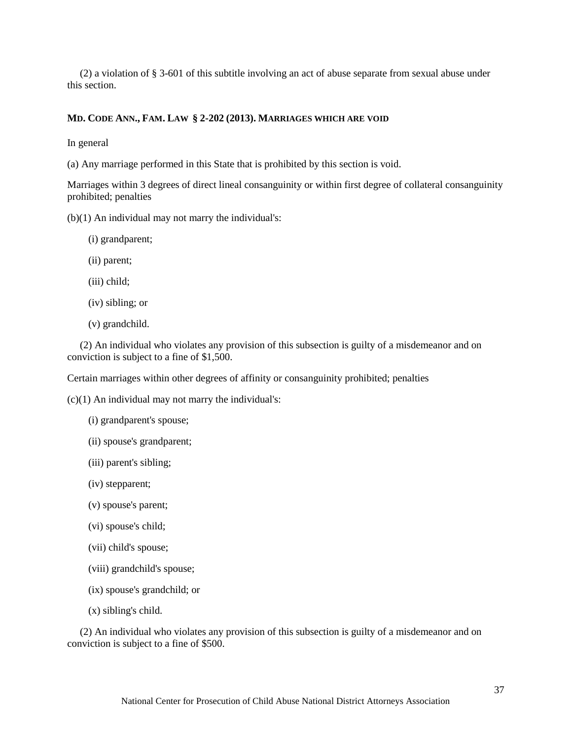(2) a violation of [§ 3-601](https://a.next.westlaw.com/Link/Document/FullText?findType=L&pubNum=1016992&cite=MDCRLWS3-601&originatingDoc=N72FB63109CDB11DB9BCF9DAC28345A2A&refType=LQ&originationContext=document&transitionType=DocumentItem&contextData=(sc.Search)) of this subtitle involving an act of abuse separate from sexual abuse under this section.

#### **MD. CODE ANN., FAM. LAW § 2-202 (2013). MARRIAGES WHICH ARE VOID**

In general

(a) Any marriage performed in this State that is prohibited by this section is void.

Marriages within 3 degrees of direct lineal consanguinity or within first degree of collateral consanguinity prohibited; penalties

(b)(1) An individual may not marry the individual's:

- (i) grandparent;
- (ii) parent;
- (iii) child;
- (iv) sibling; or
- (v) grandchild.

(2) An individual who violates any provision of this subsection is guilty of a misdemeanor and on conviction is subject to a fine of \$1,500.

Certain marriages within other degrees of affinity or consanguinity prohibited; penalties

 $(c)(1)$  An individual may not marry the individual's:

- (i) grandparent's spouse;
- (ii) spouse's grandparent;
- (iii) parent's sibling;
- (iv) stepparent;
- (v) spouse's parent;
- (vi) spouse's child;
- (vii) child's spouse;
- (viii) grandchild's spouse;
- (ix) spouse's grandchild; or
- (x) sibling's child.

(2) An individual who violates any provision of this subsection is guilty of a misdemeanor and on conviction is subject to a fine of \$500.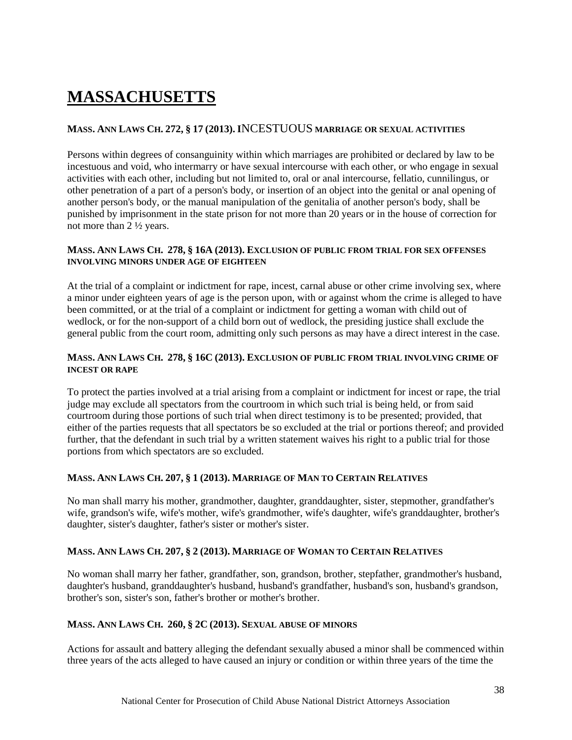# **MASSACHUSETTS**

#### **MASS. ANN LAWS CH. 272, § 17 (2013). I**NCESTUOUS **MARRIAGE OR SEXUAL ACTIVITIES**

Persons within degrees of consanguinity within which marriages are prohibited or declared by law to be incestuous and void, who intermarry or have sexual intercourse with each other, or who engage in sexual activities with each other, including but not limited to, oral or anal intercourse, fellatio, cunnilingus, or other penetration of a part of a person's body, or insertion of an object into the genital or anal opening of another person's body, or the manual manipulation of the genitalia of another person's body, shall be punished by imprisonment in the state prison for not more than 20 years or in the house of correction for not more than 2 ½ years.

#### **MASS. ANN LAWS CH. 278, § 16A (2013). EXCLUSION OF PUBLIC FROM TRIAL FOR SEX OFFENSES INVOLVING MINORS UNDER AGE OF EIGHTEEN**

At the trial of a complaint or indictment for rape, incest, carnal abuse or other crime involving sex, where a minor under eighteen years of age is the person upon, with or against whom the crime is alleged to have been committed, or at the trial of a complaint or indictment for getting a woman with child out of wedlock, or for the non-support of a child born out of wedlock, the presiding justice shall exclude the general public from the court room, admitting only such persons as may have a direct interest in the case.

#### **MASS. ANN LAWS CH. 278, § 16C (2013). EXCLUSION OF PUBLIC FROM TRIAL INVOLVING CRIME OF INCEST OR RAPE**

To protect the parties involved at a trial arising from a complaint or indictment for incest or rape, the trial judge may exclude all spectators from the courtroom in which such trial is being held, or from said courtroom during those portions of such trial when direct testimony is to be presented; provided, that either of the parties requests that all spectators be so excluded at the trial or portions thereof; and provided further, that the defendant in such trial by a written statement waives his right to a public trial for those portions from which spectators are so excluded.

#### MASS. ANN LAWS CH. 207, § 1 (2013). MARRIAGE OF MAN TO CERTAIN RELATIVES

No man shall marry his mother, grandmother, daughter, granddaughter, sister, stepmother, grandfather's wife, grandson's wife, wife's mother, wife's grandmother, wife's daughter, wife's granddaughter, brother's daughter, sister's daughter, father's sister or mother's sister.

#### MASS. ANN LAWS CH. 207, § 2 (2013). MARRIAGE OF WOMAN TO CERTAIN RELATIVES

No woman shall marry her father, grandfather, son, grandson, brother, stepfather, grandmother's husband, daughter's husband, granddaughter's husband, husband's grandfather, husband's son, husband's grandson, brother's son, sister's son, father's brother or mother's brother.

#### **MASS. ANN LAWS CH. 260, § 2C (2013). SEXUAL ABUSE OF MINORS**

Actions for assault and battery alleging the defendant sexually abused a minor shall be commenced within three years of the acts alleged to have caused an injury or condition or within three years of the time the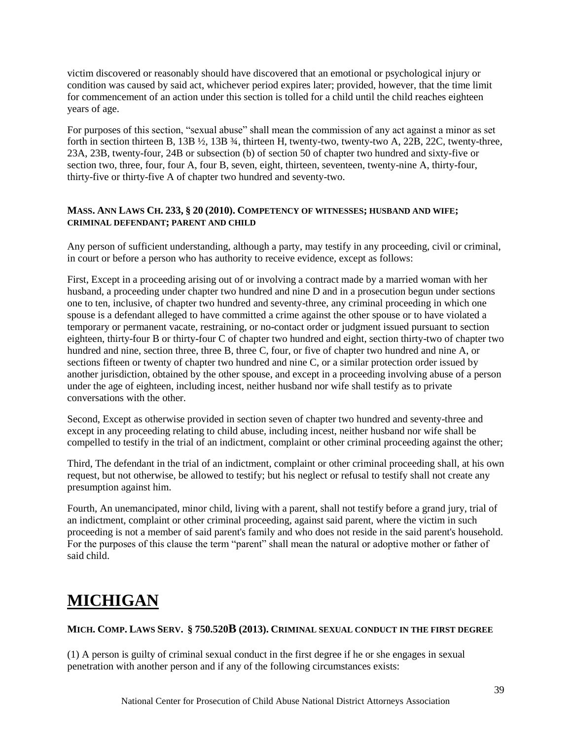victim discovered or reasonably should have discovered that an emotional or psychological injury or condition was caused by said act, whichever period expires later; provided, however, that the time limit for commencement of an action under this section is tolled for a child until the child reaches eighteen years of age.

For purposes of this section, "sexual abuse" shall mean the commission of any act against a minor as set forth in [section thirteen](https://a.next.westlaw.com/Link/Document/FullText?findType=L&pubNum=1000042&cite=MAST265S13&originatingDoc=N81BCB070252511E1962EC244A9AD5510&refType=LQ&originationContext=document&transitionType=DocumentItem&contextData=(sc.Search)) B, 13B ½, 13B ¾, thirteen H, twenty-two, twenty-two A, 22B, 22C, twenty-three, 23A, 23B, twenty-four, 24B or subsection (b) of [section 50 of chapter two hundred and sixty-five](https://a.next.westlaw.com/Link/Document/FullText?findType=L&pubNum=1000042&cite=MAST265S50&originatingDoc=N81BCB070252511E1962EC244A9AD5510&refType=LQ&originationContext=document&transitionType=DocumentItem&contextData=(sc.Search)) or [section two,](https://a.next.westlaw.com/Link/Document/FullText?findType=L&pubNum=1000042&cite=MAST272S2&originatingDoc=N81BCB070252511E1962EC244A9AD5510&refType=LQ&originationContext=document&transitionType=DocumentItem&contextData=(sc.Search)) [three,](https://a.next.westlaw.com/Link/Document/FullText?findType=L&pubNum=1000042&cite=MAST272S3&originatingDoc=N81BCB070252511E1962EC244A9AD5510&refType=LQ&originationContext=document&transitionType=DocumentItem&contextData=(sc.Search)) four, four A, four B, seven, eight, thirteen, seventeen, twenty-nine A, thirty-four, [thirty-five or thirty-five A of chapter two hundred and seventy-two.](https://a.next.westlaw.com/Link/Document/FullText?findType=L&pubNum=1000042&cite=MAST272S4&originatingDoc=N81BCB070252511E1962EC244A9AD5510&refType=LQ&originationContext=document&transitionType=DocumentItem&contextData=(sc.Search))

#### **MASS. ANN LAWS CH. 233, § 20 (2010). COMPETENCY OF WITNESSES; HUSBAND AND WIFE; CRIMINAL DEFENDANT; PARENT AND CHILD**

Any person of sufficient understanding, although a party, may testify in any proceeding, civil or criminal, in court or before a person who has authority to receive evidence, except as follows:

First, Except in a proceeding arising out of or involving a contract made by a married woman with her husband, a proceeding under chapter two hundred and nine D and in a prosecution begun under [sections](https://a.next.westlaw.com/Link/Document/FullText?findType=L&pubNum=1000042&cite=MAST273S1&originatingDoc=N98D51AD0173511DB9292C066B0348FB7&refType=LQ&originationContext=document&transitionType=DocumentItem&contextData=(sc.Search))  [one](https://a.next.westlaw.com/Link/Document/FullText?findType=L&pubNum=1000042&cite=MAST273S1&originatingDoc=N98D51AD0173511DB9292C066B0348FB7&refType=LQ&originationContext=document&transitionType=DocumentItem&contextData=(sc.Search)) to [ten, inclusive, of chapter two hundred and seventy-three,](https://a.next.westlaw.com/Link/Document/FullText?findType=L&pubNum=1000042&cite=MAST273S10&originatingDoc=N98D51AD0173511DB9292C066B0348FB7&refType=LQ&originationContext=document&transitionType=DocumentItem&contextData=(sc.Search)) any criminal proceeding in which one spouse is a defendant alleged to have committed a crime against the other spouse or to have violated a temporary or permanent vacate, restraining, or no-contact order or judgment issued pursuant to [section](https://a.next.westlaw.com/Link/Document/FullText?findType=L&pubNum=1000042&cite=MAST208S18&originatingDoc=N98D51AD0173511DB9292C066B0348FB7&refType=LQ&originationContext=document&transitionType=DocumentItem&contextData=(sc.Search))  [eighteen,](https://a.next.westlaw.com/Link/Document/FullText?findType=L&pubNum=1000042&cite=MAST208S18&originatingDoc=N98D51AD0173511DB9292C066B0348FB7&refType=LQ&originationContext=document&transitionType=DocumentItem&contextData=(sc.Search)) [thirty-four B](https://a.next.westlaw.com/Link/Document/FullText?findType=L&pubNum=1000042&cite=MAST208S34B&originatingDoc=N98D51AD0173511DB9292C066B0348FB7&refType=LQ&originationContext=document&transitionType=DocumentItem&contextData=(sc.Search)) or thirty-four C [of chapter two hundred and eight,](https://a.next.westlaw.com/Link/Document/FullText?findType=L&pubNum=1000042&cite=MAST208S34C&originatingDoc=N98D51AD0173511DB9292C066B0348FB7&refType=LQ&originationContext=document&transitionType=DocumentItem&contextData=(sc.Search)) [section thirty-two of chapter two](https://a.next.westlaw.com/Link/Document/FullText?findType=L&pubNum=1000042&cite=MAST209S32&originatingDoc=N98D51AD0173511DB9292C066B0348FB7&refType=LQ&originationContext=document&transitionType=DocumentItem&contextData=(sc.Search))  [hundred and nine,](https://a.next.westlaw.com/Link/Document/FullText?findType=L&pubNum=1000042&cite=MAST209S32&originatingDoc=N98D51AD0173511DB9292C066B0348FB7&refType=LQ&originationContext=document&transitionType=DocumentItem&contextData=(sc.Search)) section three, three B, three C, four, or five of chapter two hundred and nine A, or [sections fifteen](https://a.next.westlaw.com/Link/Document/FullText?findType=L&pubNum=1000042&cite=MAST209S15&originatingDoc=N98D51AD0173511DB9292C066B0348FB7&refType=LQ&originationContext=document&transitionType=DocumentItem&contextData=(sc.Search)) or twenty of chapter two hundred and nine C, or a similar protection order issued by another jurisdiction, obtained by the other spouse, and except in a proceeding involving abuse of a person under the age of eighteen, including incest, neither husband nor wife shall testify as to private conversations with the other.

Second, Except as otherwise provided in [section seven of chapter two hundred and seventy-three](https://a.next.westlaw.com/Link/Document/FullText?findType=L&pubNum=1000042&cite=MAST273S7&originatingDoc=N98D51AD0173511DB9292C066B0348FB7&refType=LQ&originationContext=document&transitionType=DocumentItem&contextData=(sc.Search)) and except in any proceeding relating to child abuse, including incest, neither husband nor wife shall be compelled to testify in the trial of an indictment, complaint or other criminal proceeding against the other;

Third, The defendant in the trial of an indictment, complaint or other criminal proceeding shall, at his own request, but not otherwise, be allowed to testify; but his neglect or refusal to testify shall not create any presumption against him.

Fourth, An unemancipated, minor child, living with a parent, shall not testify before a grand jury, trial of an indictment, complaint or other criminal proceeding, against said parent, where the victim in such proceeding is not a member of said parent's family and who does not reside in the said parent's household. For the purposes of this clause the term "parent" shall mean the natural or adoptive mother or father of said child.

# **MICHIGAN**

#### **MICH. COMP. LAWS SERV. § 750.520B (2013). CRIMINAL SEXUAL CONDUCT IN THE FIRST DEGREE**

(1) A person is guilty of criminal sexual conduct in the first degree if he or she engages in sexual penetration with another person and if any of the following circumstances exists: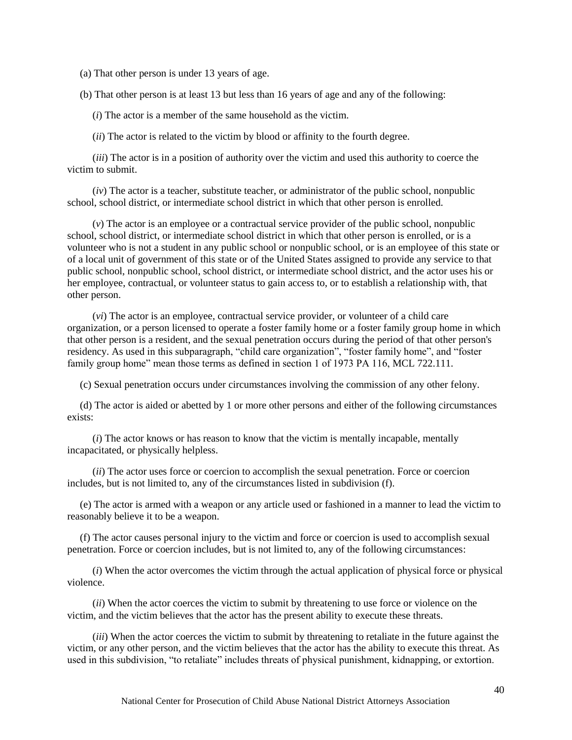(a) That other person is under 13 years of age.

(b) That other person is at least 13 but less than 16 years of age and any of the following:

(*i*) The actor is a member of the same household as the victim.

(*ii*) The actor is related to the victim by blood or affinity to the fourth degree.

(*iii*) The actor is in a position of authority over the victim and used this authority to coerce the victim to submit.

(*iv*) The actor is a teacher, substitute teacher, or administrator of the public school, nonpublic school, school district, or intermediate school district in which that other person is enrolled.

(*v*) The actor is an employee or a contractual service provider of the public school, nonpublic school, school district, or intermediate school district in which that other person is enrolled, or is a volunteer who is not a student in any public school or nonpublic school, or is an employee of this state or of a local unit of government of this state or of the United States assigned to provide any service to that public school, nonpublic school, school district, or intermediate school district, and the actor uses his or her employee, contractual, or volunteer status to gain access to, or to establish a relationship with, that other person.

(*vi*) The actor is an employee, contractual service provider, or volunteer of a child care organization, or a person licensed to operate a foster family home or a foster family group home in which that other person is a resident, and the sexual penetration occurs during the period of that other person's residency. As used in this subparagraph, "child care organization", "foster family home", and "foster family group home" mean those terms as defined in section 1 of 1973 PA 116, [MCL 722.111.](https://a.next.westlaw.com/Link/Document/FullText?findType=L&pubNum=1000043&cite=MIST722.111&originatingDoc=N8AA53591548611E2AAC7C79B3436DAB7&refType=LQ&originationContext=document&transitionType=DocumentItem&contextData=(sc.Search))

(c) Sexual penetration occurs under circumstances involving the commission of any other felony.

(d) The actor is aided or abetted by 1 or more other persons and either of the following circumstances exists:

(*i*) The actor knows or has reason to know that the victim is mentally incapable, mentally incapacitated, or physically helpless.

(*ii*) The actor uses force or coercion to accomplish the sexual penetration. Force or coercion includes, but is not limited to, any of the circumstances listed in subdivision (f).

(e) The actor is armed with a weapon or any article used or fashioned in a manner to lead the victim to reasonably believe it to be a weapon.

(f) The actor causes personal injury to the victim and force or coercion is used to accomplish sexual penetration. Force or coercion includes, but is not limited to, any of the following circumstances:

(*i*) When the actor overcomes the victim through the actual application of physical force or physical violence.

(*ii*) When the actor coerces the victim to submit by threatening to use force or violence on the victim, and the victim believes that the actor has the present ability to execute these threats.

(*iii*) When the actor coerces the victim to submit by threatening to retaliate in the future against the victim, or any other person, and the victim believes that the actor has the ability to execute this threat. As used in this subdivision, "to retaliate" includes threats of physical punishment, kidnapping, or extortion.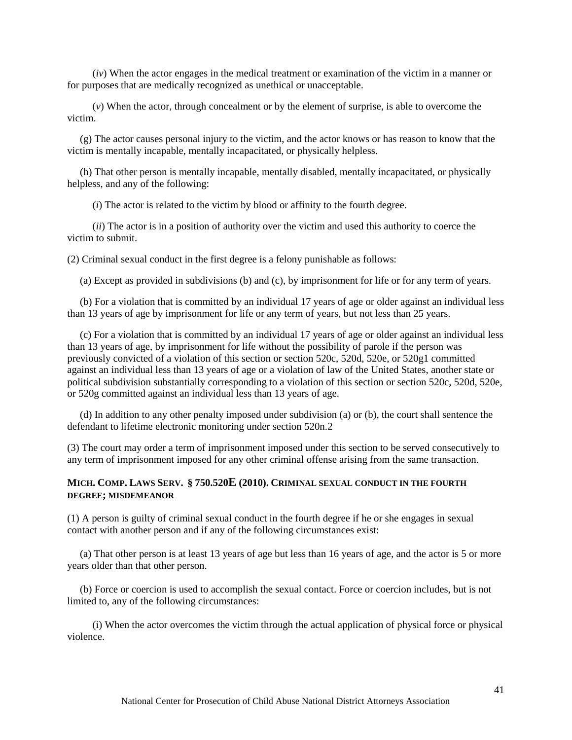(*iv*) When the actor engages in the medical treatment or examination of the victim in a manner or for purposes that are medically recognized as unethical or unacceptable.

(*v*) When the actor, through concealment or by the element of surprise, is able to overcome the victim.

(g) The actor causes personal injury to the victim, and the actor knows or has reason to know that the victim is mentally incapable, mentally incapacitated, or physically helpless.

(h) That other person is mentally incapable, mentally disabled, mentally incapacitated, or physically helpless, and any of the following:

(*i*) The actor is related to the victim by blood or affinity to the fourth degree.

(*ii*) The actor is in a position of authority over the victim and used this authority to coerce the victim to submit.

(2) Criminal sexual conduct in the first degree is a felony punishable as follows:

(a) Except as provided in subdivisions (b) and (c), by imprisonment for life or for any term of years.

(b) For a violation that is committed by an individual 17 years of age or older against an individual less than 13 years of age by imprisonment for life or any term of years, but not less than 25 years.

(c) For a violation that is committed by an individual 17 years of age or older against an individual less than 13 years of age, by imprisonment for life without the possibility of parole if the person was previously convicted of a violation of this section or section 520c, 520d, 520e, or 520[g1](https://a.next.westlaw.com/Document/N8AA53591548611E2AAC7C79B3436DAB7/View/FullText.html?navigationPath=Search%2Fv3%2Fsearch%2Fresults%2Fnavigation%2Fi0ad6040c0000013d42111d1583bb9285%3FNav%3DSTATUTE%26fragmentIdentifier%3DN8AA53591548611E2AAC7C79B3436DAB7%26startIndex%3D1%26contextData%3D%2528sc.Search%2529%26transitionType%3DSearchItem&listSource=Search&listPageSource=86e76022f0558fcedb6451f559babf6d&list=STATUTE&rank=2&grading=na&sessionScopeId=e288db61d380d534adfcd027969e3331&originationContext=Search%20Result&transitionType=SearchItem&contextData=%28sc.Search%29#co_footnote_ICF6520D1537011E28B66D7002D5DB479) committed against an individual less than 13 years of age or a violation of law of the United States, another state or political subdivision substantially corresponding to a violation of this section or section 520c, 520d, 520e, or 520g committed against an individual less than 13 years of age.

(d) In addition to any other penalty imposed under subdivision (a) or (b), the court shall sentence the defendant to lifetime electronic monitoring under section 520n[.2](https://a.next.westlaw.com/Document/N8AA53591548611E2AAC7C79B3436DAB7/View/FullText.html?navigationPath=Search%2Fv3%2Fsearch%2Fresults%2Fnavigation%2Fi0ad6040c0000013d42111d1583bb9285%3FNav%3DSTATUTE%26fragmentIdentifier%3DN8AA53591548611E2AAC7C79B3436DAB7%26startIndex%3D1%26contextData%3D%2528sc.Search%2529%26transitionType%3DSearchItem&listSource=Search&listPageSource=86e76022f0558fcedb6451f559babf6d&list=STATUTE&rank=2&grading=na&sessionScopeId=e288db61d380d534adfcd027969e3331&originationContext=Search%20Result&transitionType=SearchItem&contextData=%28sc.Search%29#co_footnote_IF17DE3C1537311E28B66D7002D5DB479)

(3) The court may order a term of imprisonment imposed under this section to be served consecutively to any term of imprisonment imposed for any other criminal offense arising from the same transaction.

#### **MICH. COMP. LAWS SERV. § 750.520E (2010). CRIMINAL SEXUAL CONDUCT IN THE FOURTH DEGREE; MISDEMEANOR**

(1) A person is guilty of criminal sexual conduct in the fourth degree if he or she engages in sexual contact with another person and if any of the following circumstances exist:

(a) That other person is at least 13 years of age but less than 16 years of age, and the actor is 5 or more years older than that other person.

(b) Force or coercion is used to accomplish the sexual contact. Force or coercion includes, but is not limited to, any of the following circumstances:

(i) When the actor overcomes the victim through the actual application of physical force or physical violence.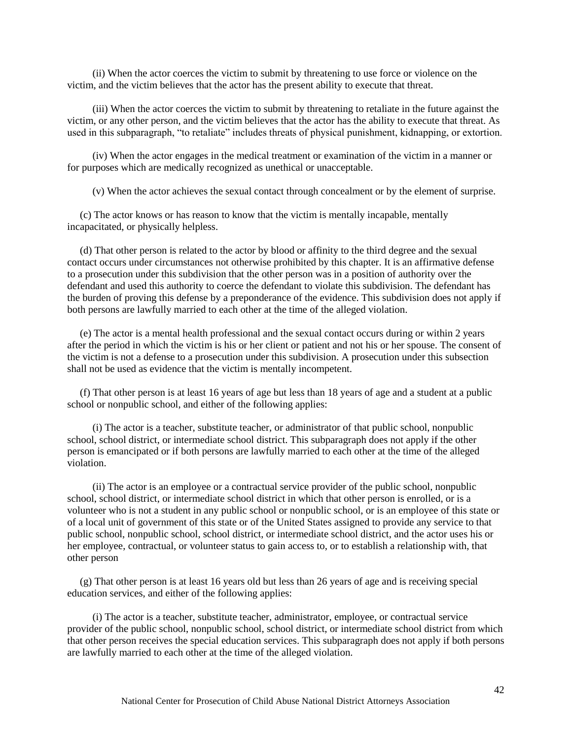(ii) When the actor coerces the victim to submit by threatening to use force or violence on the victim, and the victim believes that the actor has the present ability to execute that threat.

(iii) When the actor coerces the victim to submit by threatening to retaliate in the future against the victim, or any other person, and the victim believes that the actor has the ability to execute that threat. As used in this subparagraph, "to retaliate" includes threats of physical punishment, kidnapping, or extortion.

(iv) When the actor engages in the medical treatment or examination of the victim in a manner or for purposes which are medically recognized as unethical or unacceptable.

(v) When the actor achieves the sexual contact through concealment or by the element of surprise.

(c) The actor knows or has reason to know that the victim is mentally incapable, mentally incapacitated, or physically helpless.

(d) That other person is related to the actor by blood or affinity to the third degree and the sexual contact occurs under circumstances not otherwise prohibited by this chapter. It is an affirmative defense to a prosecution under this subdivision that the other person was in a position of authority over the defendant and used this authority to coerce the defendant to violate this subdivision. The defendant has the burden of proving this defense by a preponderance of the evidence. This subdivision does not apply if both persons are lawfully married to each other at the time of the alleged violation.

(e) The actor is a mental health professional and the sexual contact occurs during or within 2 years after the period in which the victim is his or her client or patient and not his or her spouse. The consent of the victim is not a defense to a prosecution under this subdivision. A prosecution under this subsection shall not be used as evidence that the victim is mentally incompetent.

(f) That other person is at least 16 years of age but less than 18 years of age and a student at a public school or nonpublic school, and either of the following applies:

(i) The actor is a teacher, substitute teacher, or administrator of that public school, nonpublic school, school district, or intermediate school district. This subparagraph does not apply if the other person is emancipated or if both persons are lawfully married to each other at the time of the alleged violation.

(ii) The actor is an employee or a contractual service provider of the public school, nonpublic school, school district, or intermediate school district in which that other person is enrolled, or is a volunteer who is not a student in any public school or nonpublic school, or is an employee of this state or of a local unit of government of this state or of the United States assigned to provide any service to that public school, nonpublic school, school district, or intermediate school district, and the actor uses his or her employee, contractual, or volunteer status to gain access to, or to establish a relationship with, that other person

(g) That other person is at least 16 years old but less than 26 years of age and is receiving special education services, and either of the following applies:

(i) The actor is a teacher, substitute teacher, administrator, employee, or contractual service provider of the public school, nonpublic school, school district, or intermediate school district from which that other person receives the special education services. This subparagraph does not apply if both persons are lawfully married to each other at the time of the alleged violation.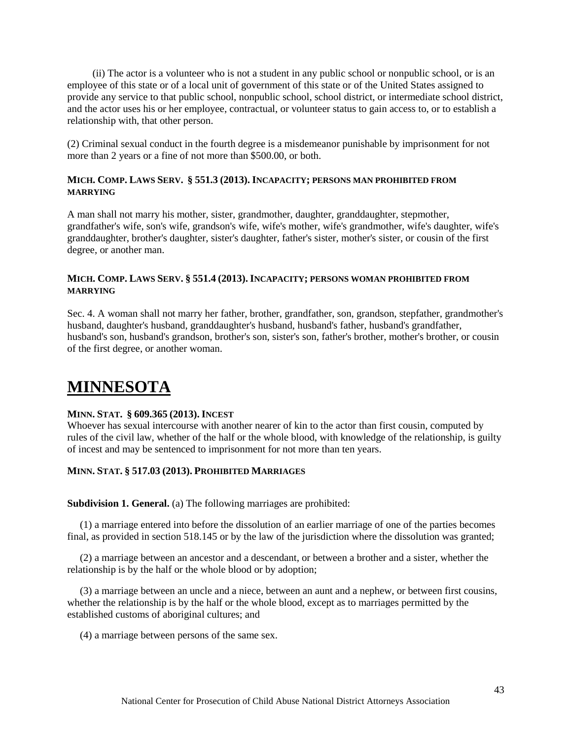(ii) The actor is a volunteer who is not a student in any public school or nonpublic school, or is an employee of this state or of a local unit of government of this state or of the United States assigned to provide any service to that public school, nonpublic school, school district, or intermediate school district, and the actor uses his or her employee, contractual, or volunteer status to gain access to, or to establish a relationship with, that other person.

(2) Criminal sexual conduct in the fourth degree is a misdemeanor punishable by imprisonment for not more than 2 years or a fine of not more than \$500.00, or both.

#### **MICH. COMP. LAWS SERV. § 551.3 (2013). INCAPACITY; PERSONS MAN PROHIBITED FROM MARRYING**

A man shall not marry his mother, sister, grandmother, daughter, granddaughter, stepmother, grandfather's wife, son's wife, grandson's wife, wife's mother, wife's grandmother, wife's daughter, wife's granddaughter, brother's daughter, sister's daughter, father's sister, mother's sister, or cousin of the first degree, or another man.

#### **MICH. COMP. LAWS SERV. § 551.4 (2013). INCAPACITY; PERSONS WOMAN PROHIBITED FROM MARRYING**

Sec. 4. A woman shall not marry her father, brother, grandfather, son, grandson, stepfather, grandmother's husband, daughter's husband, granddaughter's husband, husband's father, husband's grandfather, husband's son, husband's grandson, brother's son, sister's son, father's brother, mother's brother, or cousin of the first degree, or another woman.

### **MINNESOTA**

#### **MINN. STAT. § 609.365 (2013). INCEST**

Whoever has sexual intercourse with another nearer of kin to the actor than first cousin, computed by rules of the civil law, whether of the half or the whole blood, with knowledge of the relationship, is guilty of incest and may be sentenced to imprisonment for not more than ten years.

#### **MINN. STAT. § 517.03 (2013). PROHIBITED MARRIAGES**

**Subdivision 1. General.** (a) The following marriages are prohibited:

(1) a marriage entered into before the dissolution of an earlier marriage of one of the parties becomes final, as provided i[n section 518.145](https://a.next.westlaw.com/Link/Document/FullText?findType=L&pubNum=1000044&cite=MNSTS518.145&originatingDoc=N2E6E14C0B80F11DE88A0896789708CE3&refType=LQ&originationContext=document&transitionType=DocumentItem&contextData=(sc.Search)) or by the law of the jurisdiction where the dissolution was granted;

(2) a marriage between an ancestor and a descendant, or between a brother and a sister, whether the relationship is by the half or the whole blood or by adoption;

(3) a marriage between an uncle and a niece, between an aunt and a nephew, or between first cousins, whether the relationship is by the half or the whole blood, except as to marriages permitted by the established customs of aboriginal cultures; and

(4) a marriage between persons of the same sex.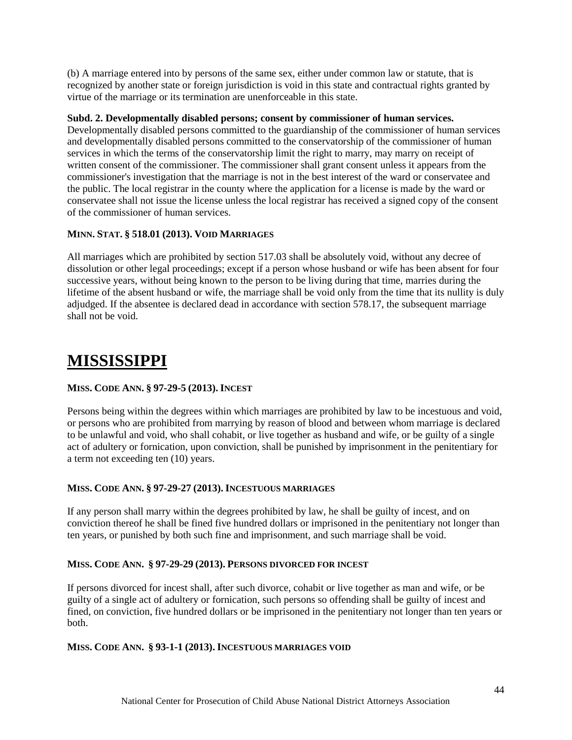(b) A marriage entered into by persons of the same sex, either under common law or statute, that is recognized by another state or foreign jurisdiction is void in this state and contractual rights granted by virtue of the marriage or its termination are unenforceable in this state.

#### **Subd. 2. Developmentally disabled persons; consent by commissioner of human services.**

Developmentally disabled persons committed to the guardianship of the commissioner of human services and developmentally disabled persons committed to the conservatorship of the commissioner of human services in which the terms of the conservatorship limit the right to marry, may marry on receipt of written consent of the commissioner. The commissioner shall grant consent unless it appears from the commissioner's investigation that the marriage is not in the best interest of the ward or conservatee and the public. The local registrar in the county where the application for a license is made by the ward or conservatee shall not issue the license unless the local registrar has received a signed copy of the consent of the commissioner of human services.

#### **MINN. STAT. § 518.01 (2013). VOID MARRIAGES**

All marriages which are prohibited by [section 517.03](https://a.next.westlaw.com/Link/Document/FullText?findType=L&pubNum=1000044&cite=MNSTS517.03&originatingDoc=N63ED8660067411E2A45D8BB51BDDC9C5&refType=LQ&originationContext=document&transitionType=DocumentItem&contextData=(sc.Search)) shall be absolutely void, without any decree of dissolution or other legal proceedings; except if a person whose husband or wife has been absent for four successive years, without being known to the person to be living during that time, marries during the lifetime of the absent husband or wife, the marriage shall be void only from the time that its nullity is duly adjudged. If the absentee is declared dead in accordance with [section 578.17,](https://a.next.westlaw.com/Link/Document/FullText?findType=L&pubNum=1000044&cite=MNSTS578.17&originatingDoc=N63ED8660067411E2A45D8BB51BDDC9C5&refType=LQ&originationContext=document&transitionType=DocumentItem&contextData=(sc.Search)) the subsequent marriage shall not be void.

### **MISSISSIPPI**

#### **MISS. CODE ANN. § 97-29-5 (2013). INCEST**

Persons being within the degrees within which marriages are prohibited by law to be incestuous and void, or persons who are prohibited from marrying by reason of blood and between whom marriage is declared to be unlawful and void, who shall cohabit, or live together as husband and wife, or be guilty of a single act of adultery or fornication, upon conviction, shall be punished by imprisonment in the penitentiary for a term not exceeding ten (10) years.

#### **MISS. CODE ANN. § 97-29-27 (2013). INCESTUOUS MARRIAGES**

If any person shall marry within the degrees prohibited by law, he shall be guilty of incest, and on conviction thereof he shall be fined five hundred dollars or imprisoned in the penitentiary not longer than ten years, or punished by both such fine and imprisonment, and such marriage shall be void.

#### **MISS. CODE ANN. § 97-29-29 (2013). PERSONS DIVORCED FOR INCEST**

If persons divorced for incest shall, after such divorce, cohabit or live together as man and wife, or be guilty of a single act of adultery or fornication, such persons so offending shall be guilty of incest and fined, on conviction, five hundred dollars or be imprisoned in the penitentiary not longer than ten years or both.

#### **MISS. CODE ANN. § 93-1-1 (2013). INCESTUOUS MARRIAGES VOID**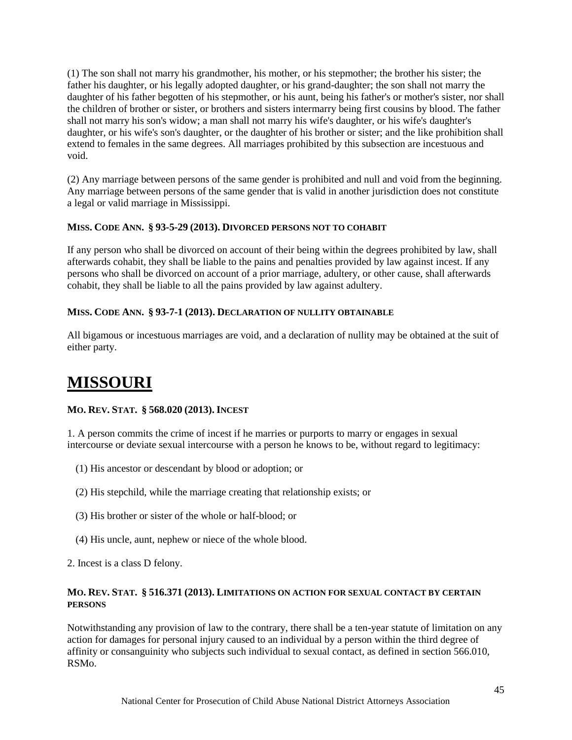(1) The son shall not marry his grandmother, his mother, or his stepmother; the brother his sister; the father his daughter, or his legally adopted daughter, or his grand-daughter; the son shall not marry the daughter of his father begotten of his stepmother, or his aunt, being his father's or mother's sister, nor shall the children of brother or sister, or brothers and sisters intermarry being first cousins by blood. The father shall not marry his son's widow; a man shall not marry his wife's daughter, or his wife's daughter's daughter, or his wife's son's daughter, or the daughter of his brother or sister; and the like prohibition shall extend to females in the same degrees. All marriages prohibited by this subsection are incestuous and void.

(2) Any marriage between persons of the same gender is prohibited and null and void from the beginning. Any marriage between persons of the same gender that is valid in another jurisdiction does not constitute a legal or valid marriage in Mississippi.

#### **MISS. CODE ANN. § 93-5-29 (2013). DIVORCED PERSONS NOT TO COHABIT**

If any person who shall be divorced on account of their being within the degrees prohibited by law, shall afterwards cohabit, they shall be liable to the pains and penalties provided by law against incest. If any persons who shall be divorced on account of a prior marriage, adultery, or other cause, shall afterwards cohabit, they shall be liable to all the pains provided by law against adultery.

#### **MISS. CODE ANN. § 93-7-1 (2013). DECLARATION OF NULLITY OBTAINABLE**

All bigamous or incestuous marriages are void, and a declaration of nullity may be obtained at the suit of either party.

## **MISSOURI**

#### **MO. REV. STAT. § 568.020 (2013). INCEST**

1. A person commits the crime of incest if he marries or purports to marry or engages in sexual intercourse or deviate sexual intercourse with a person he knows to be, without regard to legitimacy:

- (1) His ancestor or descendant by blood or adoption; or
- (2) His stepchild, while the marriage creating that relationship exists; or
- (3) His brother or sister of the whole or half-blood; or
- (4) His uncle, aunt, nephew or niece of the whole blood.
- 2. Incest is a class D felony.

#### **MO. REV. STAT. § 516.371 (2013). LIMITATIONS ON ACTION FOR SEXUAL CONTACT BY CERTAIN PERSONS**

Notwithstanding any provision of law to the contrary, there shall be a ten-year statute of limitation on any action for damages for personal injury caused to an individual by a person within the third degree of affinity or consanguinity who subjects such individual to sexual contact, as defined in section 566.010, RSMo.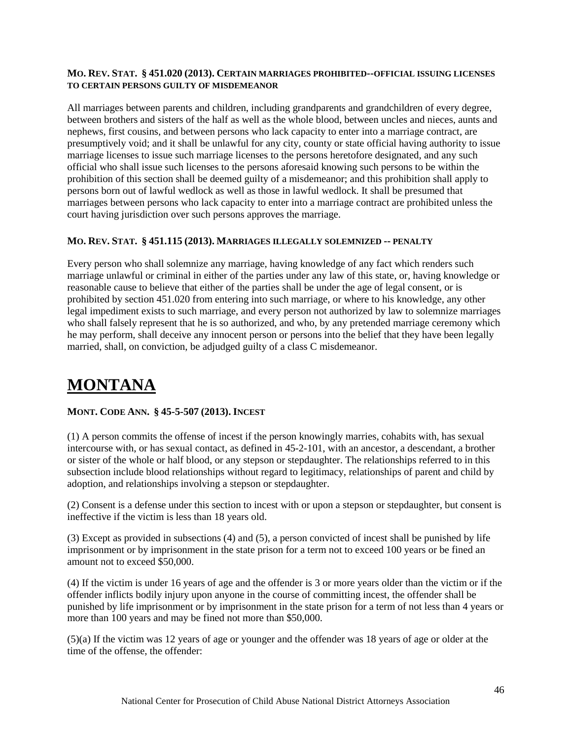#### **MO. REV. STAT. § 451.020 (2013). CERTAIN MARRIAGES PROHIBITED--OFFICIAL ISSUING LICENSES TO CERTAIN PERSONS GUILTY OF MISDEMEANOR**

All marriages between parents and children, including grandparents and grandchildren of every degree, between brothers and sisters of the half as well as the whole blood, between uncles and nieces, aunts and nephews, first cousins, and between persons who lack capacity to enter into a marriage contract, are presumptively void; and it shall be unlawful for any city, county or state official having authority to issue marriage licenses to issue such marriage licenses to the persons heretofore designated, and any such official who shall issue such licenses to the persons aforesaid knowing such persons to be within the prohibition of this section shall be deemed guilty of a misdemeanor; and this prohibition shall apply to persons born out of lawful wedlock as well as those in lawful wedlock. It shall be presumed that marriages between persons who lack capacity to enter into a marriage contract are prohibited unless the court having jurisdiction over such persons approves the marriage.

#### **MO. REV. STAT. § 451.115 (2013). MARRIAGES ILLEGALLY SOLEMNIZED -- PENALTY**

Every person who shall solemnize any marriage, having knowledge of any fact which renders such marriage unlawful or criminal in either of the parties under any law of this state, or, having knowledge or reasonable cause to believe that either of the parties shall be under the age of legal consent, or is prohibited b[y section 451.020](https://a.next.westlaw.com/Link/Document/FullText?findType=L&pubNum=1000229&cite=MOST451.020&originatingDoc=N54EA3BB04A4411DB9A80B90E4B840C8B&refType=LQ&originationContext=document&transitionType=DocumentItem&contextData=(sc.Search)) from entering into such marriage, or where to his knowledge, any other legal impediment exists to such marriage, and every person not authorized by law to solemnize marriages who shall falsely represent that he is so authorized, and who, by any pretended marriage ceremony which he may perform, shall deceive any innocent person or persons into the belief that they have been legally married, shall, on conviction, be adjudged guilty of a class C misdemeanor.

## **MONTANA**

#### **MONT. CODE ANN. § 45-5-507 (2013). INCEST**

(1) A person commits the offense of incest if the person knowingly marries, cohabits with, has sexual intercourse with, or has sexual contact, as defined in [45-2-101,](https://a.next.westlaw.com/Link/Document/FullText?findType=L&pubNum=1002018&cite=MTST45-2-101&originatingDoc=NF4587210B35611DE935C8B33164993F3&refType=LQ&originationContext=document&transitionType=DocumentItem&contextData=%28sc.Search%29) with an ancestor, a descendant, a brother or sister of the whole or half blood, or any stepson or stepdaughter. The relationships referred to in this subsection include blood relationships without regard to legitimacy, relationships of parent and child by adoption, and relationships involving a stepson or stepdaughter.

(2) Consent is a defense under this section to incest with or upon a stepson or stepdaughter, but consent is ineffective if the victim is less than 18 years old.

(3) Except as provided in subsections (4) and (5), a person convicted of incest shall be punished by life imprisonment or by imprisonment in the state prison for a term not to exceed 100 years or be fined an amount not to exceed \$50,000.

(4) If the victim is under 16 years of age and the offender is 3 or more years older than the victim or if the offender inflicts bodily injury upon anyone in the course of committing incest, the offender shall be punished by life imprisonment or by imprisonment in the state prison for a term of not less than 4 years or more than 100 years and may be fined not more than \$50,000.

(5)(a) If the victim was 12 years of age or younger and the offender was 18 years of age or older at the time of the offense, the offender: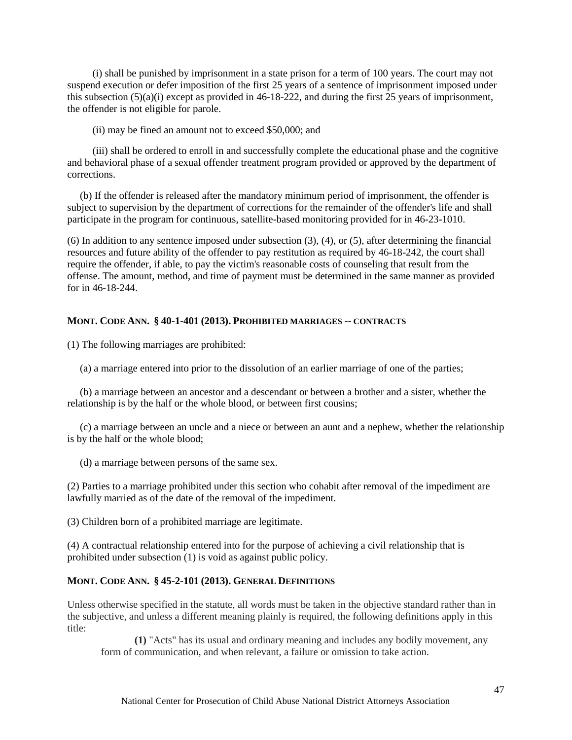(i) shall be punished by imprisonment in a state prison for a term of 100 years. The court may not suspend execution or defer imposition of the first 25 years of a sentence of imprisonment imposed under this subsection (5)(a)(i) except as provided in [46-18-222,](https://a.next.westlaw.com/Link/Document/FullText?findType=L&pubNum=1002018&cite=MTST46-18-222&originatingDoc=NF4587210B35611DE935C8B33164993F3&refType=LQ&originationContext=document&transitionType=DocumentItem&contextData=%28sc.Search%29) and during the first 25 years of imprisonment, the offender is not eligible for parole.

(ii) may be fined an amount not to exceed \$50,000; and

(iii) shall be ordered to enroll in and successfully complete the educational phase and the cognitive and behavioral phase of a sexual offender treatment program provided or approved by the department of corrections.

(b) If the offender is released after the mandatory minimum period of imprisonment, the offender is subject to supervision by the department of corrections for the remainder of the offender's life and shall participate in the program for continuous, satellite-based monitoring provided for in [46-23-1010.](https://a.next.westlaw.com/Link/Document/FullText?findType=L&pubNum=1002018&cite=MTST46-23-1010&originatingDoc=NF4587210B35611DE935C8B33164993F3&refType=LQ&originationContext=document&transitionType=DocumentItem&contextData=%28sc.Search%29)

(6) In addition to any sentence imposed under subsection (3), (4), or (5), after determining the financial resources and future ability of the offender to pay restitution as required by [46-18-242,](https://a.next.westlaw.com/Link/Document/FullText?findType=L&pubNum=1002018&cite=MTST46-18-242&originatingDoc=NF4587210B35611DE935C8B33164993F3&refType=LQ&originationContext=document&transitionType=DocumentItem&contextData=%28sc.Search%29) the court shall require the offender, if able, to pay the victim's reasonable costs of counseling that result from the offense. The amount, method, and time of payment must be determined in the same manner as provided for in [46-18-244.](https://a.next.westlaw.com/Link/Document/FullText?findType=L&pubNum=1002018&cite=MTST46-18-244&originatingDoc=NF4587210B35611DE935C8B33164993F3&refType=LQ&originationContext=document&transitionType=DocumentItem&contextData=%28sc.Search%29)

#### **MONT. CODE ANN. § 40-1-401 (2013). PROHIBITED MARRIAGES -- CONTRACTS**

(1) The following marriages are prohibited:

(a) a marriage entered into prior to the dissolution of an earlier marriage of one of the parties;

(b) a marriage between an ancestor and a descendant or between a brother and a sister, whether the relationship is by the half or the whole blood, or between first cousins;

(c) a marriage between an uncle and a niece or between an aunt and a nephew, whether the relationship is by the half or the whole blood;

(d) a marriage between persons of the same sex.

(2) Parties to a marriage prohibited under this section who cohabit after removal of the impediment are lawfully married as of the date of the removal of the impediment.

(3) Children born of a prohibited marriage are legitimate.

(4) A contractual relationship entered into for the purpose of achieving a civil relationship that is prohibited under subsection (1) is void as against public policy.

#### **MONT. CODE ANN. § 45-2-101 (2013). GENERAL DEFINITIONS**

Unless otherwise specified in the statute, all words must be taken in the objective standard rather than in the subjective, and unless a different meaning plainly is required, the following definitions apply in this title:

**(1)** "Acts" has its usual and ordinary meaning and includes any bodily movement, any form of communication, and when relevant, a failure or omission to take action.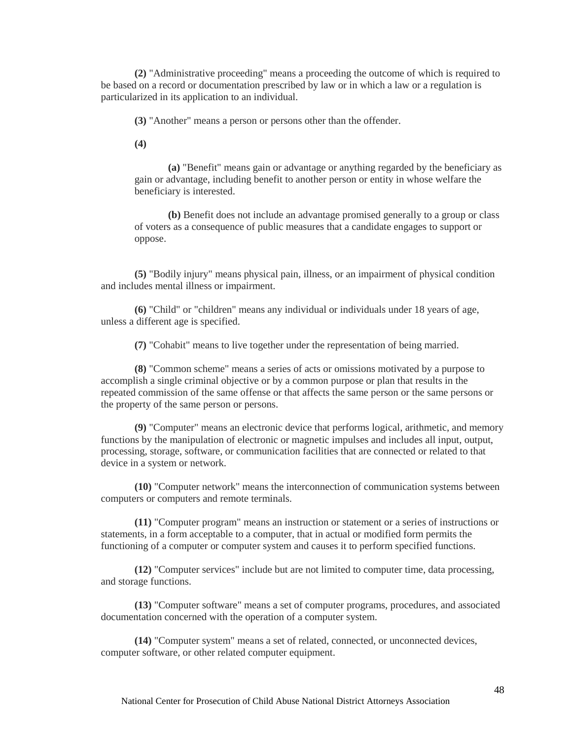**(2)** "Administrative proceeding" means a proceeding the outcome of which is required to be based on a record or documentation prescribed by law or in which a law or a regulation is particularized in its application to an individual.

**(3)** "Another" means a person or persons other than the offender.

**(4)**

**(a)** "Benefit" means gain or advantage or anything regarded by the beneficiary as gain or advantage, including benefit to another person or entity in whose welfare the beneficiary is interested.

**(b)** Benefit does not include an advantage promised generally to a group or class of voters as a consequence of public measures that a candidate engages to support or oppose.

**(5)** "Bodily injury" means physical pain, illness, or an impairment of physical condition and includes mental illness or impairment.

**(6)** "Child" or "children" means any individual or individuals under 18 years of age, unless a different age is specified.

**(7)** "Cohabit" means to live together under the representation of being married.

**(8)** "Common scheme" means a series of acts or omissions motivated by a purpose to accomplish a single criminal objective or by a common purpose or plan that results in the repeated commission of the same offense or that affects the same person or the same persons or the property of the same person or persons.

**(9)** "Computer" means an electronic device that performs logical, arithmetic, and memory functions by the manipulation of electronic or magnetic impulses and includes all input, output, processing, storage, software, or communication facilities that are connected or related to that device in a system or network.

**(10)** "Computer network" means the interconnection of communication systems between computers or computers and remote terminals.

**(11)** "Computer program" means an instruction or statement or a series of instructions or statements, in a form acceptable to a computer, that in actual or modified form permits the functioning of a computer or computer system and causes it to perform specified functions.

**(12)** "Computer services" include but are not limited to computer time, data processing, and storage functions.

**(13)** "Computer software" means a set of computer programs, procedures, and associated documentation concerned with the operation of a computer system.

**(14)** "Computer system" means a set of related, connected, or unconnected devices, computer software, or other related computer equipment.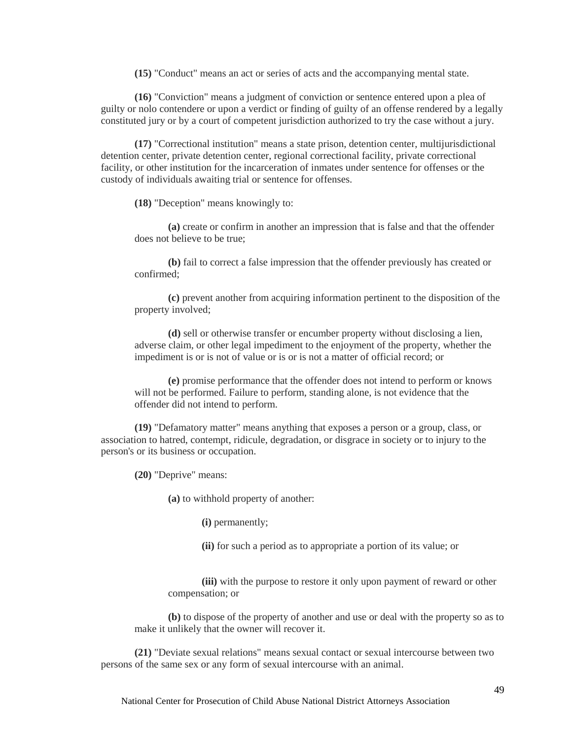**(15)** "Conduct" means an act or series of acts and the accompanying mental state.

**(16)** "Conviction" means a judgment of conviction or sentence entered upon a plea of guilty or nolo contendere or upon a verdict or finding of guilty of an offense rendered by a legally constituted jury or by a court of competent jurisdiction authorized to try the case without a jury.

**(17)** "Correctional institution" means a state prison, detention center, multijurisdictional detention center, private detention center, regional correctional facility, private correctional facility, or other institution for the incarceration of inmates under sentence for offenses or the custody of individuals awaiting trial or sentence for offenses.

**(18)** "Deception" means knowingly to:

**(a)** create or confirm in another an impression that is false and that the offender does not believe to be true;

**(b)** fail to correct a false impression that the offender previously has created or confirmed;

**(c)** prevent another from acquiring information pertinent to the disposition of the property involved;

**(d)** sell or otherwise transfer or encumber property without disclosing a lien, adverse claim, or other legal impediment to the enjoyment of the property, whether the impediment is or is not of value or is or is not a matter of official record; or

**(e)** promise performance that the offender does not intend to perform or knows will not be performed. Failure to perform, standing alone, is not evidence that the offender did not intend to perform.

**(19)** "Defamatory matter" means anything that exposes a person or a group, class, or association to hatred, contempt, ridicule, degradation, or disgrace in society or to injury to the person's or its business or occupation.

**(20)** "Deprive" means:

**(a)** to withhold property of another:

**(i)** permanently;

**(ii)** for such a period as to appropriate a portion of its value; or

**(iii)** with the purpose to restore it only upon payment of reward or other compensation; or

**(b)** to dispose of the property of another and use or deal with the property so as to make it unlikely that the owner will recover it.

**(21)** "Deviate sexual relations" means sexual contact or sexual intercourse between two persons of the same sex or any form of sexual intercourse with an animal.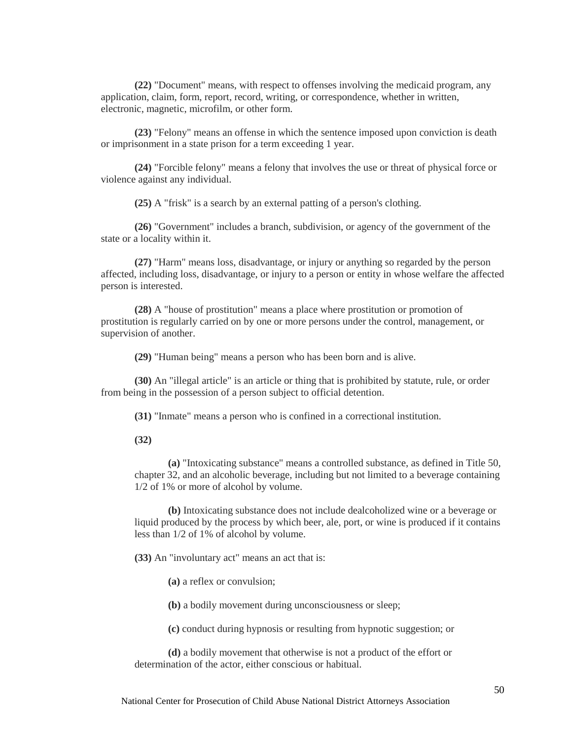**(22)** "Document" means, with respect to offenses involving the medicaid program, any application, claim, form, report, record, writing, or correspondence, whether in written, electronic, magnetic, microfilm, or other form.

**(23)** "Felony" means an offense in which the sentence imposed upon conviction is death or imprisonment in a state prison for a term exceeding 1 year.

**(24)** "Forcible felony" means a felony that involves the use or threat of physical force or violence against any individual.

**(25)** A "frisk" is a search by an external patting of a person's clothing.

**(26)** "Government" includes a branch, subdivision, or agency of the government of the state or a locality within it.

**(27)** "Harm" means loss, disadvantage, or injury or anything so regarded by the person affected, including loss, disadvantage, or injury to a person or entity in whose welfare the affected person is interested.

**(28)** A "house of prostitution" means a place where prostitution or promotion of prostitution is regularly carried on by one or more persons under the control, management, or supervision of another.

**(29)** "Human being" means a person who has been born and is alive.

**(30)** An "illegal article" is an article or thing that is prohibited by statute, rule, or order from being in the possession of a person subject to official detention.

**(31)** "Inmate" means a person who is confined in a correctional institution.

**(32)**

**(a)** "Intoxicating substance" means a controlled substance, as defined in Title 50, chapter 32, and an alcoholic beverage, including but not limited to a beverage containing 1/2 of 1% or more of alcohol by volume.

**(b)** Intoxicating substance does not include dealcoholized wine or a beverage or liquid produced by the process by which beer, ale, port, or wine is produced if it contains less than 1/2 of 1% of alcohol by volume.

**(33)** An "involuntary act" means an act that is:

**(a)** a reflex or convulsion;

**(b)** a bodily movement during unconsciousness or sleep;

**(c)** conduct during hypnosis or resulting from hypnotic suggestion; or

**(d)** a bodily movement that otherwise is not a product of the effort or determination of the actor, either conscious or habitual.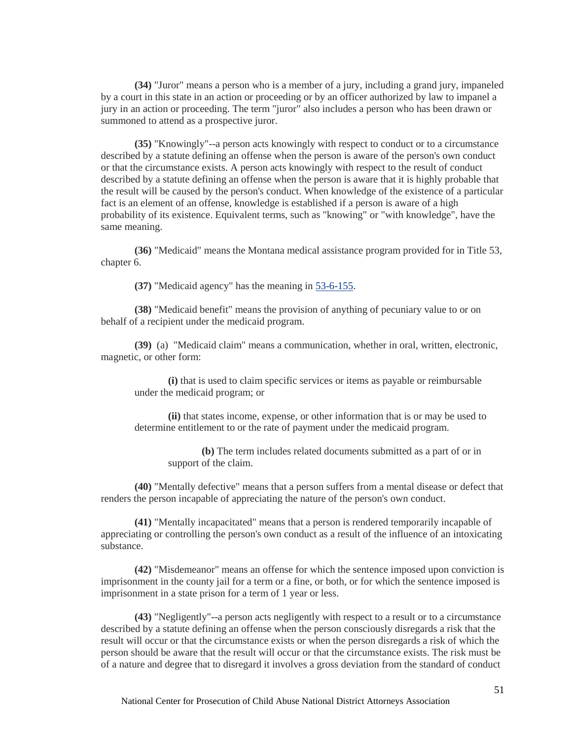**(34)** "Juror" means a person who is a member of a jury, including a grand jury, impaneled by a court in this state in an action or proceeding or by an officer authorized by law to impanel a jury in an action or proceeding. The term "juror" also includes a person who has been drawn or summoned to attend as a prospective juror.

**(35)** "Knowingly"--a person acts knowingly with respect to conduct or to a circumstance described by a statute defining an offense when the person is aware of the person's own conduct or that the circumstance exists. A person acts knowingly with respect to the result of conduct described by a statute defining an offense when the person is aware that it is highly probable that the result will be caused by the person's conduct. When knowledge of the existence of a particular fact is an element of an offense, knowledge is established if a person is aware of a high probability of its existence. Equivalent terms, such as "knowing" or "with knowledge", have the same meaning.

**(36)** "Medicaid" means the Montana medical assistance program provided for in Title 53, chapter 6.

**(37)** "Medicaid agency" has the meaning in 53-6-155.

**(38)** "Medicaid benefit" means the provision of anything of pecuniary value to or on behalf of a recipient under the medicaid program.

**(39)** (a) "Medicaid claim" means a communication, whether in oral, written, electronic, magnetic, or other form:

**(i)** that is used to claim specific services or items as payable or reimbursable under the medicaid program; or

**(ii)** that states income, expense, or other information that is or may be used to determine entitlement to or the rate of payment under the medicaid program.

**(b)** The term includes related documents submitted as a part of or in support of the claim.

**(40)** "Mentally defective" means that a person suffers from a mental disease or defect that renders the person incapable of appreciating the nature of the person's own conduct.

**(41)** "Mentally incapacitated" means that a person is rendered temporarily incapable of appreciating or controlling the person's own conduct as a result of the influence of an intoxicating substance.

**(42)** "Misdemeanor" means an offense for which the sentence imposed upon conviction is imprisonment in the county jail for a term or a fine, or both, or for which the sentence imposed is imprisonment in a state prison for a term of 1 year or less.

**(43)** "Negligently"--a person acts negligently with respect to a result or to a circumstance described by a statute defining an offense when the person consciously disregards a risk that the result will occur or that the circumstance exists or when the person disregards a risk of which the person should be aware that the result will occur or that the circumstance exists. The risk must be of a nature and degree that to disregard it involves a gross deviation from the standard of conduct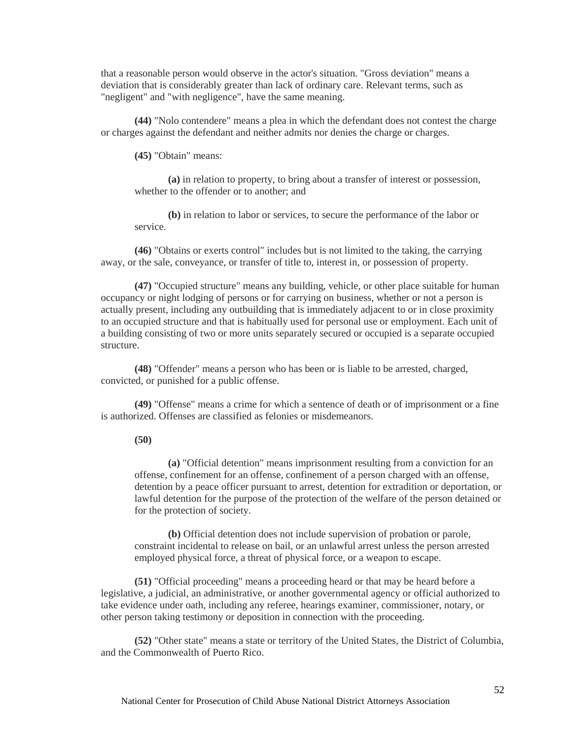that a reasonable person would observe in the actor's situation. "Gross deviation" means a deviation that is considerably greater than lack of ordinary care. Relevant terms, such as "negligent" and "with negligence", have the same meaning.

**(44)** "Nolo contendere" means a plea in which the defendant does not contest the charge or charges against the defendant and neither admits nor denies the charge or charges.

**(45)** "Obtain" means:

**(a)** in relation to property, to bring about a transfer of interest or possession, whether to the offender or to another; and

**(b)** in relation to labor or services, to secure the performance of the labor or service.

**(46)** "Obtains or exerts control" includes but is not limited to the taking, the carrying away, or the sale, conveyance, or transfer of title to, interest in, or possession of property.

**(47)** "Occupied structure" means any building, vehicle, or other place suitable for human occupancy or night lodging of persons or for carrying on business, whether or not a person is actually present, including any outbuilding that is immediately adjacent to or in close proximity to an occupied structure and that is habitually used for personal use or employment. Each unit of a building consisting of two or more units separately secured or occupied is a separate occupied structure.

**(48)** "Offender" means a person who has been or is liable to be arrested, charged, convicted, or punished for a public offense.

**(49)** "Offense" means a crime for which a sentence of death or of imprisonment or a fine is authorized. Offenses are classified as felonies or misdemeanors.

**(50)**

**(a)** "Official detention" means imprisonment resulting from a conviction for an offense, confinement for an offense, confinement of a person charged with an offense, detention by a peace officer pursuant to arrest, detention for extradition or deportation, or lawful detention for the purpose of the protection of the welfare of the person detained or for the protection of society.

**(b)** Official detention does not include supervision of probation or parole, constraint incidental to release on bail, or an unlawful arrest unless the person arrested employed physical force, a threat of physical force, or a weapon to escape.

**(51)** "Official proceeding" means a proceeding heard or that may be heard before a legislative, a judicial, an administrative, or another governmental agency or official authorized to take evidence under oath, including any referee, hearings examiner, commissioner, notary, or other person taking testimony or deposition in connection with the proceeding.

**(52)** "Other state" means a state or territory of the United States, the District of Columbia, and the Commonwealth of Puerto Rico.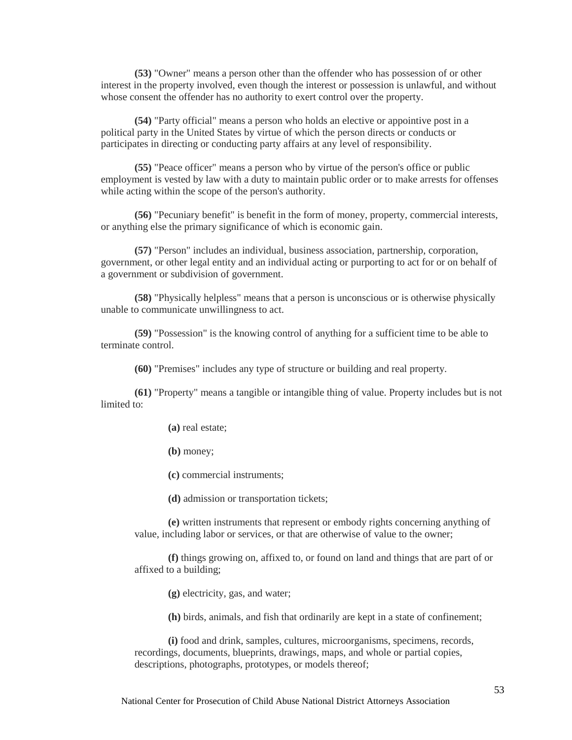**(53)** "Owner" means a person other than the offender who has possession of or other interest in the property involved, even though the interest or possession is unlawful, and without whose consent the offender has no authority to exert control over the property.

**(54)** "Party official" means a person who holds an elective or appointive post in a political party in the United States by virtue of which the person directs or conducts or participates in directing or conducting party affairs at any level of responsibility.

**(55)** "Peace officer" means a person who by virtue of the person's office or public employment is vested by law with a duty to maintain public order or to make arrests for offenses while acting within the scope of the person's authority.

**(56)** "Pecuniary benefit" is benefit in the form of money, property, commercial interests, or anything else the primary significance of which is economic gain.

**(57)** "Person" includes an individual, business association, partnership, corporation, government, or other legal entity and an individual acting or purporting to act for or on behalf of a government or subdivision of government.

**(58)** "Physically helpless" means that a person is unconscious or is otherwise physically unable to communicate unwillingness to act.

**(59)** "Possession" is the knowing control of anything for a sufficient time to be able to terminate control.

**(60)** "Premises" includes any type of structure or building and real property.

**(61)** "Property" means a tangible or intangible thing of value. Property includes but is not limited to:

**(a)** real estate;

**(b)** money;

**(c)** commercial instruments;

**(d)** admission or transportation tickets;

**(e)** written instruments that represent or embody rights concerning anything of value, including labor or services, or that are otherwise of value to the owner;

**(f)** things growing on, affixed to, or found on land and things that are part of or affixed to a building;

**(g)** electricity, gas, and water;

**(h)** birds, animals, and fish that ordinarily are kept in a state of confinement;

**(i)** food and drink, samples, cultures, microorganisms, specimens, records, recordings, documents, blueprints, drawings, maps, and whole or partial copies, descriptions, photographs, prototypes, or models thereof;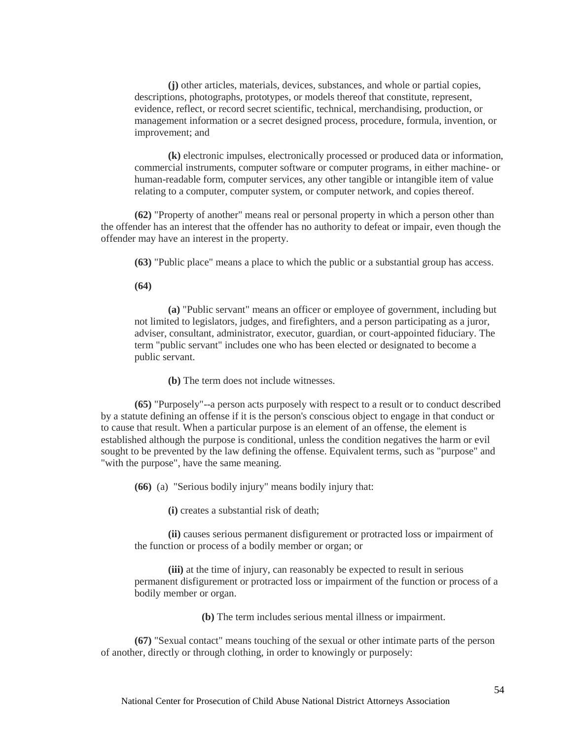**(j)** other articles, materials, devices, substances, and whole or partial copies, descriptions, photographs, prototypes, or models thereof that constitute, represent, evidence, reflect, or record secret scientific, technical, merchandising, production, or management information or a secret designed process, procedure, formula, invention, or improvement; and

**(k)** electronic impulses, electronically processed or produced data or information, commercial instruments, computer software or computer programs, in either machine- or human-readable form, computer services, any other tangible or intangible item of value relating to a computer, computer system, or computer network, and copies thereof.

**(62)** "Property of another" means real or personal property in which a person other than the offender has an interest that the offender has no authority to defeat or impair, even though the offender may have an interest in the property.

**(63)** "Public place" means a place to which the public or a substantial group has access.

**(64)**

**(a)** "Public servant" means an officer or employee of government, including but not limited to legislators, judges, and firefighters, and a person participating as a juror, adviser, consultant, administrator, executor, guardian, or court-appointed fiduciary. The term "public servant" includes one who has been elected or designated to become a public servant.

**(b)** The term does not include witnesses.

**(65)** "Purposely"--a person acts purposely with respect to a result or to conduct described by a statute defining an offense if it is the person's conscious object to engage in that conduct or to cause that result. When a particular purpose is an element of an offense, the element is established although the purpose is conditional, unless the condition negatives the harm or evil sought to be prevented by the law defining the offense. Equivalent terms, such as "purpose" and "with the purpose", have the same meaning.

**(66)** (a) "Serious bodily injury" means bodily injury that:

**(i)** creates a substantial risk of death;

**(ii)** causes serious permanent disfigurement or protracted loss or impairment of the function or process of a bodily member or organ; or

**(iii)** at the time of injury, can reasonably be expected to result in serious permanent disfigurement or protracted loss or impairment of the function or process of a bodily member or organ.

**(b)** The term includes serious mental illness or impairment.

**(67)** "Sexual contact" means touching of the sexual or other intimate parts of the person of another, directly or through clothing, in order to knowingly or purposely: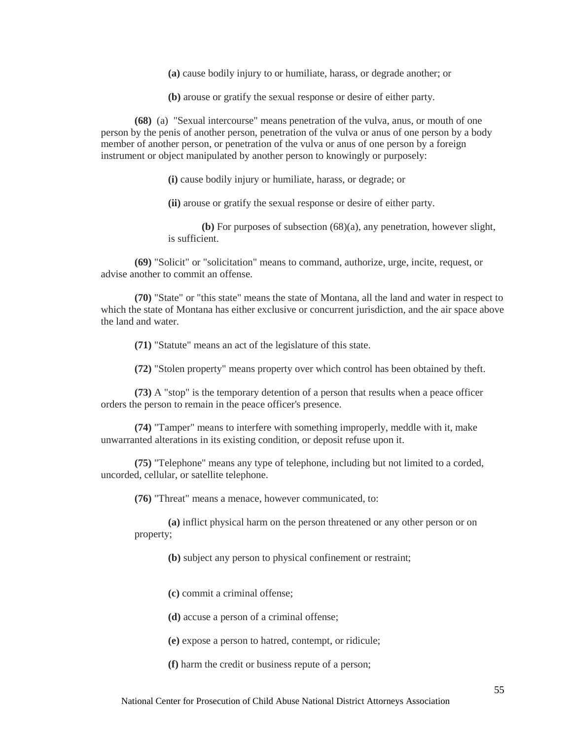**(a)** cause bodily injury to or humiliate, harass, or degrade another; or

**(b)** arouse or gratify the sexual response or desire of either party.

**(68)** (a) "Sexual intercourse" means penetration of the vulva, anus, or mouth of one person by the penis of another person, penetration of the vulva or anus of one person by a body member of another person, or penetration of the vulva or anus of one person by a foreign instrument or object manipulated by another person to knowingly or purposely:

**(i)** cause bodily injury or humiliate, harass, or degrade; or

**(ii)** arouse or gratify the sexual response or desire of either party.

**(b)** For purposes of subsection (68)(a), any penetration, however slight, is sufficient.

**(69)** "Solicit" or "solicitation" means to command, authorize, urge, incite, request, or advise another to commit an offense.

**(70)** "State" or "this state" means the state of Montana, all the land and water in respect to which the state of Montana has either exclusive or concurrent jurisdiction, and the air space above the land and water.

**(71)** "Statute" means an act of the legislature of this state.

**(72)** "Stolen property" means property over which control has been obtained by theft.

**(73)** A "stop" is the temporary detention of a person that results when a peace officer orders the person to remain in the peace officer's presence.

**(74)** "Tamper" means to interfere with something improperly, meddle with it, make unwarranted alterations in its existing condition, or deposit refuse upon it.

**(75)** "Telephone" means any type of telephone, including but not limited to a corded, uncorded, cellular, or satellite telephone.

**(76)** "Threat" means a menace, however communicated, to:

**(a)** inflict physical harm on the person threatened or any other person or on property;

**(b)** subject any person to physical confinement or restraint;

**(c)** commit a criminal offense;

**(d)** accuse a person of a criminal offense;

**(e)** expose a person to hatred, contempt, or ridicule;

**(f)** harm the credit or business repute of a person;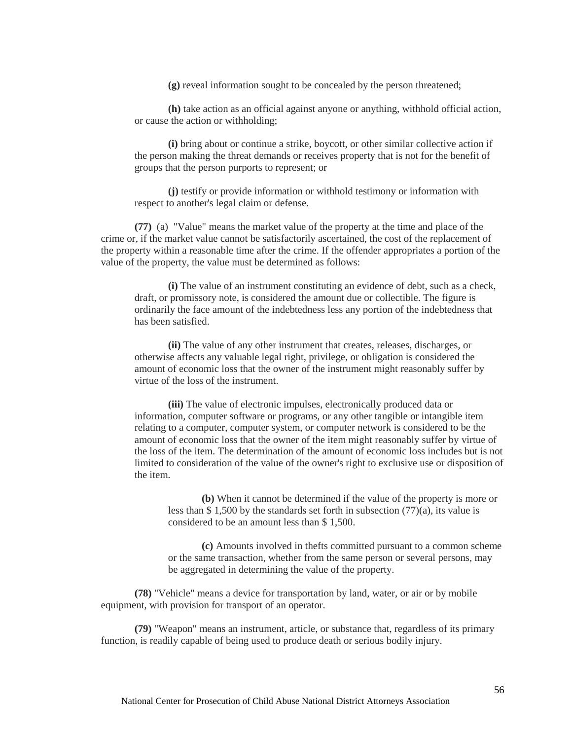**(g)** reveal information sought to be concealed by the person threatened;

**(h)** take action as an official against anyone or anything, withhold official action, or cause the action or withholding;

**(i)** bring about or continue a strike, boycott, or other similar collective action if the person making the threat demands or receives property that is not for the benefit of groups that the person purports to represent; or

**(j)** testify or provide information or withhold testimony or information with respect to another's legal claim or defense.

**(77)** (a) "Value" means the market value of the property at the time and place of the crime or, if the market value cannot be satisfactorily ascertained, the cost of the replacement of the property within a reasonable time after the crime. If the offender appropriates a portion of the value of the property, the value must be determined as follows:

**(i)** The value of an instrument constituting an evidence of debt, such as a check, draft, or promissory note, is considered the amount due or collectible. The figure is ordinarily the face amount of the indebtedness less any portion of the indebtedness that has been satisfied.

**(ii)** The value of any other instrument that creates, releases, discharges, or otherwise affects any valuable legal right, privilege, or obligation is considered the amount of economic loss that the owner of the instrument might reasonably suffer by virtue of the loss of the instrument.

**(iii)** The value of electronic impulses, electronically produced data or information, computer software or programs, or any other tangible or intangible item relating to a computer, computer system, or computer network is considered to be the amount of economic loss that the owner of the item might reasonably suffer by virtue of the loss of the item. The determination of the amount of economic loss includes but is not limited to consideration of the value of the owner's right to exclusive use or disposition of the item.

**(b)** When it cannot be determined if the value of the property is more or less than \$ 1,500 by the standards set forth in subsection  $(77)(a)$ , its value is considered to be an amount less than \$ 1,500.

**(c)** Amounts involved in thefts committed pursuant to a common scheme or the same transaction, whether from the same person or several persons, may be aggregated in determining the value of the property.

**(78)** "Vehicle" means a device for transportation by land, water, or air or by mobile equipment, with provision for transport of an operator.

**(79)** "Weapon" means an instrument, article, or substance that, regardless of its primary function, is readily capable of being used to produce death or serious bodily injury.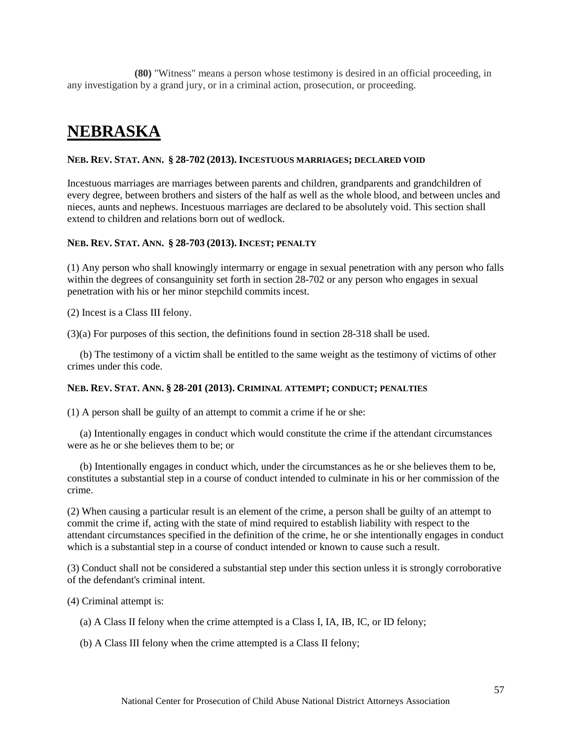**(80)** "Witness" means a person whose testimony is desired in an official proceeding, in any investigation by a grand jury, or in a criminal action, prosecution, or proceeding.

### **NEBRASKA**

#### **NEB. REV. STAT. ANN. § 28-702 (2013). INCESTUOUS MARRIAGES; DECLARED VOID**

Incestuous marriages are marriages between parents and children, grandparents and grandchildren of every degree, between brothers and sisters of the half as well as the whole blood, and between uncles and nieces, aunts and nephews. Incestuous marriages are declared to be absolutely void. This section shall extend to children and relations born out of wedlock.

#### **NEB. REV. STAT. ANN. § 28-703 (2013). INCEST; PENALTY**

(1) Any person who shall knowingly intermarry or engage in sexual penetration with any person who falls within the degrees of consanguinity set forth in [section 28-702](https://a.next.westlaw.com/Link/Document/FullText?findType=L&pubNum=1000257&cite=NESTS28-702&originatingDoc=NE268ECC0AEBE11DEA0C8A10D09B7A847&refType=LQ&originationContext=document&transitionType=DocumentItem&contextData=%28sc.Search%29) or any person who engages in sexual penetration with his or her minor stepchild commits incest.

(2) Incest is a Class III felony.

(3)(a) For purposes of this section, the definitions found in [section 28-318](https://a.next.westlaw.com/Link/Document/FullText?findType=L&pubNum=1000257&cite=NESTS28-318&originatingDoc=NE268ECC0AEBE11DEA0C8A10D09B7A847&refType=LQ&originationContext=document&transitionType=DocumentItem&contextData=%28sc.Search%29) shall be used.

(b) The testimony of a victim shall be entitled to the same weight as the testimony of victims of other crimes under this code.

#### **NEB. REV. STAT. ANN. § 28-201 (2013). CRIMINAL ATTEMPT; CONDUCT; PENALTIES**

(1) A person shall be guilty of an attempt to commit a crime if he or she:

(a) Intentionally engages in conduct which would constitute the crime if the attendant circumstances were as he or she believes them to be; or

(b) Intentionally engages in conduct which, under the circumstances as he or she believes them to be, constitutes a substantial step in a course of conduct intended to culminate in his or her commission of the crime.

(2) When causing a particular result is an element of the crime, a person shall be guilty of an attempt to commit the crime if, acting with the state of mind required to establish liability with respect to the attendant circumstances specified in the definition of the crime, he or she intentionally engages in conduct which is a substantial step in a course of conduct intended or known to cause such a result.

(3) Conduct shall not be considered a substantial step under this section unless it is strongly corroborative of the defendant's criminal intent.

(4) Criminal attempt is:

- (a) A Class II felony when the crime attempted is a Class I, IA, IB, IC, or ID felony;
- (b) A Class III felony when the crime attempted is a Class II felony;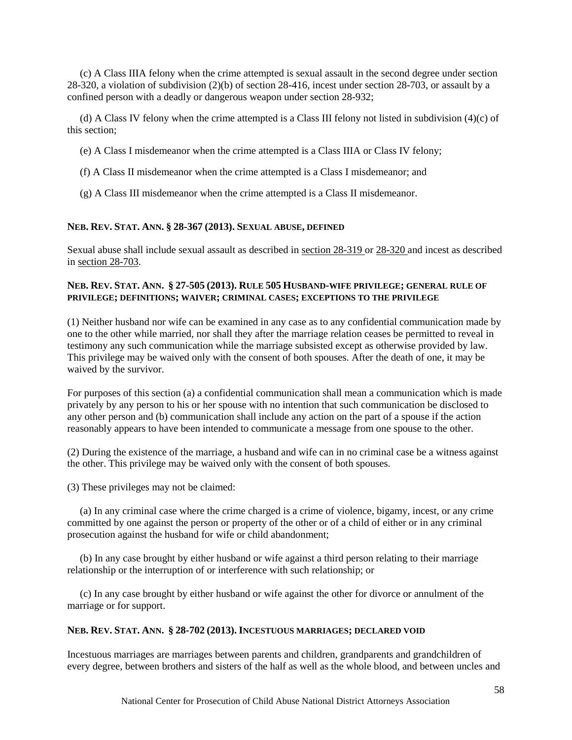(c) A Class IIIA felony when the crime attempted is sexual assault in the second degree under [section](https://a.next.westlaw.com/Link/Document/FullText?findType=L&pubNum=1000257&cite=NESTS28-320&originatingDoc=N40BC11E0AEBE11DEA0C8A10D09B7A847&refType=LQ&originationContext=document&transitionType=DocumentItem&contextData=%28sc.Search%29)  [28-320,](https://a.next.westlaw.com/Link/Document/FullText?findType=L&pubNum=1000257&cite=NESTS28-320&originatingDoc=N40BC11E0AEBE11DEA0C8A10D09B7A847&refType=LQ&originationContext=document&transitionType=DocumentItem&contextData=%28sc.Search%29) a violation of [subdivision \(2\)\(b\) of section 28-416,](https://a.next.westlaw.com/Link/Document/FullText?findType=L&pubNum=1000257&cite=NESTS28-416&originatingDoc=N40BC11E0AEBE11DEA0C8A10D09B7A847&refType=SP&originationContext=document&transitionType=DocumentItem&contextData=%28sc.Search%29#co_pp_58730000872b1) incest unde[r section 28-703,](https://a.next.westlaw.com/Link/Document/FullText?findType=L&pubNum=1000257&cite=NESTS28-703&originatingDoc=N40BC11E0AEBE11DEA0C8A10D09B7A847&refType=LQ&originationContext=document&transitionType=DocumentItem&contextData=%28sc.Search%29) or assault by a confined person with a deadly or dangerous weapon under [section 28-932;](https://a.next.westlaw.com/Link/Document/FullText?findType=L&pubNum=1000257&cite=NESTS28-932&originatingDoc=N40BC11E0AEBE11DEA0C8A10D09B7A847&refType=LQ&originationContext=document&transitionType=DocumentItem&contextData=%28sc.Search%29)

(d) A Class IV felony when the crime attempted is a Class III felony not listed in subdivision (4)(c) of this section;

(e) A Class I misdemeanor when the crime attempted is a Class IIIA or Class IV felony;

- (f) A Class II misdemeanor when the crime attempted is a Class I misdemeanor; and
- (g) A Class III misdemeanor when the crime attempted is a Class II misdemeanor.

#### **NEB. REV. STAT. ANN. § 28-367 (2013). SEXUAL ABUSE, DEFINED**

Sexual abuse shall include sexual assault as described in section 28-319 or 28-320 and incest as described in section 28-703.

#### NEB. REV. STAT. ANN. § 27-505 (2013). RULE 505 HUSBAND-WIFE PRIVILEGE; GENERAL RULE OF **PRIVILEGE; DEFINITIONS; WAIVER; CRIMINAL CASES; EXCEPTIONS TO THE PRIVILEGE**

(1) Neither husband nor wife can be examined in any case as to any confidential communication made by one to the other while married, nor shall they after the marriage relation ceases be permitted to reveal in testimony any such communication while the marriage subsisted except as otherwise provided by law. This privilege may be waived only with the consent of both spouses. After the death of one, it may be waived by the survivor.

For purposes of this section (a) a confidential communication shall mean a communication which is made privately by any person to his or her spouse with no intention that such communication be disclosed to any other person and (b) communication shall include any action on the part of a spouse if the action reasonably appears to have been intended to communicate a message from one spouse to the other.

(2) During the existence of the marriage, a husband and wife can in no criminal case be a witness against the other. This privilege may be waived only with the consent of both spouses.

(3) These privileges may not be claimed:

(a) In any criminal case where the crime charged is a crime of violence, bigamy, incest, or any crime committed by one against the person or property of the other or of a child of either or in any criminal prosecution against the husband for wife or child abandonment;

(b) In any case brought by either husband or wife against a third person relating to their marriage relationship or the interruption of or interference with such relationship; or

(c) In any case brought by either husband or wife against the other for divorce or annulment of the marriage or for support.

#### **NEB. REV. STAT. ANN. § 28-702 (2013). INCESTUOUS MARRIAGES; DECLARED VOID**

Incestuous marriages are marriages between parents and children, grandparents and grandchildren of every degree, between brothers and sisters of the half as well as the whole blood, and between uncles and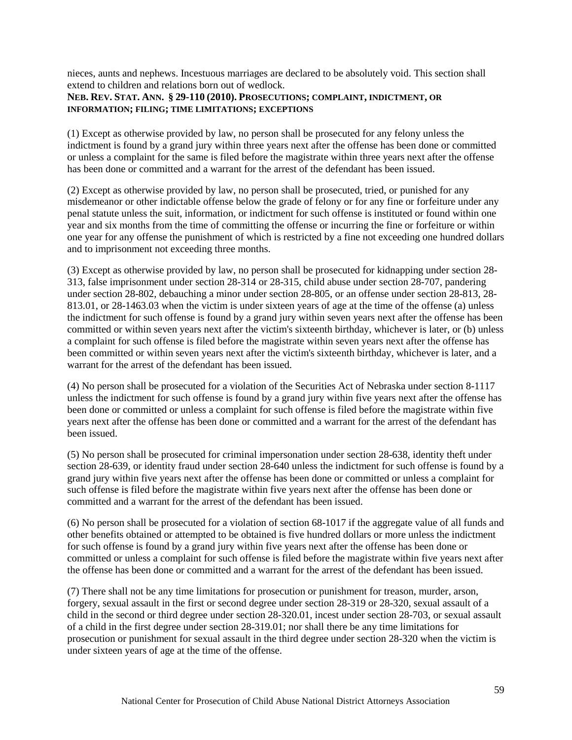nieces, aunts and nephews. Incestuous marriages are declared to be absolutely void. This section shall extend to children and relations born out of wedlock.

#### NEB. REV. STAT. ANN. § 29-110 (2010). PROSECUTIONS; COMPLAINT, INDICTMENT, OR **INFORMATION; FILING; TIME LIMITATIONS; EXCEPTIONS**

(1) Except as otherwise provided by law, no person shall be prosecuted for any felony unless the indictment is found by a grand jury within three years next after the offense has been done or committed or unless a complaint for the same is filed before the magistrate within three years next after the offense has been done or committed and a warrant for the arrest of the defendant has been issued.

(2) Except as otherwise provided by law, no person shall be prosecuted, tried, or punished for any misdemeanor or other indictable offense below the grade of felony or for any fine or forfeiture under any penal statute unless the suit, information, or indictment for such offense is instituted or found within one year and six months from the time of committing the offense or incurring the fine or forfeiture or within one year for any offense the punishment of which is restricted by a fine not exceeding one hundred dollars and to imprisonment not exceeding three months.

(3) Except as otherwise provided by law, no person shall be prosecuted for kidnapping under [section 28-](https://a.next.westlaw.com/Link/Document/FullText?findType=L&pubNum=1000257&cite=NESTS28-313&originatingDoc=N4A6F5E20AEC011DEA0C8A10D09B7A847&refType=LQ&originationContext=document&transitionType=DocumentItem&contextData=%28sc.Search%29) [313,](https://a.next.westlaw.com/Link/Document/FullText?findType=L&pubNum=1000257&cite=NESTS28-313&originatingDoc=N4A6F5E20AEC011DEA0C8A10D09B7A847&refType=LQ&originationContext=document&transitionType=DocumentItem&contextData=%28sc.Search%29) false imprisonment under [section 28-314](https://a.next.westlaw.com/Link/Document/FullText?findType=L&pubNum=1000257&cite=NESTS28-314&originatingDoc=N4A6F5E20AEC011DEA0C8A10D09B7A847&refType=LQ&originationContext=document&transitionType=DocumentItem&contextData=%28sc.Search%29) or [28-315,](https://a.next.westlaw.com/Link/Document/FullText?findType=L&pubNum=1000257&cite=NESTS28-315&originatingDoc=N4A6F5E20AEC011DEA0C8A10D09B7A847&refType=LQ&originationContext=document&transitionType=DocumentItem&contextData=%28sc.Search%29) child abuse under [section 28-707,](https://a.next.westlaw.com/Link/Document/FullText?findType=L&pubNum=1000257&cite=NESTS28-707&originatingDoc=N4A6F5E20AEC011DEA0C8A10D09B7A847&refType=LQ&originationContext=document&transitionType=DocumentItem&contextData=%28sc.Search%29) pandering under [section 28-802,](https://a.next.westlaw.com/Link/Document/FullText?findType=L&pubNum=1000257&cite=NESTS28-802&originatingDoc=N4A6F5E20AEC011DEA0C8A10D09B7A847&refType=LQ&originationContext=document&transitionType=DocumentItem&contextData=%28sc.Search%29) debauching a minor under [section 28-805,](https://a.next.westlaw.com/Link/Document/FullText?findType=L&pubNum=1000257&cite=NESTS28-805&originatingDoc=N4A6F5E20AEC011DEA0C8A10D09B7A847&refType=LQ&originationContext=document&transitionType=DocumentItem&contextData=%28sc.Search%29) or an offense under [section 28-813,](https://a.next.westlaw.com/Link/Document/FullText?findType=L&pubNum=1000257&cite=NESTS28-813&originatingDoc=N4A6F5E20AEC011DEA0C8A10D09B7A847&refType=LQ&originationContext=document&transitionType=DocumentItem&contextData=%28sc.Search%29) [28-](https://a.next.westlaw.com/Link/Document/FullText?findType=L&pubNum=1000257&cite=NESTS28-813.01&originatingDoc=N4A6F5E20AEC011DEA0C8A10D09B7A847&refType=LQ&originationContext=document&transitionType=DocumentItem&contextData=%28sc.Search%29) [813.01,](https://a.next.westlaw.com/Link/Document/FullText?findType=L&pubNum=1000257&cite=NESTS28-813.01&originatingDoc=N4A6F5E20AEC011DEA0C8A10D09B7A847&refType=LQ&originationContext=document&transitionType=DocumentItem&contextData=%28sc.Search%29) or [28-1463.03](https://a.next.westlaw.com/Link/Document/FullText?findType=L&pubNum=1000257&cite=NESTS28-1463.03&originatingDoc=N4A6F5E20AEC011DEA0C8A10D09B7A847&refType=LQ&originationContext=document&transitionType=DocumentItem&contextData=%28sc.Search%29) when the victim is under sixteen years of age at the time of the offense (a) unless the indictment for such offense is found by a grand jury within seven years next after the offense has been committed or within seven years next after the victim's sixteenth birthday, whichever is later, or (b) unless a complaint for such offense is filed before the magistrate within seven years next after the offense has been committed or within seven years next after the victim's sixteenth birthday, whichever is later, and a warrant for the arrest of the defendant has been issued.

(4) No person shall be prosecuted for a violation of the Securities Act of Nebraska under [section 8-1117](https://a.next.westlaw.com/Link/Document/FullText?findType=L&pubNum=1000257&cite=NESTS8-1117&originatingDoc=N4A6F5E20AEC011DEA0C8A10D09B7A847&refType=LQ&originationContext=document&transitionType=DocumentItem&contextData=%28sc.Search%29) unless the indictment for such offense is found by a grand jury within five years next after the offense has been done or committed or unless a complaint for such offense is filed before the magistrate within five years next after the offense has been done or committed and a warrant for the arrest of the defendant has been issued.

(5) No person shall be prosecuted for criminal impersonation under [section 28-638,](https://a.next.westlaw.com/Link/Document/FullText?findType=L&pubNum=1000257&cite=NESTS28-638&originatingDoc=N4A6F5E20AEC011DEA0C8A10D09B7A847&refType=LQ&originationContext=document&transitionType=DocumentItem&contextData=%28sc.Search%29) identity theft under [section 28-639,](https://a.next.westlaw.com/Link/Document/FullText?findType=L&pubNum=1000257&cite=NESTS28-639&originatingDoc=N4A6F5E20AEC011DEA0C8A10D09B7A847&refType=LQ&originationContext=document&transitionType=DocumentItem&contextData=%28sc.Search%29) or identity fraud under [section 28-640](https://a.next.westlaw.com/Link/Document/FullText?findType=L&pubNum=1000257&cite=NESTS28-640&originatingDoc=N4A6F5E20AEC011DEA0C8A10D09B7A847&refType=LQ&originationContext=document&transitionType=DocumentItem&contextData=%28sc.Search%29) unless the indictment for such offense is found by a grand jury within five years next after the offense has been done or committed or unless a complaint for such offense is filed before the magistrate within five years next after the offense has been done or committed and a warrant for the arrest of the defendant has been issued.

(6) No person shall be prosecuted for a violation of [section 68-1017](https://a.next.westlaw.com/Link/Document/FullText?findType=L&pubNum=1000257&cite=NESTS68-1017&originatingDoc=N4A6F5E20AEC011DEA0C8A10D09B7A847&refType=LQ&originationContext=document&transitionType=DocumentItem&contextData=%28sc.Search%29) if the aggregate value of all funds and other benefits obtained or attempted to be obtained is five hundred dollars or more unless the indictment for such offense is found by a grand jury within five years next after the offense has been done or committed or unless a complaint for such offense is filed before the magistrate within five years next after the offense has been done or committed and a warrant for the arrest of the defendant has been issued.

(7) There shall not be any time limitations for prosecution or punishment for treason, murder, arson, forgery, sexual assault in the first or second degree under [section 28-319](https://a.next.westlaw.com/Link/Document/FullText?findType=L&pubNum=1000257&cite=NESTS28-319&originatingDoc=N4A6F5E20AEC011DEA0C8A10D09B7A847&refType=LQ&originationContext=document&transitionType=DocumentItem&contextData=%28sc.Search%29) or [28-320,](https://a.next.westlaw.com/Link/Document/FullText?findType=L&pubNum=1000257&cite=NESTS28-320&originatingDoc=N4A6F5E20AEC011DEA0C8A10D09B7A847&refType=LQ&originationContext=document&transitionType=DocumentItem&contextData=%28sc.Search%29) sexual assault of a child in the second or third degree under [section 28-320.01,](https://a.next.westlaw.com/Link/Document/FullText?findType=L&pubNum=1000257&cite=NESTS28-320.01&originatingDoc=N4A6F5E20AEC011DEA0C8A10D09B7A847&refType=LQ&originationContext=document&transitionType=DocumentItem&contextData=%28sc.Search%29) incest under [section 28-703,](https://a.next.westlaw.com/Link/Document/FullText?findType=L&pubNum=1000257&cite=NESTS28-703&originatingDoc=N4A6F5E20AEC011DEA0C8A10D09B7A847&refType=LQ&originationContext=document&transitionType=DocumentItem&contextData=%28sc.Search%29) or sexual assault of a child in the first degree under [section 28-319.01;](https://a.next.westlaw.com/Link/Document/FullText?findType=L&pubNum=1000257&cite=NESTS28-319.01&originatingDoc=N4A6F5E20AEC011DEA0C8A10D09B7A847&refType=LQ&originationContext=document&transitionType=DocumentItem&contextData=%28sc.Search%29) nor shall there be any time limitations for prosecution or punishment for sexual assault in the third degree under [section 28-320](https://a.next.westlaw.com/Link/Document/FullText?findType=L&pubNum=1000257&cite=NESTS28-320&originatingDoc=N4A6F5E20AEC011DEA0C8A10D09B7A847&refType=LQ&originationContext=document&transitionType=DocumentItem&contextData=%28sc.Search%29) when the victim is under sixteen years of age at the time of the offense.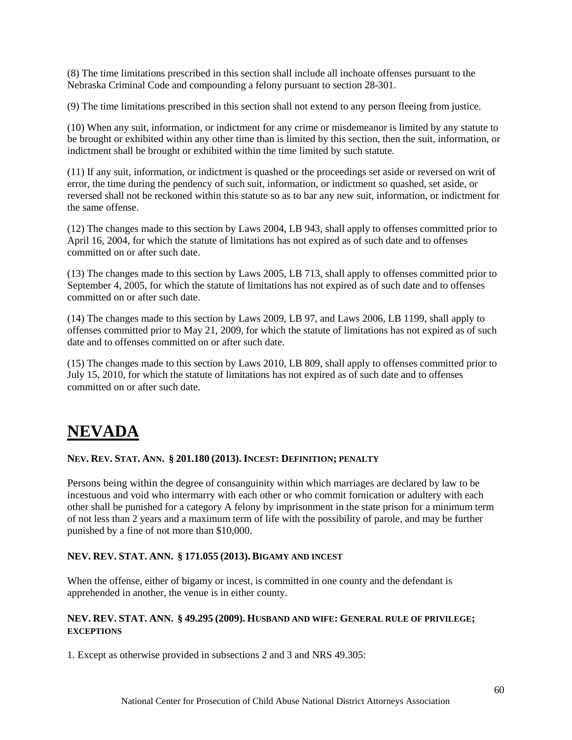(8) The time limitations prescribed in this section shall include all inchoate offenses pursuant to the Nebraska Criminal Code and compounding a felony pursuant to [section 28-301.](https://a.next.westlaw.com/Link/Document/FullText?findType=L&pubNum=1000257&cite=NESTS28-301&originatingDoc=N4A6F5E20AEC011DEA0C8A10D09B7A847&refType=LQ&originationContext=document&transitionType=DocumentItem&contextData=%28sc.Search%29)

(9) The time limitations prescribed in this section shall not extend to any person fleeing from justice.

(10) When any suit, information, or indictment for any crime or misdemeanor is limited by any statute to be brought or exhibited within any other time than is limited by this section, then the suit, information, or indictment shall be brought or exhibited within the time limited by such statute.

(11) If any suit, information, or indictment is quashed or the proceedings set aside or reversed on writ of error, the time during the pendency of such suit, information, or indictment so quashed, set aside, or reversed shall not be reckoned within this statute so as to bar any new suit, information, or indictment for the same offense.

(12) The changes made to this section by [Laws 2004, LB 943,](https://a.next.westlaw.com/Link/Document/FullText?findType=l&pubNum=1077005&cite=UUID%28I488770608F-C311D8A74D8-7B95E93B7F0%29&originationContext=document&transitionType=DocumentItem&contextData=%28sc.Search%29) shall apply to offenses committed prior to April 16, 2004, for which the statute of limitations has not expired as of such date and to offenses committed on or after such date.

(13) The changes made to this section by [Laws 2005, LB 713,](https://a.next.westlaw.com/Link/Document/FullText?findType=l&pubNum=1077005&cite=UUID%28IA2CD2260D4-5D11D99141F-7B46458522B%29&originationContext=document&transitionType=DocumentItem&contextData=%28sc.Search%29) shall apply to offenses committed prior to September 4, 2005, for which the statute of limitations has not expired as of such date and to offenses committed on or after such date.

(14) The changes made to this section by [Laws 2009, LB 97,](https://a.next.westlaw.com/Link/Document/FullText?findType=l&pubNum=1077005&cite=UUID%28I4801CCB04E-DD11DEB721B-9BF41E110A0%29&originationContext=document&transitionType=DocumentItem&contextData=%28sc.Search%29) and [Laws 2006, LB 1199,](https://a.next.westlaw.com/Link/Document/FullText?findType=l&pubNum=1077005&cite=UUID%28I2B1F55D0EB-DB11DA91B7D-03A70918862%29&originationContext=document&transitionType=DocumentItem&contextData=%28sc.Search%29) shall apply to offenses committed prior to May 21, 2009, for which the statute of limitations has not expired as of such date and to offenses committed on or after such date.

(15) The changes made to this section by [Laws 2010, LB 809,](https://a.next.westlaw.com/Link/Document/FullText?findType=l&pubNum=1077005&cite=UUID%28I714114304B-D211DF9207F-780FEE86151%29&originationContext=document&transitionType=DocumentItem&contextData=%28sc.Search%29) shall apply to offenses committed prior to July 15, 2010, for which the statute of limitations has not expired as of such date and to offenses committed on or after such date.

## **NEVADA**

#### **NEV. REV. STAT. ANN. § 201.180 (2013). INCEST: DEFINITION; PENALTY**

Persons being within the degree of consanguinity within which marriages are declared by law to be incestuous and void who intermarry with each other or who commit fornication or adultery with each other shall be punished for a category A felony by imprisonment in the state prison for a minimum term of not less than 2 years and a maximum term of life with the possibility of parole, and may be further punished by a fine of not more than \$10,000.

#### **NEV. REV. STAT. ANN. § 171.055 (2013). BIGAMY AND INCEST**

When the offense, either of bigamy or incest, is committed in one county and the defendant is apprehended in another, the venue is in either county.

#### NEV. REV. STAT. ANN. § 49.295 (2009). HUSBAND AND WIFE: GENERAL RULE OF PRIVILEGE; **EXCEPTIONS**

1. Except as otherwise provided in subsections 2 and 3 and [NRS 49.305:](https://a.next.westlaw.com/Link/Document/FullText?findType=L&pubNum=1000363&cite=NVST49.305&originatingDoc=N987D43204D7511DB8C22BE35EE8F8955&refType=LQ&originationContext=document&transitionType=DocumentItem&contextData=%28sc.Search%29)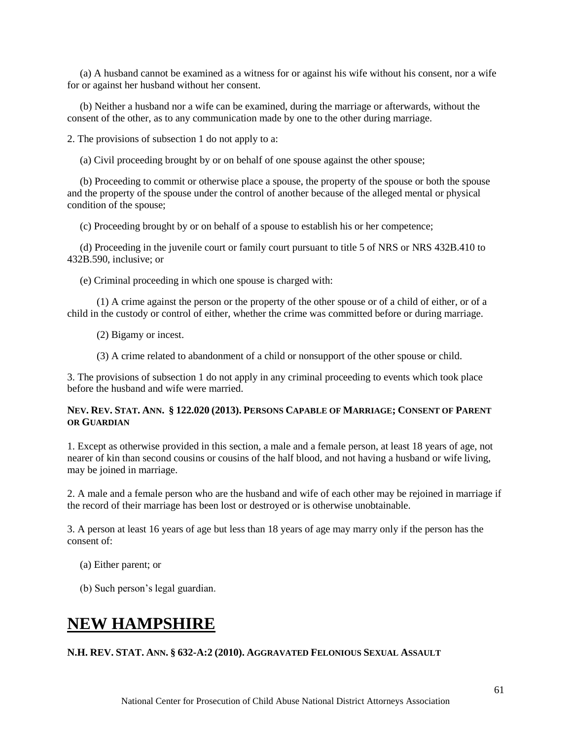(a) A husband cannot be examined as a witness for or against his wife without his consent, nor a wife for or against her husband without her consent.

(b) Neither a husband nor a wife can be examined, during the marriage or afterwards, without the consent of the other, as to any communication made by one to the other during marriage.

2. The provisions of subsection 1 do not apply to a:

(a) Civil proceeding brought by or on behalf of one spouse against the other spouse;

(b) Proceeding to commit or otherwise place a spouse, the property of the spouse or both the spouse and the property of the spouse under the control of another because of the alleged mental or physical condition of the spouse;

(c) Proceeding brought by or on behalf of a spouse to establish his or her competence;

(d) Proceeding in the juvenile court or family court pursuant to title 5 of NRS or [NRS 432B.410](https://a.next.westlaw.com/Link/Document/FullText?findType=L&pubNum=1000363&cite=NVST432B.410&originatingDoc=N987D43204D7511DB8C22BE35EE8F8955&refType=LQ&originationContext=document&transitionType=DocumentItem&contextData=%28sc.Search%29) to [432B.590,](https://a.next.westlaw.com/Link/Document/FullText?findType=L&pubNum=1000363&cite=NVST432B.590&originatingDoc=N987D43204D7511DB8C22BE35EE8F8955&refType=LQ&originationContext=document&transitionType=DocumentItem&contextData=%28sc.Search%29) inclusive; or

(e) Criminal proceeding in which one spouse is charged with:

(1) A crime against the person or the property of the other spouse or of a child of either, or of a child in the custody or control of either, whether the crime was committed before or during marriage.

(2) Bigamy or incest.

(3) A crime related to abandonment of a child or nonsupport of the other spouse or child.

3. The provisions of subsection 1 do not apply in any criminal proceeding to events which took place before the husband and wife were married.

#### NEV. REV. STAT. ANN. § 122.020 (2013). PERSONS CAPABLE OF MARRIAGE; CONSENT OF PARENT **OR GUARDIAN**

1. Except as otherwise provided in this section, a male and a female person, at least 18 years of age, not nearer of kin than second cousins or cousins of the half blood, and not having a husband or wife living, may be joined in marriage.

2. A male and a female person who are the husband and wife of each other may be rejoined in marriage if the record of their marriage has been lost or destroyed or is otherwise unobtainable.

3. A person at least 16 years of age but less than 18 years of age may marry only if the person has the consent of:

- (a) Either parent; or
- (b) Such person's legal guardian.

### **NEW HAMPSHIRE**

**N.H. REV. STAT. ANN. § 632-A:2 (2010). AGGRAVATED FELONIOUS SEXUAL ASSAULT**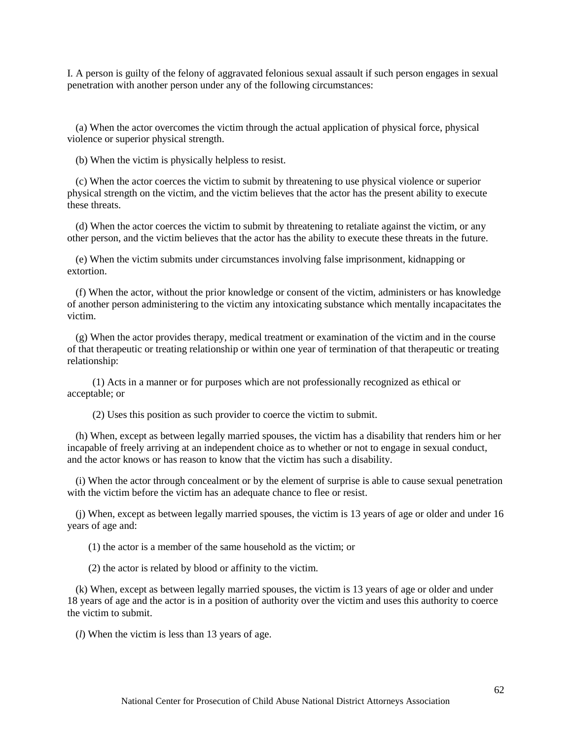I. A person is guilty of the felony of aggravated felonious sexual assault if such person engages in sexual penetration with another person under any of the following circumstances:

(a) When the actor overcomes the victim through the actual application of physical force, physical violence or superior physical strength.

(b) When the victim is physically helpless to resist.

(c) When the actor coerces the victim to submit by threatening to use physical violence or superior physical strength on the victim, and the victim believes that the actor has the present ability to execute these threats.

(d) When the actor coerces the victim to submit by threatening to retaliate against the victim, or any other person, and the victim believes that the actor has the ability to execute these threats in the future.

(e) When the victim submits under circumstances involving false imprisonment, kidnapping or extortion.

(f) When the actor, without the prior knowledge or consent of the victim, administers or has knowledge of another person administering to the victim any intoxicating substance which mentally incapacitates the victim.

(g) When the actor provides therapy, medical treatment or examination of the victim and in the course of that therapeutic or treating relationship or within one year of termination of that therapeutic or treating relationship:

(1) Acts in a manner or for purposes which are not professionally recognized as ethical or acceptable; or

(2) Uses this position as such provider to coerce the victim to submit.

(h) When, except as between legally married spouses, the victim has a disability that renders him or her incapable of freely arriving at an independent choice as to whether or not to engage in sexual conduct, and the actor knows or has reason to know that the victim has such a disability.

(i) When the actor through concealment or by the element of surprise is able to cause sexual penetration with the victim before the victim has an adequate chance to flee or resist.

(j) When, except as between legally married spouses, the victim is 13 years of age or older and under 16 years of age and:

(1) the actor is a member of the same household as the victim; or

(2) the actor is related by blood or affinity to the victim.

(k) When, except as between legally married spouses, the victim is 13 years of age or older and under 18 years of age and the actor is in a position of authority over the victim and uses this authority to coerce the victim to submit.

(*l*) When the victim is less than 13 years of age.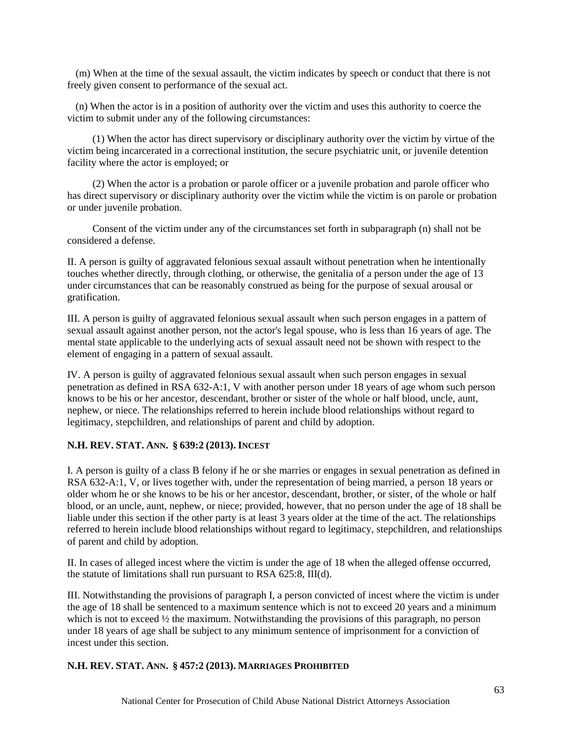(m) When at the time of the sexual assault, the victim indicates by speech or conduct that there is not freely given consent to performance of the sexual act.

(n) When the actor is in a position of authority over the victim and uses this authority to coerce the victim to submit under any of the following circumstances:

(1) When the actor has direct supervisory or disciplinary authority over the victim by virtue of the victim being incarcerated in a correctional institution, the secure psychiatric unit, or juvenile detention facility where the actor is employed; or

(2) When the actor is a probation or parole officer or a juvenile probation and parole officer who has direct supervisory or disciplinary authority over the victim while the victim is on parole or probation or under juvenile probation.

Consent of the victim under any of the circumstances set forth in subparagraph (n) shall not be considered a defense.

II. A person is guilty of aggravated felonious sexual assault without penetration when he intentionally touches whether directly, through clothing, or otherwise, the genitalia of a person under the age of 13 under circumstances that can be reasonably construed as being for the purpose of sexual arousal or gratification.

III. A person is guilty of aggravated felonious sexual assault when such person engages in a pattern of sexual assault against another person, not the actor's legal spouse, who is less than 16 years of age. The mental state applicable to the underlying acts of sexual assault need not be shown with respect to the element of engaging in a pattern of sexual assault.

IV. A person is guilty of aggravated felonious sexual assault when such person engages in sexual penetration as defined in [RSA 632-A:1,](https://a.next.westlaw.com/Link/Document/FullText?findType=L&pubNum=1000864&cite=NHSTS632-A%3a1&originatingDoc=NB6D30FF1E7C311E188F9F174F318E185&refType=LQ&originationContext=document&transitionType=DocumentItem&contextData=%28sc.Search%29) V with another person under 18 years of age whom such person knows to be his or her ancestor, descendant, brother or sister of the whole or half blood, uncle, aunt, nephew, or niece. The relationships referred to herein include blood relationships without regard to legitimacy, stepchildren, and relationships of parent and child by adoption.

#### **N.H. REV. STAT. ANN. § 639:2 (2013). INCEST**

I. A person is guilty of a class B felony if he or she marries or engages in sexual penetration as defined in [RSA 632-A:1,](https://a.next.westlaw.com/Link/Document/FullText?findType=L&pubNum=1000864&cite=NHSTS632-A%3a1&originatingDoc=N18AD00106D3811DDB3128FB7D85B486B&refType=LQ&originationContext=document&transitionType=DocumentItem&contextData=%28sc.Search%29) V, or lives together with, under the representation of being married, a person 18 years or older whom he or she knows to be his or her ancestor, descendant, brother, or sister, of the whole or half blood, or an uncle, aunt, nephew, or niece; provided, however, that no person under the age of 18 shall be liable under this section if the other party is at least 3 years older at the time of the act. The relationships referred to herein include blood relationships without regard to legitimacy, stepchildren, and relationships of parent and child by adoption.

II. In cases of alleged incest where the victim is under the age of 18 when the alleged offense occurred, the statute of limitations shall run pursuant to [RSA 625:8,](https://a.next.westlaw.com/Link/Document/FullText?findType=L&pubNum=1000864&cite=NHSTS625%3a8&originatingDoc=N18AD00106D3811DDB3128FB7D85B486B&refType=LQ&originationContext=document&transitionType=DocumentItem&contextData=%28sc.Search%29) III(d).

III. Notwithstanding the provisions of paragraph I, a person convicted of incest where the victim is under the age of 18 shall be sentenced to a maximum sentence which is not to exceed 20 years and a minimum which is not to exceed  $\frac{1}{2}$  the maximum. Notwithstanding the provisions of this paragraph, no person under 18 years of age shall be subject to any minimum sentence of imprisonment for a conviction of incest under this section.

#### **N.H. REV. STAT. ANN. § 457:2 (2013). MARRIAGES PROHIBITED**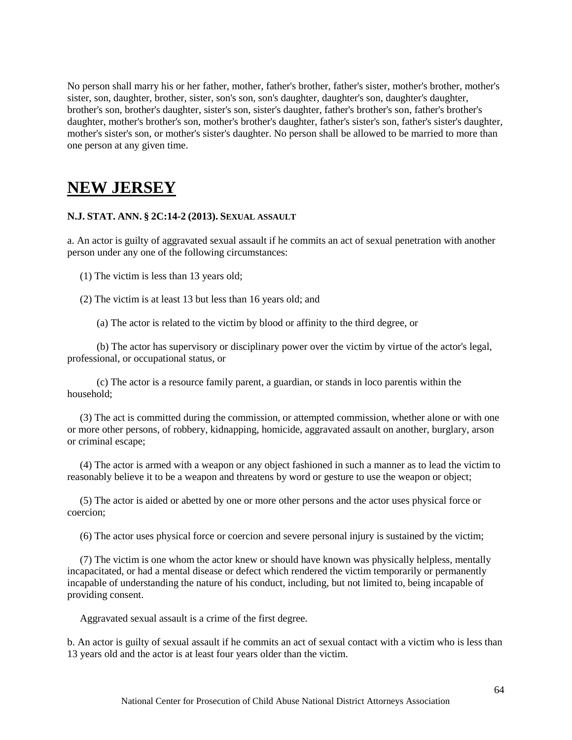No person shall marry his or her father, mother, father's brother, father's sister, mother's brother, mother's sister, son, daughter, brother, sister, son's son, son's daughter, daughter's son, daughter's daughter, brother's son, brother's daughter, sister's son, sister's daughter, father's brother's son, father's brother's daughter, mother's brother's son, mother's brother's daughter, father's sister's son, father's sister's daughter, mother's sister's son, or mother's sister's daughter. No person shall be allowed to be married to more than one person at any given time.

### **NEW JERSEY**

#### **N.J. STAT. ANN. § 2C:14-2 (2013). SEXUAL ASSAULT**

a. An actor is guilty of aggravated sexual assault if he commits an act of sexual penetration with another person under any one of the following circumstances:

(1) The victim is less than 13 years old;

(2) The victim is at least 13 but less than 16 years old; and

(a) The actor is related to the victim by blood or affinity to the third degree, or

(b) The actor has supervisory or disciplinary power over the victim by virtue of the actor's legal, professional, or occupational status, or

(c) The actor is a resource family parent, a guardian, or stands in loco parentis within the household;

(3) The act is committed during the commission, or attempted commission, whether alone or with one or more other persons, of robbery, kidnapping, homicide, aggravated assault on another, burglary, arson or criminal escape;

(4) The actor is armed with a weapon or any object fashioned in such a manner as to lead the victim to reasonably believe it to be a weapon and threatens by word or gesture to use the weapon or object;

(5) The actor is aided or abetted by one or more other persons and the actor uses physical force or coercion;

(6) The actor uses physical force or coercion and severe personal injury is sustained by the victim;

(7) The victim is one whom the actor knew or should have known was physically helpless, mentally incapacitated, or had a mental disease or defect which rendered the victim temporarily or permanently incapable of understanding the nature of his conduct, including, but not limited to, being incapable of providing consent.

Aggravated sexual assault is a crime of the first degree.

b. An actor is guilty of sexual assault if he commits an act of sexual contact with a victim who is less than 13 years old and the actor is at least four years older than the victim.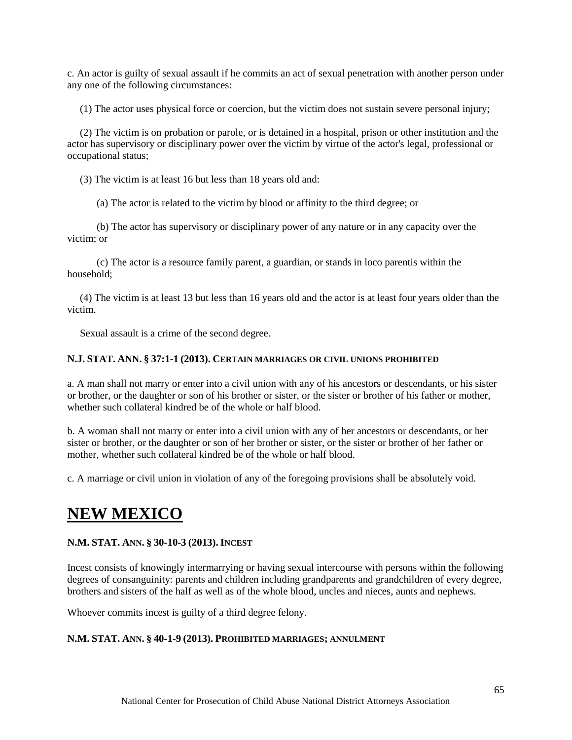c. An actor is guilty of sexual assault if he commits an act of sexual penetration with another person under any one of the following circumstances:

(1) The actor uses physical force or coercion, but the victim does not sustain severe personal injury;

(2) The victim is on probation or parole, or is detained in a hospital, prison or other institution and the actor has supervisory or disciplinary power over the victim by virtue of the actor's legal, professional or occupational status;

(3) The victim is at least 16 but less than 18 years old and:

(a) The actor is related to the victim by blood or affinity to the third degree; or

(b) The actor has supervisory or disciplinary power of any nature or in any capacity over the victim; or

(c) The actor is a resource family parent, a guardian, or stands in loco parentis within the household;

(4) The victim is at least 13 but less than 16 years old and the actor is at least four years older than the victim.

Sexual assault is a crime of the second degree.

#### **N.J. STAT. ANN. § 37:1-1 (2013). CERTAIN MARRIAGES OR CIVIL UNIONS PROHIBITED**

a. A man shall not marry or enter into a civil union with any of his ancestors or descendants, or his sister or brother, or the daughter or son of his brother or sister, or the sister or brother of his father or mother, whether such collateral kindred be of the whole or half blood.

b. A woman shall not marry or enter into a civil union with any of her ancestors or descendants, or her sister or brother, or the daughter or son of her brother or sister, or the sister or brother of her father or mother, whether such collateral kindred be of the whole or half blood.

c. A marriage or civil union in violation of any of the foregoing provisions shall be absolutely void.

### **NEW MEXICO**

#### **N.M. STAT. ANN. § 30-10-3 (2013). INCEST**

Incest consists of knowingly intermarrying or having sexual intercourse with persons within the following degrees of consanguinity: parents and children including grandparents and grandchildren of every degree, brothers and sisters of the half as well as of the whole blood, uncles and nieces, aunts and nephews.

Whoever commits incest is guilty of a third degree felony.

#### **N.M. STAT. ANN. § 40-1-9 (2013). PROHIBITED MARRIAGES; ANNULMENT**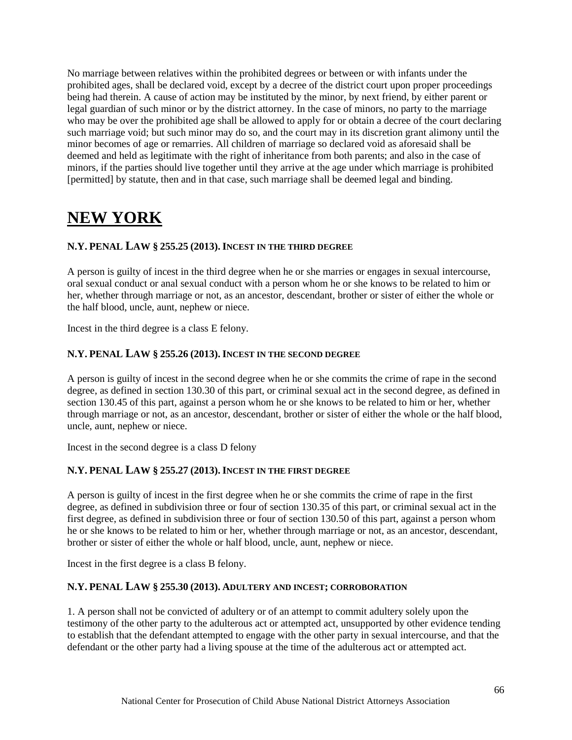No marriage between relatives within the prohibited degrees or between or with infants under the prohibited ages, shall be declared void, except by a decree of the district court upon proper proceedings being had therein. A cause of action may be instituted by the minor, by next friend, by either parent or legal guardian of such minor or by the district attorney. In the case of minors, no party to the marriage who may be over the prohibited age shall be allowed to apply for or obtain a decree of the court declaring such marriage void; but such minor may do so, and the court may in its discretion grant alimony until the minor becomes of age or remarries. All children of marriage so declared void as aforesaid shall be deemed and held as legitimate with the right of inheritance from both parents; and also in the case of minors, if the parties should live together until they arrive at the age under which marriage is prohibited [permitted] by statute, then and in that case, such marriage shall be deemed legal and binding.

## **NEW YORK**

#### **N.Y. PENAL LAW § 255.25 (2013). INCEST IN THE THIRD DEGREE**

A person is guilty of incest in the third degree when he or she marries or engages in sexual intercourse, oral sexual conduct or anal sexual conduct with a person whom he or she knows to be related to him or her, whether through marriage or not, as an ancestor, descendant, brother or sister of either the whole or the half blood, uncle, aunt, nephew or niece.

Incest in the third degree is a class E felony.

#### **N.Y. PENAL LAW § 255.26 (2013). INCEST IN THE SECOND DEGREE**

A person is guilty of incest in the second degree when he or she commits the crime of rape in the second degree, as defined in [section 130.30](https://a.next.westlaw.com/Link/Document/FullText?findType=L&pubNum=1000115&cite=NYPES130.30&originatingDoc=N44325380442111DB856CDC1F9C06CDC8&refType=LQ&originationContext=document&transitionType=DocumentItem&contextData=%28sc.Search%29) of this part, or criminal sexual act in the second degree, as defined in [section 130.45](https://a.next.westlaw.com/Link/Document/FullText?findType=L&pubNum=1000115&cite=NYPES130.45&originatingDoc=N44325380442111DB856CDC1F9C06CDC8&refType=LQ&originationContext=document&transitionType=DocumentItem&contextData=%28sc.Search%29) of this part, against a person whom he or she knows to be related to him or her, whether through marriage or not, as an ancestor, descendant, brother or sister of either the whole or the half blood, uncle, aunt, nephew or niece.

Incest in the second degree is a class D felony

#### **N.Y. PENAL LAW § 255.27 (2013). INCEST IN THE FIRST DEGREE**

A person is guilty of incest in the first degree when he or she commits the crime of rape in the first degree, as defined in [subdivision three](https://a.next.westlaw.com/Link/Document/FullText?findType=L&pubNum=1000115&cite=NYPES130.35&originatingDoc=N43A04CB0442111DBA020E1111D59F04F&refType=SP&originationContext=document&transitionType=DocumentItem&contextData=%28sc.Search%29#co_pp_236f00000e5f2) or [four of section 130.35](https://a.next.westlaw.com/Link/Document/FullText?findType=L&pubNum=1000115&cite=NYPES130.35&originatingDoc=N43A04CB0442111DBA020E1111D59F04F&refType=SP&originationContext=document&transitionType=DocumentItem&contextData=%28sc.Search%29#co_pp_e3c60000039e4) of this part, or criminal sexual act in the first degree, as defined in [subdivision three](https://a.next.westlaw.com/Link/Document/FullText?findType=L&pubNum=1000115&cite=NYPES130.50&originatingDoc=N43A04CB0442111DBA020E1111D59F04F&refType=SP&originationContext=document&transitionType=DocumentItem&contextData=%28sc.Search%29#co_pp_236f00000e5f2) or [four of section 130.50](https://a.next.westlaw.com/Link/Document/FullText?findType=L&pubNum=1000115&cite=NYPES130.50&originatingDoc=N43A04CB0442111DBA020E1111D59F04F&refType=SP&originationContext=document&transitionType=DocumentItem&contextData=%28sc.Search%29#co_pp_e3c60000039e4) of this part, against a person whom he or she knows to be related to him or her, whether through marriage or not, as an ancestor, descendant, brother or sister of either the whole or half blood, uncle, aunt, nephew or niece.

Incest in the first degree is a class B felony.

#### **N.Y. PENAL LAW § 255.30 (2013). ADULTERY AND INCEST; CORROBORATION**

1. A person shall not be convicted of adultery or of an attempt to commit adultery solely upon the testimony of the other party to the adulterous act or attempted act, unsupported by other evidence tending to establish that the defendant attempted to engage with the other party in sexual intercourse, and that the defendant or the other party had a living spouse at the time of the adulterous act or attempted act.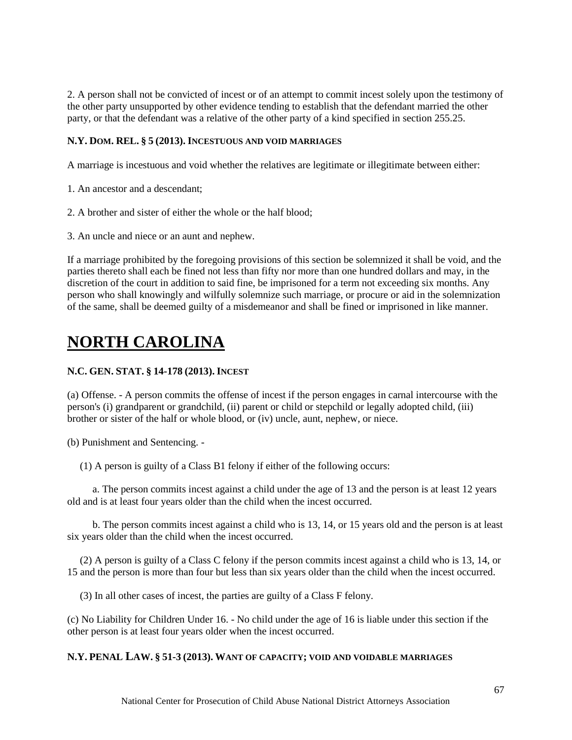2. A person shall not be convicted of incest or of an attempt to commit incest solely upon the testimony of the other party unsupported by other evidence tending to establish that the defendant married the other party, or that the defendant was a relative of the other party of a kind specified in [section 255.25.](https://a.next.westlaw.com/Link/Document/FullText?findType=L&pubNum=1000115&cite=NYPES255.25&originatingDoc=NAEC54F708C9211D882FF83A3182D7B4A&refType=LQ&originationContext=document&transitionType=DocumentItem&contextData=%28sc.Search%29)

#### **N.Y. DOM. REL. § 5 (2013). INCESTUOUS AND VOID MARRIAGES**

A marriage is incestuous and void whether the relatives are legitimate or illegitimate between either:

- 1. An ancestor and a descendant;
- 2. A brother and sister of either the whole or the half blood;
- 3. An uncle and niece or an aunt and nephew.

If a marriage prohibited by the foregoing provisions of this section be solemnized it shall be void, and the parties thereto shall each be fined not less than fifty nor more than one hundred dollars and may, in the discretion of the court in addition to said fine, be imprisoned for a term not exceeding six months. Any person who shall knowingly and wilfully solemnize such marriage, or procure or aid in the solemnization of the same, shall be deemed guilty of a misdemeanor and shall be fined or imprisoned in like manner.

## **NORTH CAROLINA**

#### **N.C. GEN. STAT. § 14-178 (2013). INCEST**

(a) Offense. - A person commits the offense of incest if the person engages in carnal intercourse with the person's (i) grandparent or grandchild, (ii) parent or child or stepchild or legally adopted child, (iii) brother or sister of the half or whole blood, or (iv) uncle, aunt, nephew, or niece.

(b) Punishment and Sentencing. -

(1) A person is guilty of a Class B1 felony if either of the following occurs:

a. The person commits incest against a child under the age of 13 and the person is at least 12 years old and is at least four years older than the child when the incest occurred.

b. The person commits incest against a child who is 13, 14, or 15 years old and the person is at least six years older than the child when the incest occurred.

(2) A person is guilty of a Class C felony if the person commits incest against a child who is 13, 14, or 15 and the person is more than four but less than six years older than the child when the incest occurred.

(3) In all other cases of incest, the parties are guilty of a Class F felony.

(c) No Liability for Children Under 16. - No child under the age of 16 is liable under this section if the other person is at least four years older when the incest occurred.

#### **N.Y. PENAL LAW. § 51-3 (2013). WANT OF CAPACITY; VOID AND VOIDABLE MARRIAGES**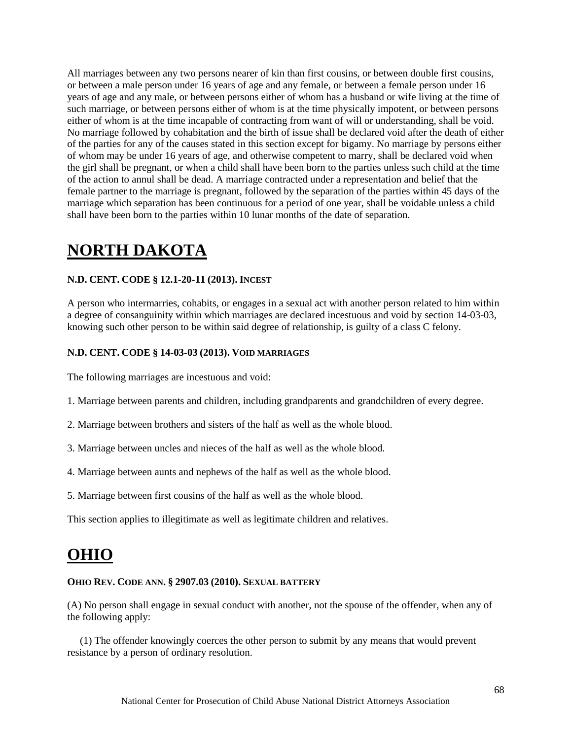All marriages between any two persons nearer of kin than first cousins, or between double first cousins, or between a male person under 16 years of age and any female, or between a female person under 16 years of age and any male, or between persons either of whom has a husband or wife living at the time of such marriage, or between persons either of whom is at the time physically impotent, or between persons either of whom is at the time incapable of contracting from want of will or understanding, shall be void. No marriage followed by cohabitation and the birth of issue shall be declared void after the death of either of the parties for any of the causes stated in this section except for bigamy. No marriage by persons either of whom may be under 16 years of age, and otherwise competent to marry, shall be declared void when the girl shall be pregnant, or when a child shall have been born to the parties unless such child at the time of the action to annul shall be dead. A marriage contracted under a representation and belief that the female partner to the marriage is pregnant, followed by the separation of the parties within 45 days of the marriage which separation has been continuous for a period of one year, shall be voidable unless a child shall have been born to the parties within 10 lunar months of the date of separation.

## **NORTH DAKOTA**

#### **N.D. CENT. CODE § 12.1-20-11 (2013). INCEST**

A person who intermarries, cohabits, or engages in a sexual act with another person related to him within a degree of consanguinity within which marriages are declared incestuous and void by [section 14-03-03,](https://a.next.westlaw.com/Link/Document/FullText?findType=L&pubNum=1002016&cite=NDST14-03-03&originatingDoc=NEEB42BA0529611DD9BC4CC4EC7A9E1EC&refType=LQ&originationContext=document&transitionType=DocumentItem&contextData=%28sc.Search%29) knowing such other person to be within said degree of relationship, is guilty of a class C felony.

#### **N.D. CENT. CODE § 14-03-03 (2013). VOID MARRIAGES**

The following marriages are incestuous and void:

- 1. Marriage between parents and children, including grandparents and grandchildren of every degree.
- 2. Marriage between brothers and sisters of the half as well as the whole blood.
- 3. Marriage between uncles and nieces of the half as well as the whole blood.
- 4. Marriage between aunts and nephews of the half as well as the whole blood.
- 5. Marriage between first cousins of the half as well as the whole blood.

This section applies to illegitimate as well as legitimate children and relatives.

## **OHIO**

#### **OHIO REV. CODE ANN. § 2907.03 (2010). SEXUAL BATTERY**

(A) No person shall engage in sexual conduct with another, not the spouse of the offender, when any of the following apply:

(1) The offender knowingly coerces the other person to submit by any means that would prevent resistance by a person of ordinary resolution.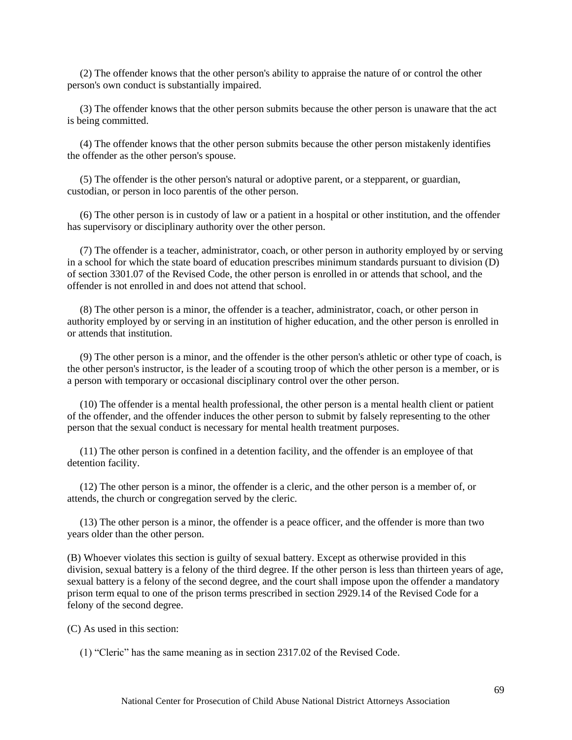(2) The offender knows that the other person's ability to appraise the nature of or control the other person's own conduct is substantially impaired.

(3) The offender knows that the other person submits because the other person is unaware that the act is being committed.

(4) The offender knows that the other person submits because the other person mistakenly identifies the offender as the other person's spouse.

(5) The offender is the other person's natural or adoptive parent, or a stepparent, or guardian, custodian, or person in loco parentis of the other person.

(6) The other person is in custody of law or a patient in a hospital or other institution, and the offender has supervisory or disciplinary authority over the other person.

(7) The offender is a teacher, administrator, coach, or other person in authority employed by or serving in a school for which the state board of education prescribes minimum standards pursuant to [division \(D\)](https://a.next.westlaw.com/Link/Document/FullText?findType=L&pubNum=1000279&cite=OHSTS3301.07&originatingDoc=N5C971670E0DE11DD893ABBC9B8315ED8&refType=SP&originationContext=document&transitionType=DocumentItem&contextData=%28sc.Search%29#co_pp_fda500001bf37)  [of section 3301.07 of the Revised Code,](https://a.next.westlaw.com/Link/Document/FullText?findType=L&pubNum=1000279&cite=OHSTS3301.07&originatingDoc=N5C971670E0DE11DD893ABBC9B8315ED8&refType=SP&originationContext=document&transitionType=DocumentItem&contextData=%28sc.Search%29#co_pp_fda500001bf37) the other person is enrolled in or attends that school, and the offender is not enrolled in and does not attend that school.

(8) The other person is a minor, the offender is a teacher, administrator, coach, or other person in authority employed by or serving in an institution of higher education, and the other person is enrolled in or attends that institution.

(9) The other person is a minor, and the offender is the other person's athletic or other type of coach, is the other person's instructor, is the leader of a scouting troop of which the other person is a member, or is a person with temporary or occasional disciplinary control over the other person.

(10) The offender is a mental health professional, the other person is a mental health client or patient of the offender, and the offender induces the other person to submit by falsely representing to the other person that the sexual conduct is necessary for mental health treatment purposes.

(11) The other person is confined in a detention facility, and the offender is an employee of that detention facility.

(12) The other person is a minor, the offender is a cleric, and the other person is a member of, or attends, the church or congregation served by the cleric.

(13) The other person is a minor, the offender is a peace officer, and the offender is more than two years older than the other person.

(B) Whoever violates this section is guilty of sexual battery. Except as otherwise provided in this division, sexual battery is a felony of the third degree. If the other person is less than thirteen years of age, sexual battery is a felony of the second degree, and the court shall impose upon the offender a mandatory prison term equal to one of the prison terms prescribed in [section 2929.14 of the](https://a.next.westlaw.com/Link/Document/FullText?findType=L&pubNum=1000279&cite=OHSTS2929.14&originatingDoc=N5C971670E0DE11DD893ABBC9B8315ED8&refType=LQ&originationContext=document&transitionType=DocumentItem&contextData=%28sc.Search%29) Revised Code for a felony of the second degree.

(C) As used in this section:

(1) "Cleric" has the same meaning as in [section 2317.02 of the Revised Code.](https://a.next.westlaw.com/Link/Document/FullText?findType=L&pubNum=1000279&cite=OHSTS2317.02&originatingDoc=N5C971670E0DE11DD893ABBC9B8315ED8&refType=LQ&originationContext=document&transitionType=DocumentItem&contextData=%28sc.Search%29)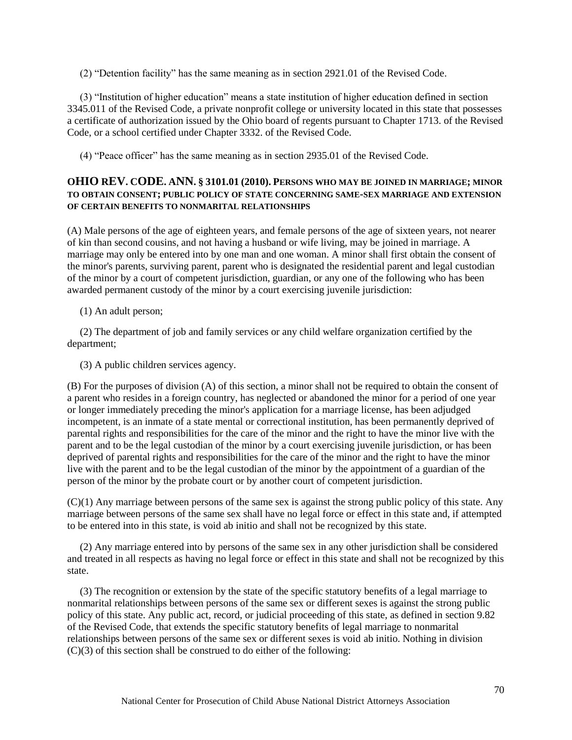(2) "Detention facility" has the same meaning as in [section 2921.01 of the Revised Code.](https://a.next.westlaw.com/Link/Document/FullText?findType=L&pubNum=1000279&cite=OHSTS2921.01&originatingDoc=N5C971670E0DE11DD893ABBC9B8315ED8&refType=LQ&originationContext=document&transitionType=DocumentItem&contextData=%28sc.Search%29)

(3) "Institution of higher education" means a state institution of higher education defined in [section](https://a.next.westlaw.com/Link/Document/FullText?findType=L&pubNum=1000279&cite=OHSTS3345.011&originatingDoc=N5C971670E0DE11DD893ABBC9B8315ED8&refType=LQ&originationContext=document&transitionType=DocumentItem&contextData=%28sc.Search%29)  [3345.011 of the Revised Code,](https://a.next.westlaw.com/Link/Document/FullText?findType=L&pubNum=1000279&cite=OHSTS3345.011&originatingDoc=N5C971670E0DE11DD893ABBC9B8315ED8&refType=LQ&originationContext=document&transitionType=DocumentItem&contextData=%28sc.Search%29) a private nonprofit college or university located in this state that possesses a certificate of authorization issued by the Ohio board of regents pursuant to Chapter 1713. of the Revised Code, or a school certified under Chapter 3332. of the Revised Code.

(4) "Peace officer" has the same meaning as in [section 2935.01 of the Revised Code.](https://a.next.westlaw.com/Link/Document/FullText?findType=L&pubNum=1000279&cite=OHSTS2935.01&originatingDoc=N5C971670E0DE11DD893ABBC9B8315ED8&refType=LQ&originationContext=document&transitionType=DocumentItem&contextData=%28sc.Search%29)

#### **OHIO REV. CODE. ANN. § 3101.01 (2010). PERSONS WHO MAY BE JOINED IN MARRIAGE; MINOR TO OBTAIN CONSENT; PUBLIC POLICY OF STATE CONCERNING SAME-SEX MARRIAGE AND EXTENSION OF CERTAIN BENEFITS TO NONMARITAL RELATIONSHIPS**

(A) Male persons of the age of eighteen years, and female persons of the age of sixteen years, not nearer of kin than second cousins, and not having a husband or wife living, may be joined in marriage. A marriage may only be entered into by one man and one woman. A minor shall first obtain the consent of the minor's parents, surviving parent, parent who is designated the residential parent and legal custodian of the minor by a court of competent jurisdiction, guardian, or any one of the following who has been awarded permanent custody of the minor by a court exercising juvenile jurisdiction:

(1) An adult person;

(2) The department of job and family services or any child welfare organization certified by the department;

(3) A public children services agency.

(B) For the purposes of division (A) of this section, a minor shall not be required to obtain the consent of a parent who resides in a foreign country, has neglected or abandoned the minor for a period of one year or longer immediately preceding the minor's application for a marriage license, has been adjudged incompetent, is an inmate of a state mental or correctional institution, has been permanently deprived of parental rights and responsibilities for the care of the minor and the right to have the minor live with the parent and to be the legal custodian of the minor by a court exercising juvenile jurisdiction, or has been deprived of parental rights and responsibilities for the care of the minor and the right to have the minor live with the parent and to be the legal custodian of the minor by the appointment of a guardian of the person of the minor by the probate court or by another court of competent jurisdiction.

(C)(1) Any marriage between persons of the same sex is against the strong public policy of this state. Any marriage between persons of the same sex shall have no legal force or effect in this state and, if attempted to be entered into in this state, is void ab initio and shall not be recognized by this state.

(2) Any marriage entered into by persons of the same sex in any other jurisdiction shall be considered and treated in all respects as having no legal force or effect in this state and shall not be recognized by this state.

(3) The recognition or extension by the state of the specific statutory benefits of a legal marriage to nonmarital relationships between persons of the same sex or different sexes is against the strong public policy of this state. Any public act, record, or judicial proceeding of this state, as defined in [section 9.82](https://a.next.westlaw.com/Link/Document/FullText?findType=L&pubNum=1000279&cite=OHSTS9.82&originatingDoc=ND6E9D9C062C911DB9C8C9169D98EA1E5&refType=LQ&originationContext=document&transitionType=DocumentItem&contextData=%28sc.Search%29)  [of the Revised Code,](https://a.next.westlaw.com/Link/Document/FullText?findType=L&pubNum=1000279&cite=OHSTS9.82&originatingDoc=ND6E9D9C062C911DB9C8C9169D98EA1E5&refType=LQ&originationContext=document&transitionType=DocumentItem&contextData=%28sc.Search%29) that extends the specific statutory benefits of legal marriage to nonmarital relationships between persons of the same sex or different sexes is void ab initio. Nothing in division  $(C)(3)$  of this section shall be construed to do either of the following: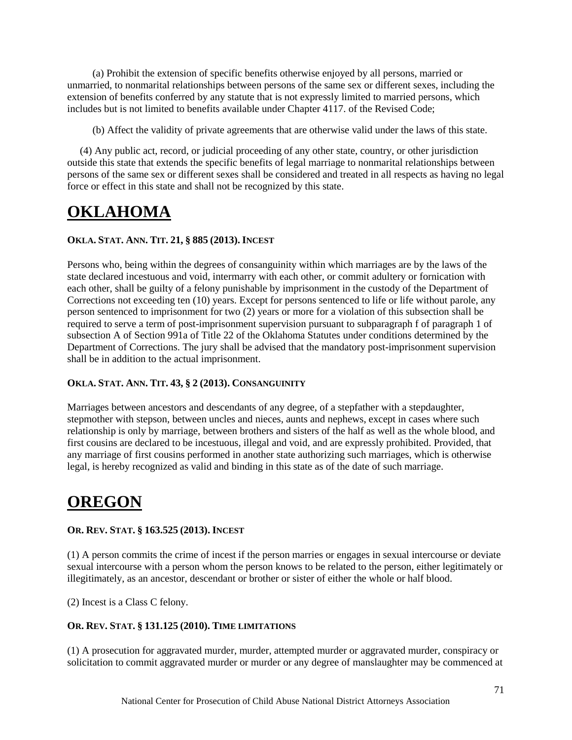(a) Prohibit the extension of specific benefits otherwise enjoyed by all persons, married or unmarried, to nonmarital relationships between persons of the same sex or different sexes, including the extension of benefits conferred by any statute that is not expressly limited to married persons, which includes but is not limited to benefits available under Chapter 4117. of the Revised Code;

(b) Affect the validity of private agreements that are otherwise valid under the laws of this state.

(4) Any public act, record, or judicial proceeding of any other state, country, or other jurisdiction outside this state that extends the specific benefits of legal marriage to nonmarital relationships between persons of the same sex or different sexes shall be considered and treated in all respects as having no legal force or effect in this state and shall not be recognized by this state.

# **OKLAHOMA**

#### **OKLA. STAT. ANN. TIT. 21, § 885 (2013). INCEST**

Persons who, being within the degrees of consanguinity within which marriages are by the laws of the state declared incestuous and void, intermarry with each other, or commit adultery or fornication with each other, shall be guilty of a felony punishable by imprisonment in the custody of the Department of Corrections not exceeding ten (10) years. Except for persons sentenced to life or life without parole, any person sentenced to imprisonment for two (2) years or more for a violation of this subsection shall be required to serve a term of post-imprisonment supervision pursuant to [subparagraph f of paragraph 1 of](https://a.next.westlaw.com/Link/Document/FullText?findType=L&pubNum=1000165&cite=OKSTT22S991A&originatingDoc=N8FC03200C76A11DB8F04FB3E68C8F4C5&refType=SP&originationContext=document&transitionType=DocumentItem&contextData=%28sc.Search%29#co_pp_12f40000b0d36)  [subsection A of Section 991a of Title 22 of the Oklahoma Statutes](https://a.next.westlaw.com/Link/Document/FullText?findType=L&pubNum=1000165&cite=OKSTT22S991A&originatingDoc=N8FC03200C76A11DB8F04FB3E68C8F4C5&refType=SP&originationContext=document&transitionType=DocumentItem&contextData=%28sc.Search%29#co_pp_12f40000b0d36) under conditions determined by the Department of Corrections. The jury shall be advised that the mandatory post-imprisonment supervision shall be in addition to the actual imprisonment.

#### **OKLA. STAT. ANN. TIT. 43, § 2 (2013). CONSANGUINITY**

Marriages between ancestors and descendants of any degree, of a stepfather with a stepdaughter, stepmother with stepson, between uncles and nieces, aunts and nephews, except in cases where such relationship is only by marriage, between brothers and sisters of the half as well as the whole blood, and first cousins are declared to be incestuous, illegal and void, and are expressly prohibited. Provided, that any marriage of first cousins performed in another state authorizing such marriages, which is otherwise legal, is hereby recognized as valid and binding in this state as of the date of such marriage.

### **OREGON**

#### **OR. REV. STAT. § 163.525 (2013). INCEST**

(1) A person commits the crime of incest if the person marries or engages in sexual intercourse or deviate sexual intercourse with a person whom the person knows to be related to the person, either legitimately or illegitimately, as an ancestor, descendant or brother or sister of either the whole or half blood.

(2) Incest is a Class C felony.

#### **OR. REV. STAT. § 131.125 (2010). TIME LIMITATIONS**

(1) A prosecution for aggravated murder, murder, attempted murder or aggravated murder, conspiracy or solicitation to commit aggravated murder or murder or any degree of manslaughter may be commenced at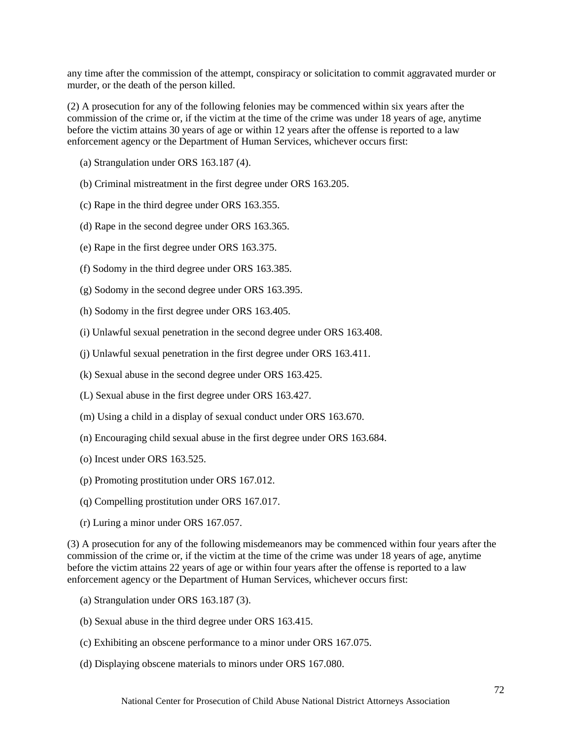any time after the commission of the attempt, conspiracy or solicitation to commit aggravated murder or murder, or the death of the person killed.

(2) A prosecution for any of the following felonies may be commenced within six years after the commission of the crime or, if the victim at the time of the crime was under 18 years of age, anytime before the victim attains 30 years of age or within 12 years after the offense is reported to a law enforcement agency or the Department of Human Services, whichever occurs first:

- (a) Strangulation under [ORS 163.187 \(4\).](https://a.next.westlaw.com/Link/Document/FullText?findType=L&pubNum=1000534&cite=ORSTS163.187&originatingDoc=N09CF1E70119A11E1881E99E408895842&refType=SP&originationContext=document&transitionType=DocumentItem&contextData=%28sc.Search%29#co_pp_0bd500007a412)
- (b) Criminal mistreatment in the first degree under [ORS 163.205.](https://a.next.westlaw.com/Link/Document/FullText?findType=L&pubNum=1000534&cite=ORSTS163.205&originatingDoc=N09CF1E70119A11E1881E99E408895842&refType=LQ&originationContext=document&transitionType=DocumentItem&contextData=%28sc.Search%29)
- (c) Rape in the third degree unde[r ORS 163.355.](https://a.next.westlaw.com/Link/Document/FullText?findType=L&pubNum=1000534&cite=ORSTS163.355&originatingDoc=N09CF1E70119A11E1881E99E408895842&refType=LQ&originationContext=document&transitionType=DocumentItem&contextData=%28sc.Search%29)
- (d) Rape in the second degree under [ORS 163.365.](https://a.next.westlaw.com/Link/Document/FullText?findType=L&pubNum=1000534&cite=ORSTS163.365&originatingDoc=N09CF1E70119A11E1881E99E408895842&refType=LQ&originationContext=document&transitionType=DocumentItem&contextData=%28sc.Search%29)
- (e) Rape in the first degree unde[r ORS 163.375.](https://a.next.westlaw.com/Link/Document/FullText?findType=L&pubNum=1000534&cite=ORSTS163.375&originatingDoc=N09CF1E70119A11E1881E99E408895842&refType=LQ&originationContext=document&transitionType=DocumentItem&contextData=%28sc.Search%29)
- (f) Sodomy in the third degree under [ORS 163.385.](https://a.next.westlaw.com/Link/Document/FullText?findType=L&pubNum=1000534&cite=ORSTS163.385&originatingDoc=N09CF1E70119A11E1881E99E408895842&refType=LQ&originationContext=document&transitionType=DocumentItem&contextData=%28sc.Search%29)
- (g) Sodomy in the second degree under [ORS 163.395.](https://a.next.westlaw.com/Link/Document/FullText?findType=L&pubNum=1000534&cite=ORSTS163.395&originatingDoc=N09CF1E70119A11E1881E99E408895842&refType=LQ&originationContext=document&transitionType=DocumentItem&contextData=%28sc.Search%29)
- (h) Sodomy in the first degree under [ORS 163.405.](https://a.next.westlaw.com/Link/Document/FullText?findType=L&pubNum=1000534&cite=ORSTS163.405&originatingDoc=N09CF1E70119A11E1881E99E408895842&refType=LQ&originationContext=document&transitionType=DocumentItem&contextData=%28sc.Search%29)
- (i) Unlawful sexual penetration in the second degree unde[r ORS 163.408.](https://a.next.westlaw.com/Link/Document/FullText?findType=L&pubNum=1000534&cite=ORSTS163.408&originatingDoc=N09CF1E70119A11E1881E99E408895842&refType=LQ&originationContext=document&transitionType=DocumentItem&contextData=%28sc.Search%29)
- (j) Unlawful sexual penetration in the first degree under [ORS 163.411.](https://a.next.westlaw.com/Link/Document/FullText?findType=L&pubNum=1000534&cite=ORSTS163.411&originatingDoc=N09CF1E70119A11E1881E99E408895842&refType=LQ&originationContext=document&transitionType=DocumentItem&contextData=%28sc.Search%29)
- (k) Sexual abuse in the second degree under [ORS 163.425.](https://a.next.westlaw.com/Link/Document/FullText?findType=L&pubNum=1000534&cite=ORSTS163.425&originatingDoc=N09CF1E70119A11E1881E99E408895842&refType=LQ&originationContext=document&transitionType=DocumentItem&contextData=%28sc.Search%29)
- (L) Sexual abuse in the first degree under [ORS 163.427.](https://a.next.westlaw.com/Link/Document/FullText?findType=L&pubNum=1000534&cite=ORSTS163.427&originatingDoc=N09CF1E70119A11E1881E99E408895842&refType=LQ&originationContext=document&transitionType=DocumentItem&contextData=%28sc.Search%29)
- (m) Using a child in a display of sexual conduct under [ORS 163.670.](https://a.next.westlaw.com/Link/Document/FullText?findType=L&pubNum=1000534&cite=ORSTS163.670&originatingDoc=N09CF1E70119A11E1881E99E408895842&refType=LQ&originationContext=document&transitionType=DocumentItem&contextData=%28sc.Search%29)
- (n) Encouraging child sexual abuse in the first degree under [ORS 163.684.](https://a.next.westlaw.com/Link/Document/FullText?findType=L&pubNum=1000534&cite=ORSTS163.684&originatingDoc=N09CF1E70119A11E1881E99E408895842&refType=LQ&originationContext=document&transitionType=DocumentItem&contextData=%28sc.Search%29)
- (o) Incest under [ORS 163.525.](https://a.next.westlaw.com/Link/Document/FullText?findType=L&pubNum=1000534&cite=ORSTS163.525&originatingDoc=N09CF1E70119A11E1881E99E408895842&refType=LQ&originationContext=document&transitionType=DocumentItem&contextData=%28sc.Search%29)
- (p) Promoting prostitution under [ORS 167.012.](https://a.next.westlaw.com/Link/Document/FullText?findType=L&pubNum=1000534&cite=ORSTS167.012&originatingDoc=N09CF1E70119A11E1881E99E408895842&refType=LQ&originationContext=document&transitionType=DocumentItem&contextData=%28sc.Search%29)
- (q) Compelling prostitution under [ORS 167.017.](https://a.next.westlaw.com/Link/Document/FullText?findType=L&pubNum=1000534&cite=ORSTS167.017&originatingDoc=N09CF1E70119A11E1881E99E408895842&refType=LQ&originationContext=document&transitionType=DocumentItem&contextData=%28sc.Search%29)
- (r) Luring a minor under [ORS 167.057.](https://a.next.westlaw.com/Link/Document/FullText?findType=L&pubNum=1000534&cite=ORSTS167.057&originatingDoc=N09CF1E70119A11E1881E99E408895842&refType=LQ&originationContext=document&transitionType=DocumentItem&contextData=%28sc.Search%29)

(3) A prosecution for any of the following misdemeanors may be commenced within four years after the commission of the crime or, if the victim at the time of the crime was under 18 years of age, anytime before the victim attains 22 years of age or within four years after the offense is reported to a law enforcement agency or the Department of Human Services, whichever occurs first:

- (a) Strangulation under [ORS 163.187 \(3\).](https://a.next.westlaw.com/Link/Document/FullText?findType=L&pubNum=1000534&cite=ORSTS163.187&originatingDoc=N09CF1E70119A11E1881E99E408895842&refType=SP&originationContext=document&transitionType=DocumentItem&contextData=%28sc.Search%29#co_pp_d08f0000f5f67)
- (b) Sexual abuse in the third degree under [ORS 163.415.](https://a.next.westlaw.com/Link/Document/FullText?findType=L&pubNum=1000534&cite=ORSTS163.415&originatingDoc=N09CF1E70119A11E1881E99E408895842&refType=LQ&originationContext=document&transitionType=DocumentItem&contextData=%28sc.Search%29)
- (c) Exhibiting an obscene performance to a minor under [ORS 167.075.](https://a.next.westlaw.com/Link/Document/FullText?findType=L&pubNum=1000534&cite=ORSTS167.075&originatingDoc=N09CF1E70119A11E1881E99E408895842&refType=LQ&originationContext=document&transitionType=DocumentItem&contextData=%28sc.Search%29)
- (d) Displaying obscene materials to minors under [ORS 167.080.](https://a.next.westlaw.com/Link/Document/FullText?findType=L&pubNum=1000534&cite=ORSTS167.080&originatingDoc=N09CF1E70119A11E1881E99E408895842&refType=LQ&originationContext=document&transitionType=DocumentItem&contextData=%28sc.Search%29)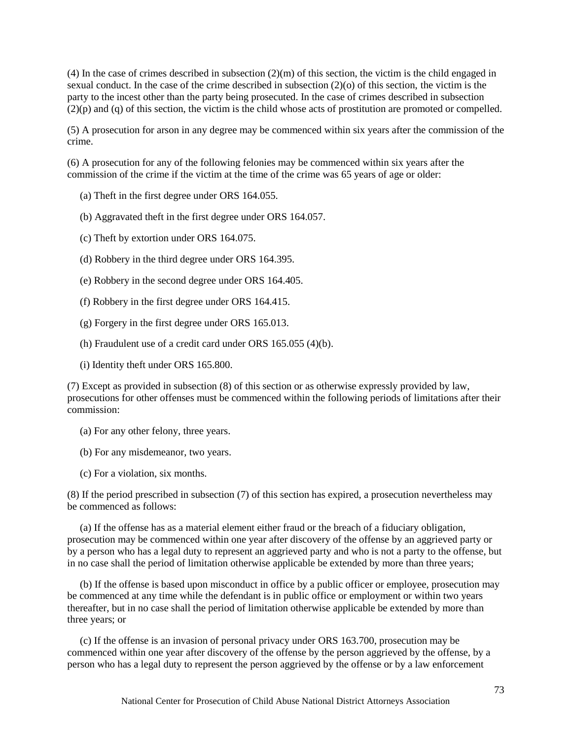(4) In the case of crimes described in subsection (2)(m) of this section, the victim is the child engaged in sexual conduct. In the case of the crime described in subsection (2)(o) of this section, the victim is the party to the incest other than the party being prosecuted. In the case of crimes described in subsection (2)(p) and (q) of this section, the victim is the child whose acts of prostitution are promoted or compelled.

(5) A prosecution for arson in any degree may be commenced within six years after the commission of the crime.

(6) A prosecution for any of the following felonies may be commenced within six years after the commission of the crime if the victim at the time of the crime was 65 years of age or older:

- (a) Theft in the first degree under [ORS 164.055.](https://a.next.westlaw.com/Link/Document/FullText?findType=L&pubNum=1000534&cite=ORSTS164.055&originatingDoc=N09CF1E70119A11E1881E99E408895842&refType=LQ&originationContext=document&transitionType=DocumentItem&contextData=%28sc.Search%29)
- (b) Aggravated theft in the first degree under [ORS 164.057.](https://a.next.westlaw.com/Link/Document/FullText?findType=L&pubNum=1000534&cite=ORSTS164.057&originatingDoc=N09CF1E70119A11E1881E99E408895842&refType=LQ&originationContext=document&transitionType=DocumentItem&contextData=%28sc.Search%29)
- (c) Theft by extortion under [ORS 164.075.](https://a.next.westlaw.com/Link/Document/FullText?findType=L&pubNum=1000534&cite=ORSTS164.075&originatingDoc=N09CF1E70119A11E1881E99E408895842&refType=LQ&originationContext=document&transitionType=DocumentItem&contextData=%28sc.Search%29)
- (d) Robbery in the third degree under [ORS 164.395.](https://a.next.westlaw.com/Link/Document/FullText?findType=L&pubNum=1000534&cite=ORSTS164.395&originatingDoc=N09CF1E70119A11E1881E99E408895842&refType=LQ&originationContext=document&transitionType=DocumentItem&contextData=%28sc.Search%29)
- (e) Robbery in the second degree unde[r ORS 164.405.](https://a.next.westlaw.com/Link/Document/FullText?findType=L&pubNum=1000534&cite=ORSTS164.405&originatingDoc=N09CF1E70119A11E1881E99E408895842&refType=LQ&originationContext=document&transitionType=DocumentItem&contextData=%28sc.Search%29)
- (f) Robbery in the first degree unde[r ORS 164.415.](https://a.next.westlaw.com/Link/Document/FullText?findType=L&pubNum=1000534&cite=ORSTS164.415&originatingDoc=N09CF1E70119A11E1881E99E408895842&refType=LQ&originationContext=document&transitionType=DocumentItem&contextData=%28sc.Search%29)
- (g) Forgery in the first degree under [ORS 165.013.](https://a.next.westlaw.com/Link/Document/FullText?findType=L&pubNum=1000534&cite=ORSTS165.013&originatingDoc=N09CF1E70119A11E1881E99E408895842&refType=LQ&originationContext=document&transitionType=DocumentItem&contextData=%28sc.Search%29)
- (h) Fraudulent use of a credit card unde[r ORS 165.055 \(4\)\(b\).](https://a.next.westlaw.com/Link/Document/FullText?findType=L&pubNum=1000534&cite=ORSTS165.055&originatingDoc=N09CF1E70119A11E1881E99E408895842&refType=SP&originationContext=document&transitionType=DocumentItem&contextData=%28sc.Search%29#co_pp_ea5b0000e1ba5)
- (i) Identity theft under [ORS 165.800.](https://a.next.westlaw.com/Link/Document/FullText?findType=L&pubNum=1000534&cite=ORSTS165.800&originatingDoc=N09CF1E70119A11E1881E99E408895842&refType=LQ&originationContext=document&transitionType=DocumentItem&contextData=%28sc.Search%29)

(7) Except as provided in subsection (8) of this section or as otherwise expressly provided by law, prosecutions for other offenses must be commenced within the following periods of limitations after their commission:

- (a) For any other felony, three years.
- (b) For any misdemeanor, two years.
- (c) For a violation, six months.

(8) If the period prescribed in subsection (7) of this section has expired, a prosecution nevertheless may be commenced as follows:

(a) If the offense has as a material element either fraud or the breach of a fiduciary obligation, prosecution may be commenced within one year after discovery of the offense by an aggrieved party or by a person who has a legal duty to represent an aggrieved party and who is not a party to the offense, but in no case shall the period of limitation otherwise applicable be extended by more than three years;

(b) If the offense is based upon misconduct in office by a public officer or employee, prosecution may be commenced at any time while the defendant is in public office or employment or within two years thereafter, but in no case shall the period of limitation otherwise applicable be extended by more than three years; or

(c) If the offense is an invasion of personal privacy under [ORS 163.700,](https://a.next.westlaw.com/Link/Document/FullText?findType=L&pubNum=1000534&cite=ORSTS163.700&originatingDoc=N09CF1E70119A11E1881E99E408895842&refType=LQ&originationContext=document&transitionType=DocumentItem&contextData=%28sc.Search%29) prosecution may be commenced within one year after discovery of the offense by the person aggrieved by the offense, by a person who has a legal duty to represent the person aggrieved by the offense or by a law enforcement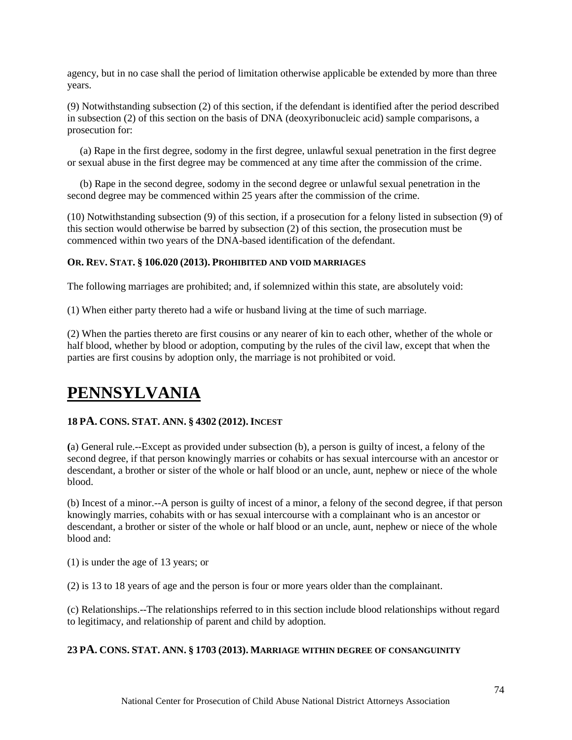agency, but in no case shall the period of limitation otherwise applicable be extended by more than three years.

(9) Notwithstanding subsection (2) of this section, if the defendant is identified after the period described in subsection (2) of this section on the basis of DNA (deoxyribonucleic acid) sample comparisons, a prosecution for:

(a) Rape in the first degree, sodomy in the first degree, unlawful sexual penetration in the first degree or sexual abuse in the first degree may be commenced at any time after the commission of the crime.

(b) Rape in the second degree, sodomy in the second degree or unlawful sexual penetration in the second degree may be commenced within 25 years after the commission of the crime.

(10) Notwithstanding subsection (9) of this section, if a prosecution for a felony listed in subsection (9) of this section would otherwise be barred by subsection (2) of this section, the prosecution must be commenced within two years of the DNA-based identification of the defendant.

## **OR. REV. STAT. § 106.020 (2013). PROHIBITED AND VOID MARRIAGES**

The following marriages are prohibited; and, if solemnized within this state, are absolutely void:

(1) When either party thereto had a wife or husband living at the time of such marriage.

(2) When the parties thereto are first cousins or any nearer of kin to each other, whether of the whole or half blood, whether by blood or adoption, computing by the rules of the civil law, except that when the parties are first cousins by adoption only, the marriage is not prohibited or void.

## **PENNSYLVANIA**

## **18 PA. CONS. STAT. ANN. § 4302 (2012). INCEST**

**(**a) General rule.--Except as provided under subsection (b), a person is guilty of incest, a felony of the second degree, if that person knowingly marries or cohabits or has sexual intercourse with an ancestor or descendant, a brother or sister of the whole or half blood or an uncle, aunt, nephew or niece of the whole blood.

(b) Incest of a minor.--A person is guilty of incest of a minor, a felony of the second degree, if that person knowingly marries, cohabits with or has sexual intercourse with a complainant who is an ancestor or descendant, a brother or sister of the whole or half blood or an uncle, aunt, nephew or niece of the whole blood and:

(1) is under the age of 13 years; or

(2) is 13 to 18 years of age and the person is four or more years older than the complainant.

(c) Relationships.--The relationships referred to in this section include blood relationships without regard to legitimacy, and relationship of parent and child by adoption.

#### **23 PA. CONS. STAT. ANN. § 1703 (2013). MARRIAGE WITHIN DEGREE OF CONSANGUINITY**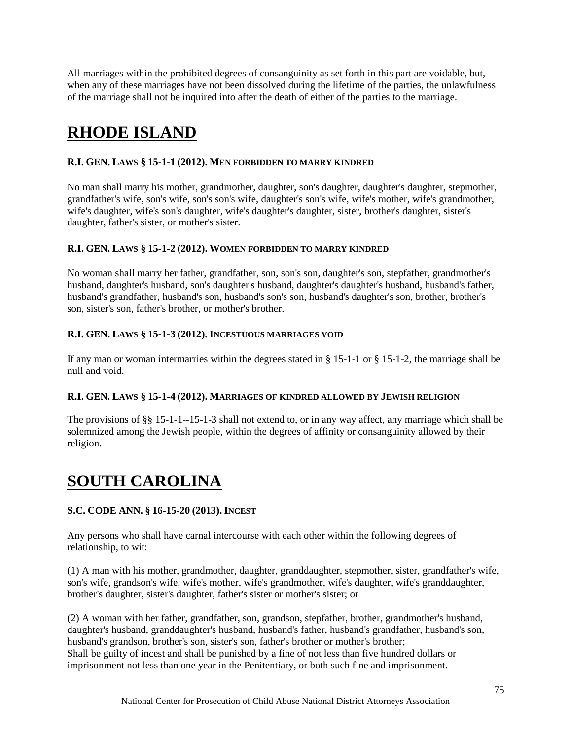All marriages within the prohibited degrees of consanguinity as set forth in this part are voidable, but, when any of these marriages have not been dissolved during the lifetime of the parties, the unlawfulness of the marriage shall not be inquired into after the death of either of the parties to the marriage.

# **RHODE ISLAND**

## **R.I. GEN. LAWS § 15-1-1 (2012). MEN FORBIDDEN TO MARRY KINDRED**

No man shall marry his mother, grandmother, daughter, son's daughter, daughter's daughter, stepmother, grandfather's wife, son's wife, son's son's wife, daughter's son's wife, wife's mother, wife's grandmother, wife's daughter, wife's son's daughter, wife's daughter's daughter, sister, brother's daughter, sister's daughter, father's sister, or mother's sister.

## **R.I. GEN. LAWS § 15-1-2 (2012). WOMEN FORBIDDEN TO MARRY KINDRED**

No woman shall marry her father, grandfather, son, son's son, daughter's son, stepfather, grandmother's husband, daughter's husband, son's daughter's husband, daughter's daughter's husband, husband's father, husband's grandfather, husband's son, husband's son's son, husband's daughter's son, brother, brother's son, sister's son, father's brother, or mother's brother.

## **R.I. GEN. LAWS § 15-1-3 (2012). INCESTUOUS MARRIAGES VOID**

If any man or woman intermarries within the degrees stated in [§ 15-1-1](https://a.next.westlaw.com/Link/Document/FullText?findType=L&pubNum=1000038&cite=RISTS15-1-1&originatingDoc=NF88235803ACA11DC8298E5AC3AD5E501&refType=LQ&originationContext=document&transitionType=DocumentItem&contextData=%28sc.Search%29) or [§ 15-1-2,](https://a.next.westlaw.com/Link/Document/FullText?findType=L&pubNum=1000038&cite=RISTS15-1-2&originatingDoc=NF88235803ACA11DC8298E5AC3AD5E501&refType=LQ&originationContext=document&transitionType=DocumentItem&contextData=%28sc.Search%29) the marriage shall be null and void.

## **R.I. GEN. LAWS § 15-1-4 (2012). MARRIAGES OF KINDRED ALLOWED BY JEWISH RELIGION**

The provisions of [§§ 15-1-1-](https://a.next.westlaw.com/Link/Document/FullText?findType=L&pubNum=1000038&cite=RISTS15-1-1&originatingDoc=NF89436E03ACA11DC8298E5AC3AD5E501&refType=LQ&originationContext=document&transitionType=DocumentItem&contextData=%28sc.Search%29)[-15-1-3](https://a.next.westlaw.com/Link/Document/FullText?findType=L&pubNum=1000038&cite=RISTS15-1-3&originatingDoc=NF89436E03ACA11DC8298E5AC3AD5E501&refType=LQ&originationContext=document&transitionType=DocumentItem&contextData=%28sc.Search%29) shall not extend to, or in any way affect, any marriage which shall be solemnized among the Jewish people, within the degrees of affinity or consanguinity allowed by their religion.

# **SOUTH CAROLINA**

## **S.C. CODE ANN. § 16-15-20 (2013). INCEST**

Any persons who shall have carnal intercourse with each other within the following degrees of relationship, to wit:

(1) A man with his mother, grandmother, daughter, granddaughter, stepmother, sister, grandfather's wife, son's wife, grandson's wife, wife's mother, wife's grandmother, wife's daughter, wife's granddaughter, brother's daughter, sister's daughter, father's sister or mother's sister; or

(2) A woman with her father, grandfather, son, grandson, stepfather, brother, grandmother's husband, daughter's husband, granddaughter's husband, husband's father, husband's grandfather, husband's son, husband's grandson, brother's son, sister's son, father's brother or mother's brother; Shall be guilty of incest and shall be punished by a fine of not less than five hundred dollars or imprisonment not less than one year in the Penitentiary, or both such fine and imprisonment.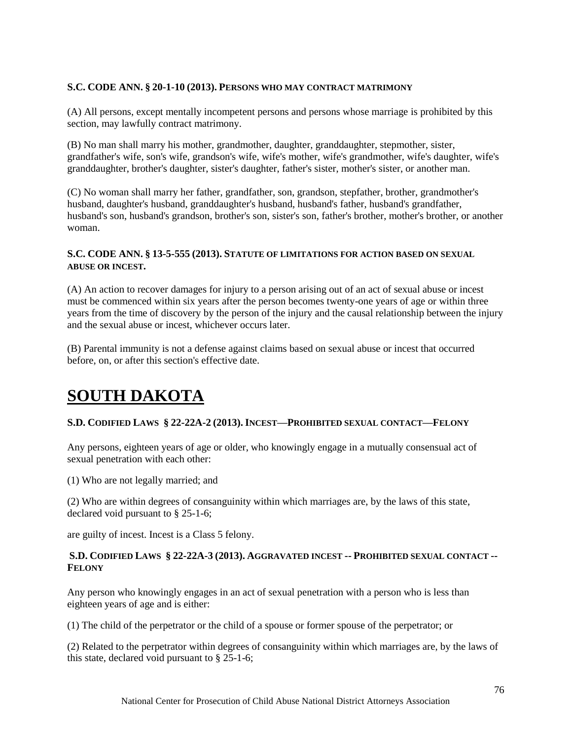## **S.C. CODE ANN. § 20-1-10 (2013). PERSONS WHO MAY CONTRACT MATRIMONY**

(A) All persons, except mentally incompetent persons and persons whose marriage is prohibited by this section, may lawfully contract matrimony.

(B) No man shall marry his mother, grandmother, daughter, granddaughter, stepmother, sister, grandfather's wife, son's wife, grandson's wife, wife's mother, wife's grandmother, wife's daughter, wife's granddaughter, brother's daughter, sister's daughter, father's sister, mother's sister, or another man.

(C) No woman shall marry her father, grandfather, son, grandson, stepfather, brother, grandmother's husband, daughter's husband, granddaughter's husband, husband's father, husband's grandfather, husband's son, husband's grandson, brother's son, sister's son, father's brother, mother's brother, or another woman.

### **S.C. CODE ANN. § 13-5-555 (2013). STATUTE OF LIMITATIONS FOR ACTION BASED ON SEXUAL ABUSE OR INCEST.**

(A) An action to recover damages for injury to a person arising out of an act of sexual abuse or incest must be commenced within six years after the person becomes twenty-one years of age or within three years from the time of discovery by the person of the injury and the causal relationship between the injury and the sexual abuse or incest, whichever occurs later.

(B) Parental immunity is not a defense against claims based on sexual abuse or incest that occurred before, on, or after this section's effective date.

# **SOUTH DAKOTA**

## **S.D. CODIFIED LAWS § 22-22A-2 (2013). INCEST—PROHIBITED SEXUAL CONTACT—FELONY**

Any persons, eighteen years of age or older, who knowingly engage in a mutually consensual act of sexual penetration with each other:

(1) Who are not legally married; and

(2) Who are within degrees of consanguinity within which marriages are, by the laws of this state, declared void pursuant to [§ 25-1-6;](https://a.next.westlaw.com/Link/Document/FullText?findType=L&pubNum=1000359&cite=SDSTS25-1-6&originatingDoc=N1A43C0D00A3311DCA70DD4F7C18D1D6E&refType=LQ&originationContext=document&transitionType=DocumentItem&contextData=%28sc.Search%29)

are guilty of incest. Incest is a Class 5 felony.

## **S.D. CODIFIED LAWS § 22-22A-3 (2013). AGGRAVATED INCEST -- PROHIBITED SEXUAL CONTACT -- FELONY**

Any person who knowingly engages in an act of sexual penetration with a person who is less than eighteen years of age and is either:

(1) The child of the perpetrator or the child of a spouse or former spouse of the perpetrator; or

(2) Related to the perpetrator within degrees of consanguinity within which marriages are, by the laws of this state, declared void pursuant to [§ 25-1-6;](https://a.next.westlaw.com/Link/Document/FullText?findType=L&pubNum=1000359&cite=SDSTS25-1-6&originatingDoc=N1AC6AC700A3311DCA70DD4F7C18D1D6E&refType=LQ&originationContext=document&transitionType=DocumentItem&contextData=%28sc.Search%29)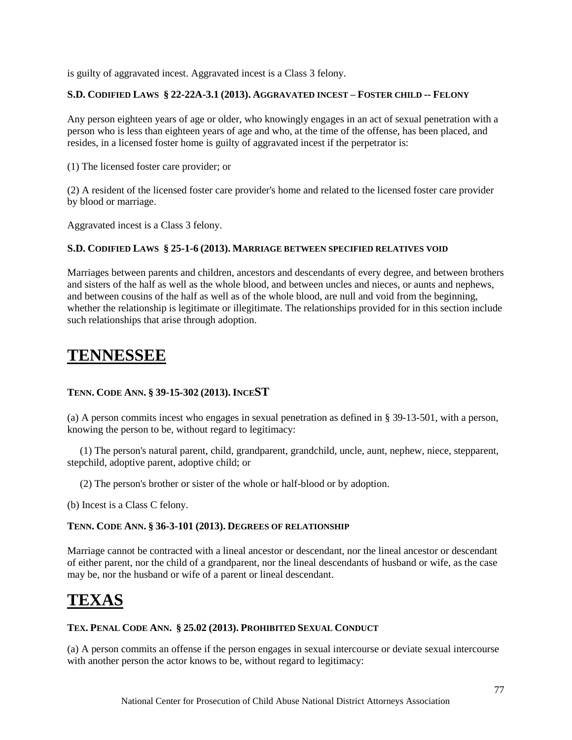is guilty of aggravated incest. Aggravated incest is a Class 3 felony.

## **S.D. CODIFIED LAWS § 22-22A-3.1 (2013). AGGRAVATED INCEST – FOSTER CHILD -- FELONY**

Any person eighteen years of age or older, who knowingly engages in an act of sexual penetration with a person who is less than eighteen years of age and who, at the time of the offense, has been placed, and resides, in a licensed foster home is guilty of aggravated incest if the perpetrator is:

(1) The licensed foster care provider; or

(2) A resident of the licensed foster care provider's home and related to the licensed foster care provider by blood or marriage.

Aggravated incest is a Class 3 felony.

#### **S.D. CODIFIED LAWS § 25-1-6 (2013). MARRIAGE BETWEEN SPECIFIED RELATIVES VOID**

Marriages between parents and children, ancestors and descendants of every degree, and between brothers and sisters of the half as well as the whole blood, and between uncles and nieces, or aunts and nephews, and between cousins of the half as well as of the whole blood, are null and void from the beginning, whether the relationship is legitimate or illegitimate. The relationships provided for in this section include such relationships that arise through adoption.

## **TENNESSEE**

## **TENN. CODE ANN. § 39-15-302 (2013). INCEST**

(a) A person commits incest who engages in sexual penetration as defined in [§ 39-13-501,](https://a.next.westlaw.com/Link/Document/FullText?findType=L&pubNum=1000039&cite=TNSTS39-13-501&originatingDoc=N50E86960CCE411DB8F04FB3E68C8F4C5&refType=LQ&originationContext=document&transitionType=DocumentItem&contextData=%28sc.Search%29) with a person, knowing the person to be, without regard to legitimacy:

(1) The person's natural parent, child, grandparent, grandchild, uncle, aunt, nephew, niece, stepparent, stepchild, adoptive parent, adoptive child; or

(2) The person's brother or sister of the whole or half-blood or by adoption.

(b) Incest is a Class C felony.

#### **TENN. CODE ANN. § 36-3-101 (2013). DEGREES OF RELATIONSHIP**

Marriage cannot be contracted with a lineal ancestor or descendant, nor the lineal ancestor or descendant of either parent, nor the child of a grandparent, nor the lineal descendants of husband or wife, as the case may be, nor the husband or wife of a parent or lineal descendant.

## **TEXAS**

## **TEX. PENAL CODE ANN. § 25.02 (2013). PROHIBITED SEXUAL CONDUCT**

(a) A person commits an offense if the person engages in sexual intercourse or deviate sexual intercourse with another person the actor knows to be, without regard to legitimacy: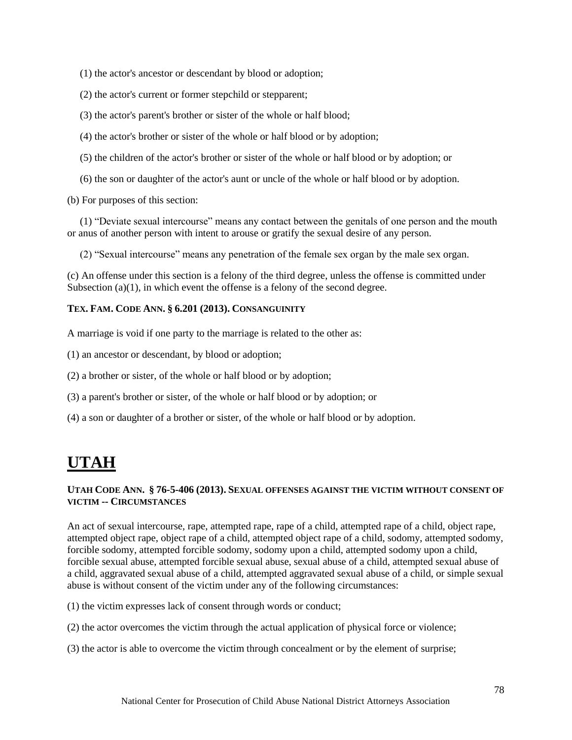- (1) the actor's ancestor or descendant by blood or adoption;
- (2) the actor's current or former stepchild or stepparent;
- (3) the actor's parent's brother or sister of the whole or half blood;
- (4) the actor's brother or sister of the whole or half blood or by adoption;
- (5) the children of the actor's brother or sister of the whole or half blood or by adoption; or
- (6) the son or daughter of the actor's aunt or uncle of the whole or half blood or by adoption.

(b) For purposes of this section:

(1) "Deviate sexual intercourse" means any contact between the genitals of one person and the mouth or anus of another person with intent to arouse or gratify the sexual desire of any person.

(2) "Sexual intercourse" means any penetration of the female sex organ by the male sex organ.

(c) An offense under this section is a felony of the third degree, unless the offense is committed under Subsection  $(a)(1)$ , in which event the offense is a felony of the second degree.

#### **TEX. FAM. CODE ANN. § 6.201 (2013). CONSANGUINITY**

A marriage is void if one party to the marriage is related to the other as:

(1) an ancestor or descendant, by blood or adoption;

(2) a brother or sister, of the whole or half blood or by adoption;

- (3) a parent's brother or sister, of the whole or half blood or by adoption; or
- (4) a son or daughter of a brother or sister, of the whole or half blood or by adoption.

## **UTAH**

#### **UTAH CODE ANN. § 76-5-406 (2013). SEXUAL OFFENSES AGAINST THE VICTIM WITHOUT CONSENT OF VICTIM -- CIRCUMSTANCES**

An act of sexual intercourse, rape, attempted rape, rape of a child, attempted rape of a child, object rape, attempted object rape, object rape of a child, attempted object rape of a child, sodomy, attempted sodomy, forcible sodomy, attempted forcible sodomy, sodomy upon a child, attempted sodomy upon a child, forcible sexual abuse, attempted forcible sexual abuse, sexual abuse of a child, attempted sexual abuse of a child, aggravated sexual abuse of a child, attempted aggravated sexual abuse of a child, or simple sexual abuse is without consent of the victim under any of the following circumstances:

- (1) the victim expresses lack of consent through words or conduct;
- (2) the actor overcomes the victim through the actual application of physical force or violence;
- (3) the actor is able to overcome the victim through concealment or by the element of surprise;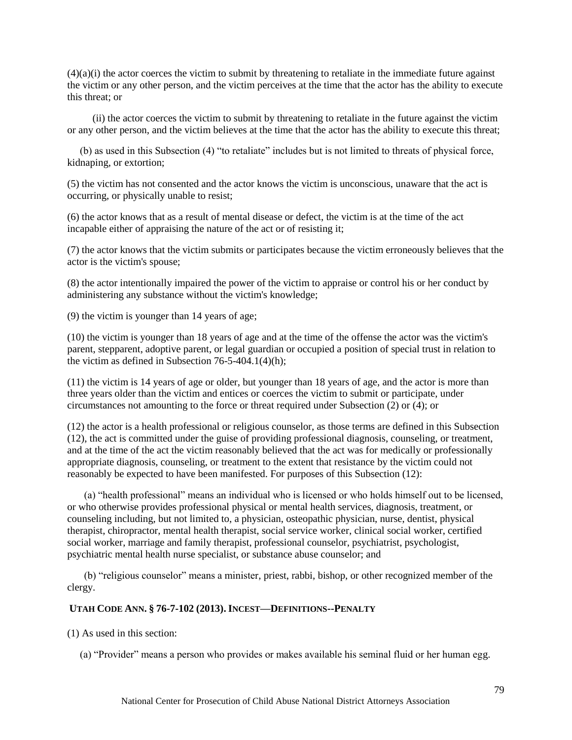$(4)(a)(i)$  the actor coerces the victim to submit by threatening to retaliate in the immediate future against the victim or any other person, and the victim perceives at the time that the actor has the ability to execute this threat; or

(ii) the actor coerces the victim to submit by threatening to retaliate in the future against the victim or any other person, and the victim believes at the time that the actor has the ability to execute this threat;

(b) as used in this Subsection (4) "to retaliate" includes but is not limited to threats of physical force, kidnaping, or extortion;

(5) the victim has not consented and the actor knows the victim is unconscious, unaware that the act is occurring, or physically unable to resist;

(6) the actor knows that as a result of mental disease or defect, the victim is at the time of the act incapable either of appraising the nature of the act or of resisting it;

(7) the actor knows that the victim submits or participates because the victim erroneously believes that the actor is the victim's spouse;

(8) the actor intentionally impaired the power of the victim to appraise or control his or her conduct by administering any substance without the victim's knowledge;

(9) the victim is younger than 14 years of age;

(10) the victim is younger than 18 years of age and at the time of the offense the actor was the victim's parent, stepparent, adoptive parent, or legal guardian or occupied a position of special trust in relation to the victim as defined in Subsection 76-5-404.1(4)(h);

(11) the victim is 14 years of age or older, but younger than 18 years of age, and the actor is more than three years older than the victim and entices or coerces the victim to submit or participate, under circumstances not amounting to the force or threat required under Subsection (2) or (4); or

(12) the actor is a health professional or religious counselor, as those terms are defined in this Subsection (12), the act is committed under the guise of providing professional diagnosis, counseling, or treatment, and at the time of the act the victim reasonably believed that the act was for medically or professionally appropriate diagnosis, counseling, or treatment to the extent that resistance by the victim could not reasonably be expected to have been manifested. For purposes of this Subsection (12):

(a) "health professional" means an individual who is licensed or who holds himself out to be licensed, or who otherwise provides professional physical or mental health services, diagnosis, treatment, or counseling including, but not limited to, a physician, osteopathic physician, nurse, dentist, physical therapist, chiropractor, mental health therapist, social service worker, clinical social worker, certified social worker, marriage and family therapist, professional counselor, psychiatrist, psychologist, psychiatric mental health nurse specialist, or substance abuse counselor; and

(b) "religious counselor" means a minister, priest, rabbi, bishop, or other recognized member of the clergy.

## **UTAH CODE ANN. § 76-7-102 (2013). INCEST—DEFINITIONS--PENALTY**

(1) As used in this section:

(a) "Provider" means a person who provides or makes available his seminal fluid or her human egg.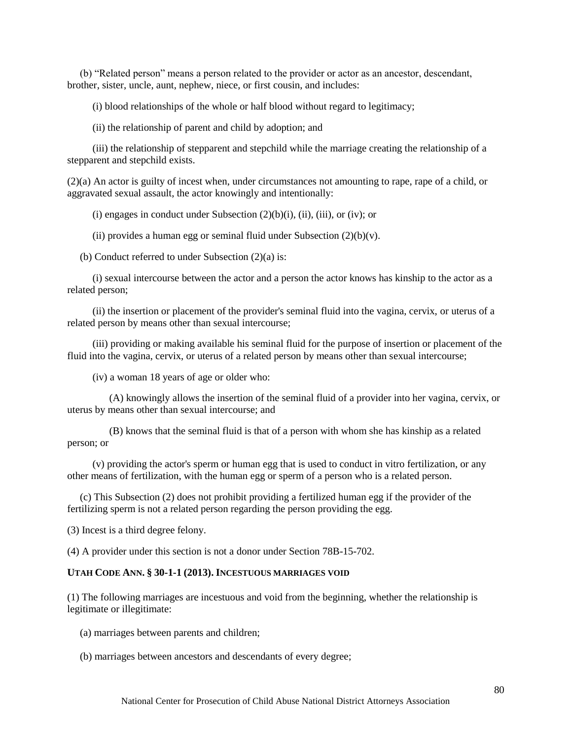(b) "Related person" means a person related to the provider or actor as an ancestor, descendant, brother, sister, uncle, aunt, nephew, niece, or first cousin, and includes:

(i) blood relationships of the whole or half blood without regard to legitimacy;

(ii) the relationship of parent and child by adoption; and

(iii) the relationship of stepparent and stepchild while the marriage creating the relationship of a stepparent and stepchild exists.

(2)(a) An actor is guilty of incest when, under circumstances not amounting to rape, rape of a child, or aggravated sexual assault, the actor knowingly and intentionally:

(i) engages in conduct under Subsection  $(2)(b)(i)$ , (ii), (iii), or (iv); or

(ii) provides a human egg or seminal fluid under Subsection  $(2)(b)(v)$ .

(b) Conduct referred to under Subsection (2)(a) is:

(i) sexual intercourse between the actor and a person the actor knows has kinship to the actor as a related person;

(ii) the insertion or placement of the provider's seminal fluid into the vagina, cervix, or uterus of a related person by means other than sexual intercourse;

(iii) providing or making available his seminal fluid for the purpose of insertion or placement of the fluid into the vagina, cervix, or uterus of a related person by means other than sexual intercourse;

(iv) a woman 18 years of age or older who:

(A) knowingly allows the insertion of the seminal fluid of a provider into her vagina, cervix, or uterus by means other than sexual intercourse; and

(B) knows that the seminal fluid is that of a person with whom she has kinship as a related person; or

(v) providing the actor's sperm or human egg that is used to conduct in vitro fertilization, or any other means of fertilization, with the human egg or sperm of a person who is a related person.

(c) This Subsection (2) does not prohibit providing a fertilized human egg if the provider of the fertilizing sperm is not a related person regarding the person providing the egg.

(3) Incest is a third degree felony.

(4) A provider under this section is not a donor under [Section 78B-15-702.](https://a.next.westlaw.com/Link/Document/FullText?findType=L&pubNum=1000511&cite=UTSTS78B-15-702&originatingDoc=N1DDE33A08F8711DBAEB0F162C0EFAF87&refType=LQ&originationContext=document&transitionType=DocumentItem&contextData=%28sc.Search%29)

#### **UTAH CODE ANN. § 30-1-1 (2013). INCESTUOUS MARRIAGES VOID**

(1) The following marriages are incestuous and void from the beginning, whether the relationship is legitimate or illegitimate:

(a) marriages between parents and children;

(b) marriages between ancestors and descendants of every degree;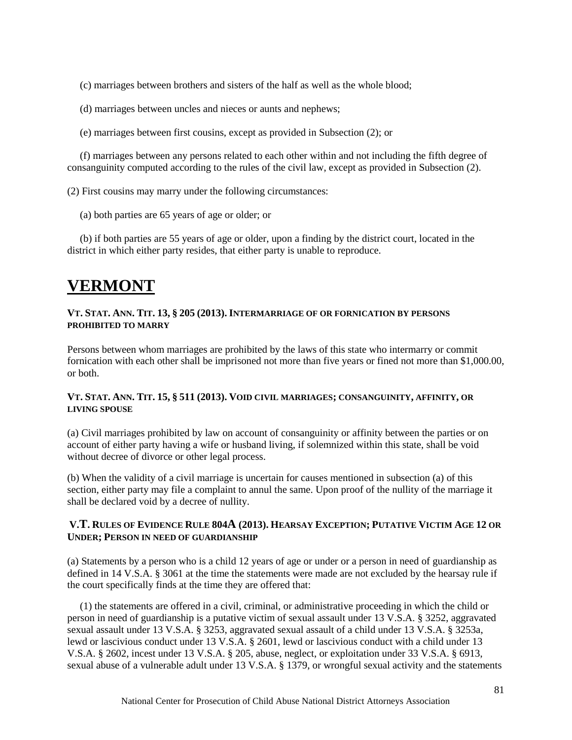(c) marriages between brothers and sisters of the half as well as the whole blood;

- (d) marriages between uncles and nieces or aunts and nephews;
- (e) marriages between first cousins, except as provided in Subsection (2); or

(f) marriages between any persons related to each other within and not including the fifth degree of consanguinity computed according to the rules of the civil law, except as provided in Subsection (2).

(2) First cousins may marry under the following circumstances:

(a) both parties are 65 years of age or older; or

(b) if both parties are 55 years of age or older, upon a finding by the district court, located in the district in which either party resides, that either party is unable to reproduce.

# **VERMONT**

### **VT. STAT. ANN. TIT. 13, § 205 (2013). INTERMARRIAGE OF OR FORNICATION BY PERSONS PROHIBITED TO MARRY**

Persons between whom marriages are prohibited by the laws of this state who intermarry or commit fornication with each other shall be imprisoned not more than five years or fined not more than \$1,000.00, or both.

## VT. STAT. ANN. TIT. 15, § 511 (2013). VOID CIVIL MARRIAGES; CONSANGUINITY, AFFINITY, OR **LIVING SPOUSE**

(a) Civil marriages prohibited by law on account of consanguinity or affinity between the parties or on account of either party having a wife or husband living, if solemnized within this state, shall be void without decree of divorce or other legal process.

(b) When the validity of a civil marriage is uncertain for causes mentioned in subsection (a) of this section, either party may file a complaint to annul the same. Upon proof of the nullity of the marriage it shall be declared void by a decree of nullity.

## V.T. RULES OF EVIDENCE RULE 804A (2013). HEARSAY EXCEPTION; PUTATIVE VICTIM AGE 12 OR **UNDER; PERSON IN NEED OF GUARDIANSHIP**

(a) Statements by a person who is a child 12 years of age or under or a person in need of guardianship as defined in [14 V.S.A. § 3061](https://a.next.westlaw.com/Link/Document/FullText?findType=L&pubNum=1000883&cite=VTST14S3061&originatingDoc=N8B5F991048A711DEAD12BEA02CC7AE7E&refType=LQ&originationContext=document&transitionType=DocumentItem&contextData=%28sc.Search%29) at the time the statements were made are not excluded by the hearsay rule if the court specifically finds at the time they are offered that:

(1) the statements are offered in a civil, criminal, or administrative proceeding in which the child or person in need of guardianship is a putative victim of sexual assault under [13 V.S.A. § 3252,](https://a.next.westlaw.com/Link/Document/FullText?findType=L&pubNum=1000883&cite=VTST13S3252&originatingDoc=N8B5F991048A711DEAD12BEA02CC7AE7E&refType=LQ&originationContext=document&transitionType=DocumentItem&contextData=%28sc.Search%29) aggravated sexual assault under [13 V.S.A. § 3253,](https://a.next.westlaw.com/Link/Document/FullText?findType=L&pubNum=1000883&cite=VTST13S3253&originatingDoc=N8B5F991048A711DEAD12BEA02CC7AE7E&refType=LQ&originationContext=document&transitionType=DocumentItem&contextData=%28sc.Search%29) aggravated sexual assault of a child under [13 V.S.A. § 3253a,](https://a.next.westlaw.com/Link/Document/FullText?findType=L&pubNum=1000883&cite=VTST13S3253A&originatingDoc=N8B5F991048A711DEAD12BEA02CC7AE7E&refType=LQ&originationContext=document&transitionType=DocumentItem&contextData=%28sc.Search%29) lewd or lascivious conduct under [13 V.S.A. § 2601,](https://a.next.westlaw.com/Link/Document/FullText?findType=L&pubNum=1000883&cite=VTST13S2601&originatingDoc=N8B5F991048A711DEAD12BEA02CC7AE7E&refType=LQ&originationContext=document&transitionType=DocumentItem&contextData=%28sc.Search%29) lewd or lascivious conduct with a child under [13](https://a.next.westlaw.com/Link/Document/FullText?findType=L&pubNum=1000883&cite=VTST13S2602&originatingDoc=N8B5F991048A711DEAD12BEA02CC7AE7E&refType=LQ&originationContext=document&transitionType=DocumentItem&contextData=%28sc.Search%29)  [V.S.A. § 2602,](https://a.next.westlaw.com/Link/Document/FullText?findType=L&pubNum=1000883&cite=VTST13S2602&originatingDoc=N8B5F991048A711DEAD12BEA02CC7AE7E&refType=LQ&originationContext=document&transitionType=DocumentItem&contextData=%28sc.Search%29) incest under [13 V.S.A. § 205,](https://a.next.westlaw.com/Link/Document/FullText?findType=L&pubNum=1000883&cite=VTST13S205&originatingDoc=N8B5F991048A711DEAD12BEA02CC7AE7E&refType=LQ&originationContext=document&transitionType=DocumentItem&contextData=%28sc.Search%29) abuse, neglect, or exploitation under [33 V.S.A. § 6913,](https://a.next.westlaw.com/Link/Document/FullText?findType=L&pubNum=1000883&cite=VTST33S6913&originatingDoc=N8B5F991048A711DEAD12BEA02CC7AE7E&refType=LQ&originationContext=document&transitionType=DocumentItem&contextData=%28sc.Search%29) sexual abuse of a vulnerable adult under [13 V.S.A. § 1379,](https://a.next.westlaw.com/Link/Document/FullText?findType=L&pubNum=1000883&cite=VTST13S1379&originatingDoc=N8B5F991048A711DEAD12BEA02CC7AE7E&refType=LQ&originationContext=document&transitionType=DocumentItem&contextData=%28sc.Search%29) or wrongful sexual activity and the statements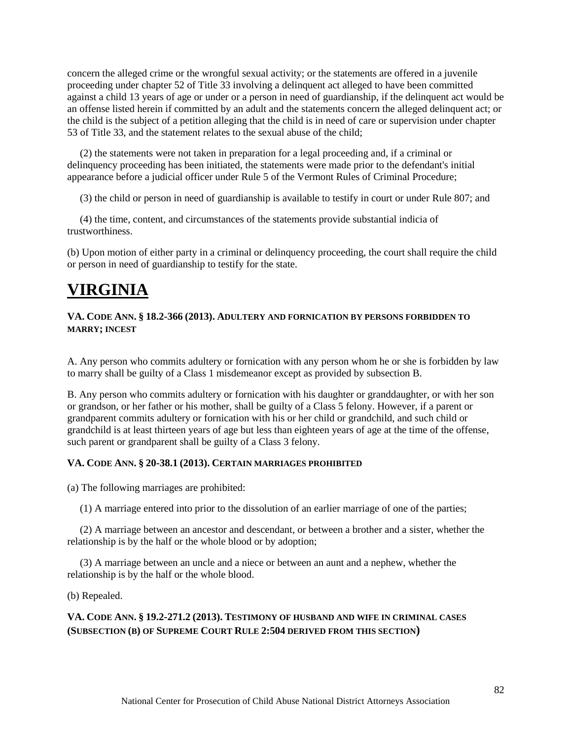concern the alleged crime or the wrongful sexual activity; or the statements are offered in a juvenile proceeding under chapter 52 of Title 33 involving a delinquent act alleged to have been committed against a child 13 years of age or under or a person in need of guardianship, if the delinquent act would be an offense listed herein if committed by an adult and the statements concern the alleged delinquent act; or the child is the subject of a petition alleging that the child is in need of care or supervision under chapter 53 of Title 33, and the statement relates to the sexual abuse of the child;

(2) the statements were not taken in preparation for a legal proceeding and, if a criminal or delinquency proceeding has been initiated, the statements were made prior to the defendant's initial appearance before a judicial officer under [Rule 5 of the Vermont Rules of Criminal Procedure;](https://a.next.westlaw.com/Link/Document/FullText?findType=L&pubNum=1008267&cite=VTRRCRPR5&originatingDoc=N8B5F991048A711DEAD12BEA02CC7AE7E&refType=LQ&originationContext=document&transitionType=DocumentItem&contextData=%28sc.Search%29)

(3) the child or person in need of guardianship is available to testify in court or under [Rule 807;](https://a.next.westlaw.com/Link/Document/FullText?findType=L&pubNum=1008268&cite=VTRREVR807&originatingDoc=N8B5F991048A711DEAD12BEA02CC7AE7E&refType=LQ&originationContext=document&transitionType=DocumentItem&contextData=%28sc.Search%29) and

(4) the time, content, and circumstances of the statements provide substantial indicia of trustworthiness.

(b) Upon motion of either party in a criminal or delinquency proceeding, the court shall require the child or person in need of guardianship to testify for the state.

# **VIRGINIA**

## **VA. CODE ANN. § 18.2-366 (2013). ADULTERY AND FORNICATION BY PERSONS FORBIDDEN TO MARRY; INCEST**

A. Any person who commits adultery or fornication with any person whom he or she is forbidden by law to marry shall be guilty of a Class 1 misdemeanor except as provided by subsection B.

B. Any person who commits adultery or fornication with his daughter or granddaughter, or with her son or grandson, or her father or his mother, shall be guilty of a Class 5 felony. However, if a parent or grandparent commits adultery or fornication with his or her child or grandchild, and such child or grandchild is at least thirteen years of age but less than eighteen years of age at the time of the offense, such parent or grandparent shall be guilty of a Class 3 felony.

## **VA. CODE ANN. § 20-38.1 (2013). CERTAIN MARRIAGES PROHIBITED**

(a) The following marriages are prohibited:

(1) A marriage entered into prior to the dissolution of an earlier marriage of one of the parties;

(2) A marriage between an ancestor and descendant, or between a brother and a sister, whether the relationship is by the half or the whole blood or by adoption;

(3) A marriage between an uncle and a niece or between an aunt and a nephew, whether the relationship is by the half or the whole blood.

(b) Repealed.

## **VA. CODE ANN. § 19.2-271.2 (2013). TESTIMONY OF HUSBAND AND WIFE IN CRIMINAL CASES (SUBSECTION (B) OF SUPREME COURT RULE 2:504 DERIVED FROM THIS SECTION)**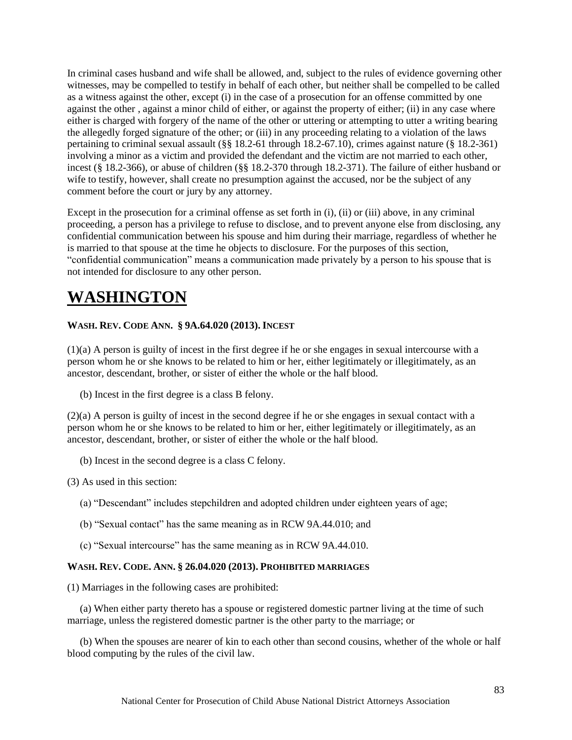In criminal cases husband and wife shall be allowed, and, subject to the rules of evidence governing other witnesses, may be compelled to testify in behalf of each other, but neither shall be compelled to be called as a witness against the other, except (i) in the case of a prosecution for an offense committed by one against the other , against a minor child of either, or against the property of either; (ii) in any case where either is charged with forgery of the name of the other or uttering or attempting to utter a writing bearing the allegedly forged signature of the other; or (iii) in any proceeding relating to a violation of the laws pertaining to criminal sexual assault [\(§§ 18.2-61](https://a.next.westlaw.com/Link/Document/FullText?findType=L&pubNum=1000040&cite=VASTS18.2-61&originatingDoc=NF4DB0DD08F9411DBAEB0F162C0EFAF87&refType=LQ&originationContext=document&transitionType=DocumentItem&contextData=%28sc.Search%29) through [18.2-67.10\)](https://a.next.westlaw.com/Link/Document/FullText?findType=L&pubNum=1000040&cite=VASTS18.2-67.10&originatingDoc=NF4DB0DD08F9411DBAEB0F162C0EFAF87&refType=LQ&originationContext=document&transitionType=DocumentItem&contextData=%28sc.Search%29), crimes against nature [\(§ 18.2-361\)](https://a.next.westlaw.com/Link/Document/FullText?findType=L&pubNum=1000040&cite=VASTS18.2-361&originatingDoc=NF4DB0DD08F9411DBAEB0F162C0EFAF87&refType=LQ&originationContext=document&transitionType=DocumentItem&contextData=%28sc.Search%29) involving a minor as a victim and provided the defendant and the victim are not married to each other, incest [\(§ 18.2-366\)](https://a.next.westlaw.com/Link/Document/FullText?findType=L&pubNum=1000040&cite=VASTS18.2-366&originatingDoc=NF4DB0DD08F9411DBAEB0F162C0EFAF87&refType=LQ&originationContext=document&transitionType=DocumentItem&contextData=%28sc.Search%29), or abuse of children [\(§§ 18.2-370](https://a.next.westlaw.com/Link/Document/FullText?findType=L&pubNum=1000040&cite=VASTS18.2-370&originatingDoc=NF4DB0DD08F9411DBAEB0F162C0EFAF87&refType=LQ&originationContext=document&transitionType=DocumentItem&contextData=%28sc.Search%29) through [18.2-371\)](https://a.next.westlaw.com/Link/Document/FullText?findType=L&pubNum=1000040&cite=VASTS18.2-371&originatingDoc=NF4DB0DD08F9411DBAEB0F162C0EFAF87&refType=LQ&originationContext=document&transitionType=DocumentItem&contextData=%28sc.Search%29). The failure of either husband or wife to testify, however, shall create no presumption against the accused, nor be the subject of any comment before the court or jury by any attorney.

Except in the prosecution for a criminal offense as set forth in (i), (ii) or (iii) above, in any criminal proceeding, a person has a privilege to refuse to disclose, and to prevent anyone else from disclosing, any confidential communication between his spouse and him during their marriage, regardless of whether he is married to that spouse at the time he objects to disclosure. For the purposes of this section, "confidential communication" means a communication made privately by a person to his spouse that is not intended for disclosure to any other person.

# **WASHINGTON**

## **WASH. REV. CODE ANN. § 9A.64.020 (2013). INCEST**

(1)(a) A person is guilty of incest in the first degree if he or she engages in sexual intercourse with a person whom he or she knows to be related to him or her, either legitimately or illegitimately, as an ancestor, descendant, brother, or sister of either the whole or the half blood.

(b) Incest in the first degree is a class B felony.

(2)(a) A person is guilty of incest in the second degree if he or she engages in sexual contact with a person whom he or she knows to be related to him or her, either legitimately or illegitimately, as an ancestor, descendant, brother, or sister of either the whole or the half blood.

(b) Incest in the second degree is a class C felony.

(3) As used in this section:

- (a) "Descendant" includes stepchildren and adopted children under eighteen years of age;
- (b) "Sexual contact" has the same meaning as in [RCW 9A.44.010;](https://a.next.westlaw.com/Link/Document/FullText?findType=L&pubNum=1000259&cite=WAST9A.44.010&originatingDoc=NCC625E109D8911DABE2EFA883A08D708&refType=LQ&originationContext=document&transitionType=DocumentItem&contextData=%28sc.Search%29) and
- (c) "Sexual intercourse" has the same meaning as in RCW [9A.44.010.](https://a.next.westlaw.com/Link/Document/FullText?findType=L&pubNum=1000259&cite=WAST9A.44.010&originatingDoc=NCC625E109D8911DABE2EFA883A08D708&refType=LQ&originationContext=document&transitionType=DocumentItem&contextData=%28sc.Search%29)

#### **WASH. REV. CODE. ANN. § 26.04.020 (2013). PROHIBITED MARRIAGES**

(1) Marriages in the following cases are prohibited:

(a) When either party thereto has a spouse or registered domestic partner living at the time of such marriage, unless the registered domestic partner is the other party to the marriage; or

(b) When the spouses are nearer of kin to each other than second cousins, whether of the whole or half blood computing by the rules of the civil law.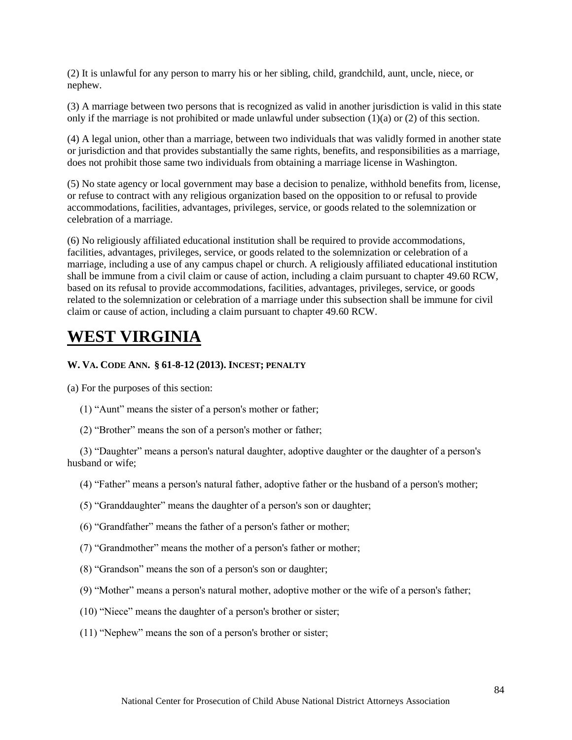(2) It is unlawful for any person to marry his or her sibling, child, grandchild, aunt, uncle, niece, or nephew.

(3) A marriage between two persons that is recognized as valid in another jurisdiction is valid in this state only if the marriage is not prohibited or made unlawful under subsection (1)(a) or (2) of this section.

(4) A legal union, other than a marriage, between two individuals that was validly formed in another state or jurisdiction and that provides substantially the same rights, benefits, and responsibilities as a marriage, does not prohibit those same two individuals from obtaining a marriage license in Washington.

(5) No state agency or local government may base a decision to penalize, withhold benefits from, license, or refuse to contract with any religious organization based on the opposition to or refusal to provide accommodations, facilities, advantages, privileges, service, or goods related to the solemnization or celebration of a marriage.

(6) No religiously affiliated educational institution shall be required to provide accommodations, facilities, advantages, privileges, service, or goods related to the solemnization or celebration of a marriage, including a use of any campus chapel or church. A religiously affiliated educational institution shall be immune from a civil claim or cause of action, including a claim pursuant to chapter 49.60 RCW, based on its refusal to provide accommodations, facilities, advantages, privileges, service, or goods related to the solemnization or celebration of a marriage under this subsection shall be immune for civil claim or cause of action, including a claim pursuant to chapter 49.60 RCW.

# **WEST VIRGINIA**

## **W. VA. CODE ANN. § 61-8-12 (2013). INCEST; PENALTY**

(a) For the purposes of this section:

- (1) "Aunt" means the sister of a person's mother or father;
- (2) "Brother" means the son of a person's mother or father;

(3) "Daughter" means a person's natural daughter, adoptive daughter or the daughter of a person's husband or wife;

- (4) "Father" means a person's natural father, adoptive father or the husband of a person's mother;
- (5) "Granddaughter" means the daughter of a person's son or daughter;
- (6) "Grandfather" means the father of a person's father or mother;
- (7) "Grandmother" means the mother of a person's father or mother;
- (8) "Grandson" means the son of a person's son or daughter;
- (9) "Mother" means a person's natural mother, adoptive mother or the wife of a person's father;
- (10) "Niece" means the daughter of a person's brother or sister;
- (11) "Nephew" means the son of a person's brother or sister;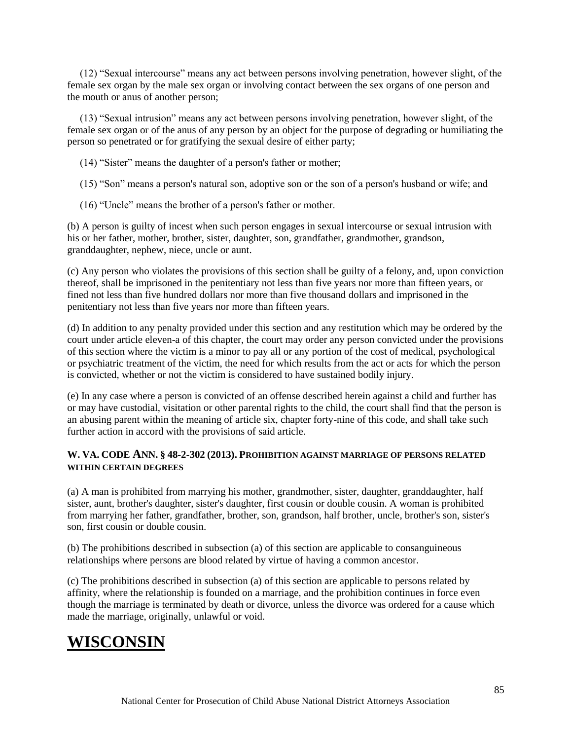(12) "Sexual intercourse" means any act between persons involving penetration, however slight, of the female sex organ by the male sex organ or involving contact between the sex organs of one person and the mouth or anus of another person;

(13) "Sexual intrusion" means any act between persons involving penetration, however slight, of the female sex organ or of the anus of any person by an object for the purpose of degrading or humiliating the person so penetrated or for gratifying the sexual desire of either party;

(14) "Sister" means the daughter of a person's father or mother;

(15) "Son" means a person's natural son, adoptive son or the son of a person's husband or wife; and

(16) "Uncle" means the brother of a person's father or mother.

(b) A person is guilty of incest when such person engages in sexual intercourse or sexual intrusion with his or her father, mother, brother, sister, daughter, son, grandfather, grandmother, grandson, granddaughter, nephew, niece, uncle or aunt.

(c) Any person who violates the provisions of this section shall be guilty of a felony, and, upon conviction thereof, shall be imprisoned in the penitentiary not less than five years nor more than fifteen years, or fined not less than five hundred dollars nor more than five thousand dollars and imprisoned in the penitentiary not less than five years nor more than fifteen years.

(d) In addition to any penalty provided under this section and any restitution which may be ordered by the court under article eleven-a of this chapter, the court may order any person convicted under the provisions of this section where the victim is a minor to pay all or any portion of the cost of medical, psychological or psychiatric treatment of the victim, the need for which results from the act or acts for which the person is convicted, whether or not the victim is considered to have sustained bodily injury.

(e) In any case where a person is convicted of an offense described herein against a child and further has or may have custodial, visitation or other parental rights to the child, the court shall find that the person is an abusing parent within the meaning of article six, chapter forty-nine of this code, and shall take such further action in accord with the provisions of said article.

## **W. VA. CODE ANN. § 48-2-302 (2013). PROHIBITION AGAINST MARRIAGE OF PERSONS RELATED WITHIN CERTAIN DEGREES**

(a) A man is prohibited from marrying his mother, grandmother, sister, daughter, granddaughter, half sister, aunt, brother's daughter, sister's daughter, first cousin or double cousin. A woman is prohibited from marrying her father, grandfather, brother, son, grandson, half brother, uncle, brother's son, sister's son, first cousin or double cousin.

(b) The prohibitions described in subsection (a) of this section are applicable to consanguineous relationships where persons are blood related by virtue of having a common ancestor.

(c) The prohibitions described in subsection (a) of this section are applicable to persons related by affinity, where the relationship is founded on a marriage, and the prohibition continues in force even though the marriage is terminated by death or divorce, unless the divorce was ordered for a cause which made the marriage, originally, unlawful or void.

## **WISCONSIN**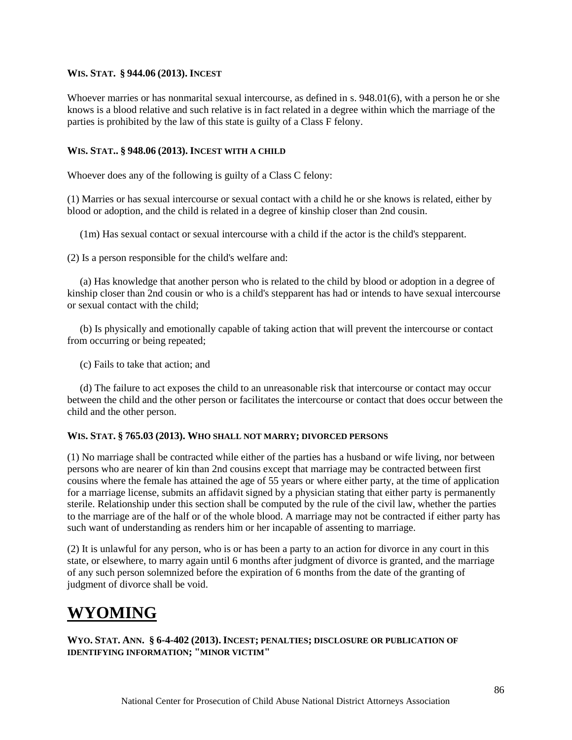#### **WIS. STAT. § 944.06 (2013). INCEST**

Whoever marries or has nonmarital sexual intercourse, as defined in [s. 948.01\(6\),](https://a.next.westlaw.com/Link/Document/FullText?findType=L&pubNum=1000260&cite=WIST948.01&originatingDoc=NACAF92804B8311DE8ECCA4811EF4AE93&refType=SP&originationContext=document&transitionType=DocumentItem&contextData=%28sc.Search%29#co_pp_1e9a0000fd6a3) with a person he or she knows is a blood relative and such relative is in fact related in a degree within which the marriage of the parties is prohibited by the law of this state is guilty of a Class F felony.

#### **WIS. STAT.. § 948.06 (2013). INCEST WITH A CHILD**

Whoever does any of the following is guilty of a Class C felony:

(1) Marries or has sexual intercourse or sexual contact with a child he or she knows is related, either by blood or adoption, and the child is related in a degree of kinship closer than 2nd cousin.

(1m) Has sexual contact or sexual intercourse with a child if the actor is the child's stepparent.

(2) Is a person responsible for the child's welfare and:

(a) Has knowledge that another person who is related to the child by blood or adoption in a degree of kinship closer than 2nd cousin or who is a child's stepparent has had or intends to have sexual intercourse or sexual contact with the child;

(b) Is physically and emotionally capable of taking action that will prevent the intercourse or contact from occurring or being repeated;

(c) Fails to take that action; and

(d) The failure to act exposes the child to an unreasonable risk that intercourse or contact may occur between the child and the other person or facilitates the intercourse or contact that does occur between the child and the other person.

#### **WIS. STAT. § 765.03 (2013). WHO SHALL NOT MARRY; DIVORCED PERSONS**

(1) No marriage shall be contracted while either of the parties has a husband or wife living, nor between persons who are nearer of kin than 2nd cousins except that marriage may be contracted between first cousins where the female has attained the age of 55 years or where either party, at the time of application for a marriage license, submits an affidavit signed by a physician stating that either party is permanently sterile. Relationship under this section shall be computed by the rule of the civil law, whether the parties to the marriage are of the half or of the whole blood. A marriage may not be contracted if either party has such want of understanding as renders him or her incapable of assenting to marriage.

(2) It is unlawful for any person, who is or has been a party to an action for divorce in any court in this state, or elsewhere, to marry again until 6 months after judgment of divorce is granted, and the marriage of any such person solemnized before the expiration of 6 months from the date of the granting of judgment of divorce shall be void.

## **WYOMING**

**WYO. STAT. ANN. § 6-4-402 (2013). INCEST; PENALTIES; DISCLOSURE OR PUBLICATION OF IDENTIFYING INFORMATION; "MINOR VICTIM"**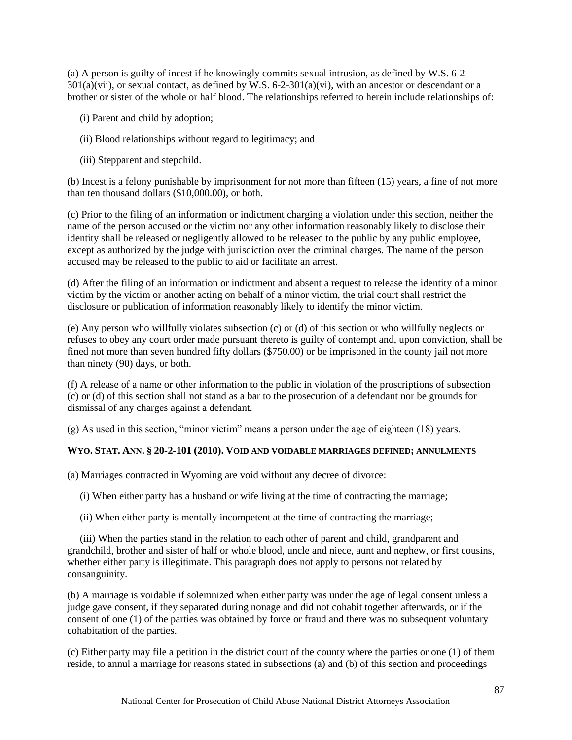(a) A person is guilty of incest if he knowingly commits sexual intrusion, as defined by [W.S. 6-2-](https://a.next.westlaw.com/Link/Document/FullText?findType=L&pubNum=1000377&cite=WYSTS6-2-301&originatingDoc=N4DA6FF10130F11DDACA2D74AB301C686&refType=SP&originationContext=document&transitionType=DocumentItem&contextData=%28sc.Search%29#co_pp_2fcf0000bc5e2)  $301(a)(vii)$ , or sexual contact, as defined by [W.S. 6-2-301\(a\)\(vi\),](https://a.next.westlaw.com/Link/Document/FullText?findType=L&pubNum=1000377&cite=WYSTS6-2-301&originatingDoc=N4DA6FF10130F11DDACA2D74AB301C686&refType=SP&originationContext=document&transitionType=DocumentItem&contextData=%28sc.Search%29#co_pp_915a000069954) with an ancestor or descendant or a brother or sister of the whole or half blood. The relationships referred to herein include relationships of:

- (i) Parent and child by adoption;
- (ii) Blood relationships without regard to legitimacy; and
- (iii) Stepparent and stepchild.

(b) Incest is a felony punishable by imprisonment for not more than fifteen (15) years, a fine of not more than ten thousand dollars (\$10,000.00), or both.

(c) Prior to the filing of an information or indictment charging a violation under this section, neither the name of the person accused or the victim nor any other information reasonably likely to disclose their identity shall be released or negligently allowed to be released to the public by any public employee, except as authorized by the judge with jurisdiction over the criminal charges. The name of the person accused may be released to the public to aid or facilitate an arrest.

(d) After the filing of an information or indictment and absent a request to release the identity of a minor victim by the victim or another acting on behalf of a minor victim, the trial court shall restrict the disclosure or publication of information reasonably likely to identify the minor victim.

(e) Any person who willfully violates subsection (c) or (d) of this section or who willfully neglects or refuses to obey any court order made pursuant thereto is guilty of contempt and, upon conviction, shall be fined not more than seven hundred fifty dollars (\$750.00) or be imprisoned in the county jail not more than ninety (90) days, or both.

(f) A release of a name or other information to the public in violation of the proscriptions of subsection (c) or (d) of this section shall not stand as a bar to the prosecution of a defendant nor be grounds for dismissal of any charges against a defendant.

(g) As used in this section, "minor victim" means a person under the age of eighteen (18) years.

## **WYO. STAT. ANN. § 20-2-101 (2010). VOID AND VOIDABLE MARRIAGES DEFINED; ANNULMENTS**

(a) Marriages contracted in Wyoming are void without any decree of divorce:

(i) When either party has a husband or wife living at the time of contracting the marriage;

(ii) When either party is mentally incompetent at the time of contracting the marriage;

(iii) When the parties stand in the relation to each other of parent and child, grandparent and grandchild, brother and sister of half or whole blood, uncle and niece, aunt and nephew, or first cousins, whether either party is illegitimate. This paragraph does not apply to persons not related by consanguinity.

(b) A marriage is voidable if solemnized when either party was under the age of legal consent unless a judge gave consent, if they separated during nonage and did not cohabit together afterwards, or if the consent of one (1) of the parties was obtained by force or fraud and there was no subsequent voluntary cohabitation of the parties.

(c) Either party may file a petition in the district court of the county where the parties or one (1) of them reside, to annul a marriage for reasons stated in subsections (a) and (b) of this section and proceedings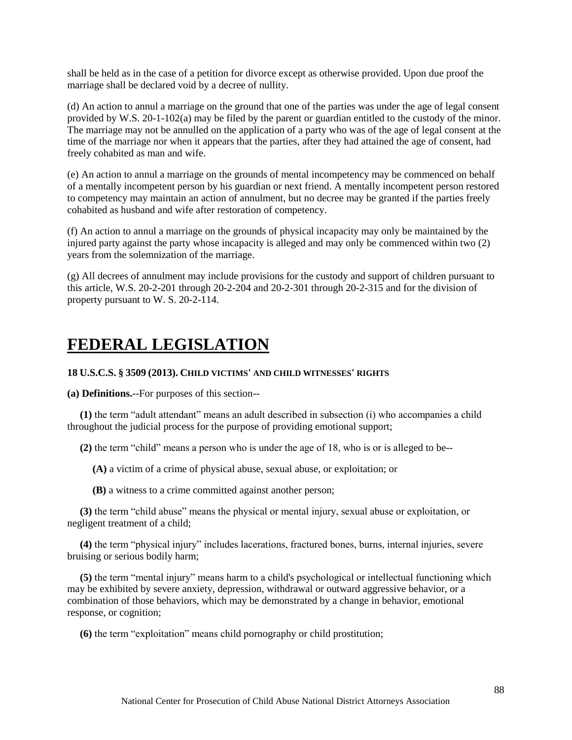shall be held as in the case of a petition for divorce except as otherwise provided. Upon due proof the marriage shall be declared void by a decree of nullity.

(d) An action to annul a marriage on the ground that one of the parties was under the age of legal consent provided b[y W.S. 20-1-102\(a\)](https://a.next.westlaw.com/Link/Document/FullText?findType=L&pubNum=1000377&cite=WYSTS20-1-102&originatingDoc=N365804A0131211DDACA2D74AB301C686&refType=SP&originationContext=document&transitionType=DocumentItem&contextData=%28sc.Search%29#co_pp_8b3b0000958a4) may be filed by the parent or guardian entitled to the custody of the minor. The marriage may not be annulled on the application of a party who was of the age of legal consent at the time of the marriage nor when it appears that the parties, after they had attained the age of consent, had freely cohabited as man and wife.

(e) An action to annul a marriage on the grounds of mental incompetency may be commenced on behalf of a mentally incompetent person by his guardian or next friend. A mentally incompetent person restored to competency may maintain an action of annulment, but no decree may be granted if the parties freely cohabited as husband and wife after restoration of competency.

(f) An action to annul a marriage on the grounds of physical incapacity may only be maintained by the injured party against the party whose incapacity is alleged and may only be commenced within two (2) years from the solemnization of the marriage.

(g) All decrees of annulment may include provisions for the custody and support of children pursuant to this article, [W.S. 20-2-201](https://a.next.westlaw.com/Link/Document/FullText?findType=L&pubNum=1000377&cite=WYSTS20-2-201&originatingDoc=N365804A0131211DDACA2D74AB301C686&refType=LQ&originationContext=document&transitionType=DocumentItem&contextData=%28sc.Search%29) through [20-2-204](https://a.next.westlaw.com/Link/Document/FullText?findType=L&pubNum=1000377&cite=WYSTS20-2-204&originatingDoc=N365804A0131211DDACA2D74AB301C686&refType=LQ&originationContext=document&transitionType=DocumentItem&contextData=%28sc.Search%29) and [20-2-301](https://a.next.westlaw.com/Link/Document/FullText?findType=L&pubNum=1000377&cite=WYSTS20-2-301&originatingDoc=N365804A0131211DDACA2D74AB301C686&refType=LQ&originationContext=document&transitionType=DocumentItem&contextData=%28sc.Search%29) through [20-2-315](https://a.next.westlaw.com/Link/Document/FullText?findType=L&pubNum=1000377&cite=WYSTS20-2-315&originatingDoc=N365804A0131211DDACA2D74AB301C686&refType=LQ&originationContext=document&transitionType=DocumentItem&contextData=%28sc.Search%29) and for the division of property pursuant to [W. S. 20-2-114.](https://a.next.westlaw.com/Link/Document/FullText?findType=L&pubNum=1000377&cite=WYSTS20-2-114&originatingDoc=N365804A0131211DDACA2D74AB301C686&refType=LQ&originationContext=document&transitionType=DocumentItem&contextData=%28sc.Search%29)

## **FEDERAL LEGISLATION**

### **18 U.S.C.S. § 3509 (2013). CHILD VICTIMS' AND CHILD WITNESSES' RIGHTS**

**(a) Definitions.**--For purposes of this section--

**(1)** the term "adult attendant" means an adult described in subsection (i) who accompanies a child throughout the judicial process for the purpose of providing emotional support;

**(2)** the term "child" means a person who is under the age of 18, who is or is alleged to be--

**(A)** a victim of a crime of physical abuse, sexual abuse, or exploitation; or

**(B)** a witness to a crime committed against another person;

**(3)** the term "child abuse" means the physical or mental injury, sexual abuse or exploitation, or negligent treatment of a child;

**(4)** the term "physical injury" includes lacerations, fractured bones, burns, internal injuries, severe bruising or serious bodily harm;

**(5)** the term "mental injury" means harm to a child's psychological or intellectual functioning which may be exhibited by severe anxiety, depression, withdrawal or outward aggressive behavior, or a combination of those behaviors, which may be demonstrated by a change in behavior, emotional response, or cognition;

**(6)** the term "exploitation" means child pornography or child prostitution;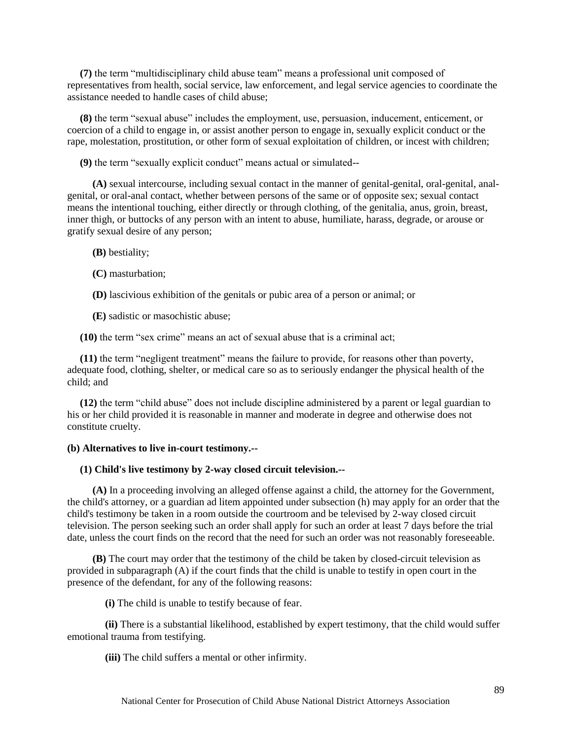**(7)** the term "multidisciplinary child abuse team" means a professional unit composed of representatives from health, social service, law enforcement, and legal service agencies to coordinate the assistance needed to handle cases of child abuse;

**(8)** the term "sexual abuse" includes the employment, use, persuasion, inducement, enticement, or coercion of a child to engage in, or assist another person to engage in, sexually explicit conduct or the rape, molestation, prostitution, or other form of sexual exploitation of children, or incest with children;

**(9)** the term "sexually explicit conduct" means actual or simulated--

**(A)** sexual intercourse, including sexual contact in the manner of genital-genital, oral-genital, analgenital, or oral-anal contact, whether between persons of the same or of opposite sex; sexual contact means the intentional touching, either directly or through clothing, of the genitalia, anus, groin, breast, inner thigh, or buttocks of any person with an intent to abuse, humiliate, harass, degrade, or arouse or gratify sexual desire of any person;

**(B)** bestiality;

**(C)** masturbation;

**(D)** lascivious exhibition of the genitals or pubic area of a person or animal; or

**(E)** sadistic or masochistic abuse;

**(10)** the term "sex crime" means an act of sexual abuse that is a criminal act;

**(11)** the term "negligent treatment" means the failure to provide, for reasons other than poverty, adequate food, clothing, shelter, or medical care so as to seriously endanger the physical health of the child; and

**(12)** the term "child abuse" does not include discipline administered by a parent or legal guardian to his or her child provided it is reasonable in manner and moderate in degree and otherwise does not constitute cruelty.

#### **(b) Alternatives to live in-court testimony.--**

#### **(1) Child's live testimony by 2-way closed circuit television.--**

**(A)** In a proceeding involving an alleged offense against a child, the attorney for the Government, the child's attorney, or a guardian ad litem appointed under subsection (h) may apply for an order that the child's testimony be taken in a room outside the courtroom and be televised by 2-way closed circuit television. The person seeking such an order shall apply for such an order at least 7 days before the trial date, unless the court finds on the record that the need for such an order was not reasonably foreseeable.

**(B)** The court may order that the testimony of the child be taken by closed-circuit television as provided in subparagraph (A) if the court finds that the child is unable to testify in open court in the presence of the defendant, for any of the following reasons:

**(i)** The child is unable to testify because of fear.

**(ii)** There is a substantial likelihood, established by expert testimony, that the child would suffer emotional trauma from testifying.

**(iii)** The child suffers a mental or other infirmity.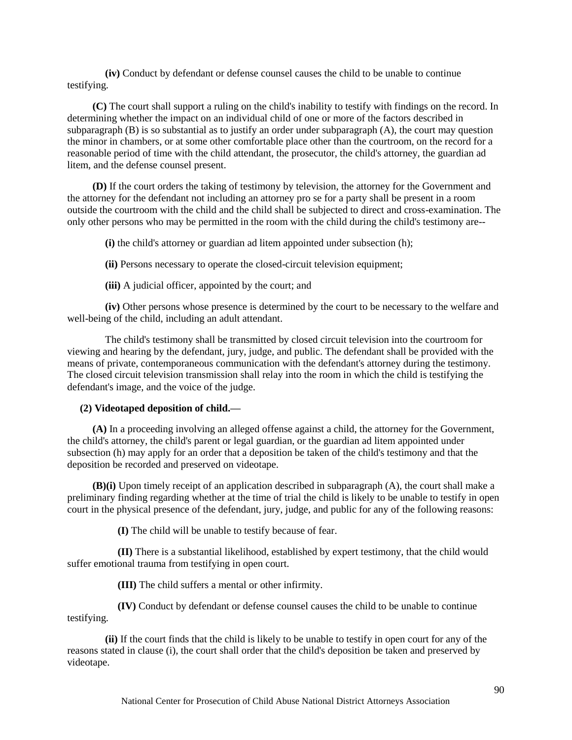**(iv)** Conduct by defendant or defense counsel causes the child to be unable to continue testifying.

**(C)** The court shall support a ruling on the child's inability to testify with findings on the record. In determining whether the impact on an individual child of one or more of the factors described in subparagraph (B) is so substantial as to justify an order under subparagraph (A), the court may question the minor in chambers, or at some other comfortable place other than the courtroom, on the record for a reasonable period of time with the child attendant, the prosecutor, the child's attorney, the guardian ad litem, and the defense counsel present.

**(D)** If the court orders the taking of testimony by television, the attorney for the Government and the attorney for the defendant not including an attorney pro se for a party shall be present in a room outside the courtroom with the child and the child shall be subjected to direct and cross-examination. The only other persons who may be permitted in the room with the child during the child's testimony are--

**(i)** the child's attorney or guardian ad litem appointed under subsection (h);

**(ii)** Persons necessary to operate the closed-circuit television equipment;

**(iii)** A judicial officer, appointed by the court; and

**(iv)** Other persons whose presence is determined by the court to be necessary to the welfare and well-being of the child, including an adult attendant.

The child's testimony shall be transmitted by closed circuit television into the courtroom for viewing and hearing by the defendant, jury, judge, and public. The defendant shall be provided with the means of private, contemporaneous communication with the defendant's attorney during the testimony. The closed circuit television transmission shall relay into the room in which the child is testifying the defendant's image, and the voice of the judge.

#### **(2) Videotaped deposition of child.—**

**(A)** In a proceeding involving an alleged offense against a child, the attorney for the Government, the child's attorney, the child's parent or legal guardian, or the guardian ad litem appointed under subsection (h) may apply for an order that a deposition be taken of the child's testimony and that the deposition be recorded and preserved on videotape.

**(B)(i)** Upon timely receipt of an application described in subparagraph (A), the court shall make a preliminary finding regarding whether at the time of trial the child is likely to be unable to testify in open court in the physical presence of the defendant, jury, judge, and public for any of the following reasons:

**(I)** The child will be unable to testify because of fear.

**(II)** There is a substantial likelihood, established by expert testimony, that the child would suffer emotional trauma from testifying in open court.

**(III)** The child suffers a mental or other infirmity.

**(IV)** Conduct by defendant or defense counsel causes the child to be unable to continue testifying.

**(ii)** If the court finds that the child is likely to be unable to testify in open court for any of the reasons stated in clause (i), the court shall order that the child's deposition be taken and preserved by videotape.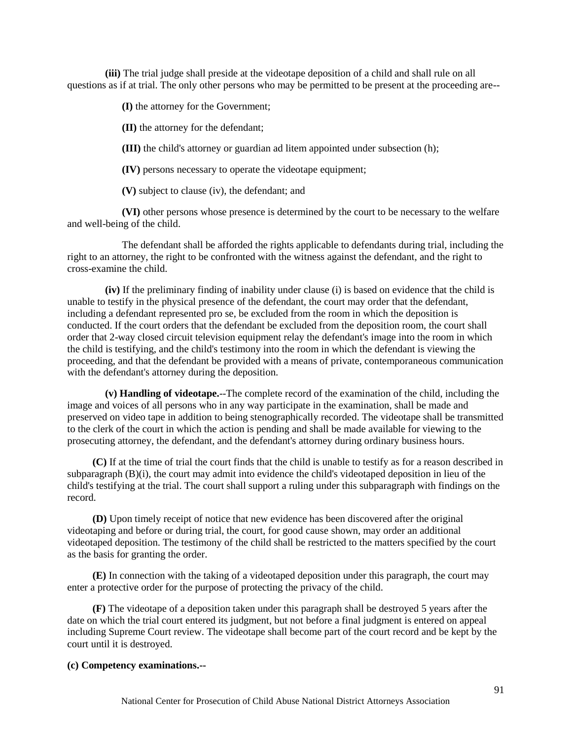**(iii)** The trial judge shall preside at the videotape deposition of a child and shall rule on all questions as if at trial. The only other persons who may be permitted to be present at the proceeding are--

**(I)** the attorney for the Government;

**(II)** the attorney for the defendant;

**(III)** the child's attorney or guardian ad litem appointed under subsection (h);

**(IV)** persons necessary to operate the videotape equipment;

**(V)** subject to clause (iv), the defendant; and

**(VI)** other persons whose presence is determined by the court to be necessary to the welfare and well-being of the child.

The defendant shall be afforded the rights applicable to defendants during trial, including the right to an attorney, the right to be confronted with the witness against the defendant, and the right to cross-examine the child.

**(iv)** If the preliminary finding of inability under clause (i) is based on evidence that the child is unable to testify in the physical presence of the defendant, the court may order that the defendant, including a defendant represented pro se, be excluded from the room in which the deposition is conducted. If the court orders that the defendant be excluded from the deposition room, the court shall order that 2-way closed circuit television equipment relay the defendant's image into the room in which the child is testifying, and the child's testimony into the room in which the defendant is viewing the proceeding, and that the defendant be provided with a means of private, contemporaneous communication with the defendant's attorney during the deposition.

**(v) Handling of videotape.**--The complete record of the examination of the child, including the image and voices of all persons who in any way participate in the examination, shall be made and preserved on video tape in addition to being stenographically recorded. The videotape shall be transmitted to the clerk of the court in which the action is pending and shall be made available for viewing to the prosecuting attorney, the defendant, and the defendant's attorney during ordinary business hours.

**(C)** If at the time of trial the court finds that the child is unable to testify as for a reason described in subparagraph (B)(i), the court may admit into evidence the child's videotaped deposition in lieu of the child's testifying at the trial. The court shall support a ruling under this subparagraph with findings on the record.

**(D)** Upon timely receipt of notice that new evidence has been discovered after the original videotaping and before or during trial, the court, for good cause shown, may order an additional videotaped deposition. The testimony of the child shall be restricted to the matters specified by the court as the basis for granting the order.

**(E)** In connection with the taking of a videotaped deposition under this paragraph, the court may enter a protective order for the purpose of protecting the privacy of the child.

**(F)** The videotape of a deposition taken under this paragraph shall be destroyed 5 years after the date on which the trial court entered its judgment, but not before a final judgment is entered on appeal including Supreme Court review. The videotape shall become part of the court record and be kept by the court until it is destroyed.

#### **(c) Competency examinations.--**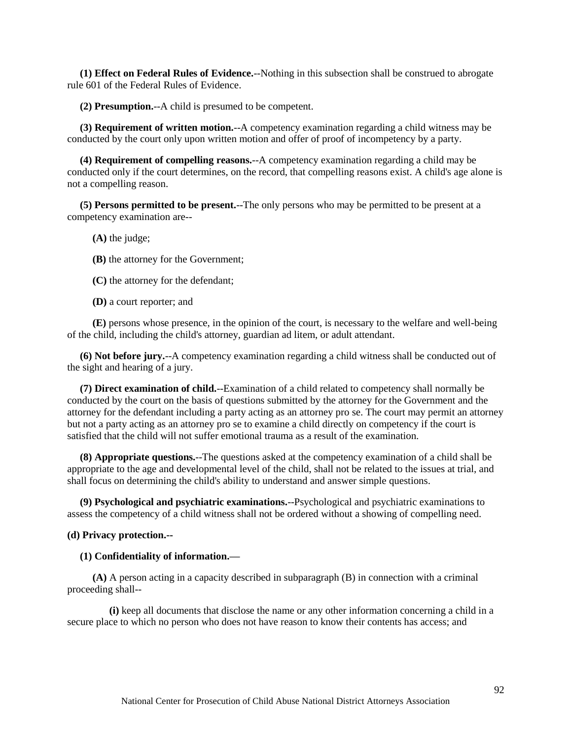**(1) Effect on Federal Rules of Evidence.**--Nothing in this subsection shall be construed to abrogate [rule 601 of the Federal Rules of Evidence.](https://a.next.westlaw.com/Link/Document/FullText?findType=L&pubNum=1000607&cite=USFRER601&originatingDoc=N43C2E7C0E34C11DE873DE94F41B0F9AD&refType=LQ&originationContext=document&transitionType=DocumentItem&contextData=%28sc.Search%29)

**(2) Presumption.**--A child is presumed to be competent.

**(3) Requirement of written motion.**--A competency examination regarding a child witness may be conducted by the court only upon written motion and offer of proof of incompetency by a party.

**(4) Requirement of compelling reasons.**--A competency examination regarding a child may be conducted only if the court determines, on the record, that compelling reasons exist. A child's age alone is not a compelling reason.

**(5) Persons permitted to be present.**--The only persons who may be permitted to be present at a competency examination are--

**(A)** the judge;

**(B)** the attorney for the Government;

**(C)** the attorney for the defendant;

**(D)** a court reporter; and

**(E)** persons whose presence, in the opinion of the court, is necessary to the welfare and well-being of the child, including the child's attorney, guardian ad litem, or adult attendant.

**(6) Not before jury.**--A competency examination regarding a child witness shall be conducted out of the sight and hearing of a jury.

**(7) Direct examination of child.**--Examination of a child related to competency shall normally be conducted by the court on the basis of questions submitted by the attorney for the Government and the attorney for the defendant including a party acting as an attorney pro se. The court may permit an attorney but not a party acting as an attorney pro se to examine a child directly on competency if the court is satisfied that the child will not suffer emotional trauma as a result of the examination.

**(8) Appropriate questions.**--The questions asked at the competency examination of a child shall be appropriate to the age and developmental level of the child, shall not be related to the issues at trial, and shall focus on determining the child's ability to understand and answer simple questions.

**(9) Psychological and psychiatric examinations.**--Psychological and psychiatric examinations to assess the competency of a child witness shall not be ordered without a showing of compelling need.

#### **(d) Privacy protection.--**

#### **(1) Confidentiality of information.—**

**(A)** A person acting in a capacity described in subparagraph (B) in connection with a criminal proceeding shall--

**(i)** keep all documents that disclose the name or any other information concerning a child in a secure place to which no person who does not have reason to know their contents has access; and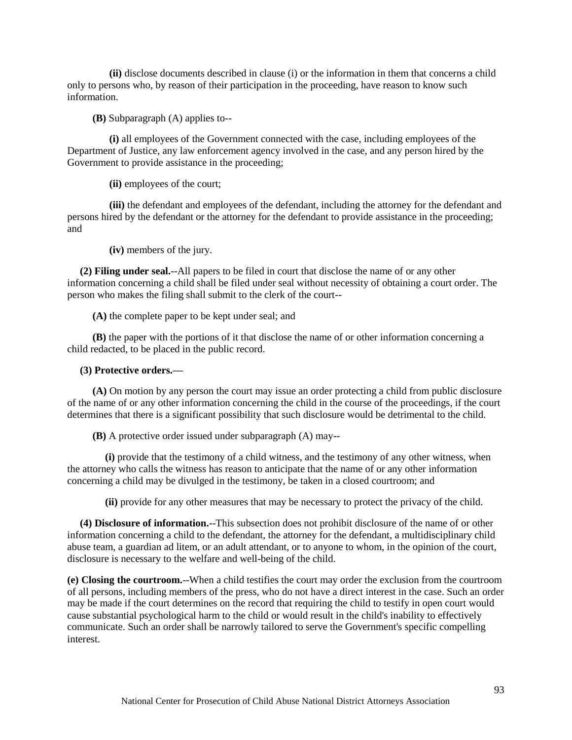**(ii)** disclose documents described in clause (i) or the information in them that concerns a child only to persons who, by reason of their participation in the proceeding, have reason to know such information.

**(B)** Subparagraph (A) applies to--

**(i)** all employees of the Government connected with the case, including employees of the Department of Justice, any law enforcement agency involved in the case, and any person hired by the Government to provide assistance in the proceeding;

**(ii)** employees of the court;

**(iii)** the defendant and employees of the defendant, including the attorney for the defendant and persons hired by the defendant or the attorney for the defendant to provide assistance in the proceeding; and

**(iv)** members of the jury.

**(2) Filing under seal.**--All papers to be filed in court that disclose the name of or any other information concerning a child shall be filed under seal without necessity of obtaining a court order. The person who makes the filing shall submit to the clerk of the court--

**(A)** the complete paper to be kept under seal; and

**(B)** the paper with the portions of it that disclose the name of or other information concerning a child redacted, to be placed in the public record.

### **(3) Protective orders.—**

**(A)** On motion by any person the court may issue an order protecting a child from public disclosure of the name of or any other information concerning the child in the course of the proceedings, if the court determines that there is a significant possibility that such disclosure would be detrimental to the child.

**(B)** A protective order issued under subparagraph (A) may--

**(i)** provide that the testimony of a child witness, and the testimony of any other witness, when the attorney who calls the witness has reason to anticipate that the name of or any other information concerning a child may be divulged in the testimony, be taken in a closed courtroom; and

**(ii)** provide for any other measures that may be necessary to protect the privacy of the child.

**(4) Disclosure of information.**--This subsection does not prohibit disclosure of the name of or other information concerning a child to the defendant, the attorney for the defendant, a multidisciplinary child abuse team, a guardian ad litem, or an adult attendant, or to anyone to whom, in the opinion of the court, disclosure is necessary to the welfare and well-being of the child.

**(e) Closing the courtroom.**--When a child testifies the court may order the exclusion from the courtroom of all persons, including members of the press, who do not have a direct interest in the case. Such an order may be made if the court determines on the record that requiring the child to testify in open court would cause substantial psychological harm to the child or would result in the child's inability to effectively communicate. Such an order shall be narrowly tailored to serve the Government's specific compelling interest.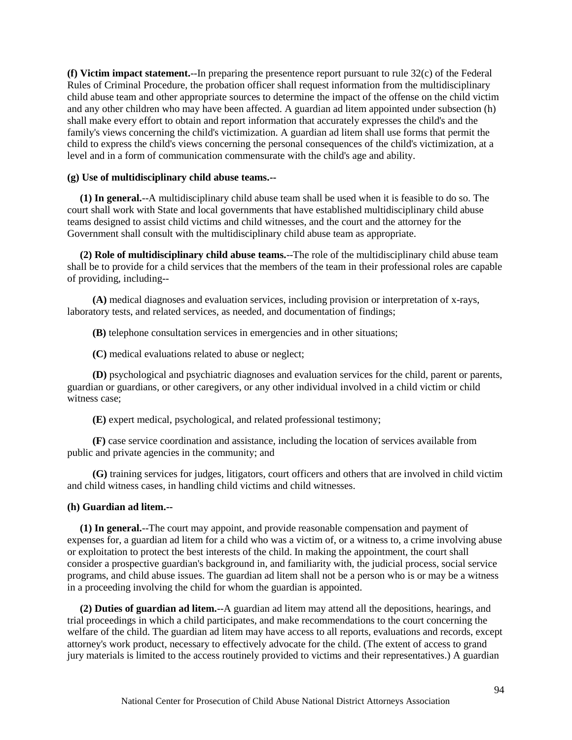**(f) Victim impact statement.**--In preparing the presentence report pursuant to [rule 32\(c\) of the Federal](https://a.next.westlaw.com/Link/Document/FullText?findType=L&pubNum=1000598&cite=USFRCRPR32&originationContext=document&transitionType=DocumentItem&contextData=%28sc.Search%29#co_pp_4b24000003ba5)  [Rules of Criminal Procedure,](https://a.next.westlaw.com/Link/Document/FullText?findType=L&pubNum=1000598&cite=USFRCRPR32&originationContext=document&transitionType=DocumentItem&contextData=%28sc.Search%29#co_pp_4b24000003ba5) the probation officer shall request information from the multidisciplinary child abuse team and other appropriate sources to determine the impact of the offense on the child victim and any other children who may have been affected. A guardian ad litem appointed under subsection (h) shall make every effort to obtain and report information that accurately expresses the child's and the family's views concerning the child's victimization. A guardian ad litem shall use forms that permit the child to express the child's views concerning the personal consequences of the child's victimization, at a level and in a form of communication commensurate with the child's age and ability.

### **(g) Use of multidisciplinary child abuse teams.--**

**(1) In general.**--A multidisciplinary child abuse team shall be used when it is feasible to do so. The court shall work with State and local governments that have established multidisciplinary child abuse teams designed to assist child victims and child witnesses, and the court and the attorney for the Government shall consult with the multidisciplinary child abuse team as appropriate.

**(2) Role of multidisciplinary child abuse teams.**--The role of the multidisciplinary child abuse team shall be to provide for a child services that the members of the team in their professional roles are capable of providing, including--

**(A)** medical diagnoses and evaluation services, including provision or interpretation of x-rays, laboratory tests, and related services, as needed, and documentation of findings;

**(B)** telephone consultation services in emergencies and in other situations;

**(C)** medical evaluations related to abuse or neglect;

**(D)** psychological and psychiatric diagnoses and evaluation services for the child, parent or parents, guardian or guardians, or other caregivers, or any other individual involved in a child victim or child witness case;

**(E)** expert medical, psychological, and related professional testimony;

**(F)** case service coordination and assistance, including the location of services available from public and private agencies in the community; and

**(G)** training services for judges, litigators, court officers and others that are involved in child victim and child witness cases, in handling child victims and child witnesses.

#### **(h) Guardian ad litem.--**

**(1) In general.**--The court may appoint, and provide reasonable compensation and payment of expenses for, a guardian ad litem for a child who was a victim of, or a witness to, a crime involving abuse or exploitation to protect the best interests of the child. In making the appointment, the court shall consider a prospective guardian's background in, and familiarity with, the judicial process, social service programs, and child abuse issues. The guardian ad litem shall not be a person who is or may be a witness in a proceeding involving the child for whom the guardian is appointed.

**(2) Duties of guardian ad litem.**--A guardian ad litem may attend all the depositions, hearings, and trial proceedings in which a child participates, and make recommendations to the court concerning the welfare of the child. The guardian ad litem may have access to all reports, evaluations and records, except attorney's work product, necessary to effectively advocate for the child. (The extent of access to grand jury materials is limited to the access routinely provided to victims and their representatives.) A guardian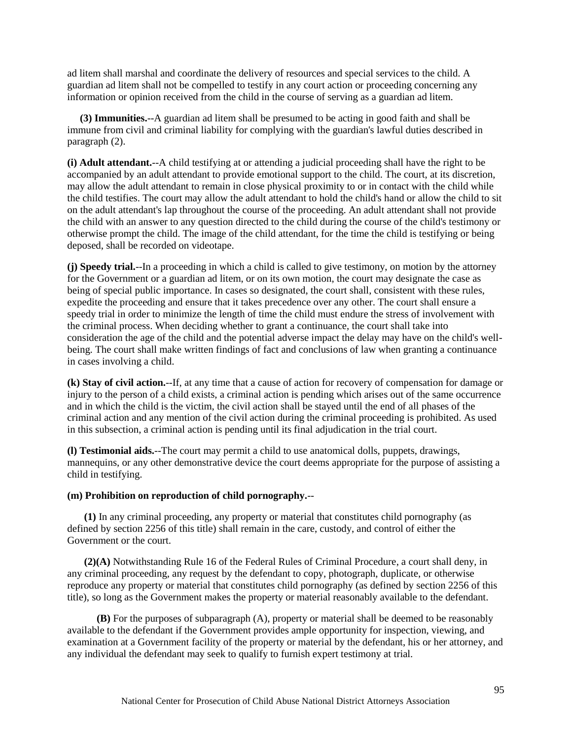ad litem shall marshal and coordinate the delivery of resources and special services to the child. A guardian ad litem shall not be compelled to testify in any court action or proceeding concerning any information or opinion received from the child in the course of serving as a guardian ad litem.

**(3) Immunities.**--A guardian ad litem shall be presumed to be acting in good faith and shall be immune from civil and criminal liability for complying with the guardian's lawful duties described in paragraph (2).

**(i) Adult attendant.**--A child testifying at or attending a judicial proceeding shall have the right to be accompanied by an adult attendant to provide emotional support to the child. The court, at its discretion, may allow the adult attendant to remain in close physical proximity to or in contact with the child while the child testifies. The court may allow the adult attendant to hold the child's hand or allow the child to sit on the adult attendant's lap throughout the course of the proceeding. An adult attendant shall not provide the child with an answer to any question directed to the child during the course of the child's testimony or otherwise prompt the child. The image of the child attendant, for the time the child is testifying or being deposed, shall be recorded on videotape.

**(j) Speedy trial.**--In a proceeding in which a child is called to give testimony, on motion by the attorney for the Government or a guardian ad litem, or on its own motion, the court may designate the case as being of special public importance. In cases so designated, the court shall, consistent with these rules, expedite the proceeding and ensure that it takes precedence over any other. The court shall ensure a speedy trial in order to minimize the length of time the child must endure the stress of involvement with the criminal process. When deciding whether to grant a continuance, the court shall take into consideration the age of the child and the potential adverse impact the delay may have on the child's wellbeing. The court shall make written findings of fact and conclusions of law when granting a continuance in cases involving a child.

**(k) Stay of civil action.**--If, at any time that a cause of action for recovery of compensation for damage or injury to the person of a child exists, a criminal action is pending which arises out of the same occurrence and in which the child is the victim, the civil action shall be stayed until the end of all phases of the criminal action and any mention of the civil action during the criminal proceeding is prohibited. As used in this subsection, a criminal action is pending until its final adjudication in the trial court.

**(l) Testimonial aids.**--The court may permit a child to use anatomical dolls, puppets, drawings, mannequins, or any other demonstrative device the court deems appropriate for the purpose of assisting a child in testifying.

## **(m) Prohibition on reproduction of child pornography.**--

**(1)** In any criminal proceeding, any property or material that constitutes child pornography (as defined by [section 2256](https://a.next.westlaw.com/Link/Document/FullText?findType=L&pubNum=1000546&cite=18USCAS2256&originatingDoc=N43C2E7C0E34C11DE873DE94F41B0F9AD&refType=LQ&originationContext=document&transitionType=DocumentItem&contextData=%28sc.Search%29) of this title) shall remain in the care, custody, and control of either the Government or the court.

**(2)(A)** Notwithstanding [Rule 16 of the Federal Rules of Criminal Procedure,](https://a.next.westlaw.com/Link/Document/FullText?findType=L&pubNum=1000598&cite=USFRCRPR16&originatingDoc=N43C2E7C0E34C11DE873DE94F41B0F9AD&refType=LQ&originationContext=document&transitionType=DocumentItem&contextData=%28sc.Search%29) a court shall deny, in any criminal proceeding, any request by the defendant to copy, photograph, duplicate, or otherwise reproduce any property or material that constitutes child pornography (as defined by [section 2256](https://a.next.westlaw.com/Link/Document/FullText?findType=L&pubNum=1000546&cite=18USCAS2256&originatingDoc=N43C2E7C0E34C11DE873DE94F41B0F9AD&refType=LQ&originationContext=document&transitionType=DocumentItem&contextData=%28sc.Search%29) of this title), so long as the Government makes the property or material reasonably available to the defendant.

**(B)** For the purposes of subparagraph (A), property or material shall be deemed to be reasonably available to the defendant if the Government provides ample opportunity for inspection, viewing, and examination at a Government facility of the property or material by the defendant, his or her attorney, and any individual the defendant may seek to qualify to furnish expert testimony at trial.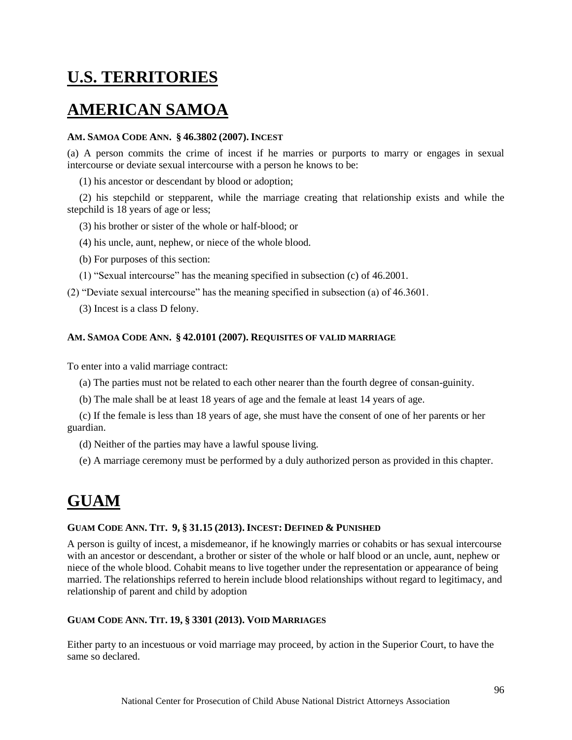# **U.S. TERRITORIES**

# **AMERICAN SAMOA**

#### **AM. SAMOA CODE ANN. § 46.3802 (2007). INCEST**

(a) A person commits the crime of incest if he marries or purports to marry or engages in sexual intercourse or deviate sexual intercourse with a person he knows to be:

(1) his ancestor or descendant by blood or adoption;

(2) his stepchild or stepparent, while the marriage creating that relationship exists and while the stepchild is 18 years of age or less;

(3) his brother or sister of the whole or half-blood; or

- (4) his uncle, aunt, nephew, or niece of the whole blood.
- (b) For purposes of this section:
- (1) "Sexual intercourse" has the meaning specified in subsection (c) of 46.2001.

(2) "Deviate sexual intercourse" has the meaning specified in subsection (a) of 46.3601.

(3) Incest is a class D felony.

#### **AM. SAMOA CODE ANN. § 42.0101 (2007). REQUISITES OF VALID MARRIAGE**

To enter into a valid marriage contract:

- (a) The parties must not be related to each other nearer than the fourth degree of consan-guinity.
- (b) The male shall be at least 18 years of age and the female at least 14 years of age.

(c) If the female is less than 18 years of age, she must have the consent of one of her parents or her guardian.

- (d) Neither of the parties may have a lawful spouse living.
- (e) A marriage ceremony must be performed by a duly authorized person as provided in this chapter.

# **GUAM**

#### **GUAM CODE ANN. TIT. 9, § 31.15 (2013). INCEST: DEFINED & PUNISHED**

A person is guilty of incest*,* a misdemeanor, if he knowingly marries or cohabits or has sexual intercourse with an ancestor or descendant, a brother or sister of the whole or half blood or an uncle, aunt, nephew or niece of the whole blood. Cohabit means to live together under the representation or appearance of being married. The relationships referred to herein include blood relationships without regard to legitimacy, and relationship of parent and child by adoption

## **GUAM CODE ANN. TIT. 19, § 3301 (2013). VOID MARRIAGES**

Either party to an incestuous or void marriage may proceed, by action in the Superior Court, to have the same so declared.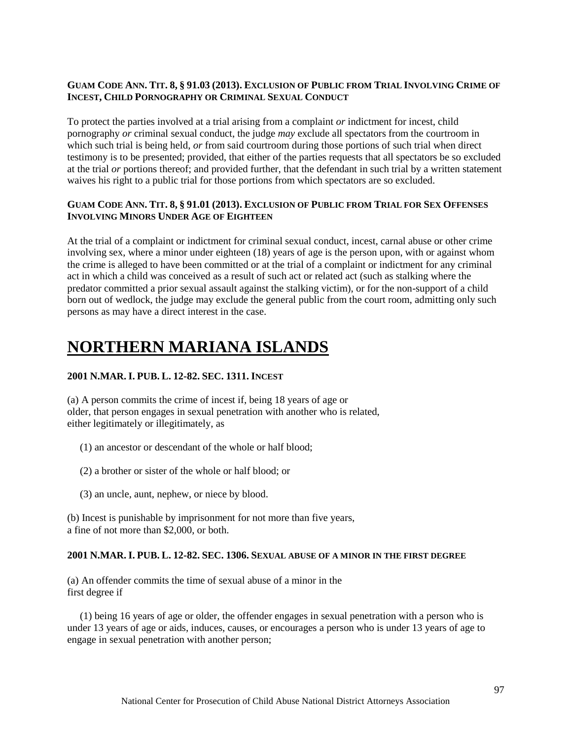## GUAM CODE ANN. TIT. 8, § 91.03 (2013). EXCLUSION OF PUBLIC FROM TRIAL INVOLVING CRIME OF **INCEST, CHILD PORNOGRAPHY OR CRIMINAL SEXUAL CONDUCT**

To protect the parties involved at a trial arising from a complaint *or* indictment for incest, child pornography *or* criminal sexual conduct, the judge *may* exclude all spectators from the courtroom in which such trial is being held, *or* from said courtroom during those portions of such trial when direct testimony is to be presented; provided, that either of the parties requests that all spectators be so excluded at the trial *or* portions thereof; and provided further, that the defendant in such trial by a written statement waives his right to a public trial for those portions from which spectators are so excluded.

#### GUAM CODE ANN. TIT. 8, § 91.01 (2013). EXCLUSION OF PUBLIC FROM TRIAL FOR SEX OFFENSES **INVOLVING MINORS UNDER AGE OF EIGHTEEN**

At the trial of a complaint or indictment for criminal sexual conduct, incest, carnal abuse or other crime involving sex, where a minor under eighteen (18) years of age is the person upon, with or against whom the crime is alleged to have been committed or at the trial of a complaint or indictment for any criminal act in which a child was conceived as a result of such act or related act (such as stalking where the predator committed a prior sexual assault against the stalking victim), or for the non-support of a child born out of wedlock, the judge may exclude the general public from the court room, admitting only such persons as may have a direct interest in the case.

## **NORTHERN MARIANA ISLANDS**

## **2001 N.MAR. I. PUB. L. 12-82. SEC. 1311. INCEST**

(a) A person commits the crime of incest if, being 18 years of age or older, that person engages in sexual penetration with another who is related, either legitimately or illegitimately, as

- (1) an ancestor or descendant of the whole or half blood;
- (2) a brother or sister of the whole or half blood; or
- (3) an uncle, aunt, nephew, or niece by blood.

(b) Incest is punishable by imprisonment for not more than five years, a fine of not more than \$2,000, or both.

### **2001 N.MAR. I. PUB. L. 12-82. SEC. 1306. SEXUAL ABUSE OF A MINOR IN THE FIRST DEGREE**

(a) An offender commits the time of sexual abuse of a minor in the first degree if

(1) being 16 years of age or older, the offender engages in sexual penetration with a person who is under 13 years of age or aids, induces, causes, or encourages a person who is under 13 years of age to engage in sexual penetration with another person;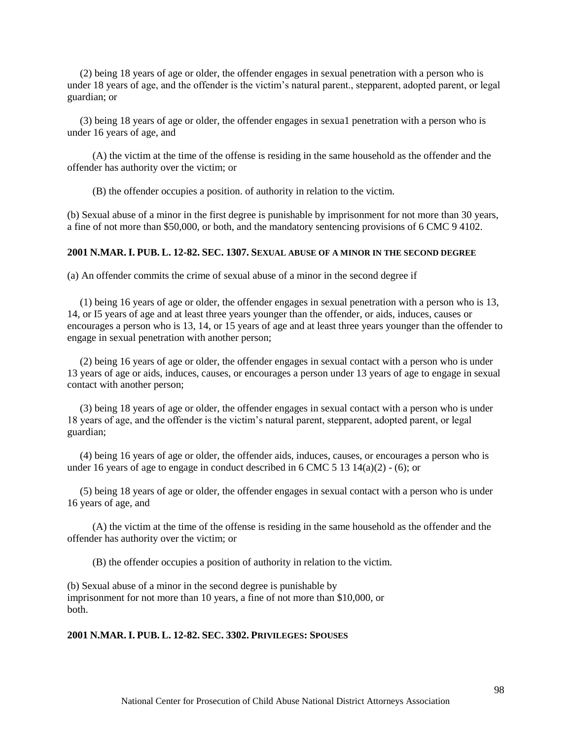(2) being 18 years of age or older, the offender engages in sexual penetration with a person who is under 18 years of age, and the offender is the victim's natural parent., stepparent, adopted parent, or legal guardian; or

(3) being 18 years of age or older, the offender engages in sexua1 penetration with a person who is under 16 years of age, and

(A) the victim at the time of the offense is residing in the same household as the offender and the offender has authority over the victim; or

(B) the offender occupies a position. of authority in relation to the victim.

(b) Sexual abuse of a minor in the first degree is punishable by imprisonment for not more than 30 years, a fine of not more than \$50,000, or both, and the mandatory sentencing provisions of 6 CMC 9 4102.

### **2001 N.MAR. I. PUB. L. 12-82. SEC. 1307. SEXUAL ABUSE OF A MINOR IN THE SECOND DEGREE**

(a) An offender commits the crime of sexual abuse of a minor in the second degree if

(1) being 16 years of age or older, the offender engages in sexual penetration with a person who is 13, 14, or I5 years of age and at least three years younger than the offender, or aids, induces, causes or encourages a person who is 13, 14, or 15 years of age and at least three years younger than the offender to engage in sexual penetration with another person;

(2) being 16 years of age or older, the offender engages in sexual contact with a person who is under 13 years of age or aids, induces, causes, or encourages a person under 13 years of age to engage in sexual contact with another person;

(3) being 18 years of age or older, the offender engages in sexual contact with a person who is under 18 years of age, and the offender is the victim's natural parent, stepparent, adopted parent, or legal guardian;

(4) being 16 years of age or older, the offender aids, induces, causes, or encourages a person who is under 16 years of age to engage in conduct described in 6 CMC 5 13 14(a)(2) - (6); or

(5) being 18 years of age or older, the offender engages in sexual contact with a person who is under 16 years of age, and

(A) the victim at the time of the offense is residing in the same household as the offender and the offender has authority over the victim; or

(B) the offender occupies a position of authority in relation to the victim.

(b) Sexual abuse of a minor in the second degree is punishable by imprisonment for not more than 10 years, a fine of not more than \$10,000, or both.

#### **2001 N.MAR. I. PUB. L. 12-82. SEC. 3302. PRIVILEGES: SPOUSES**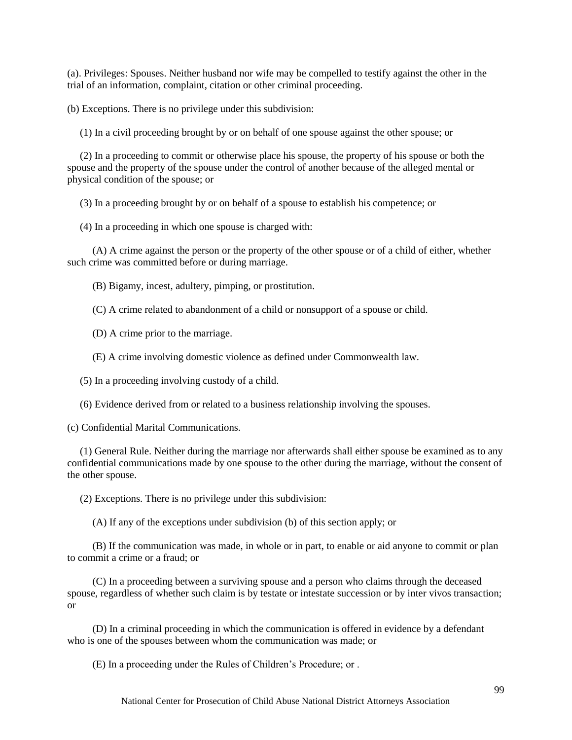(a). Privileges: Spouses. Neither husband nor wife may be compelled to testify against the other in the trial of an information, complaint, citation or other criminal proceeding.

(b) Exceptions. There is no privilege under this subdivision:

(1) In a civil proceeding brought by or on behalf of one spouse against the other spouse; or

(2) In a proceeding to commit or otherwise place his spouse, the property of his spouse or both the spouse and the property of the spouse under the control of another because of the alleged mental or physical condition of the spouse; or

(3) In a proceeding brought by or on behalf of a spouse to establish his competence; or

(4) In a proceeding in which one spouse is charged with:

(A) A crime against the person or the property of the other spouse or of a child of either, whether such crime was committed before or during marriage.

(B) Bigamy, incest, adultery, pimping, or prostitution.

(C) A crime related to abandonment of a child or nonsupport of a spouse or child.

(D) A crime prior to the marriage.

(E) A crime involving domestic violence as defined under Commonwealth law.

(5) In a proceeding involving custody of a child.

(6) Evidence derived from or related to a business relationship involving the spouses.

(c) Confidential Marital Communications.

(1) General Rule. Neither during the marriage nor afterwards shall either spouse be examined as to any confidential communications made by one spouse to the other during the marriage, without the consent of the other spouse.

(2) Exceptions. There is no privilege under this subdivision:

(A) If any of the exceptions under subdivision (b) of this section apply; or

(B) If the communication was made, in whole or in part, to enable or aid anyone to commit or plan to commit a crime or a fraud; or

(C) In a proceeding between a surviving spouse and a person who claims through the deceased spouse, regardless of whether such claim is by testate or intestate succession or by inter vivos transaction; or

(D) In a criminal proceeding in which the communication is offered in evidence by a defendant who is one of the spouses between whom the communication was made; or

(E) In a proceeding under the Rules of Children's Procedure; or .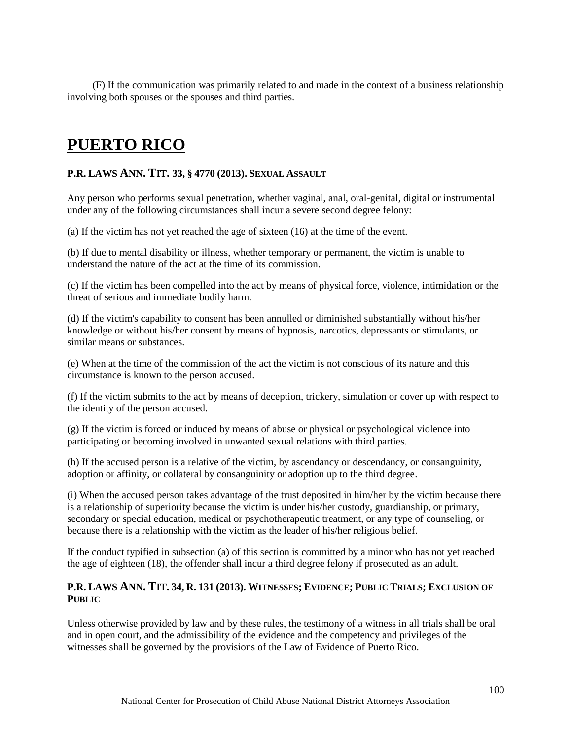(F) If the communication was primarily related to and made in the context of a business relationship involving both spouses or the spouses and third parties.

# **PUERTO RICO**

## **P.R. LAWS ANN. TIT. 33, § 4770 (2013). SEXUAL ASSAULT**

Any person who performs sexual penetration, whether vaginal, anal, oral-genital, digital or instrumental under any of the following circumstances shall incur a severe second degree felony:

(a) If the victim has not yet reached the age of sixteen (16) at the time of the event.

(b) If due to mental disability or illness, whether temporary or permanent, the victim is unable to understand the nature of the act at the time of its commission.

(c) If the victim has been compelled into the act by means of physical force, violence, intimidation or the threat of serious and immediate bodily harm.

(d) If the victim's capability to consent has been annulled or diminished substantially without his/her knowledge or without his/her consent by means of hypnosis, narcotics, depressants or stimulants, or similar means or substances.

(e) When at the time of the commission of the act the victim is not conscious of its nature and this circumstance is known to the person accused.

(f) If the victim submits to the act by means of deception, trickery, simulation or cover up with respect to the identity of the person accused.

(g) If the victim is forced or induced by means of abuse or physical or psychological violence into participating or becoming involved in unwanted sexual relations with third parties.

(h) If the accused person is a relative of the victim, by ascendancy or descendancy, or consanguinity, adoption or affinity, or collateral by consanguinity or adoption up to the third degree.

(i) When the accused person takes advantage of the trust deposited in him/her by the victim because there is a relationship of superiority because the victim is under his/her custody, guardianship, or primary, secondary or special education, medical or psychotherapeutic treatment, or any type of counseling, or because there is a relationship with the victim as the leader of his/her religious belief.

If the conduct typified in subsection (a) of this section is committed by a minor who has not yet reached the age of eighteen (18), the offender shall incur a third degree felony if prosecuted as an adult.

## P.R. LAWS ANN. TIT. 34, R. 131 (2013). WITNESSES: EVIDENCE; PUBLIC TRIALS; EXCLUSION OF **PUBLIC**

Unless otherwise provided by law and by these rules, the testimony of a witness in all trials shall be oral and in open court, and the admissibility of the evidence and the competency and privileges of the witnesses shall be governed by the provisions of the Law of Evidence of Puerto Rico.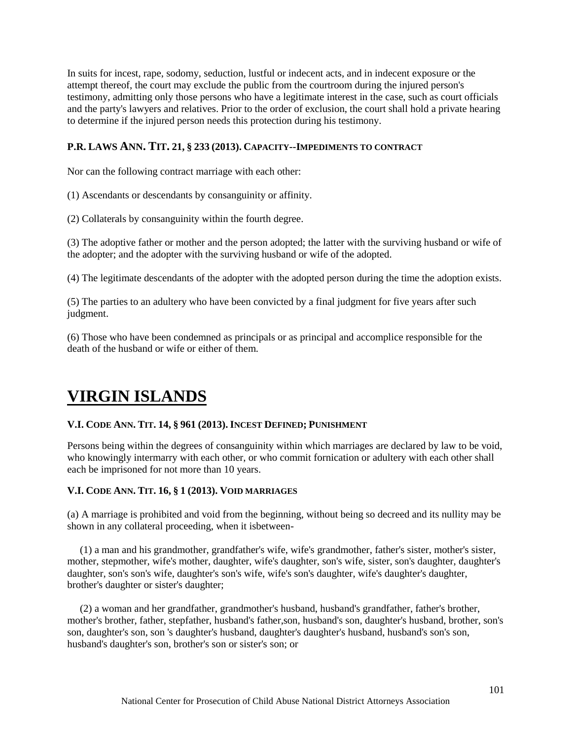In suits for incest, rape, sodomy, seduction, lustful or indecent acts, and in indecent exposure or the attempt thereof, the court may exclude the public from the courtroom during the injured person's testimony, admitting only those persons who have a legitimate interest in the case, such as court officials and the party's lawyers and relatives. Prior to the order of exclusion, the court shall hold a private hearing to determine if the injured person needs this protection during his testimony.

## **P.R. LAWS ANN. TIT. 21, § 233 (2013). CAPACITY--IMPEDIMENTS TO CONTRACT**

Nor can the following contract marriage with each other:

(1) Ascendants or descendants by consanguinity or affinity.

(2) Collaterals by consanguinity within the fourth degree.

(3) The adoptive father or mother and the person adopted; the latter with the surviving husband or wife of the adopter; and the adopter with the surviving husband or wife of the adopted.

(4) The legitimate descendants of the adopter with the adopted person during the time the adoption exists.

(5) The parties to an adultery who have been convicted by a final judgment for five years after such judgment.

(6) Those who have been condemned as principals or as principal and accomplice responsible for the death of the husband or wife or either of them.

## **VIRGIN ISLANDS**

#### **V.I. CODE ANN. TIT. 14, § 961 (2013). INCEST DEFINED; PUNISHMENT**

Persons being within the degrees of consanguinity within which marriages are declared by law to be void, who knowingly intermarry with each other, or who commit fornication or adultery with each other shall each be imprisoned for not more than 10 years.

## **V.I. CODE ANN. TIT. 16, § 1 (2013). VOID MARRIAGES**

(a) A marriage is prohibited and void from the beginning, without being so decreed and its nullity may be shown in any collateral proceeding, when it isbetween-

(1) a man and his grandmother, grandfather's wife, wife's grandmother, father's sister, mother's sister, mother, stepmother, wife's mother, daughter, wife's daughter, son's wife, sister, son's daughter, daughter's daughter, son's son's wife, daughter's son's wife, wife's son's daughter, wife's daughter's daughter, brother's daughter or sister's daughter;

(2) a woman and her grandfather, grandmother's husband, husband's grandfather, father's brother, mother's brother, father, stepfather, husband's father,son, husband's son, daughter's husband, brother, son's son, daughter's son, son 's daughter's husband, daughter's daughter's husband, husband's son's son, husband's daughter's son, brother's son or sister's son; or